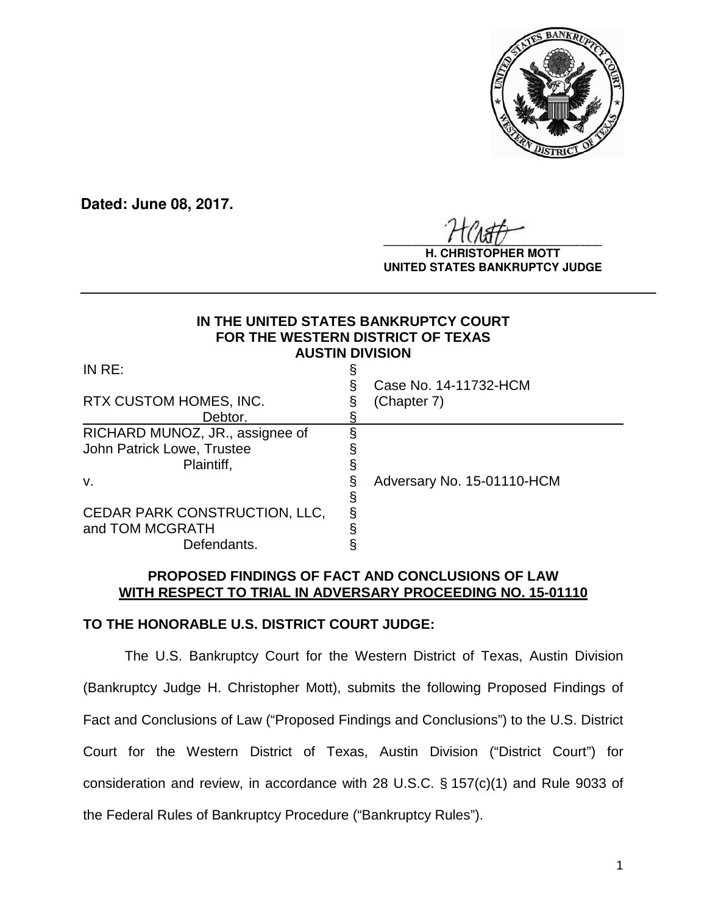

**Dated: June 08, 2017.**

 $\frac{1}{2}$ 

**H. CHRISTOPHER MOTT UNITED STATES BANKRUPTCY JUDGE**

# **IN THE UNITED STATES BANKRUPTCY COURT FOR THE WESTERN DISTRICT OF TEXAS AUSTIN DIVISION**

**\_\_\_\_\_\_\_\_\_\_\_\_\_\_\_\_\_\_\_\_\_\_\_\_\_\_\_\_\_\_\_\_\_\_\_\_\_\_\_\_\_\_\_\_\_\_\_\_\_\_\_\_\_\_\_\_\_\_\_\_\_\_\_\_**

| IN $RE:$                                                                          | Case No. 14-11732-HCM      |
|-----------------------------------------------------------------------------------|----------------------------|
| RTX CUSTOM HOMES, INC.<br>Debtor.                                                 | (Chapter 7)                |
| RICHARD MUNOZ, JR., assignee of<br>John Patrick Lowe, Trustee<br>Plaintiff,<br>v. | Adversary No. 15-01110-HCM |
| CEDAR PARK CONSTRUCTION, LLC,<br>and TOM MCGRATH<br>Defendants.                   |                            |

# **PROPOSED FINDINGS OF FACT AND CONCLUSIONS OF LAW WITH RESPECT TO TRIAL IN ADVERSARY PROCEEDING NO. 15-01110**

# **TO THE HONORABLE U.S. DISTRICT COURT JUDGE:**

The U.S. Bankruptcy Court for the Western District of Texas, Austin Division (Bankruptcy Judge H. Christopher Mott), submits the following Proposed Findings of Fact and Conclusions of Law ("Proposed Findings and Conclusions") to the U.S. District Court for the Western District of Texas, Austin Division ("District Court") for consideration and review, in accordance with 28 U.S.C. § 157(c)(1) and Rule 9033 of the Federal Rules of Bankruptcy Procedure ("Bankruptcy Rules").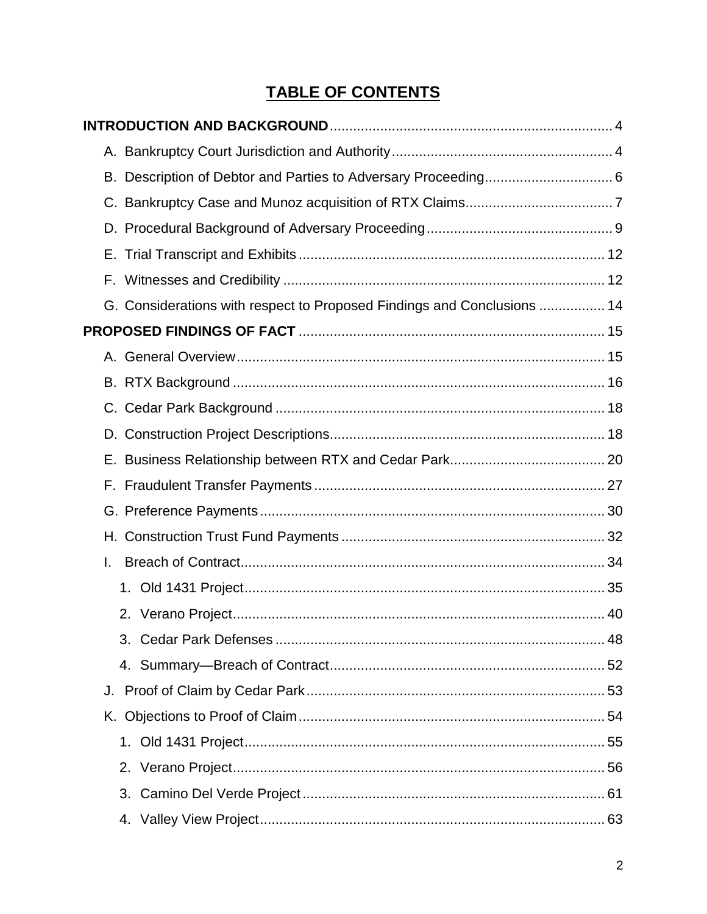# **TABLE OF CONTENTS**

| G. Considerations with respect to Proposed Findings and Conclusions  14 |  |
|-------------------------------------------------------------------------|--|
|                                                                         |  |
|                                                                         |  |
|                                                                         |  |
|                                                                         |  |
|                                                                         |  |
|                                                                         |  |
|                                                                         |  |
|                                                                         |  |
|                                                                         |  |
| L.                                                                      |  |
|                                                                         |  |
|                                                                         |  |
|                                                                         |  |
|                                                                         |  |
|                                                                         |  |
|                                                                         |  |
|                                                                         |  |
|                                                                         |  |
|                                                                         |  |
|                                                                         |  |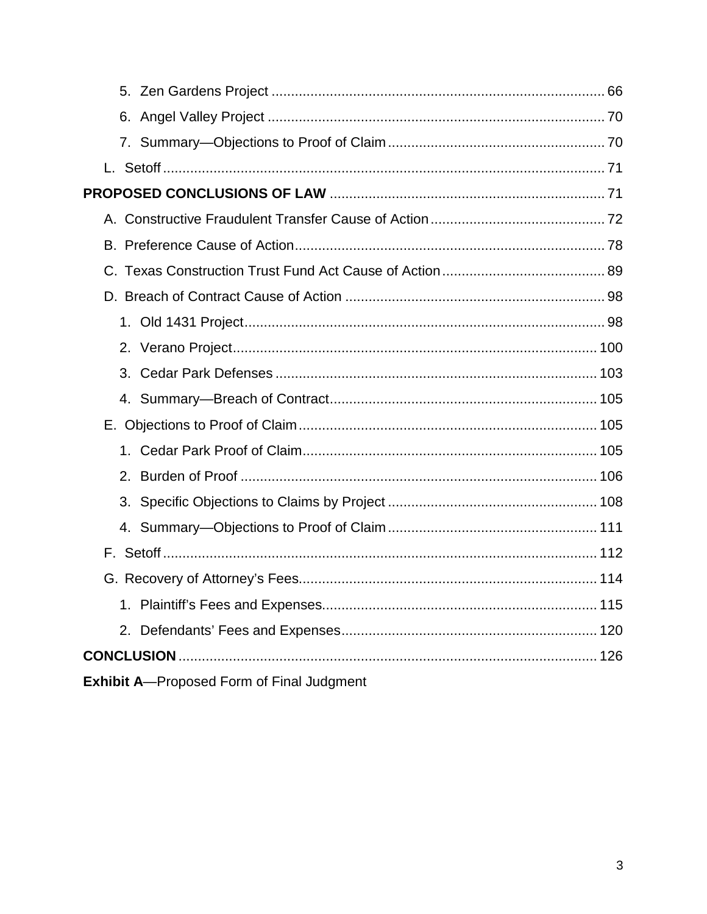| 3 <sub>1</sub>                                    |  |
|---------------------------------------------------|--|
|                                                   |  |
|                                                   |  |
|                                                   |  |
|                                                   |  |
|                                                   |  |
|                                                   |  |
|                                                   |  |
|                                                   |  |
|                                                   |  |
|                                                   |  |
|                                                   |  |
| <b>Exhibit A--Proposed Form of Final Judgment</b> |  |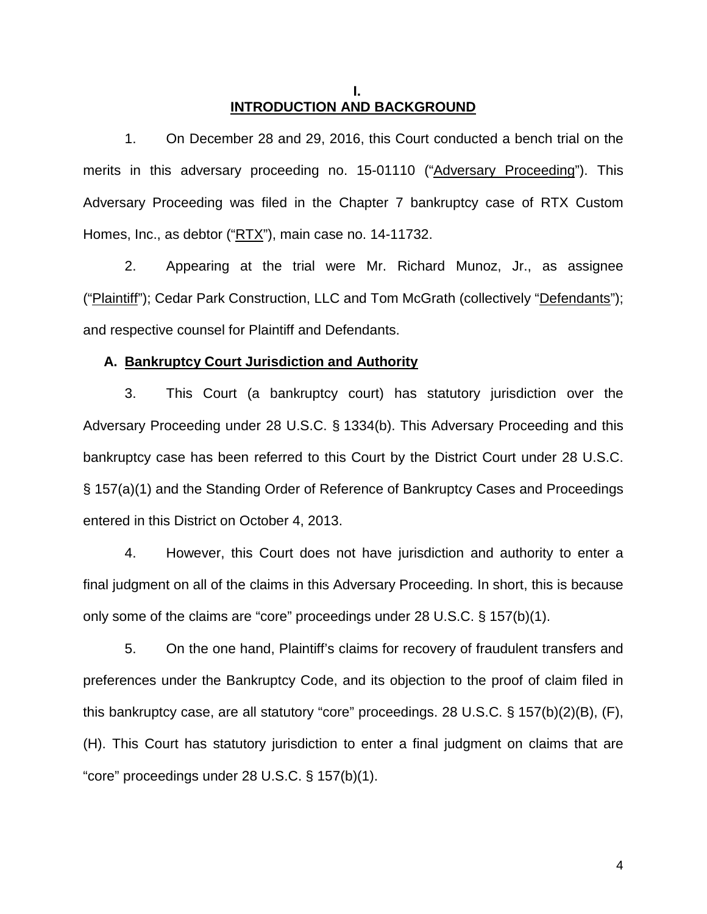## **I. INTRODUCTION AND BACKGROUND**

1. On December 28 and 29, 2016, this Court conducted a bench trial on the merits in this adversary proceeding no. 15-01110 ("Adversary Proceeding"). This Adversary Proceeding was filed in the Chapter 7 bankruptcy case of RTX Custom Homes, Inc., as debtor ("RTX"), main case no. 14-11732.

2. Appearing at the trial were Mr. Richard Munoz, Jr., as assignee ("Plaintiff"); Cedar Park Construction, LLC and Tom McGrath (collectively "Defendants"); and respective counsel for Plaintiff and Defendants.

## **A. Bankruptcy Court Jurisdiction and Authority**

3. This Court (a bankruptcy court) has statutory jurisdiction over the Adversary Proceeding under 28 U.S.C. § 1334(b). This Adversary Proceeding and this bankruptcy case has been referred to this Court by the District Court under 28 U.S.C. § 157(a)(1) and the Standing Order of Reference of Bankruptcy Cases and Proceedings entered in this District on October 4, 2013.

4. However, this Court does not have jurisdiction and authority to enter a final judgment on all of the claims in this Adversary Proceeding. In short, this is because only some of the claims are "core" proceedings under 28 U.S.C. § 157(b)(1).

5. On the one hand, Plaintiff's claims for recovery of fraudulent transfers and preferences under the Bankruptcy Code, and its objection to the proof of claim filed in this bankruptcy case, are all statutory "core" proceedings. 28 U.S.C. § 157(b)(2)(B), (F), (H). This Court has statutory jurisdiction to enter a final judgment on claims that are "core" proceedings under 28 U.S.C. § 157(b)(1).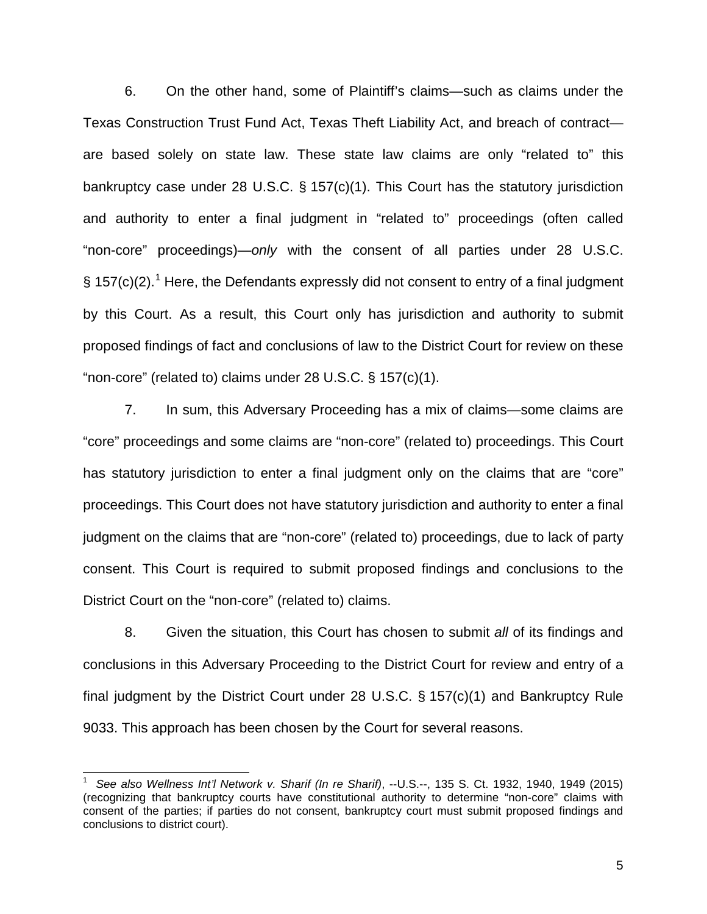6. On the other hand, some of Plaintiff's claims—such as claims under the Texas Construction Trust Fund Act, Texas Theft Liability Act, and breach of contract are based solely on state law. These state law claims are only "related to" this bankruptcy case under 28 U.S.C. § 157(c)(1). This Court has the statutory jurisdiction and authority to enter a final judgment in "related to" proceedings (often called "non-core" proceedings)—*only* with the consent of all parties under 28 U.S.C. § 157(c)(2).<sup>1</sup> Here, the Defendants expressly did not consent to entry of a final judgment by this Court. As a result, this Court only has jurisdiction and authority to submit proposed findings of fact and conclusions of law to the District Court for review on these "non-core" (related to) claims under 28 U.S.C. § 157(c)(1).

7. In sum, this Adversary Proceeding has a mix of claims—some claims are "core" proceedings and some claims are "non-core" (related to) proceedings. This Court has statutory jurisdiction to enter a final judgment only on the claims that are "core" proceedings. This Court does not have statutory jurisdiction and authority to enter a final judgment on the claims that are "non-core" (related to) proceedings, due to lack of party consent. This Court is required to submit proposed findings and conclusions to the District Court on the "non-core" (related to) claims.

8. Given the situation, this Court has chosen to submit *all* of its findings and conclusions in this Adversary Proceeding to the District Court for review and entry of a final judgment by the District Court under 28 U.S.C. § 157(c)(1) and Bankruptcy Rule 9033. This approach has been chosen by the Court for several reasons.

 $\overline{a}$ 

<sup>1</sup> *See also Wellness Int'l Network v. Sharif (In re Sharif)*, --U.S.--, 135 S. Ct. 1932, 1940, 1949 (2015) (recognizing that bankruptcy courts have constitutional authority to determine "non-core" claims with consent of the parties; if parties do not consent, bankruptcy court must submit proposed findings and conclusions to district court).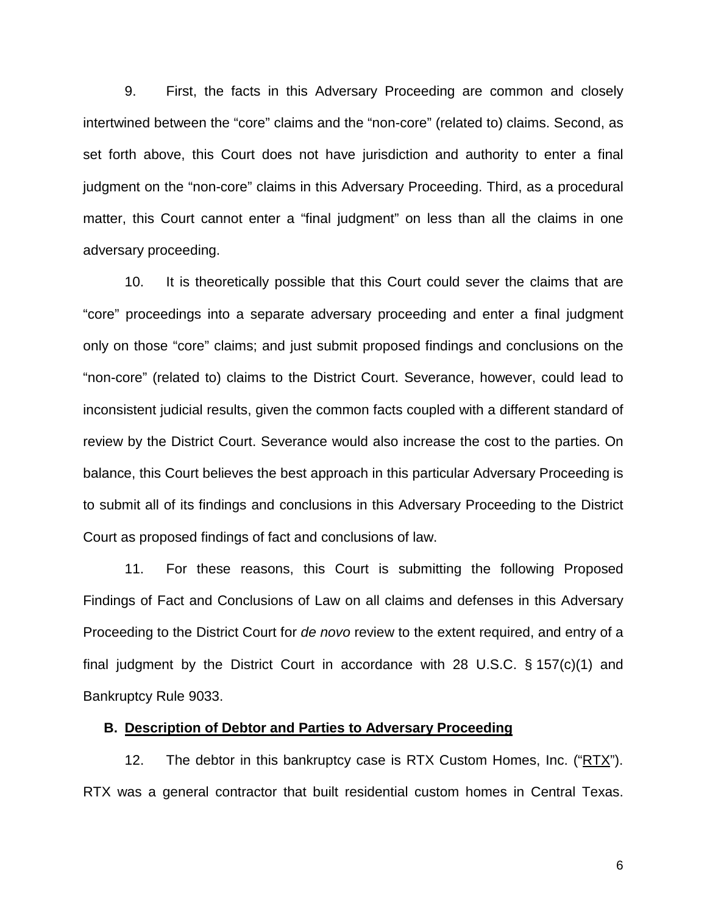9. First, the facts in this Adversary Proceeding are common and closely intertwined between the "core" claims and the "non-core" (related to) claims. Second, as set forth above, this Court does not have jurisdiction and authority to enter a final judgment on the "non-core" claims in this Adversary Proceeding. Third, as a procedural matter, this Court cannot enter a "final judgment" on less than all the claims in one adversary proceeding.

10. It is theoretically possible that this Court could sever the claims that are "core" proceedings into a separate adversary proceeding and enter a final judgment only on those "core" claims; and just submit proposed findings and conclusions on the "non-core" (related to) claims to the District Court. Severance, however, could lead to inconsistent judicial results, given the common facts coupled with a different standard of review by the District Court. Severance would also increase the cost to the parties. On balance, this Court believes the best approach in this particular Adversary Proceeding is to submit all of its findings and conclusions in this Adversary Proceeding to the District Court as proposed findings of fact and conclusions of law.

11. For these reasons, this Court is submitting the following Proposed Findings of Fact and Conclusions of Law on all claims and defenses in this Adversary Proceeding to the District Court for *de novo* review to the extent required, and entry of a final judgment by the District Court in accordance with 28 U.S.C. § 157(c)(1) and Bankruptcy Rule 9033.

## **B. Description of Debtor and Parties to Adversary Proceeding**

12. The debtor in this bankruptcy case is RTX Custom Homes, Inc. ("RTX"). RTX was a general contractor that built residential custom homes in Central Texas.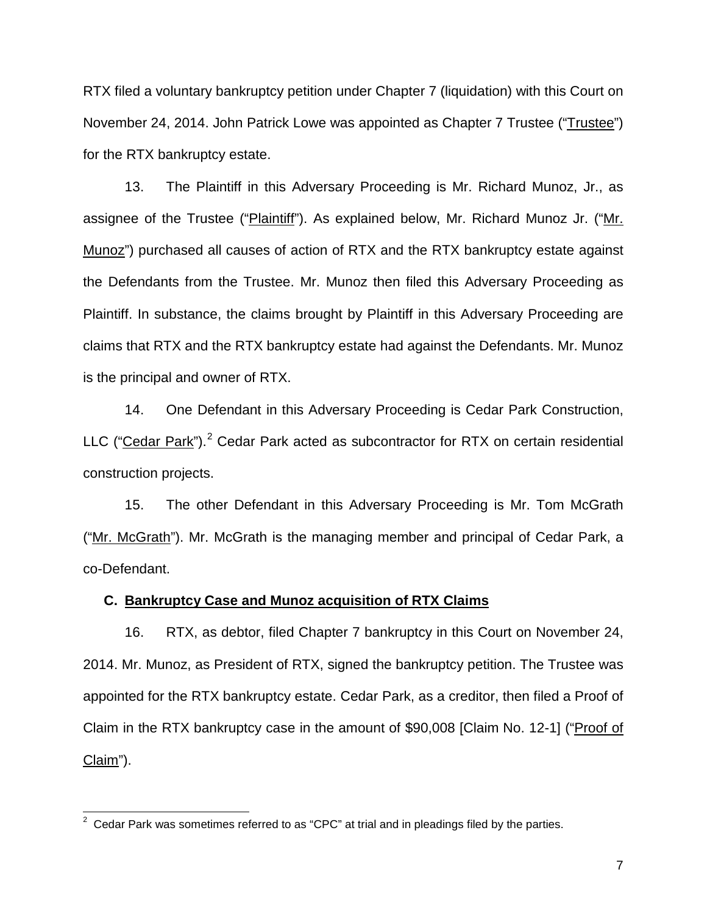RTX filed a voluntary bankruptcy petition under Chapter 7 (liquidation) with this Court on November 24, 2014. John Patrick Lowe was appointed as Chapter 7 Trustee ("Trustee") for the RTX bankruptcy estate.

13. The Plaintiff in this Adversary Proceeding is Mr. Richard Munoz, Jr., as assignee of the Trustee ("Plaintiff"). As explained below, Mr. Richard Munoz Jr. ("Mr. Munoz") purchased all causes of action of RTX and the RTX bankruptcy estate against the Defendants from the Trustee. Mr. Munoz then filed this Adversary Proceeding as Plaintiff. In substance, the claims brought by Plaintiff in this Adversary Proceeding are claims that RTX and the RTX bankruptcy estate had against the Defendants. Mr. Munoz is the principal and owner of RTX.

14. One Defendant in this Adversary Proceeding is Cedar Park Construction, LLC ("Cedar Park").<sup>2</sup> Cedar Park acted as subcontractor for RTX on certain residential construction projects.

15. The other Defendant in this Adversary Proceeding is Mr. Tom McGrath ("Mr. McGrath"). Mr. McGrath is the managing member and principal of Cedar Park, a co-Defendant.

## **C. Bankruptcy Case and Munoz acquisition of RTX Claims**

16. RTX, as debtor, filed Chapter 7 bankruptcy in this Court on November 24, 2014. Mr. Munoz, as President of RTX, signed the bankruptcy petition. The Trustee was appointed for the RTX bankruptcy estate. Cedar Park, as a creditor, then filed a Proof of Claim in the RTX bankruptcy case in the amount of \$90,008 [Claim No. 12-1] ("Proof of Claim").

 2 Cedar Park was sometimes referred to as "CPC" at trial and in pleadings filed by the parties.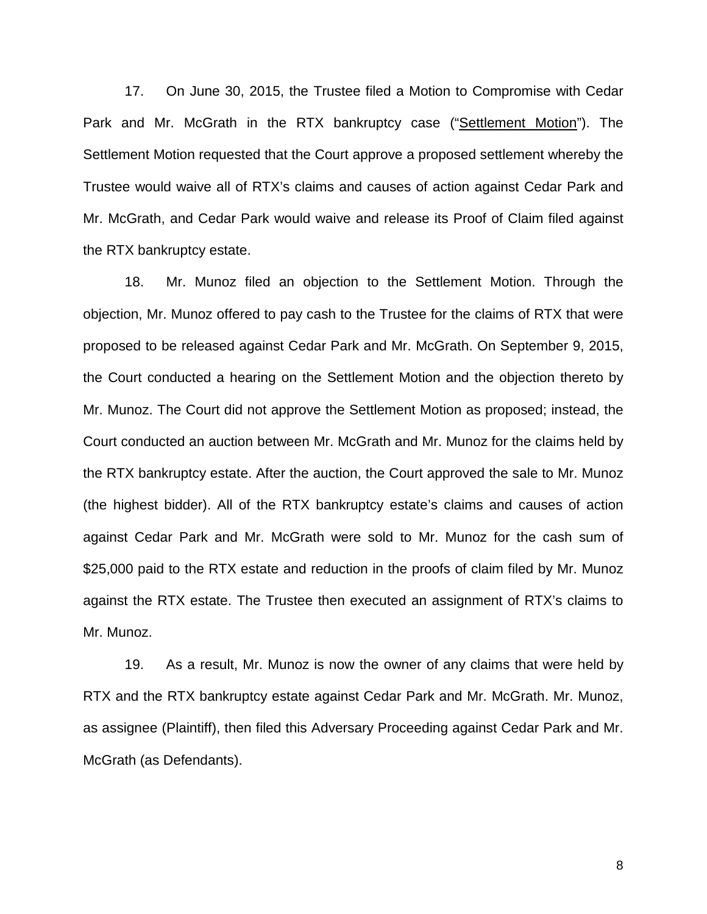17. On June 30, 2015, the Trustee filed a Motion to Compromise with Cedar Park and Mr. McGrath in the RTX bankruptcy case ("Settlement Motion"). The Settlement Motion requested that the Court approve a proposed settlement whereby the Trustee would waive all of RTX's claims and causes of action against Cedar Park and Mr. McGrath, and Cedar Park would waive and release its Proof of Claim filed against the RTX bankruptcy estate.

18. Mr. Munoz filed an objection to the Settlement Motion. Through the objection, Mr. Munoz offered to pay cash to the Trustee for the claims of RTX that were proposed to be released against Cedar Park and Mr. McGrath. On September 9, 2015, the Court conducted a hearing on the Settlement Motion and the objection thereto by Mr. Munoz. The Court did not approve the Settlement Motion as proposed; instead, the Court conducted an auction between Mr. McGrath and Mr. Munoz for the claims held by the RTX bankruptcy estate. After the auction, the Court approved the sale to Mr. Munoz (the highest bidder). All of the RTX bankruptcy estate's claims and causes of action against Cedar Park and Mr. McGrath were sold to Mr. Munoz for the cash sum of \$25,000 paid to the RTX estate and reduction in the proofs of claim filed by Mr. Munoz against the RTX estate. The Trustee then executed an assignment of RTX's claims to Mr. Munoz.

19. As a result, Mr. Munoz is now the owner of any claims that were held by RTX and the RTX bankruptcy estate against Cedar Park and Mr. McGrath. Mr. Munoz, as assignee (Plaintiff), then filed this Adversary Proceeding against Cedar Park and Mr. McGrath (as Defendants).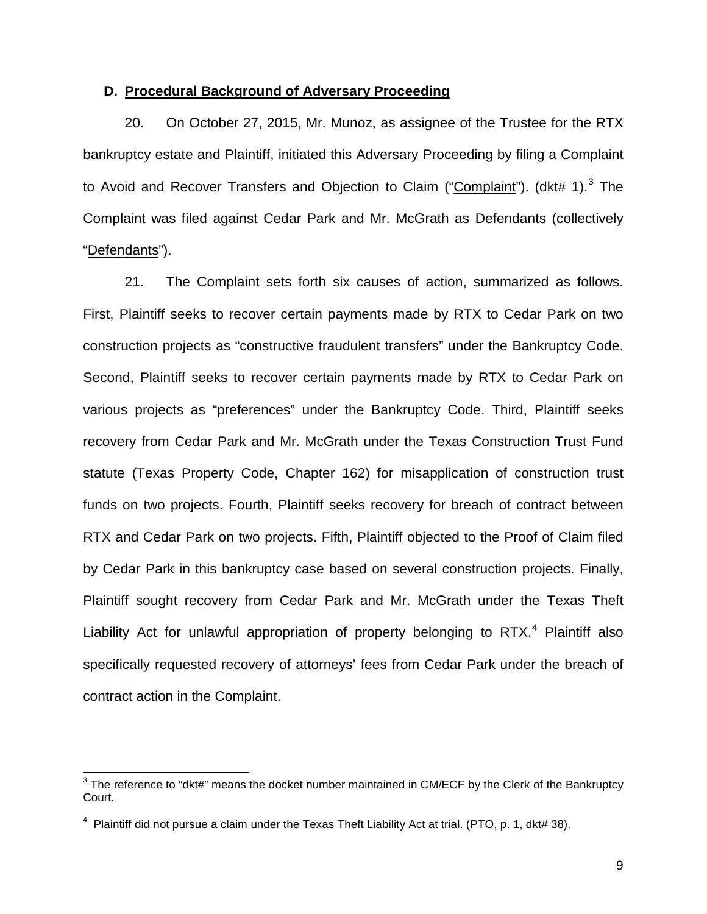## **D. Procedural Background of Adversary Proceeding**

20. On October 27, 2015, Mr. Munoz, as assignee of the Trustee for the RTX bankruptcy estate and Plaintiff, initiated this Adversary Proceeding by filing a Complaint to Avoid and Recover Transfers and Objection to Claim ("Complaint"). (dkt# 1).<sup>3</sup> The Complaint was filed against Cedar Park and Mr. McGrath as Defendants (collectively "Defendants").

21. The Complaint sets forth six causes of action, summarized as follows. First, Plaintiff seeks to recover certain payments made by RTX to Cedar Park on two construction projects as "constructive fraudulent transfers" under the Bankruptcy Code. Second, Plaintiff seeks to recover certain payments made by RTX to Cedar Park on various projects as "preferences" under the Bankruptcy Code. Third, Plaintiff seeks recovery from Cedar Park and Mr. McGrath under the Texas Construction Trust Fund statute (Texas Property Code, Chapter 162) for misapplication of construction trust funds on two projects. Fourth, Plaintiff seeks recovery for breach of contract between RTX and Cedar Park on two projects. Fifth, Plaintiff objected to the Proof of Claim filed by Cedar Park in this bankruptcy case based on several construction projects. Finally, Plaintiff sought recovery from Cedar Park and Mr. McGrath under the Texas Theft Liability Act for unlawful appropriation of property belonging to RTX.<sup>4</sup> Plaintiff also specifically requested recovery of attorneys' fees from Cedar Park under the breach of contract action in the Complaint.

 $\overline{a}$ 

 $3$  The reference to "dkt#" means the docket number maintained in CM/ECF by the Clerk of the Bankruptcy Court.

 $^4$  Plaintiff did not pursue a claim under the Texas Theft Liability Act at trial. (PTO, p. 1, dkt# 38).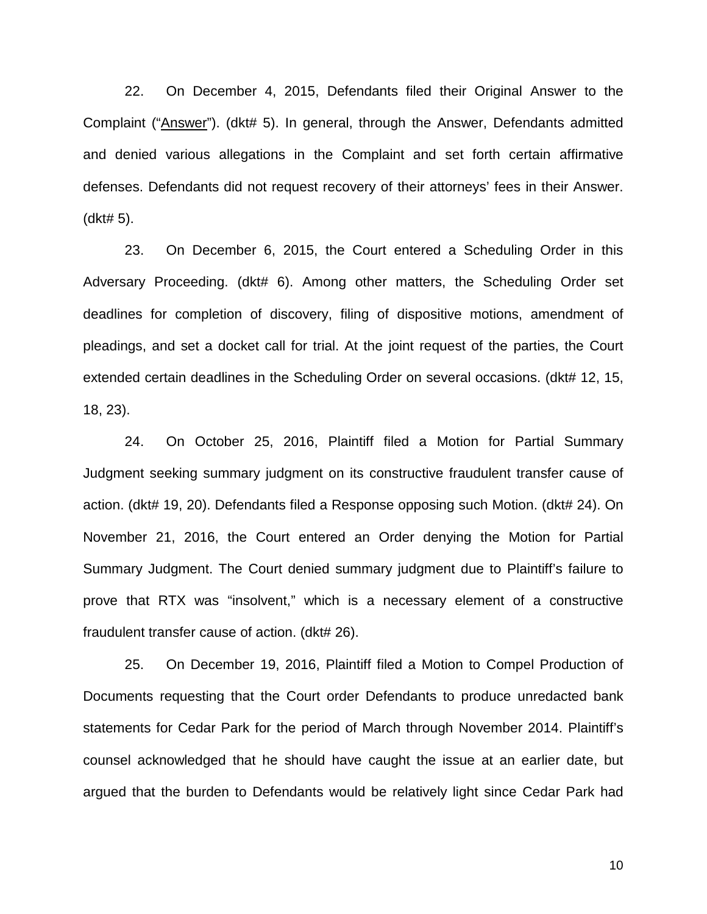22. On December 4, 2015, Defendants filed their Original Answer to the Complaint ("Answer"). (dkt# 5). In general, through the Answer, Defendants admitted and denied various allegations in the Complaint and set forth certain affirmative defenses. Defendants did not request recovery of their attorneys' fees in their Answer. (dkt# 5).

23. On December 6, 2015, the Court entered a Scheduling Order in this Adversary Proceeding. (dkt# 6). Among other matters, the Scheduling Order set deadlines for completion of discovery, filing of dispositive motions, amendment of pleadings, and set a docket call for trial. At the joint request of the parties, the Court extended certain deadlines in the Scheduling Order on several occasions. (dkt# 12, 15, 18, 23).

24. On October 25, 2016, Plaintiff filed a Motion for Partial Summary Judgment seeking summary judgment on its constructive fraudulent transfer cause of action. (dkt# 19, 20). Defendants filed a Response opposing such Motion. (dkt# 24). On November 21, 2016, the Court entered an Order denying the Motion for Partial Summary Judgment. The Court denied summary judgment due to Plaintiff's failure to prove that RTX was "insolvent," which is a necessary element of a constructive fraudulent transfer cause of action. (dkt# 26).

25. On December 19, 2016, Plaintiff filed a Motion to Compel Production of Documents requesting that the Court order Defendants to produce unredacted bank statements for Cedar Park for the period of March through November 2014. Plaintiff's counsel acknowledged that he should have caught the issue at an earlier date, but argued that the burden to Defendants would be relatively light since Cedar Park had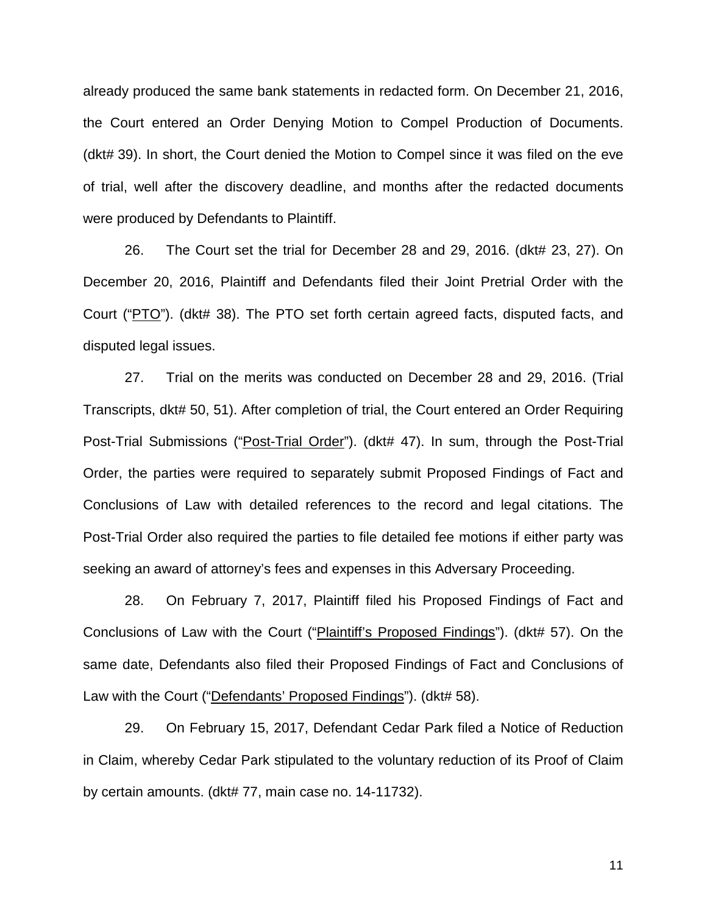already produced the same bank statements in redacted form. On December 21, 2016, the Court entered an Order Denying Motion to Compel Production of Documents. (dkt# 39). In short, the Court denied the Motion to Compel since it was filed on the eve of trial, well after the discovery deadline, and months after the redacted documents were produced by Defendants to Plaintiff.

26. The Court set the trial for December 28 and 29, 2016. (dkt# 23, 27). On December 20, 2016, Plaintiff and Defendants filed their Joint Pretrial Order with the Court ("PTO"). (dkt# 38). The PTO set forth certain agreed facts, disputed facts, and disputed legal issues.

27. Trial on the merits was conducted on December 28 and 29, 2016. (Trial Transcripts, dkt# 50, 51). After completion of trial, the Court entered an Order Requiring Post-Trial Submissions ("Post-Trial Order"). (dkt# 47). In sum, through the Post-Trial Order, the parties were required to separately submit Proposed Findings of Fact and Conclusions of Law with detailed references to the record and legal citations. The Post-Trial Order also required the parties to file detailed fee motions if either party was seeking an award of attorney's fees and expenses in this Adversary Proceeding.

28. On February 7, 2017, Plaintiff filed his Proposed Findings of Fact and Conclusions of Law with the Court ("Plaintiff's Proposed Findings"). (dkt# 57). On the same date, Defendants also filed their Proposed Findings of Fact and Conclusions of Law with the Court ("Defendants' Proposed Findings"). (dkt# 58).

29. On February 15, 2017, Defendant Cedar Park filed a Notice of Reduction in Claim, whereby Cedar Park stipulated to the voluntary reduction of its Proof of Claim by certain amounts. (dkt# 77, main case no. 14-11732).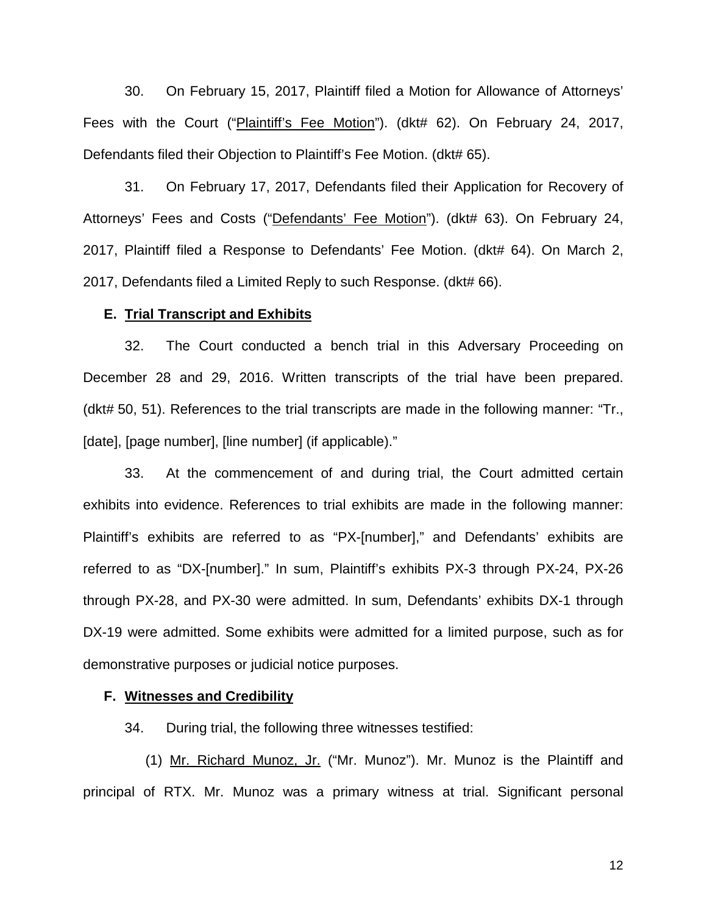30. On February 15, 2017, Plaintiff filed a Motion for Allowance of Attorneys' Fees with the Court ("Plaintiff's Fee Motion"). (dkt# 62). On February 24, 2017, Defendants filed their Objection to Plaintiff's Fee Motion. (dkt# 65).

31. On February 17, 2017, Defendants filed their Application for Recovery of Attorneys' Fees and Costs ("Defendants' Fee Motion"). (dkt# 63). On February 24, 2017, Plaintiff filed a Response to Defendants' Fee Motion. (dkt# 64). On March 2, 2017, Defendants filed a Limited Reply to such Response. (dkt# 66).

#### **E. Trial Transcript and Exhibits**

32. The Court conducted a bench trial in this Adversary Proceeding on December 28 and 29, 2016. Written transcripts of the trial have been prepared. (dkt# 50, 51). References to the trial transcripts are made in the following manner: "Tr., [date], [page number], [line number] (if applicable)."

33. At the commencement of and during trial, the Court admitted certain exhibits into evidence. References to trial exhibits are made in the following manner: Plaintiff's exhibits are referred to as "PX-[number]," and Defendants' exhibits are referred to as "DX-[number]." In sum, Plaintiff's exhibits PX-3 through PX-24, PX-26 through PX-28, and PX-30 were admitted. In sum, Defendants' exhibits DX-1 through DX-19 were admitted. Some exhibits were admitted for a limited purpose, such as for demonstrative purposes or judicial notice purposes.

#### **F. Witnesses and Credibility**

34. During trial, the following three witnesses testified:

(1) Mr. Richard Munoz, Jr. ("Mr. Munoz"). Mr. Munoz is the Plaintiff and principal of RTX. Mr. Munoz was a primary witness at trial. Significant personal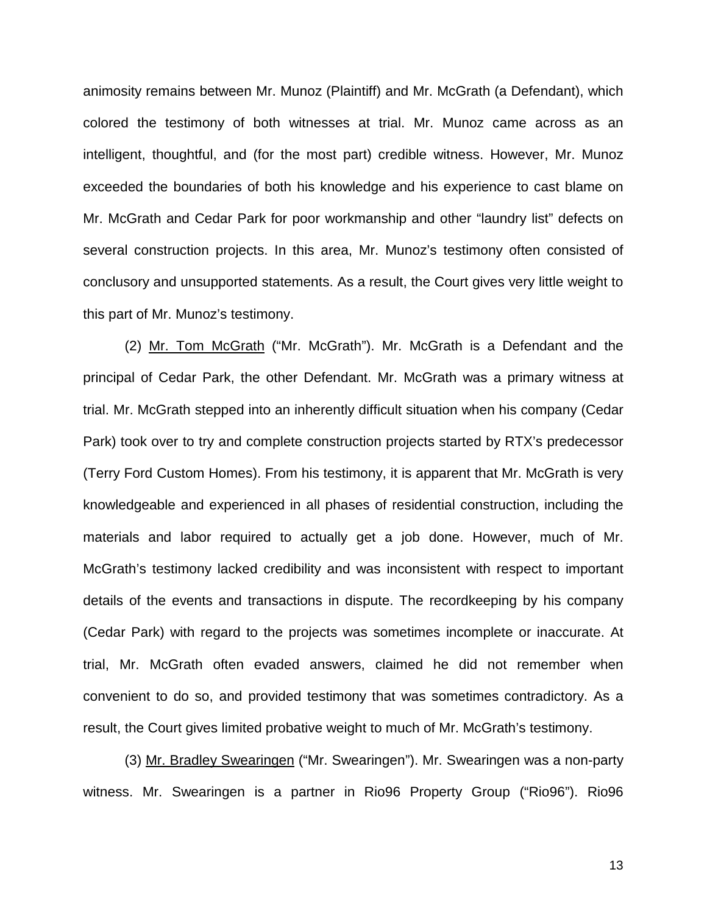animosity remains between Mr. Munoz (Plaintiff) and Mr. McGrath (a Defendant), which colored the testimony of both witnesses at trial. Mr. Munoz came across as an intelligent, thoughtful, and (for the most part) credible witness. However, Mr. Munoz exceeded the boundaries of both his knowledge and his experience to cast blame on Mr. McGrath and Cedar Park for poor workmanship and other "laundry list" defects on several construction projects. In this area, Mr. Munoz's testimony often consisted of conclusory and unsupported statements. As a result, the Court gives very little weight to this part of Mr. Munoz's testimony.

(2) Mr. Tom McGrath ("Mr. McGrath"). Mr. McGrath is a Defendant and the principal of Cedar Park, the other Defendant. Mr. McGrath was a primary witness at trial. Mr. McGrath stepped into an inherently difficult situation when his company (Cedar Park) took over to try and complete construction projects started by RTX's predecessor (Terry Ford Custom Homes). From his testimony, it is apparent that Mr. McGrath is very knowledgeable and experienced in all phases of residential construction, including the materials and labor required to actually get a job done. However, much of Mr. McGrath's testimony lacked credibility and was inconsistent with respect to important details of the events and transactions in dispute. The recordkeeping by his company (Cedar Park) with regard to the projects was sometimes incomplete or inaccurate. At trial, Mr. McGrath often evaded answers, claimed he did not remember when convenient to do so, and provided testimony that was sometimes contradictory. As a result, the Court gives limited probative weight to much of Mr. McGrath's testimony.

(3) Mr. Bradley Swearingen ("Mr. Swearingen"). Mr. Swearingen was a non-party witness. Mr. Swearingen is a partner in Rio96 Property Group ("Rio96"). Rio96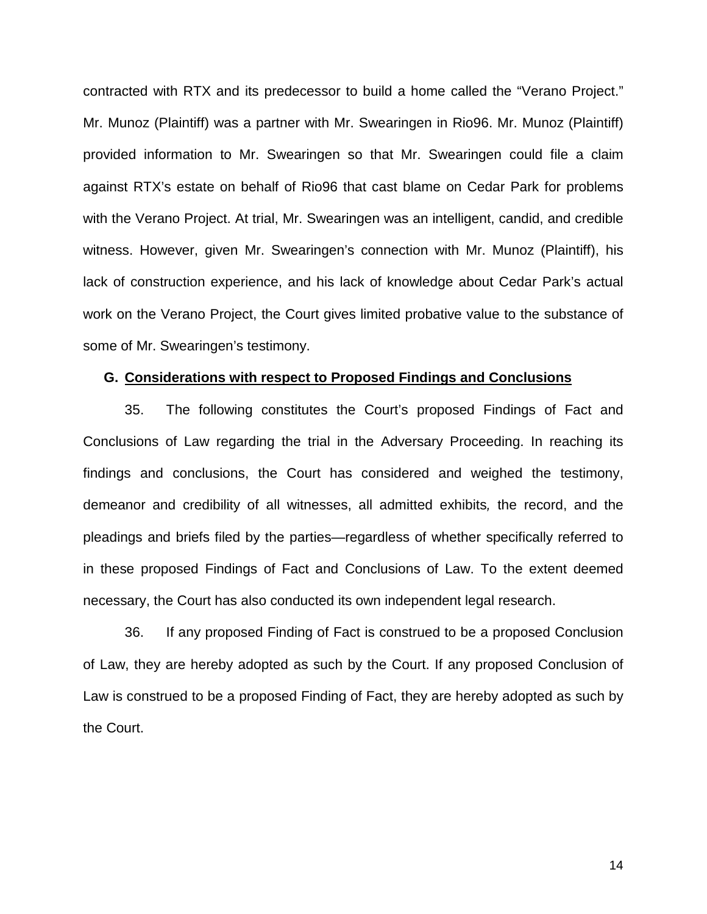contracted with RTX and its predecessor to build a home called the "Verano Project." Mr. Munoz (Plaintiff) was a partner with Mr. Swearingen in Rio96. Mr. Munoz (Plaintiff) provided information to Mr. Swearingen so that Mr. Swearingen could file a claim against RTX's estate on behalf of Rio96 that cast blame on Cedar Park for problems with the Verano Project. At trial, Mr. Swearingen was an intelligent, candid, and credible witness. However, given Mr. Swearingen's connection with Mr. Munoz (Plaintiff), his lack of construction experience, and his lack of knowledge about Cedar Park's actual work on the Verano Project, the Court gives limited probative value to the substance of some of Mr. Swearingen's testimony.

## **G. Considerations with respect to Proposed Findings and Conclusions**

35. The following constitutes the Court's proposed Findings of Fact and Conclusions of Law regarding the trial in the Adversary Proceeding. In reaching its findings and conclusions, the Court has considered and weighed the testimony, demeanor and credibility of all witnesses, all admitted exhibits*,* the record, and the pleadings and briefs filed by the parties—regardless of whether specifically referred to in these proposed Findings of Fact and Conclusions of Law. To the extent deemed necessary, the Court has also conducted its own independent legal research.

36. If any proposed Finding of Fact is construed to be a proposed Conclusion of Law, they are hereby adopted as such by the Court. If any proposed Conclusion of Law is construed to be a proposed Finding of Fact, they are hereby adopted as such by the Court.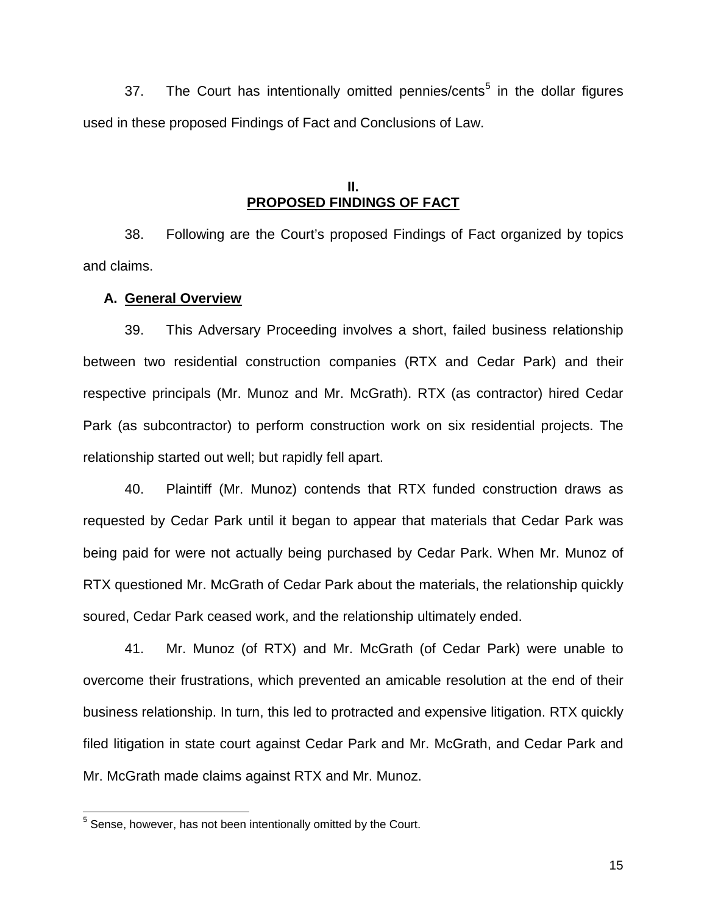37. The Court has intentionally omitted pennies/cents<sup>5</sup> in the dollar figures used in these proposed Findings of Fact and Conclusions of Law.

## **II. PROPOSED FINDINGS OF FACT**

38. Following are the Court's proposed Findings of Fact organized by topics and claims.

## **A. General Overview**

39. This Adversary Proceeding involves a short, failed business relationship between two residential construction companies (RTX and Cedar Park) and their respective principals (Mr. Munoz and Mr. McGrath). RTX (as contractor) hired Cedar Park (as subcontractor) to perform construction work on six residential projects. The relationship started out well; but rapidly fell apart.

40. Plaintiff (Mr. Munoz) contends that RTX funded construction draws as requested by Cedar Park until it began to appear that materials that Cedar Park was being paid for were not actually being purchased by Cedar Park. When Mr. Munoz of RTX questioned Mr. McGrath of Cedar Park about the materials, the relationship quickly soured, Cedar Park ceased work, and the relationship ultimately ended.

41. Mr. Munoz (of RTX) and Mr. McGrath (of Cedar Park) were unable to overcome their frustrations, which prevented an amicable resolution at the end of their business relationship. In turn, this led to protracted and expensive litigation. RTX quickly filed litigation in state court against Cedar Park and Mr. McGrath, and Cedar Park and Mr. McGrath made claims against RTX and Mr. Munoz.

 $\overline{a}$ 

 $5$  Sense, however, has not been intentionally omitted by the Court.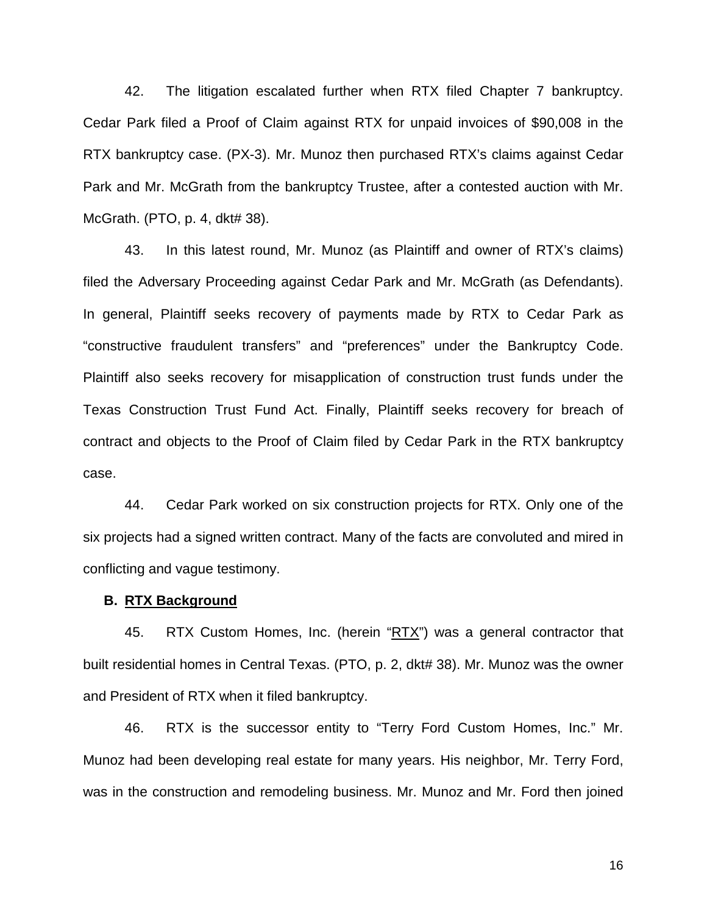42. The litigation escalated further when RTX filed Chapter 7 bankruptcy. Cedar Park filed a Proof of Claim against RTX for unpaid invoices of \$90,008 in the RTX bankruptcy case. (PX-3). Mr. Munoz then purchased RTX's claims against Cedar Park and Mr. McGrath from the bankruptcy Trustee, after a contested auction with Mr. McGrath. (PTO, p. 4, dkt# 38).

43. In this latest round, Mr. Munoz (as Plaintiff and owner of RTX's claims) filed the Adversary Proceeding against Cedar Park and Mr. McGrath (as Defendants). In general, Plaintiff seeks recovery of payments made by RTX to Cedar Park as "constructive fraudulent transfers" and "preferences" under the Bankruptcy Code. Plaintiff also seeks recovery for misapplication of construction trust funds under the Texas Construction Trust Fund Act. Finally, Plaintiff seeks recovery for breach of contract and objects to the Proof of Claim filed by Cedar Park in the RTX bankruptcy case.

44. Cedar Park worked on six construction projects for RTX. Only one of the six projects had a signed written contract. Many of the facts are convoluted and mired in conflicting and vague testimony.

#### **B. RTX Background**

45. RTX Custom Homes, Inc. (herein "RTX") was a general contractor that built residential homes in Central Texas. (PTO, p. 2, dkt# 38). Mr. Munoz was the owner and President of RTX when it filed bankruptcy.

46. RTX is the successor entity to "Terry Ford Custom Homes, Inc." Mr. Munoz had been developing real estate for many years. His neighbor, Mr. Terry Ford, was in the construction and remodeling business. Mr. Munoz and Mr. Ford then joined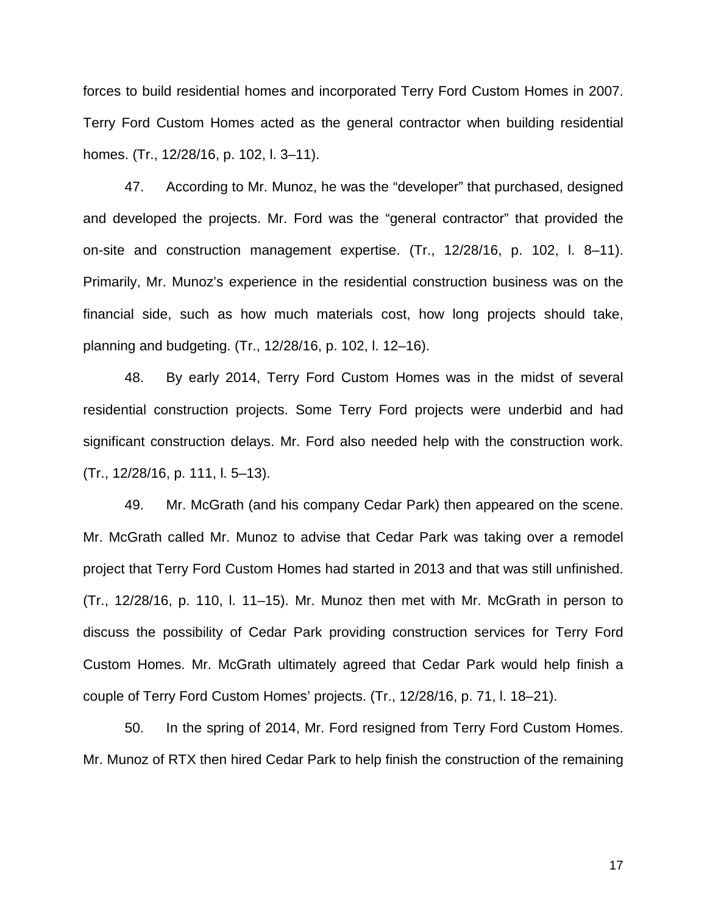forces to build residential homes and incorporated Terry Ford Custom Homes in 2007. Terry Ford Custom Homes acted as the general contractor when building residential homes. (Tr., 12/28/16, p. 102, l. 3–11).

47. According to Mr. Munoz, he was the "developer" that purchased, designed and developed the projects. Mr. Ford was the "general contractor" that provided the on-site and construction management expertise. (Tr., 12/28/16, p. 102, l. 8–11). Primarily, Mr. Munoz's experience in the residential construction business was on the financial side, such as how much materials cost, how long projects should take, planning and budgeting. (Tr., 12/28/16, p. 102, l. 12–16).

48. By early 2014, Terry Ford Custom Homes was in the midst of several residential construction projects. Some Terry Ford projects were underbid and had significant construction delays. Mr. Ford also needed help with the construction work. (Tr., 12/28/16, p. 111, l. 5–13).

49. Mr. McGrath (and his company Cedar Park) then appeared on the scene. Mr. McGrath called Mr. Munoz to advise that Cedar Park was taking over a remodel project that Terry Ford Custom Homes had started in 2013 and that was still unfinished. (Tr., 12/28/16, p. 110, l. 11–15). Mr. Munoz then met with Mr. McGrath in person to discuss the possibility of Cedar Park providing construction services for Terry Ford Custom Homes. Mr. McGrath ultimately agreed that Cedar Park would help finish a couple of Terry Ford Custom Homes' projects. (Tr., 12/28/16, p. 71, l. 18–21).

50. In the spring of 2014, Mr. Ford resigned from Terry Ford Custom Homes. Mr. Munoz of RTX then hired Cedar Park to help finish the construction of the remaining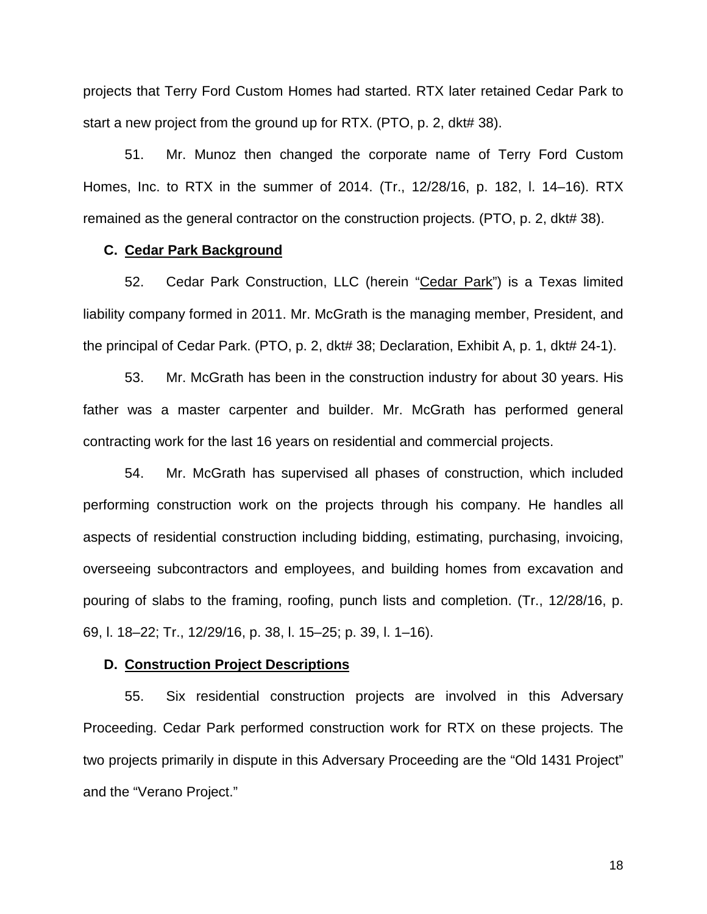projects that Terry Ford Custom Homes had started. RTX later retained Cedar Park to start a new project from the ground up for RTX. (PTO, p. 2, dkt# 38).

51. Mr. Munoz then changed the corporate name of Terry Ford Custom Homes, Inc. to RTX in the summer of 2014. (Tr., 12/28/16, p. 182, l. 14–16). RTX remained as the general contractor on the construction projects. (PTO, p. 2, dkt# 38).

## **C. Cedar Park Background**

52. Cedar Park Construction, LLC (herein "Cedar Park") is a Texas limited liability company formed in 2011. Mr. McGrath is the managing member, President, and the principal of Cedar Park. (PTO, p. 2, dkt# 38; Declaration, Exhibit A, p. 1, dkt# 24-1).

53. Mr. McGrath has been in the construction industry for about 30 years. His father was a master carpenter and builder. Mr. McGrath has performed general contracting work for the last 16 years on residential and commercial projects.

54. Mr. McGrath has supervised all phases of construction, which included performing construction work on the projects through his company. He handles all aspects of residential construction including bidding, estimating, purchasing, invoicing, overseeing subcontractors and employees, and building homes from excavation and pouring of slabs to the framing, roofing, punch lists and completion. (Tr., 12/28/16, p. 69, l. 18–22; Tr., 12/29/16, p. 38, l. 15–25; p. 39, l. 1–16).

## **D. Construction Project Descriptions**

55. Six residential construction projects are involved in this Adversary Proceeding. Cedar Park performed construction work for RTX on these projects. The two projects primarily in dispute in this Adversary Proceeding are the "Old 1431 Project" and the "Verano Project."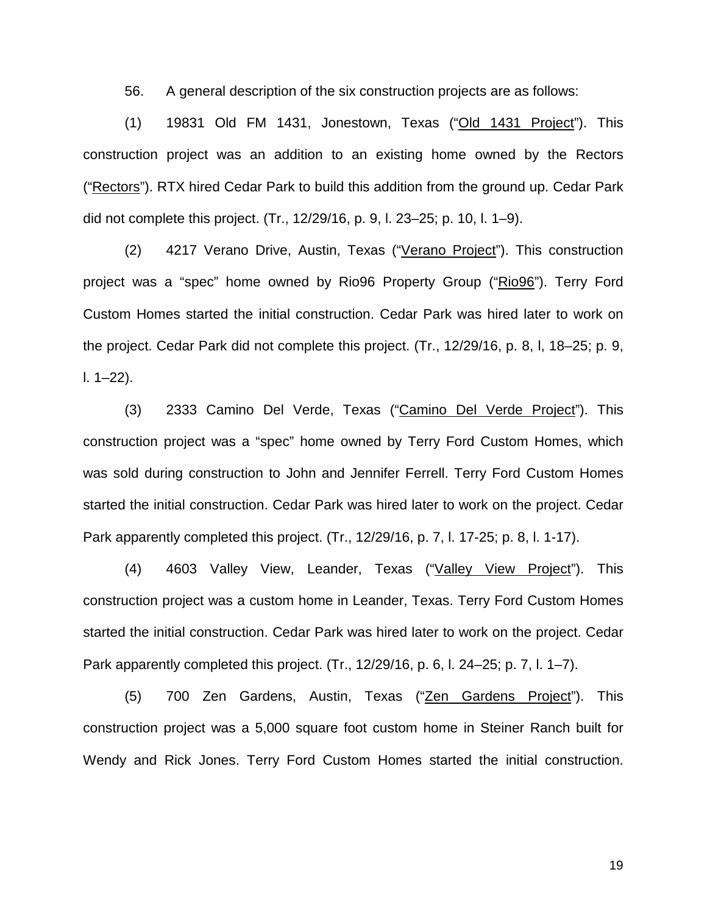56. A general description of the six construction projects are as follows:

(1) 19831 Old FM 1431, Jonestown, Texas ("Old 1431 Project"). This construction project was an addition to an existing home owned by the Rectors ("Rectors"). RTX hired Cedar Park to build this addition from the ground up. Cedar Park did not complete this project. (Tr., 12/29/16, p. 9, l. 23–25; p. 10, l. 1–9).

(2) 4217 Verano Drive, Austin, Texas ("Verano Project"). This construction project was a "spec" home owned by Rio96 Property Group ("Rio96"). Terry Ford Custom Homes started the initial construction. Cedar Park was hired later to work on the project. Cedar Park did not complete this project. (Tr., 12/29/16, p. 8, l, 18–25; p. 9, l. 1–22).

(3) 2333 Camino Del Verde, Texas ("Camino Del Verde Project"). This construction project was a "spec" home owned by Terry Ford Custom Homes, which was sold during construction to John and Jennifer Ferrell. Terry Ford Custom Homes started the initial construction. Cedar Park was hired later to work on the project. Cedar Park apparently completed this project. (Tr., 12/29/16, p. 7, l. 17-25; p. 8, l. 1-17).

(4) 4603 Valley View, Leander, Texas ("Valley View Project"). This construction project was a custom home in Leander, Texas. Terry Ford Custom Homes started the initial construction. Cedar Park was hired later to work on the project. Cedar Park apparently completed this project. (Tr., 12/29/16, p. 6, l. 24–25; p. 7, l. 1–7).

(5) 700 Zen Gardens, Austin, Texas ("Zen Gardens Project"). This construction project was a 5,000 square foot custom home in Steiner Ranch built for Wendy and Rick Jones. Terry Ford Custom Homes started the initial construction.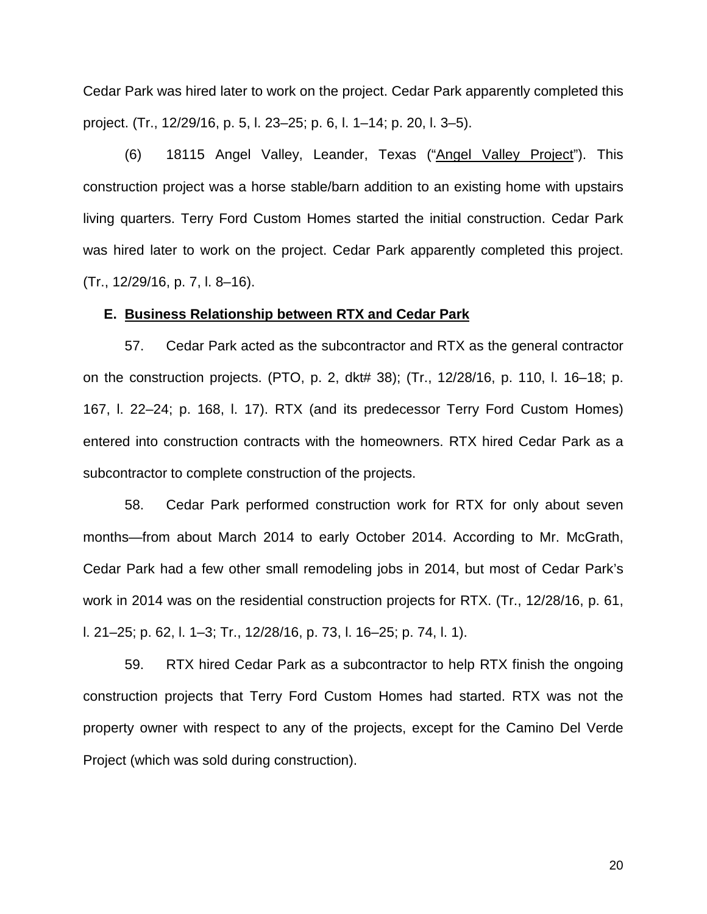Cedar Park was hired later to work on the project. Cedar Park apparently completed this project. (Tr., 12/29/16, p. 5, l. 23–25; p. 6, l. 1–14; p. 20, l. 3–5).

(6) 18115 Angel Valley, Leander, Texas ("Angel Valley Project"). This construction project was a horse stable/barn addition to an existing home with upstairs living quarters. Terry Ford Custom Homes started the initial construction. Cedar Park was hired later to work on the project. Cedar Park apparently completed this project. (Tr., 12/29/16, p. 7, l. 8–16).

#### **E. Business Relationship between RTX and Cedar Park**

57. Cedar Park acted as the subcontractor and RTX as the general contractor on the construction projects. (PTO, p. 2, dkt# 38); (Tr., 12/28/16, p. 110, l. 16–18; p. 167, l. 22–24; p. 168, l. 17). RTX (and its predecessor Terry Ford Custom Homes) entered into construction contracts with the homeowners. RTX hired Cedar Park as a subcontractor to complete construction of the projects.

58. Cedar Park performed construction work for RTX for only about seven months—from about March 2014 to early October 2014. According to Mr. McGrath, Cedar Park had a few other small remodeling jobs in 2014, but most of Cedar Park's work in 2014 was on the residential construction projects for RTX. (Tr., 12/28/16, p. 61, l. 21–25; p. 62, l. 1–3; Tr., 12/28/16, p. 73, l. 16–25; p. 74, l. 1).

59. RTX hired Cedar Park as a subcontractor to help RTX finish the ongoing construction projects that Terry Ford Custom Homes had started. RTX was not the property owner with respect to any of the projects, except for the Camino Del Verde Project (which was sold during construction).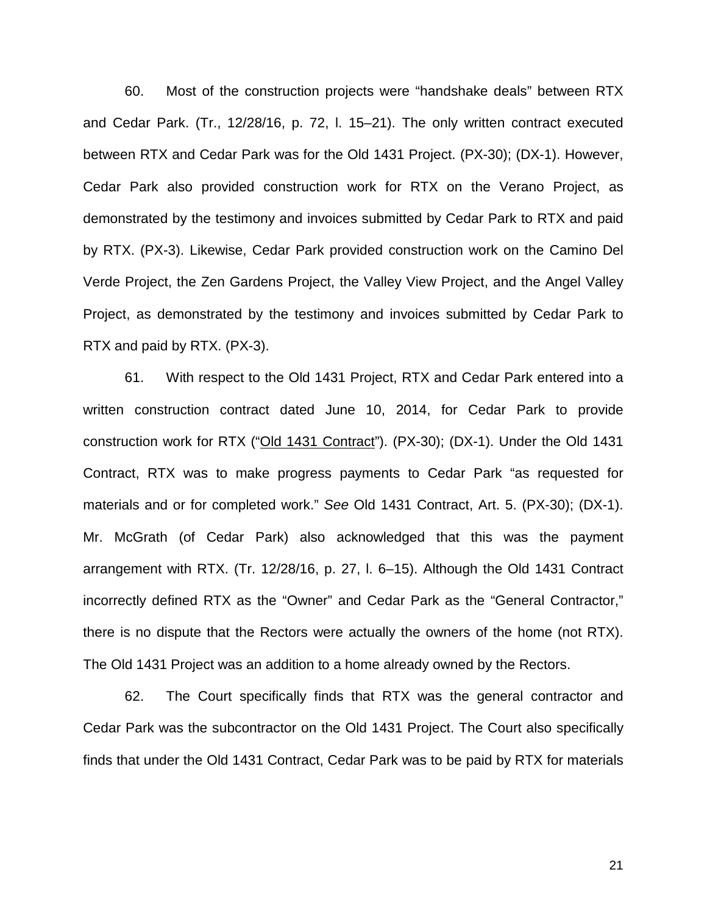60. Most of the construction projects were "handshake deals" between RTX and Cedar Park. (Tr., 12/28/16, p. 72, l. 15–21). The only written contract executed between RTX and Cedar Park was for the Old 1431 Project. (PX-30); (DX-1). However, Cedar Park also provided construction work for RTX on the Verano Project, as demonstrated by the testimony and invoices submitted by Cedar Park to RTX and paid by RTX. (PX-3). Likewise, Cedar Park provided construction work on the Camino Del Verde Project, the Zen Gardens Project, the Valley View Project, and the Angel Valley Project, as demonstrated by the testimony and invoices submitted by Cedar Park to RTX and paid by RTX. (PX-3).

61. With respect to the Old 1431 Project, RTX and Cedar Park entered into a written construction contract dated June 10, 2014, for Cedar Park to provide construction work for RTX ("Old 1431 Contract"). (PX-30); (DX-1). Under the Old 1431 Contract, RTX was to make progress payments to Cedar Park "as requested for materials and or for completed work." *See* Old 1431 Contract, Art. 5. (PX-30); (DX-1). Mr. McGrath (of Cedar Park) also acknowledged that this was the payment arrangement with RTX. (Tr. 12/28/16, p. 27, l. 6–15). Although the Old 1431 Contract incorrectly defined RTX as the "Owner" and Cedar Park as the "General Contractor," there is no dispute that the Rectors were actually the owners of the home (not RTX). The Old 1431 Project was an addition to a home already owned by the Rectors.

62. The Court specifically finds that RTX was the general contractor and Cedar Park was the subcontractor on the Old 1431 Project. The Court also specifically finds that under the Old 1431 Contract, Cedar Park was to be paid by RTX for materials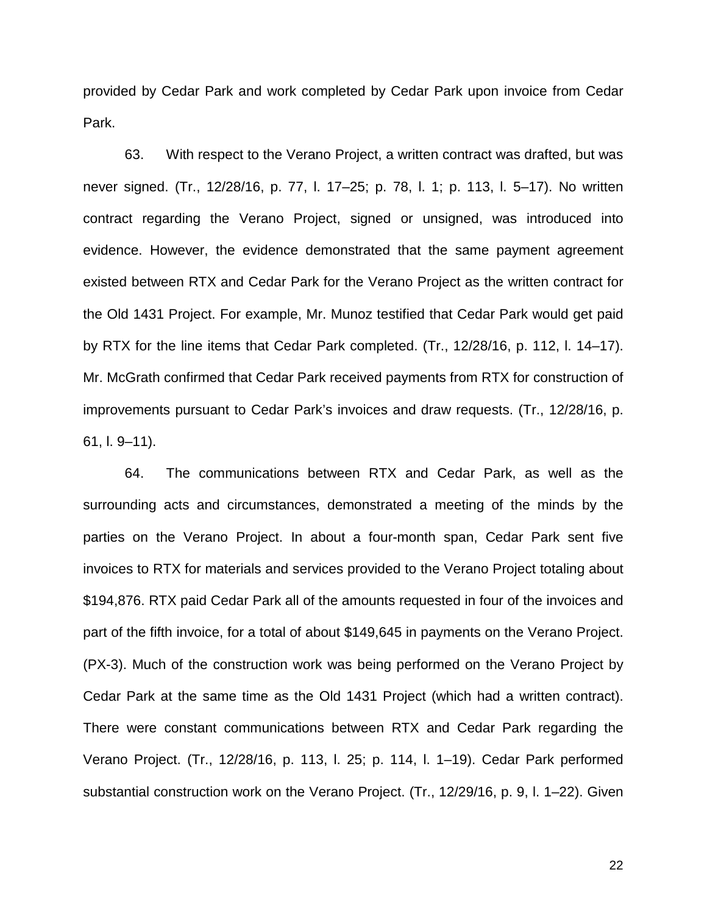provided by Cedar Park and work completed by Cedar Park upon invoice from Cedar Park.

63. With respect to the Verano Project, a written contract was drafted, but was never signed. (Tr., 12/28/16, p. 77, l. 17–25; p. 78, l. 1; p. 113, l. 5–17). No written contract regarding the Verano Project, signed or unsigned, was introduced into evidence. However, the evidence demonstrated that the same payment agreement existed between RTX and Cedar Park for the Verano Project as the written contract for the Old 1431 Project. For example, Mr. Munoz testified that Cedar Park would get paid by RTX for the line items that Cedar Park completed. (Tr., 12/28/16, p. 112, l. 14–17). Mr. McGrath confirmed that Cedar Park received payments from RTX for construction of improvements pursuant to Cedar Park's invoices and draw requests. (Tr., 12/28/16, p. 61, l. 9–11).

64. The communications between RTX and Cedar Park, as well as the surrounding acts and circumstances, demonstrated a meeting of the minds by the parties on the Verano Project. In about a four-month span, Cedar Park sent five invoices to RTX for materials and services provided to the Verano Project totaling about \$194,876. RTX paid Cedar Park all of the amounts requested in four of the invoices and part of the fifth invoice, for a total of about \$149,645 in payments on the Verano Project. (PX-3). Much of the construction work was being performed on the Verano Project by Cedar Park at the same time as the Old 1431 Project (which had a written contract). There were constant communications between RTX and Cedar Park regarding the Verano Project. (Tr., 12/28/16, p. 113, l. 25; p. 114, l. 1–19). Cedar Park performed substantial construction work on the Verano Project. (Tr., 12/29/16, p. 9, l. 1–22). Given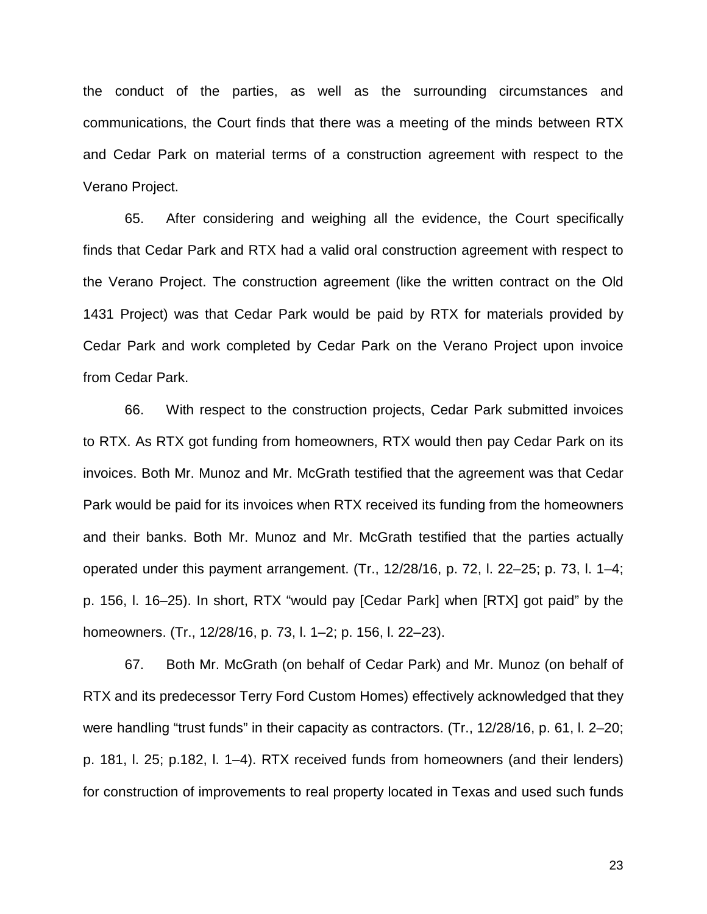the conduct of the parties, as well as the surrounding circumstances and communications, the Court finds that there was a meeting of the minds between RTX and Cedar Park on material terms of a construction agreement with respect to the Verano Project.

65. After considering and weighing all the evidence, the Court specifically finds that Cedar Park and RTX had a valid oral construction agreement with respect to the Verano Project. The construction agreement (like the written contract on the Old 1431 Project) was that Cedar Park would be paid by RTX for materials provided by Cedar Park and work completed by Cedar Park on the Verano Project upon invoice from Cedar Park.

66. With respect to the construction projects, Cedar Park submitted invoices to RTX. As RTX got funding from homeowners, RTX would then pay Cedar Park on its invoices. Both Mr. Munoz and Mr. McGrath testified that the agreement was that Cedar Park would be paid for its invoices when RTX received its funding from the homeowners and their banks. Both Mr. Munoz and Mr. McGrath testified that the parties actually operated under this payment arrangement. (Tr., 12/28/16, p. 72, l. 22–25; p. 73, l. 1–4; p. 156, l. 16–25). In short, RTX "would pay [Cedar Park] when [RTX] got paid" by the homeowners. (Tr., 12/28/16, p. 73, l. 1–2; p. 156, l. 22–23).

67. Both Mr. McGrath (on behalf of Cedar Park) and Mr. Munoz (on behalf of RTX and its predecessor Terry Ford Custom Homes) effectively acknowledged that they were handling "trust funds" in their capacity as contractors. (Tr., 12/28/16, p. 61, l. 2–20; p. 181, l. 25; p.182, l. 1–4). RTX received funds from homeowners (and their lenders) for construction of improvements to real property located in Texas and used such funds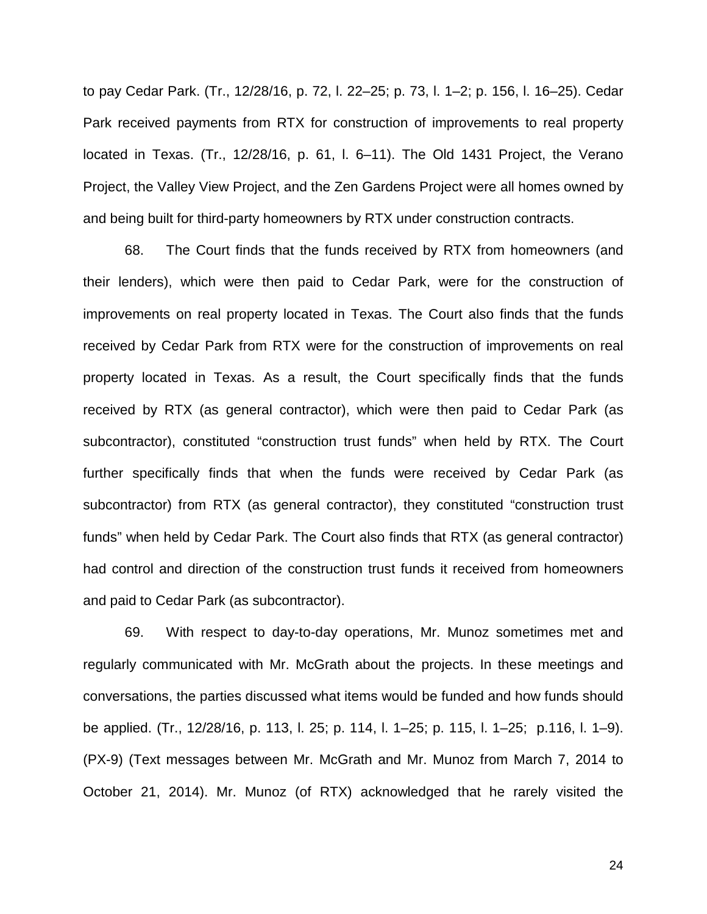to pay Cedar Park. (Tr., 12/28/16, p. 72, l. 22–25; p. 73, l. 1–2; p. 156, l. 16–25). Cedar Park received payments from RTX for construction of improvements to real property located in Texas. (Tr., 12/28/16, p. 61, l. 6–11). The Old 1431 Project, the Verano Project, the Valley View Project, and the Zen Gardens Project were all homes owned by and being built for third-party homeowners by RTX under construction contracts.

68. The Court finds that the funds received by RTX from homeowners (and their lenders), which were then paid to Cedar Park, were for the construction of improvements on real property located in Texas. The Court also finds that the funds received by Cedar Park from RTX were for the construction of improvements on real property located in Texas. As a result, the Court specifically finds that the funds received by RTX (as general contractor), which were then paid to Cedar Park (as subcontractor), constituted "construction trust funds" when held by RTX. The Court further specifically finds that when the funds were received by Cedar Park (as subcontractor) from RTX (as general contractor), they constituted "construction trust funds" when held by Cedar Park. The Court also finds that RTX (as general contractor) had control and direction of the construction trust funds it received from homeowners and paid to Cedar Park (as subcontractor).

69. With respect to day-to-day operations, Mr. Munoz sometimes met and regularly communicated with Mr. McGrath about the projects. In these meetings and conversations, the parties discussed what items would be funded and how funds should be applied. (Tr., 12/28/16, p. 113, l. 25; p. 114, l. 1–25; p. 115, l. 1–25; p.116, l. 1–9). (PX-9) (Text messages between Mr. McGrath and Mr. Munoz from March 7, 2014 to October 21, 2014). Mr. Munoz (of RTX) acknowledged that he rarely visited the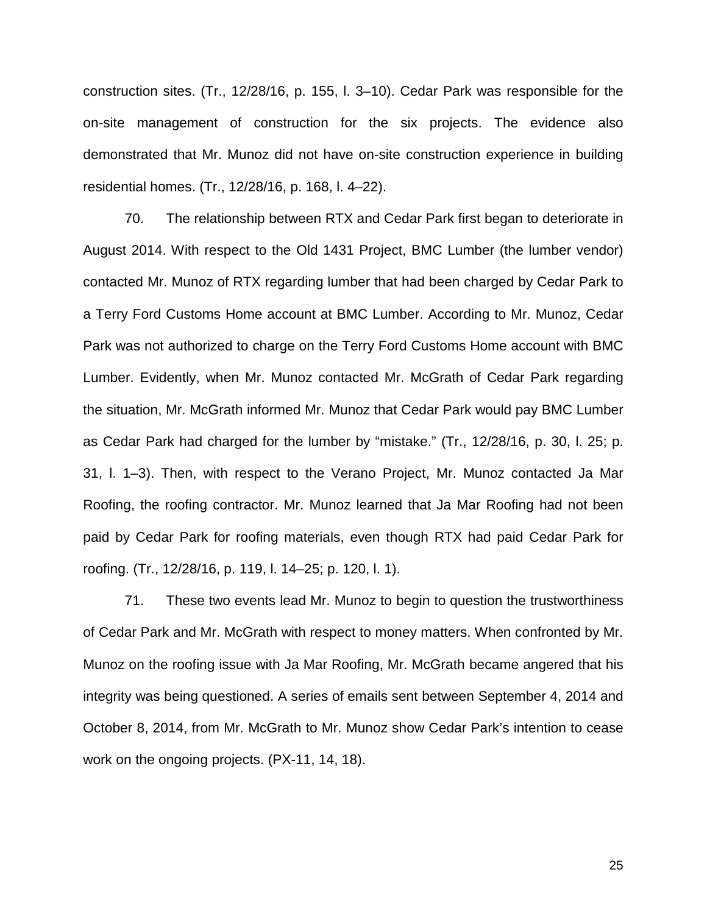construction sites. (Tr., 12/28/16, p. 155, l. 3–10). Cedar Park was responsible for the on-site management of construction for the six projects. The evidence also demonstrated that Mr. Munoz did not have on-site construction experience in building residential homes. (Tr., 12/28/16, p. 168, l. 4–22).

70. The relationship between RTX and Cedar Park first began to deteriorate in August 2014. With respect to the Old 1431 Project, BMC Lumber (the lumber vendor) contacted Mr. Munoz of RTX regarding lumber that had been charged by Cedar Park to a Terry Ford Customs Home account at BMC Lumber. According to Mr. Munoz, Cedar Park was not authorized to charge on the Terry Ford Customs Home account with BMC Lumber. Evidently, when Mr. Munoz contacted Mr. McGrath of Cedar Park regarding the situation, Mr. McGrath informed Mr. Munoz that Cedar Park would pay BMC Lumber as Cedar Park had charged for the lumber by "mistake." (Tr., 12/28/16, p. 30, l. 25; p. 31, l. 1–3). Then, with respect to the Verano Project, Mr. Munoz contacted Ja Mar Roofing, the roofing contractor. Mr. Munoz learned that Ja Mar Roofing had not been paid by Cedar Park for roofing materials, even though RTX had paid Cedar Park for roofing. (Tr., 12/28/16, p. 119, l. 14–25; p. 120, l. 1).

71. These two events lead Mr. Munoz to begin to question the trustworthiness of Cedar Park and Mr. McGrath with respect to money matters. When confronted by Mr. Munoz on the roofing issue with Ja Mar Roofing, Mr. McGrath became angered that his integrity was being questioned. A series of emails sent between September 4, 2014 and October 8, 2014, from Mr. McGrath to Mr. Munoz show Cedar Park's intention to cease work on the ongoing projects. (PX-11, 14, 18).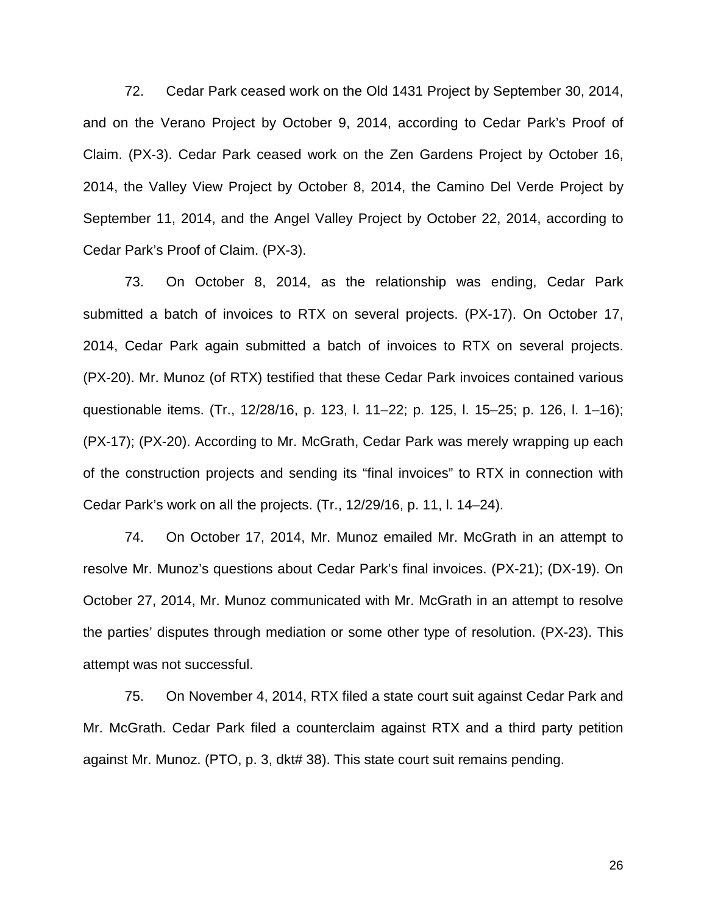72. Cedar Park ceased work on the Old 1431 Project by September 30, 2014, and on the Verano Project by October 9, 2014, according to Cedar Park's Proof of Claim. (PX-3). Cedar Park ceased work on the Zen Gardens Project by October 16, 2014, the Valley View Project by October 8, 2014, the Camino Del Verde Project by September 11, 2014, and the Angel Valley Project by October 22, 2014, according to Cedar Park's Proof of Claim. (PX-3).

73. On October 8, 2014, as the relationship was ending, Cedar Park submitted a batch of invoices to RTX on several projects. (PX-17). On October 17, 2014, Cedar Park again submitted a batch of invoices to RTX on several projects. (PX-20). Mr. Munoz (of RTX) testified that these Cedar Park invoices contained various questionable items. (Tr., 12/28/16, p. 123, l. 11–22; p. 125, l. 15–25; p. 126, l. 1–16); (PX-17); (PX-20). According to Mr. McGrath, Cedar Park was merely wrapping up each of the construction projects and sending its "final invoices" to RTX in connection with Cedar Park's work on all the projects. (Tr., 12/29/16, p. 11, l. 14–24).

74. On October 17, 2014, Mr. Munoz emailed Mr. McGrath in an attempt to resolve Mr. Munoz's questions about Cedar Park's final invoices. (PX-21); (DX-19). On October 27, 2014, Mr. Munoz communicated with Mr. McGrath in an attempt to resolve the parties' disputes through mediation or some other type of resolution. (PX-23). This attempt was not successful.

75. On November 4, 2014, RTX filed a state court suit against Cedar Park and Mr. McGrath. Cedar Park filed a counterclaim against RTX and a third party petition against Mr. Munoz. (PTO, p. 3, dkt# 38). This state court suit remains pending.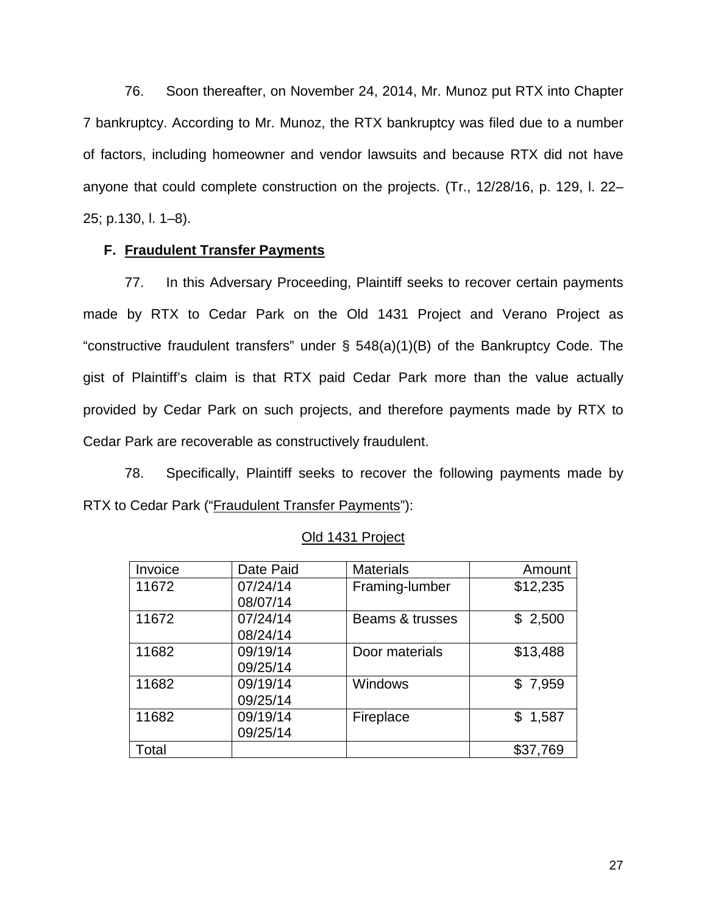76. Soon thereafter, on November 24, 2014, Mr. Munoz put RTX into Chapter 7 bankruptcy. According to Mr. Munoz, the RTX bankruptcy was filed due to a number of factors, including homeowner and vendor lawsuits and because RTX did not have anyone that could complete construction on the projects. (Tr., 12/28/16, p. 129, l. 22– 25; p.130, l. 1–8).

## **F. Fraudulent Transfer Payments**

77. In this Adversary Proceeding, Plaintiff seeks to recover certain payments made by RTX to Cedar Park on the Old 1431 Project and Verano Project as "constructive fraudulent transfers" under § 548(a)(1)(B) of the Bankruptcy Code. The gist of Plaintiff's claim is that RTX paid Cedar Park more than the value actually provided by Cedar Park on such projects, and therefore payments made by RTX to Cedar Park are recoverable as constructively fraudulent.

78. Specifically, Plaintiff seeks to recover the following payments made by RTX to Cedar Park ("Fraudulent Transfer Payments"):

| Invoice | Date Paid | <b>Materials</b> | Amount   |
|---------|-----------|------------------|----------|
| 11672   | 07/24/14  | Framing-lumber   | \$12,235 |
|         | 08/07/14  |                  |          |
| 11672   | 07/24/14  | Beams & trusses  | \$2,500  |
|         | 08/24/14  |                  |          |
| 11682   | 09/19/14  | Door materials   | \$13,488 |
|         | 09/25/14  |                  |          |
| 11682   | 09/19/14  | <b>Windows</b>   | \$7,959  |
|         | 09/25/14  |                  |          |
| 11682   | 09/19/14  | Fireplace        | \$1,587  |
|         | 09/25/14  |                  |          |
| Total   |           |                  | \$37,769 |

Old 1431 Project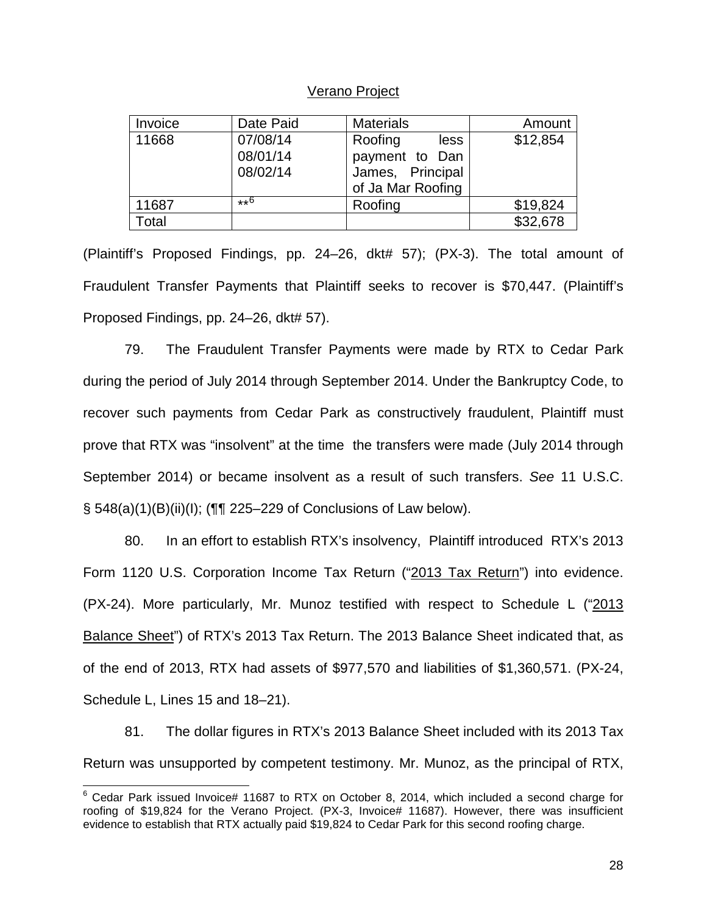## Verano Project

| Invoice | Date Paid | <b>Materials</b>  | Amount   |
|---------|-----------|-------------------|----------|
| 11668   | 07/08/14  | Roofing<br>less   | \$12,854 |
|         | 08/01/14  | payment to Dan    |          |
|         | 08/02/14  | James, Principal  |          |
|         |           | of Ja Mar Roofing |          |
| 11687   | $**6$     | Roofing           | \$19,824 |
| Total   |           |                   | \$32,678 |

(Plaintiff's Proposed Findings, pp. 24–26, dkt# 57); (PX-3). The total amount of Fraudulent Transfer Payments that Plaintiff seeks to recover is \$70,447. (Plaintiff's Proposed Findings, pp. 24–26, dkt# 57).

79. The Fraudulent Transfer Payments were made by RTX to Cedar Park during the period of July 2014 through September 2014. Under the Bankruptcy Code, to recover such payments from Cedar Park as constructively fraudulent, Plaintiff must prove that RTX was "insolvent" at the time the transfers were made (July 2014 through September 2014) or became insolvent as a result of such transfers. *See* 11 U.S.C. § 548(a)(1)(B)(ii)(I); (¶¶ 225–229 of Conclusions of Law below).

80. In an effort to establish RTX's insolvency, Plaintiff introduced RTX's 2013 Form 1120 U.S. Corporation Income Tax Return ("2013 Tax Return") into evidence. (PX-24). More particularly, Mr. Munoz testified with respect to Schedule L ("2013 Balance Sheet") of RTX's 2013 Tax Return. The 2013 Balance Sheet indicated that, as of the end of 2013, RTX had assets of \$977,570 and liabilities of \$1,360,571. (PX-24, Schedule L, Lines 15 and 18–21).

81. The dollar figures in RTX's 2013 Balance Sheet included with its 2013 Tax Return was unsupported by competent testimony. Mr. Munoz, as the principal of RTX,

 $\overline{\phantom{a}}$ 

 $6$  Cedar Park issued Invoice# 11687 to RTX on October 8, 2014, which included a second charge for roofing of \$19,824 for the Verano Project. (PX-3, Invoice# 11687). However, there was insufficient evidence to establish that RTX actually paid \$19,824 to Cedar Park for this second roofing charge.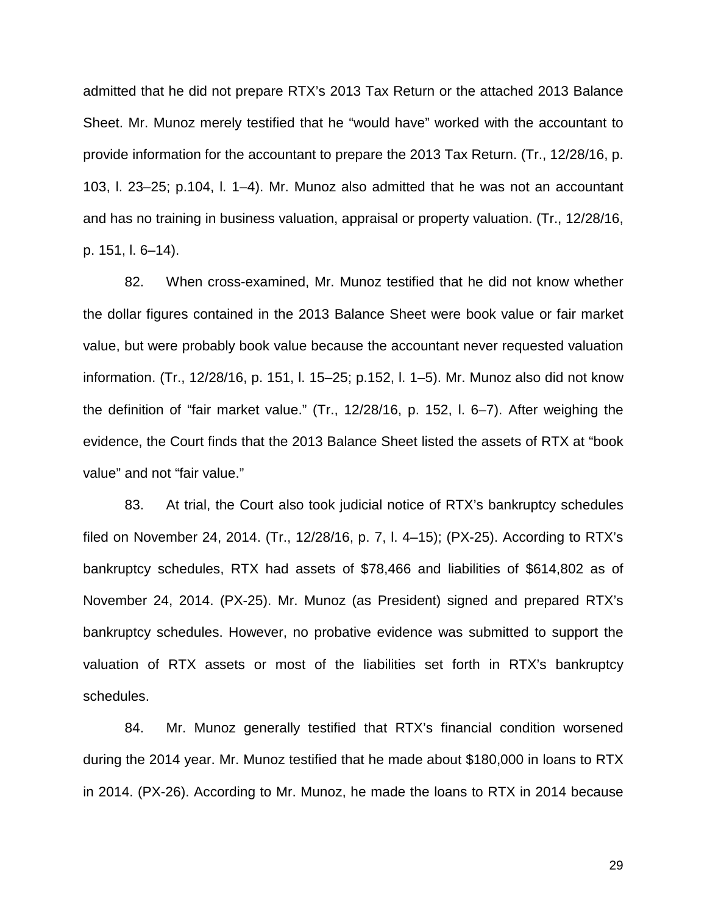admitted that he did not prepare RTX's 2013 Tax Return or the attached 2013 Balance Sheet. Mr. Munoz merely testified that he "would have" worked with the accountant to provide information for the accountant to prepare the 2013 Tax Return. (Tr., 12/28/16, p. 103, l. 23–25; p.104, l. 1–4). Mr. Munoz also admitted that he was not an accountant and has no training in business valuation, appraisal or property valuation. (Tr., 12/28/16, p. 151, l. 6–14).

82. When cross-examined, Mr. Munoz testified that he did not know whether the dollar figures contained in the 2013 Balance Sheet were book value or fair market value, but were probably book value because the accountant never requested valuation information. (Tr., 12/28/16, p. 151, l. 15–25; p.152, l. 1–5). Mr. Munoz also did not know the definition of "fair market value." (Tr., 12/28/16, p. 152, l. 6–7). After weighing the evidence, the Court finds that the 2013 Balance Sheet listed the assets of RTX at "book value" and not "fair value."

83. At trial, the Court also took judicial notice of RTX's bankruptcy schedules filed on November 24, 2014. (Tr., 12/28/16, p. 7, l. 4–15); (PX-25). According to RTX's bankruptcy schedules, RTX had assets of \$78,466 and liabilities of \$614,802 as of November 24, 2014. (PX-25). Mr. Munoz (as President) signed and prepared RTX's bankruptcy schedules. However, no probative evidence was submitted to support the valuation of RTX assets or most of the liabilities set forth in RTX's bankruptcy schedules.

84. Mr. Munoz generally testified that RTX's financial condition worsened during the 2014 year. Mr. Munoz testified that he made about \$180,000 in loans to RTX in 2014. (PX-26). According to Mr. Munoz, he made the loans to RTX in 2014 because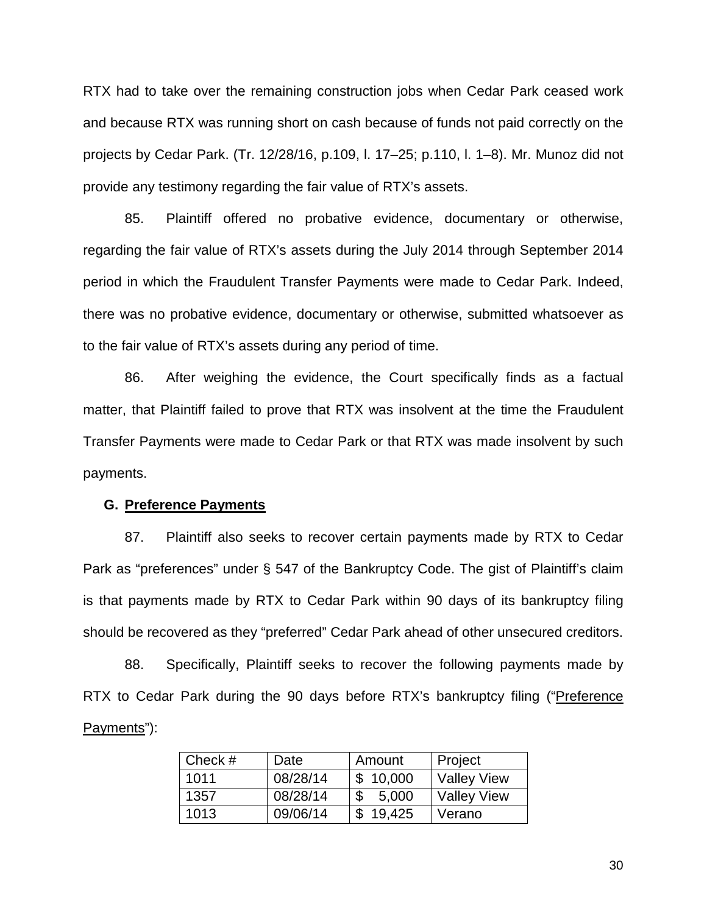RTX had to take over the remaining construction jobs when Cedar Park ceased work and because RTX was running short on cash because of funds not paid correctly on the projects by Cedar Park. (Tr. 12/28/16, p.109, l. 17–25; p.110, l. 1–8). Mr. Munoz did not provide any testimony regarding the fair value of RTX's assets.

85. Plaintiff offered no probative evidence, documentary or otherwise, regarding the fair value of RTX's assets during the July 2014 through September 2014 period in which the Fraudulent Transfer Payments were made to Cedar Park. Indeed, there was no probative evidence, documentary or otherwise, submitted whatsoever as to the fair value of RTX's assets during any period of time.

86. After weighing the evidence, the Court specifically finds as a factual matter, that Plaintiff failed to prove that RTX was insolvent at the time the Fraudulent Transfer Payments were made to Cedar Park or that RTX was made insolvent by such payments.

## **G. Preference Payments**

87. Plaintiff also seeks to recover certain payments made by RTX to Cedar Park as "preferences" under § 547 of the Bankruptcy Code. The gist of Plaintiff's claim is that payments made by RTX to Cedar Park within 90 days of its bankruptcy filing should be recovered as they "preferred" Cedar Park ahead of other unsecured creditors.

88. Specifically, Plaintiff seeks to recover the following payments made by RTX to Cedar Park during the 90 days before RTX's bankruptcy filing ("Preference Payments"):

| Check # | Date     | Amount   | Project            |
|---------|----------|----------|--------------------|
| 1011    | 08/28/14 | \$10,000 | Valley View        |
| 1357    | 08/28/14 | 5,000    | <b>Valley View</b> |
| 1013    | 09/06/14 | \$19.425 | Verano             |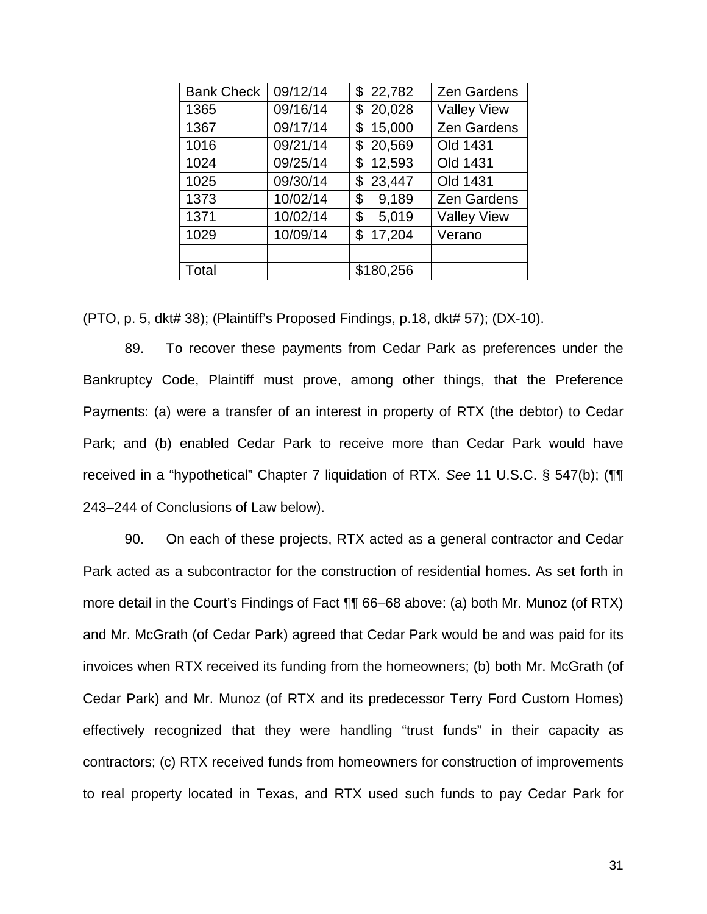| <b>Bank Check</b> | 09/12/14 | \$22,782     | <b>Zen Gardens</b> |
|-------------------|----------|--------------|--------------------|
| 1365              | 09/16/14 | \$20,028     | <b>Valley View</b> |
| 1367              | 09/17/14 | 15,000<br>\$ | <b>Zen Gardens</b> |
| 1016              | 09/21/14 | \$20,569     | Old 1431           |
| 1024              | 09/25/14 | 12,593<br>\$ | Old 1431           |
| 1025              | 09/30/14 | \$23,447     | Old 1431           |
| 1373              | 10/02/14 | 9,189<br>\$  | <b>Zen Gardens</b> |
| 1371              | 10/02/14 | 5,019<br>\$  | <b>Valley View</b> |
| 1029              | 10/09/14 | 17,204<br>\$ | Verano             |
|                   |          |              |                    |
| Total             |          | \$180,256    |                    |

(PTO, p. 5, dkt# 38); (Plaintiff's Proposed Findings, p.18, dkt# 57); (DX-10).

89. To recover these payments from Cedar Park as preferences under the Bankruptcy Code, Plaintiff must prove, among other things, that the Preference Payments: (a) were a transfer of an interest in property of RTX (the debtor) to Cedar Park; and (b) enabled Cedar Park to receive more than Cedar Park would have received in a "hypothetical" Chapter 7 liquidation of RTX. *See* 11 U.S.C. § 547(b); (¶¶ 243–244 of Conclusions of Law below).

90. On each of these projects, RTX acted as a general contractor and Cedar Park acted as a subcontractor for the construction of residential homes. As set forth in more detail in the Court's Findings of Fact ¶¶ 66–68 above: (a) both Mr. Munoz (of RTX) and Mr. McGrath (of Cedar Park) agreed that Cedar Park would be and was paid for its invoices when RTX received its funding from the homeowners; (b) both Mr. McGrath (of Cedar Park) and Mr. Munoz (of RTX and its predecessor Terry Ford Custom Homes) effectively recognized that they were handling "trust funds" in their capacity as contractors; (c) RTX received funds from homeowners for construction of improvements to real property located in Texas, and RTX used such funds to pay Cedar Park for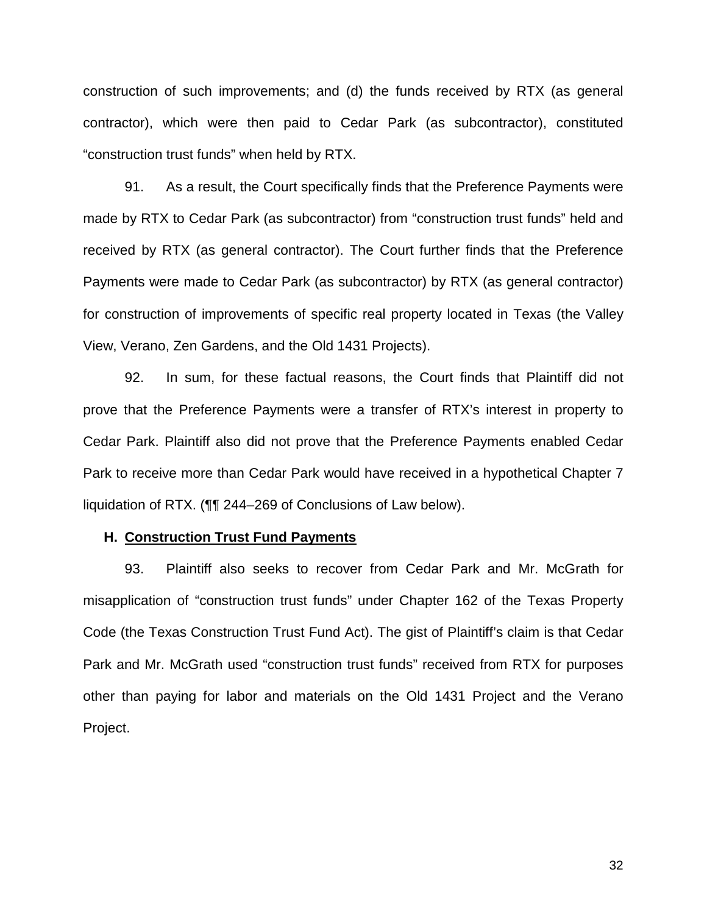construction of such improvements; and (d) the funds received by RTX (as general contractor), which were then paid to Cedar Park (as subcontractor), constituted "construction trust funds" when held by RTX.

91. As a result, the Court specifically finds that the Preference Payments were made by RTX to Cedar Park (as subcontractor) from "construction trust funds" held and received by RTX (as general contractor). The Court further finds that the Preference Payments were made to Cedar Park (as subcontractor) by RTX (as general contractor) for construction of improvements of specific real property located in Texas (the Valley View, Verano, Zen Gardens, and the Old 1431 Projects).

92. In sum, for these factual reasons, the Court finds that Plaintiff did not prove that the Preference Payments were a transfer of RTX's interest in property to Cedar Park. Plaintiff also did not prove that the Preference Payments enabled Cedar Park to receive more than Cedar Park would have received in a hypothetical Chapter 7 liquidation of RTX. (¶¶ 244–269 of Conclusions of Law below).

#### **H. Construction Trust Fund Payments**

93. Plaintiff also seeks to recover from Cedar Park and Mr. McGrath for misapplication of "construction trust funds" under Chapter 162 of the Texas Property Code (the Texas Construction Trust Fund Act). The gist of Plaintiff's claim is that Cedar Park and Mr. McGrath used "construction trust funds" received from RTX for purposes other than paying for labor and materials on the Old 1431 Project and the Verano Project.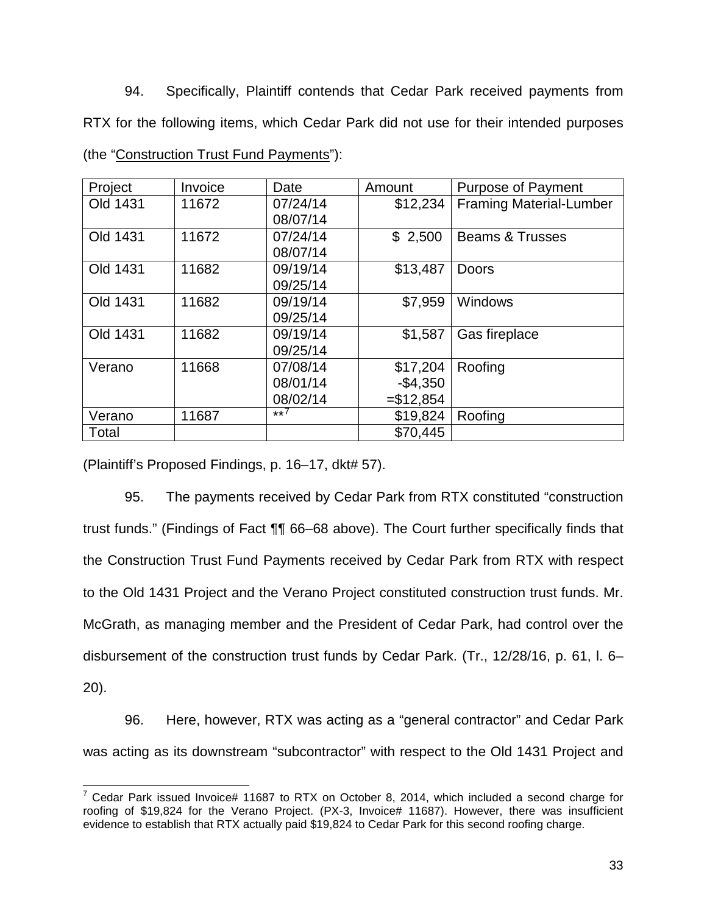94. Specifically, Plaintiff contends that Cedar Park received payments from RTX for the following items, which Cedar Park did not use for their intended purposes (the "Construction Trust Fund Payments"):

| Project  | Invoice | Date     | Amount      | <b>Purpose of Payment</b>      |
|----------|---------|----------|-------------|--------------------------------|
| Old 1431 | 11672   | 07/24/14 | \$12,234    | <b>Framing Material-Lumber</b> |
|          |         | 08/07/14 |             |                                |
| Old 1431 | 11672   | 07/24/14 | \$2,500     | <b>Beams &amp; Trusses</b>     |
|          |         | 08/07/14 |             |                                |
| Old 1431 | 11682   | 09/19/14 | \$13,487    | <b>Doors</b>                   |
|          |         | 09/25/14 |             |                                |
| Old 1431 | 11682   | 09/19/14 | \$7,959     | Windows                        |
|          |         | 09/25/14 |             |                                |
| Old 1431 | 11682   | 09/19/14 | \$1,587     | Gas fireplace                  |
|          |         | 09/25/14 |             |                                |
| Verano   | 11668   | 07/08/14 | \$17,204    | Roofing                        |
|          |         | 08/01/14 | $-$4,350$   |                                |
|          |         | 08/02/14 | $= $12,854$ |                                |
| Verano   | 11687   | $**($    | \$19,824    | Roofing                        |
| Total    |         |          | \$70,445    |                                |

(Plaintiff's Proposed Findings, p. 16–17, dkt# 57).

95. The payments received by Cedar Park from RTX constituted "construction trust funds." (Findings of Fact ¶¶ 66–68 above). The Court further specifically finds that the Construction Trust Fund Payments received by Cedar Park from RTX with respect to the Old 1431 Project and the Verano Project constituted construction trust funds. Mr. McGrath, as managing member and the President of Cedar Park, had control over the disbursement of the construction trust funds by Cedar Park. (Tr., 12/28/16, p. 61, l. 6– 20).

96. Here, however, RTX was acting as a "general contractor" and Cedar Park was acting as its downstream "subcontractor" with respect to the Old 1431 Project and

 $\overline{a}$  $7$  Cedar Park issued Invoice# 11687 to RTX on October 8, 2014, which included a second charge for roofing of \$19,824 for the Verano Project. (PX-3, Invoice# 11687). However, there was insufficient evidence to establish that RTX actually paid \$19,824 to Cedar Park for this second roofing charge.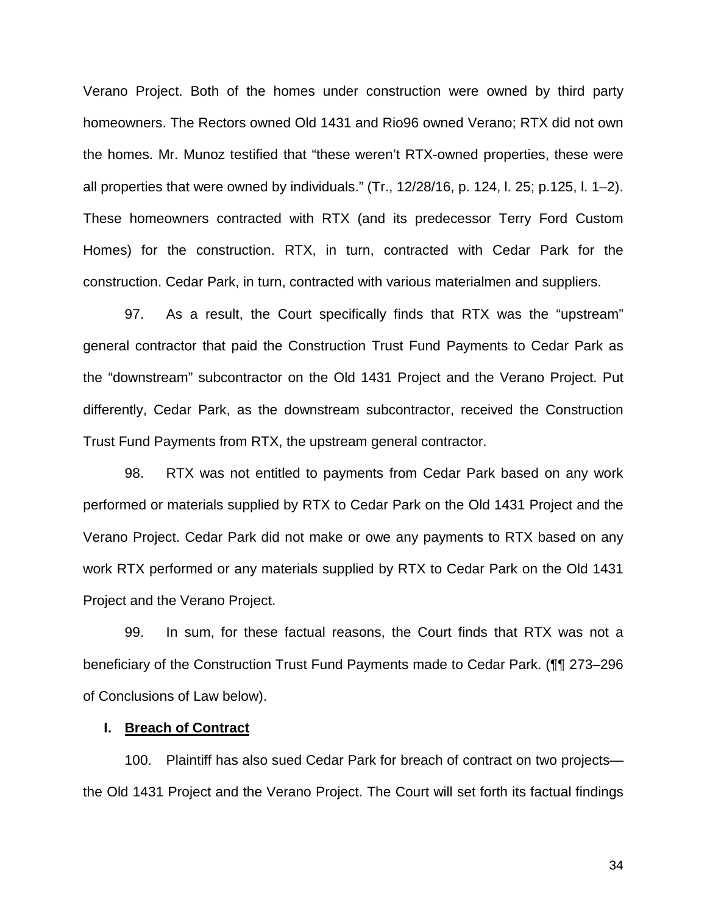Verano Project. Both of the homes under construction were owned by third party homeowners. The Rectors owned Old 1431 and Rio96 owned Verano; RTX did not own the homes. Mr. Munoz testified that "these weren't RTX-owned properties, these were all properties that were owned by individuals." (Tr., 12/28/16, p. 124, l. 25; p.125, l. 1–2). These homeowners contracted with RTX (and its predecessor Terry Ford Custom Homes) for the construction. RTX, in turn, contracted with Cedar Park for the construction. Cedar Park, in turn, contracted with various materialmen and suppliers.

97. As a result, the Court specifically finds that RTX was the "upstream" general contractor that paid the Construction Trust Fund Payments to Cedar Park as the "downstream" subcontractor on the Old 1431 Project and the Verano Project. Put differently, Cedar Park, as the downstream subcontractor, received the Construction Trust Fund Payments from RTX, the upstream general contractor.

98. RTX was not entitled to payments from Cedar Park based on any work performed or materials supplied by RTX to Cedar Park on the Old 1431 Project and the Verano Project. Cedar Park did not make or owe any payments to RTX based on any work RTX performed or any materials supplied by RTX to Cedar Park on the Old 1431 Project and the Verano Project.

99. In sum, for these factual reasons, the Court finds that RTX was not a beneficiary of the Construction Trust Fund Payments made to Cedar Park. (¶¶ 273–296 of Conclusions of Law below).

## **I. Breach of Contract**

100. Plaintiff has also sued Cedar Park for breach of contract on two projects the Old 1431 Project and the Verano Project. The Court will set forth its factual findings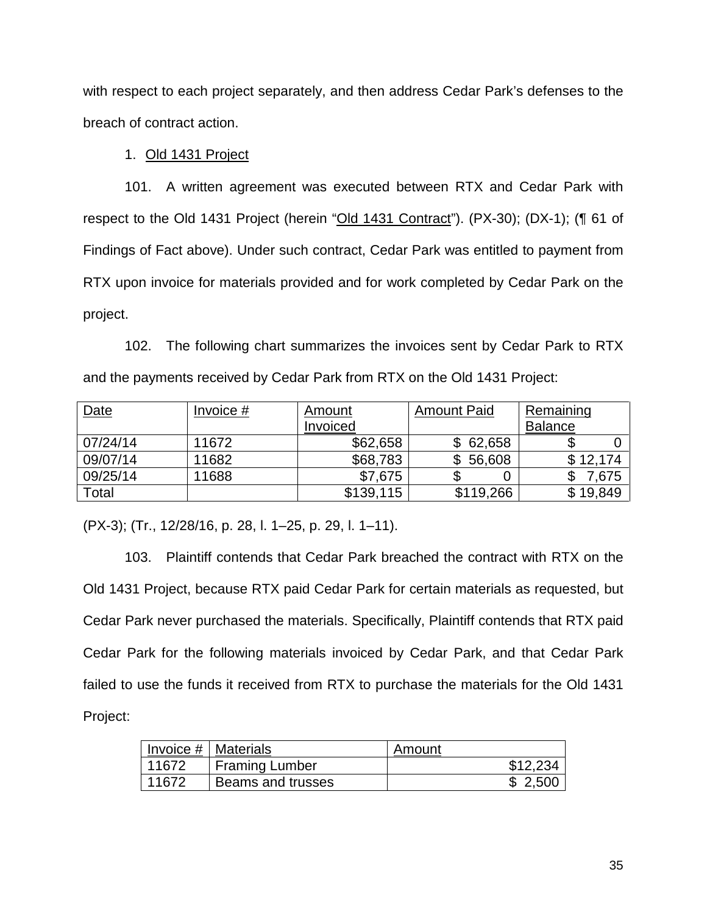with respect to each project separately, and then address Cedar Park's defenses to the breach of contract action.

## 1. Old 1431 Project

101. A written agreement was executed between RTX and Cedar Park with respect to the Old 1431 Project (herein "Old 1431 Contract"). (PX-30); (DX-1); (¶ 61 of Findings of Fact above). Under such contract, Cedar Park was entitled to payment from RTX upon invoice for materials provided and for work completed by Cedar Park on the project.

102. The following chart summarizes the invoices sent by Cedar Park to RTX and the payments received by Cedar Park from RTX on the Old 1431 Project:

| Date     | Invoice $#$ | Amount    | <b>Amount Paid</b> | Remaining      |
|----------|-------------|-----------|--------------------|----------------|
|          |             | Invoiced  |                    | <b>Balance</b> |
| 07/24/14 | 11672       | \$62,658  | \$62,658           |                |
| 09/07/14 | 11682       | \$68,783  | \$<br>56,608       | \$12,174       |
| 09/25/14 | 11688       | \$7,675   |                    | 7,675          |
| Total    |             | \$139,115 | \$119,266          | \$19,849       |

(PX-3); (Tr., 12/28/16, p. 28, l. 1–25, p. 29, l. 1–11).

103. Plaintiff contends that Cedar Park breached the contract with RTX on the Old 1431 Project, because RTX paid Cedar Park for certain materials as requested, but Cedar Park never purchased the materials. Specifically, Plaintiff contends that RTX paid Cedar Park for the following materials invoiced by Cedar Park, and that Cedar Park failed to use the funds it received from RTX to purchase the materials for the Old 1431 Project:

|       | Invoice $#$   Materials | Amount   |
|-------|-------------------------|----------|
| 11672 | <b>Framing Lumber</b>   | \$12.234 |
| 11672 | Beams and trusses       | \$2.500  |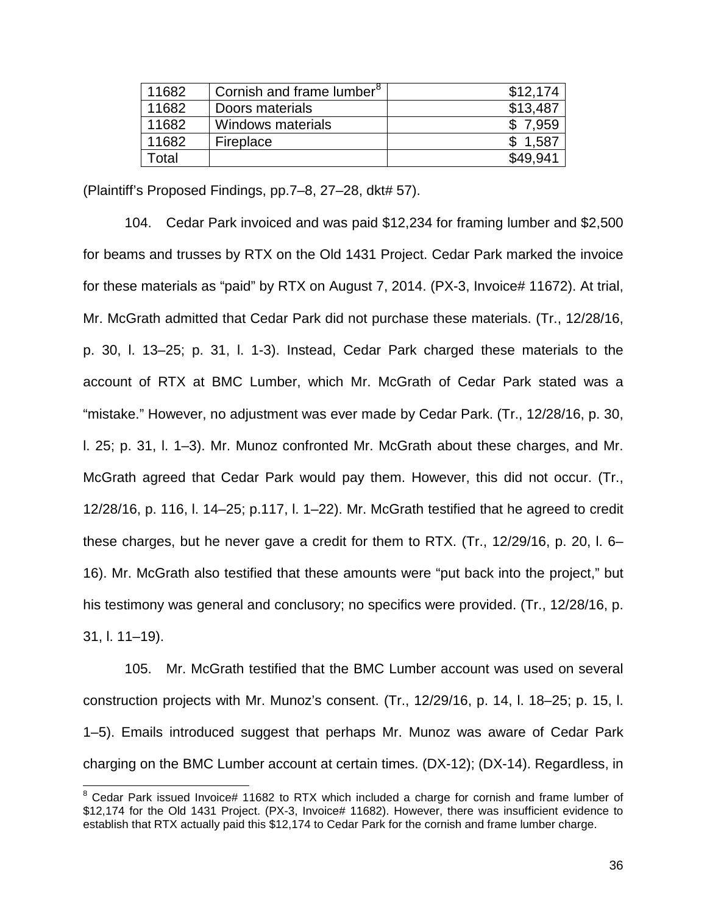| 11682 | Cornish and frame lumber <sup>8</sup> | \$12,174 |
|-------|---------------------------------------|----------|
| 11682 | Doors materials                       | \$13,487 |
| 11682 | Windows materials                     | 7,959    |
| 11682 | Fireplace                             | 1,587    |
| Γotal |                                       | \$49.941 |

(Plaintiff's Proposed Findings, pp.7–8, 27–28, dkt# 57).

104. Cedar Park invoiced and was paid \$12,234 for framing lumber and \$2,500 for beams and trusses by RTX on the Old 1431 Project. Cedar Park marked the invoice for these materials as "paid" by RTX on August 7, 2014. (PX-3, Invoice# 11672). At trial, Mr. McGrath admitted that Cedar Park did not purchase these materials. (Tr., 12/28/16, p. 30, l. 13–25; p. 31, l. 1-3). Instead, Cedar Park charged these materials to the account of RTX at BMC Lumber, which Mr. McGrath of Cedar Park stated was a "mistake." However, no adjustment was ever made by Cedar Park. (Tr., 12/28/16, p. 30, l. 25; p. 31, l. 1–3). Mr. Munoz confronted Mr. McGrath about these charges, and Mr. McGrath agreed that Cedar Park would pay them. However, this did not occur. (Tr., 12/28/16, p. 116, l. 14–25; p.117, l. 1–22). Mr. McGrath testified that he agreed to credit these charges, but he never gave a credit for them to RTX. (Tr., 12/29/16, p. 20, l. 6– 16). Mr. McGrath also testified that these amounts were "put back into the project," but his testimony was general and conclusory; no specifics were provided. (Tr., 12/28/16, p. 31, l. 11–19).

105. Mr. McGrath testified that the BMC Lumber account was used on several construction projects with Mr. Munoz's consent. (Tr., 12/29/16, p. 14, l. 18–25; p. 15, l. 1–5). Emails introduced suggest that perhaps Mr. Munoz was aware of Cedar Park charging on the BMC Lumber account at certain times. (DX-12); (DX-14). Regardless, in

 $\overline{\phantom{a}}$  $8$  Cedar Park issued Invoice# 11682 to RTX which included a charge for cornish and frame lumber of \$12,174 for the Old 1431 Project. (PX-3, Invoice# 11682). However, there was insufficient evidence to establish that RTX actually paid this \$12,174 to Cedar Park for the cornish and frame lumber charge.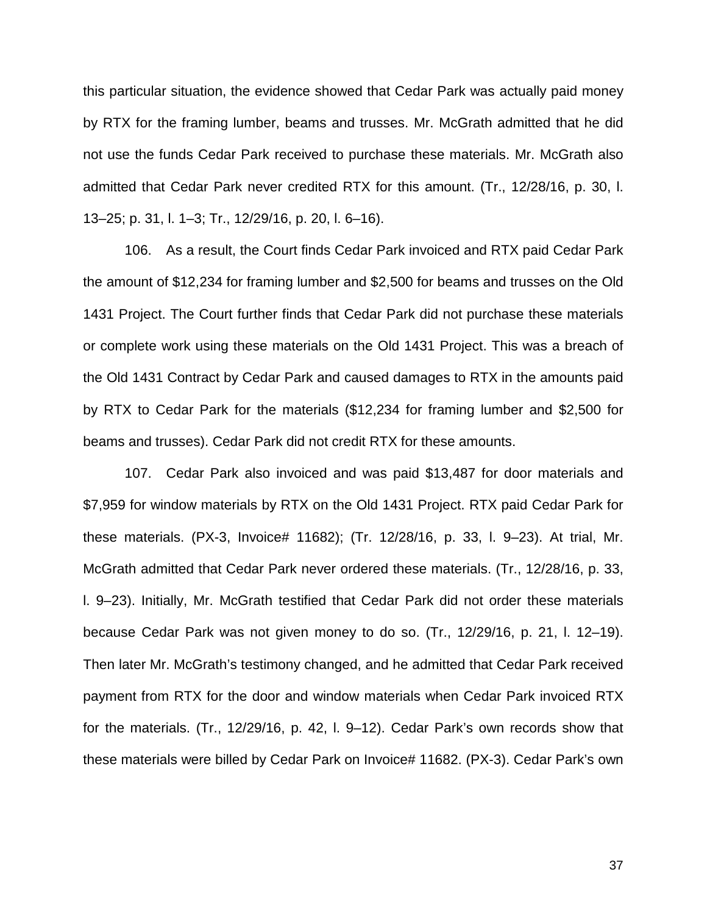this particular situation, the evidence showed that Cedar Park was actually paid money by RTX for the framing lumber, beams and trusses. Mr. McGrath admitted that he did not use the funds Cedar Park received to purchase these materials. Mr. McGrath also admitted that Cedar Park never credited RTX for this amount. (Tr., 12/28/16, p. 30, l. 13–25; p. 31, l. 1–3; Tr., 12/29/16, p. 20, l. 6–16).

106. As a result, the Court finds Cedar Park invoiced and RTX paid Cedar Park the amount of \$12,234 for framing lumber and \$2,500 for beams and trusses on the Old 1431 Project. The Court further finds that Cedar Park did not purchase these materials or complete work using these materials on the Old 1431 Project. This was a breach of the Old 1431 Contract by Cedar Park and caused damages to RTX in the amounts paid by RTX to Cedar Park for the materials (\$12,234 for framing lumber and \$2,500 for beams and trusses). Cedar Park did not credit RTX for these amounts.

107. Cedar Park also invoiced and was paid \$13,487 for door materials and \$7,959 for window materials by RTX on the Old 1431 Project. RTX paid Cedar Park for these materials. (PX-3, Invoice# 11682); (Tr. 12/28/16, p. 33, l. 9–23). At trial, Mr. McGrath admitted that Cedar Park never ordered these materials. (Tr., 12/28/16, p. 33, l. 9–23). Initially, Mr. McGrath testified that Cedar Park did not order these materials because Cedar Park was not given money to do so. (Tr., 12/29/16, p. 21, l. 12–19). Then later Mr. McGrath's testimony changed, and he admitted that Cedar Park received payment from RTX for the door and window materials when Cedar Park invoiced RTX for the materials. (Tr., 12/29/16, p. 42, l. 9–12). Cedar Park's own records show that these materials were billed by Cedar Park on Invoice# 11682. (PX-3). Cedar Park's own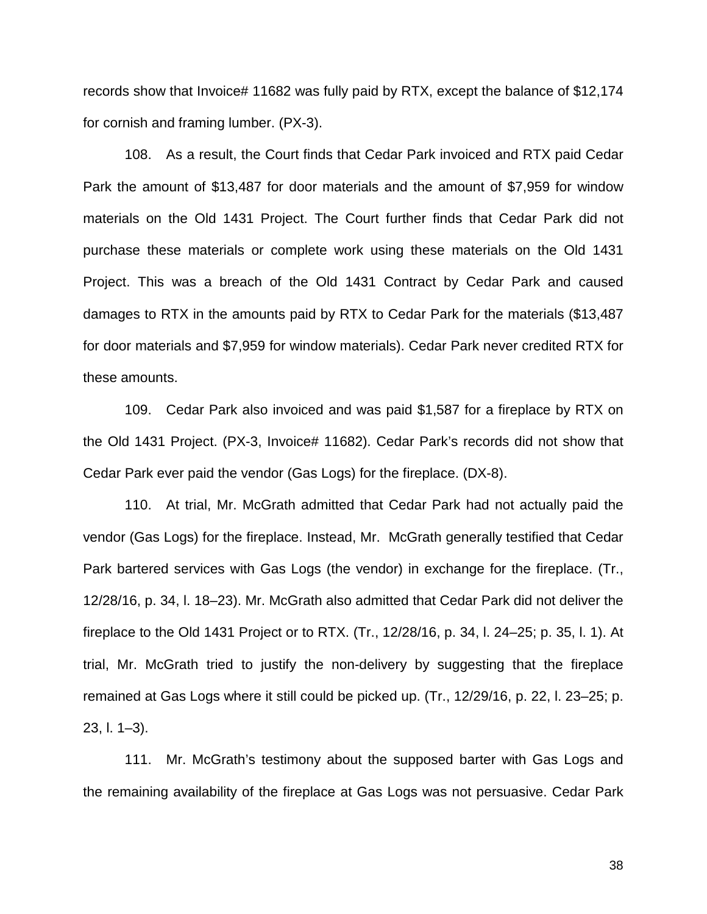records show that Invoice# 11682 was fully paid by RTX, except the balance of \$12,174 for cornish and framing lumber. (PX-3).

108. As a result, the Court finds that Cedar Park invoiced and RTX paid Cedar Park the amount of \$13,487 for door materials and the amount of \$7,959 for window materials on the Old 1431 Project. The Court further finds that Cedar Park did not purchase these materials or complete work using these materials on the Old 1431 Project. This was a breach of the Old 1431 Contract by Cedar Park and caused damages to RTX in the amounts paid by RTX to Cedar Park for the materials (\$13,487 for door materials and \$7,959 for window materials). Cedar Park never credited RTX for these amounts.

109. Cedar Park also invoiced and was paid \$1,587 for a fireplace by RTX on the Old 1431 Project. (PX-3, Invoice# 11682). Cedar Park's records did not show that Cedar Park ever paid the vendor (Gas Logs) for the fireplace. (DX-8).

110. At trial, Mr. McGrath admitted that Cedar Park had not actually paid the vendor (Gas Logs) for the fireplace. Instead, Mr. McGrath generally testified that Cedar Park bartered services with Gas Logs (the vendor) in exchange for the fireplace. (Tr., 12/28/16, p. 34, l. 18–23). Mr. McGrath also admitted that Cedar Park did not deliver the fireplace to the Old 1431 Project or to RTX. (Tr., 12/28/16, p. 34, l. 24–25; p. 35, l. 1). At trial, Mr. McGrath tried to justify the non-delivery by suggesting that the fireplace remained at Gas Logs where it still could be picked up. (Tr., 12/29/16, p. 22, l. 23–25; p. 23, l. 1–3).

111. Mr. McGrath's testimony about the supposed barter with Gas Logs and the remaining availability of the fireplace at Gas Logs was not persuasive. Cedar Park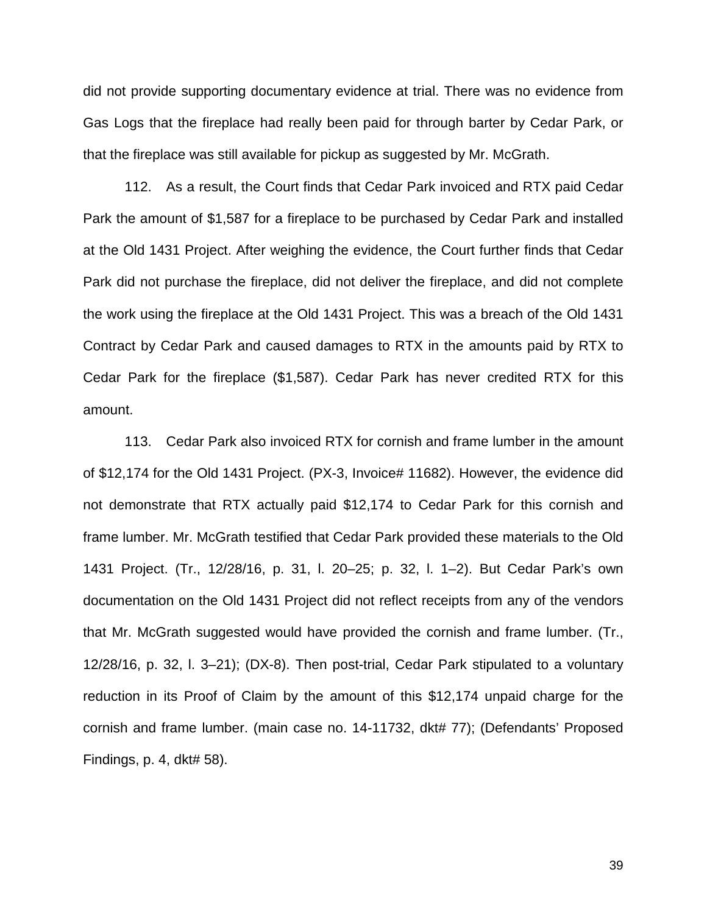did not provide supporting documentary evidence at trial. There was no evidence from Gas Logs that the fireplace had really been paid for through barter by Cedar Park, or that the fireplace was still available for pickup as suggested by Mr. McGrath.

112. As a result, the Court finds that Cedar Park invoiced and RTX paid Cedar Park the amount of \$1,587 for a fireplace to be purchased by Cedar Park and installed at the Old 1431 Project. After weighing the evidence, the Court further finds that Cedar Park did not purchase the fireplace, did not deliver the fireplace, and did not complete the work using the fireplace at the Old 1431 Project. This was a breach of the Old 1431 Contract by Cedar Park and caused damages to RTX in the amounts paid by RTX to Cedar Park for the fireplace (\$1,587). Cedar Park has never credited RTX for this amount.

113. Cedar Park also invoiced RTX for cornish and frame lumber in the amount of \$12,174 for the Old 1431 Project. (PX-3, Invoice# 11682). However, the evidence did not demonstrate that RTX actually paid \$12,174 to Cedar Park for this cornish and frame lumber. Mr. McGrath testified that Cedar Park provided these materials to the Old 1431 Project. (Tr., 12/28/16, p. 31, l. 20–25; p. 32, l. 1–2). But Cedar Park's own documentation on the Old 1431 Project did not reflect receipts from any of the vendors that Mr. McGrath suggested would have provided the cornish and frame lumber. (Tr., 12/28/16, p. 32, l. 3–21); (DX-8). Then post-trial, Cedar Park stipulated to a voluntary reduction in its Proof of Claim by the amount of this \$12,174 unpaid charge for the cornish and frame lumber. (main case no. 14-11732, dkt# 77); (Defendants' Proposed Findings, p. 4, dkt# 58).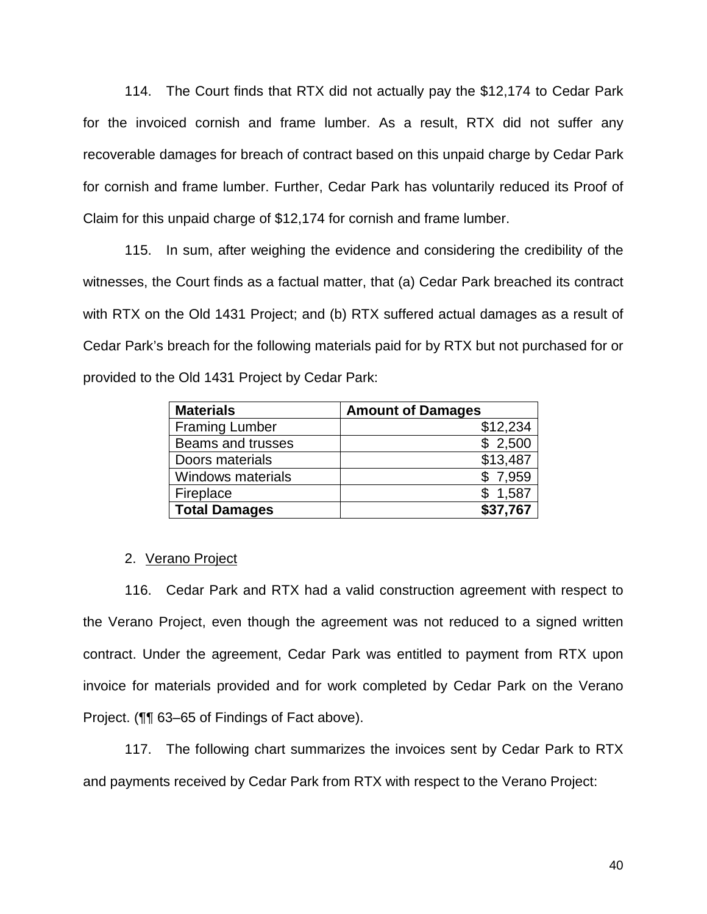114. The Court finds that RTX did not actually pay the \$12,174 to Cedar Park for the invoiced cornish and frame lumber. As a result, RTX did not suffer any recoverable damages for breach of contract based on this unpaid charge by Cedar Park for cornish and frame lumber. Further, Cedar Park has voluntarily reduced its Proof of Claim for this unpaid charge of \$12,174 for cornish and frame lumber.

115. In sum, after weighing the evidence and considering the credibility of the witnesses, the Court finds as a factual matter, that (a) Cedar Park breached its contract with RTX on the Old 1431 Project; and (b) RTX suffered actual damages as a result of Cedar Park's breach for the following materials paid for by RTX but not purchased for or provided to the Old 1431 Project by Cedar Park:

| <b>Materials</b>         | <b>Amount of Damages</b> |
|--------------------------|--------------------------|
| <b>Framing Lumber</b>    | \$12,234                 |
| Beams and trusses        | \$2,500                  |
| Doors materials          | \$13,487                 |
| <b>Windows materials</b> | \$7,959                  |
| Fireplace                | \$1,587                  |
| <b>Total Damages</b>     | \$37,767                 |

# 2. Verano Project

116. Cedar Park and RTX had a valid construction agreement with respect to the Verano Project, even though the agreement was not reduced to a signed written contract. Under the agreement, Cedar Park was entitled to payment from RTX upon invoice for materials provided and for work completed by Cedar Park on the Verano Project. (¶¶ 63–65 of Findings of Fact above).

117. The following chart summarizes the invoices sent by Cedar Park to RTX and payments received by Cedar Park from RTX with respect to the Verano Project: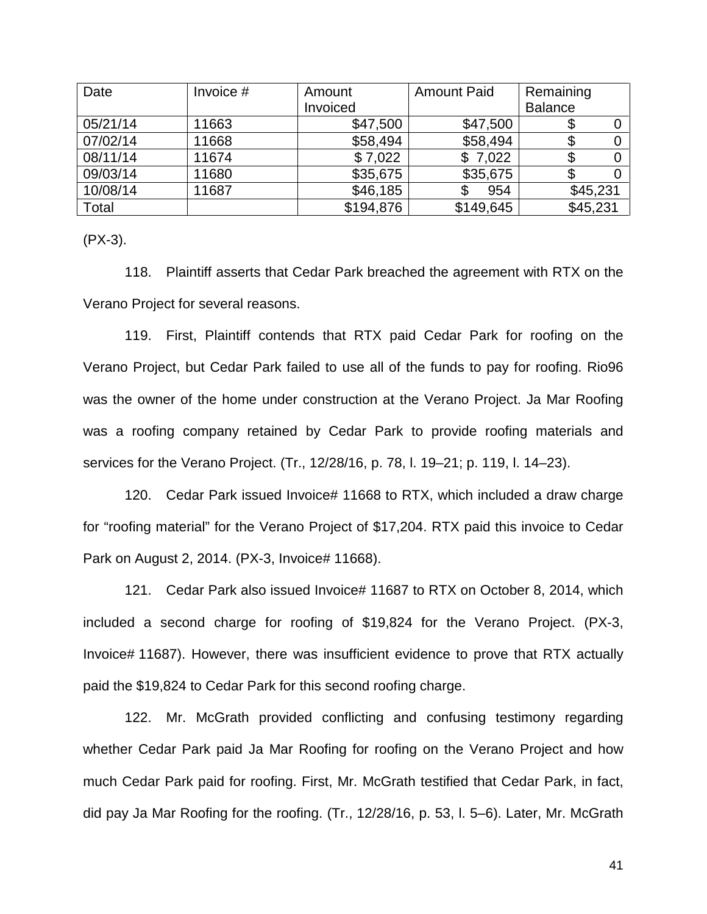| Date     | Invoice # | Amount    | <b>Amount Paid</b> | Remaining      |
|----------|-----------|-----------|--------------------|----------------|
|          |           | Invoiced  |                    | <b>Balance</b> |
| 05/21/14 | 11663     | \$47,500  | \$47,500           |                |
| 07/02/14 | 11668     | \$58,494  | \$58,494           |                |
| 08/11/14 | 11674     | \$7,022   | \$7,022            |                |
| 09/03/14 | 11680     | \$35,675  | \$35,675           |                |
| 10/08/14 | 11687     | \$46,185  | 954                | \$45,231       |
| Total    |           | \$194,876 | \$149,645          | \$45,231       |

(PX-3).

118. Plaintiff asserts that Cedar Park breached the agreement with RTX on the Verano Project for several reasons.

119. First, Plaintiff contends that RTX paid Cedar Park for roofing on the Verano Project, but Cedar Park failed to use all of the funds to pay for roofing. Rio96 was the owner of the home under construction at the Verano Project. Ja Mar Roofing was a roofing company retained by Cedar Park to provide roofing materials and services for the Verano Project. (Tr., 12/28/16, p. 78, l. 19–21; p. 119, l. 14–23).

120. Cedar Park issued Invoice# 11668 to RTX, which included a draw charge for "roofing material" for the Verano Project of \$17,204. RTX paid this invoice to Cedar Park on August 2, 2014. (PX-3, Invoice# 11668).

121. Cedar Park also issued Invoice# 11687 to RTX on October 8, 2014, which included a second charge for roofing of \$19,824 for the Verano Project. (PX-3, Invoice# 11687). However, there was insufficient evidence to prove that RTX actually paid the \$19,824 to Cedar Park for this second roofing charge.

122. Mr. McGrath provided conflicting and confusing testimony regarding whether Cedar Park paid Ja Mar Roofing for roofing on the Verano Project and how much Cedar Park paid for roofing. First, Mr. McGrath testified that Cedar Park, in fact, did pay Ja Mar Roofing for the roofing. (Tr., 12/28/16, p. 53, l. 5–6). Later, Mr. McGrath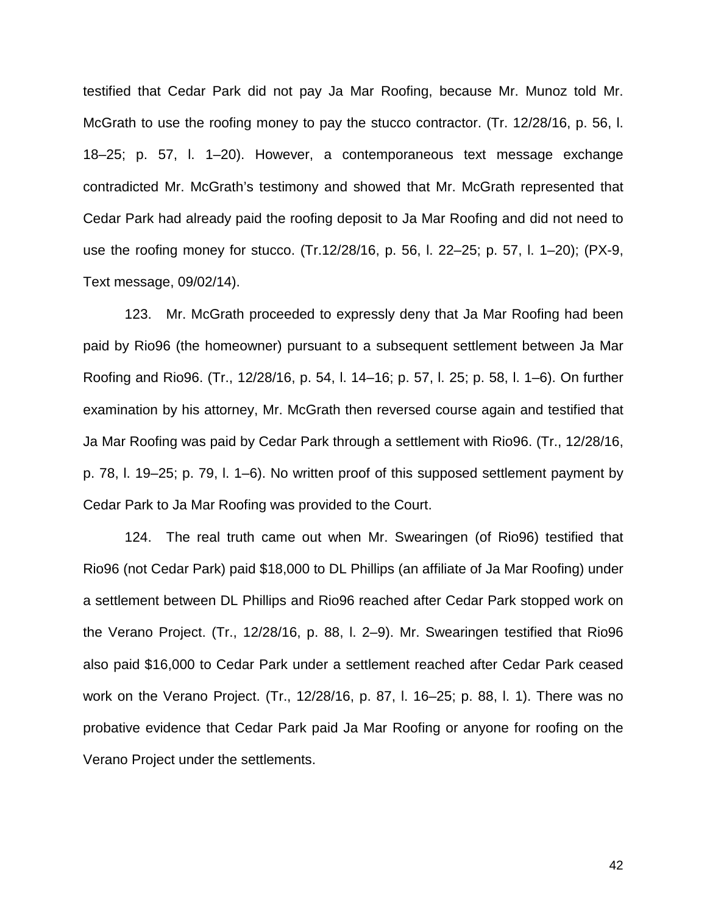testified that Cedar Park did not pay Ja Mar Roofing, because Mr. Munoz told Mr. McGrath to use the roofing money to pay the stucco contractor. (Tr. 12/28/16, p. 56, l. 18–25; p. 57, l. 1–20). However, a contemporaneous text message exchange contradicted Mr. McGrath's testimony and showed that Mr. McGrath represented that Cedar Park had already paid the roofing deposit to Ja Mar Roofing and did not need to use the roofing money for stucco. (Tr.12/28/16, p. 56, l. 22–25; p. 57, l. 1–20); (PX-9, Text message, 09/02/14).

123. Mr. McGrath proceeded to expressly deny that Ja Mar Roofing had been paid by Rio96 (the homeowner) pursuant to a subsequent settlement between Ja Mar Roofing and Rio96. (Tr., 12/28/16, p. 54, l. 14–16; p. 57, l. 25; p. 58, l. 1–6). On further examination by his attorney, Mr. McGrath then reversed course again and testified that Ja Mar Roofing was paid by Cedar Park through a settlement with Rio96. (Tr., 12/28/16, p. 78, l. 19–25; p. 79, l. 1–6). No written proof of this supposed settlement payment by Cedar Park to Ja Mar Roofing was provided to the Court.

124. The real truth came out when Mr. Swearingen (of Rio96) testified that Rio96 (not Cedar Park) paid \$18,000 to DL Phillips (an affiliate of Ja Mar Roofing) under a settlement between DL Phillips and Rio96 reached after Cedar Park stopped work on the Verano Project. (Tr., 12/28/16, p. 88, l. 2–9). Mr. Swearingen testified that Rio96 also paid \$16,000 to Cedar Park under a settlement reached after Cedar Park ceased work on the Verano Project. (Tr., 12/28/16, p. 87, l. 16–25; p. 88, l. 1). There was no probative evidence that Cedar Park paid Ja Mar Roofing or anyone for roofing on the Verano Project under the settlements.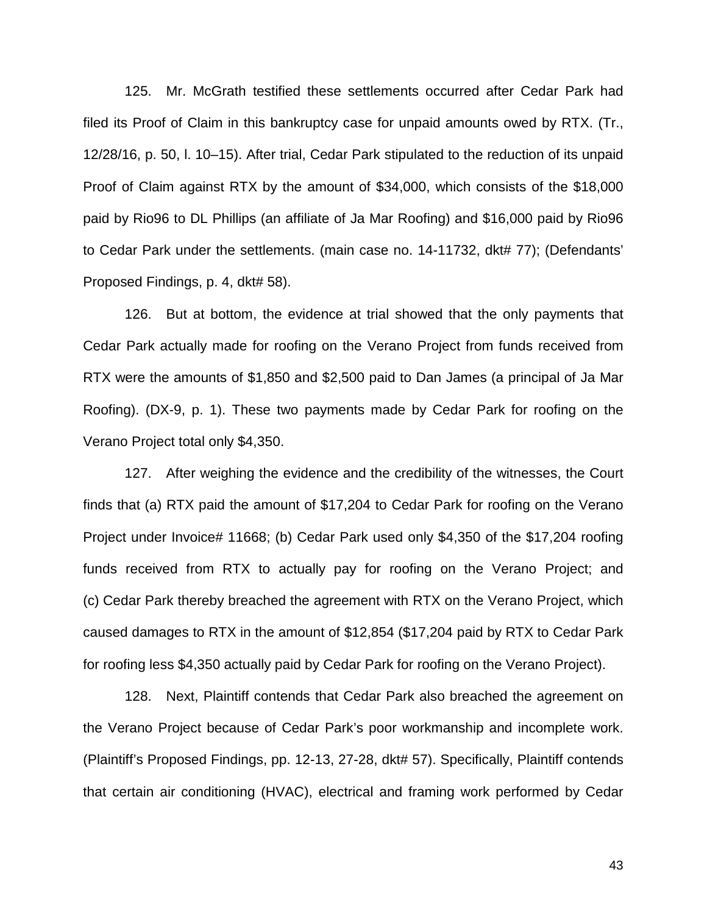125. Mr. McGrath testified these settlements occurred after Cedar Park had filed its Proof of Claim in this bankruptcy case for unpaid amounts owed by RTX. (Tr., 12/28/16, p. 50, l. 10–15). After trial, Cedar Park stipulated to the reduction of its unpaid Proof of Claim against RTX by the amount of \$34,000, which consists of the \$18,000 paid by Rio96 to DL Phillips (an affiliate of Ja Mar Roofing) and \$16,000 paid by Rio96 to Cedar Park under the settlements. (main case no. 14-11732, dkt# 77); (Defendants' Proposed Findings, p. 4, dkt# 58).

126. But at bottom, the evidence at trial showed that the only payments that Cedar Park actually made for roofing on the Verano Project from funds received from RTX were the amounts of \$1,850 and \$2,500 paid to Dan James (a principal of Ja Mar Roofing). (DX-9, p. 1). These two payments made by Cedar Park for roofing on the Verano Project total only \$4,350.

127. After weighing the evidence and the credibility of the witnesses, the Court finds that (a) RTX paid the amount of \$17,204 to Cedar Park for roofing on the Verano Project under Invoice# 11668; (b) Cedar Park used only \$4,350 of the \$17,204 roofing funds received from RTX to actually pay for roofing on the Verano Project; and (c) Cedar Park thereby breached the agreement with RTX on the Verano Project, which caused damages to RTX in the amount of \$12,854 (\$17,204 paid by RTX to Cedar Park for roofing less \$4,350 actually paid by Cedar Park for roofing on the Verano Project).

128. Next, Plaintiff contends that Cedar Park also breached the agreement on the Verano Project because of Cedar Park's poor workmanship and incomplete work. (Plaintiff's Proposed Findings, pp. 12-13, 27-28, dkt# 57). Specifically, Plaintiff contends that certain air conditioning (HVAC), electrical and framing work performed by Cedar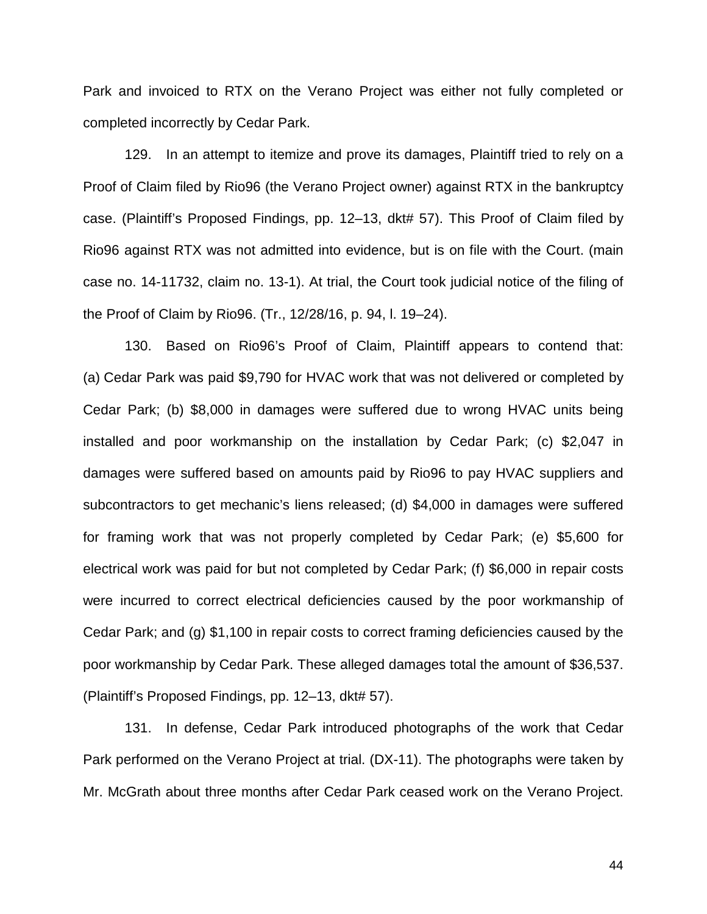Park and invoiced to RTX on the Verano Project was either not fully completed or completed incorrectly by Cedar Park.

129. In an attempt to itemize and prove its damages, Plaintiff tried to rely on a Proof of Claim filed by Rio96 (the Verano Project owner) against RTX in the bankruptcy case. (Plaintiff's Proposed Findings, pp. 12–13, dkt# 57). This Proof of Claim filed by Rio96 against RTX was not admitted into evidence, but is on file with the Court. (main case no. 14-11732, claim no. 13-1). At trial, the Court took judicial notice of the filing of the Proof of Claim by Rio96. (Tr., 12/28/16, p. 94, l. 19–24).

130. Based on Rio96's Proof of Claim, Plaintiff appears to contend that: (a) Cedar Park was paid \$9,790 for HVAC work that was not delivered or completed by Cedar Park; (b) \$8,000 in damages were suffered due to wrong HVAC units being installed and poor workmanship on the installation by Cedar Park; (c) \$2,047 in damages were suffered based on amounts paid by Rio96 to pay HVAC suppliers and subcontractors to get mechanic's liens released; (d) \$4,000 in damages were suffered for framing work that was not properly completed by Cedar Park; (e) \$5,600 for electrical work was paid for but not completed by Cedar Park; (f) \$6,000 in repair costs were incurred to correct electrical deficiencies caused by the poor workmanship of Cedar Park; and (g) \$1,100 in repair costs to correct framing deficiencies caused by the poor workmanship by Cedar Park. These alleged damages total the amount of \$36,537. (Plaintiff's Proposed Findings, pp. 12–13, dkt# 57).

131. In defense, Cedar Park introduced photographs of the work that Cedar Park performed on the Verano Project at trial. (DX-11). The photographs were taken by Mr. McGrath about three months after Cedar Park ceased work on the Verano Project.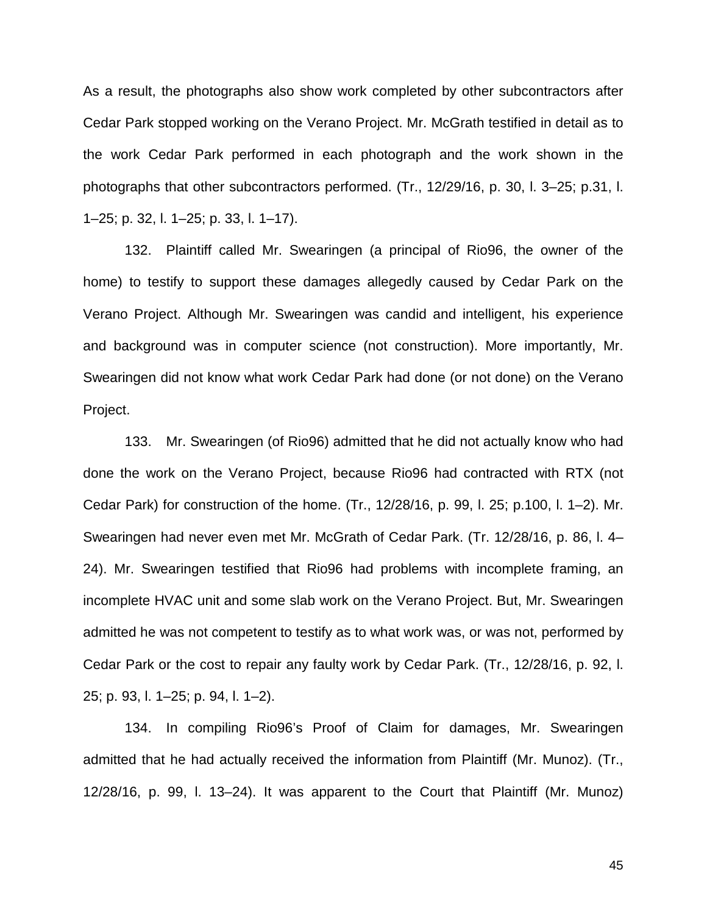As a result, the photographs also show work completed by other subcontractors after Cedar Park stopped working on the Verano Project. Mr. McGrath testified in detail as to the work Cedar Park performed in each photograph and the work shown in the photographs that other subcontractors performed. (Tr., 12/29/16, p. 30, l. 3–25; p.31, l. 1–25; p. 32, l. 1–25; p. 33, l. 1–17).

132. Plaintiff called Mr. Swearingen (a principal of Rio96, the owner of the home) to testify to support these damages allegedly caused by Cedar Park on the Verano Project. Although Mr. Swearingen was candid and intelligent, his experience and background was in computer science (not construction). More importantly, Mr. Swearingen did not know what work Cedar Park had done (or not done) on the Verano Project.

133. Mr. Swearingen (of Rio96) admitted that he did not actually know who had done the work on the Verano Project, because Rio96 had contracted with RTX (not Cedar Park) for construction of the home. (Tr., 12/28/16, p. 99, l. 25; p.100, l. 1–2). Mr. Swearingen had never even met Mr. McGrath of Cedar Park. (Tr. 12/28/16, p. 86, l. 4– 24). Mr. Swearingen testified that Rio96 had problems with incomplete framing, an incomplete HVAC unit and some slab work on the Verano Project. But, Mr. Swearingen admitted he was not competent to testify as to what work was, or was not, performed by Cedar Park or the cost to repair any faulty work by Cedar Park. (Tr., 12/28/16, p. 92, l. 25; p. 93, l. 1–25; p. 94, l. 1–2).

134. In compiling Rio96's Proof of Claim for damages, Mr. Swearingen admitted that he had actually received the information from Plaintiff (Mr. Munoz). (Tr., 12/28/16, p. 99, l. 13–24). It was apparent to the Court that Plaintiff (Mr. Munoz)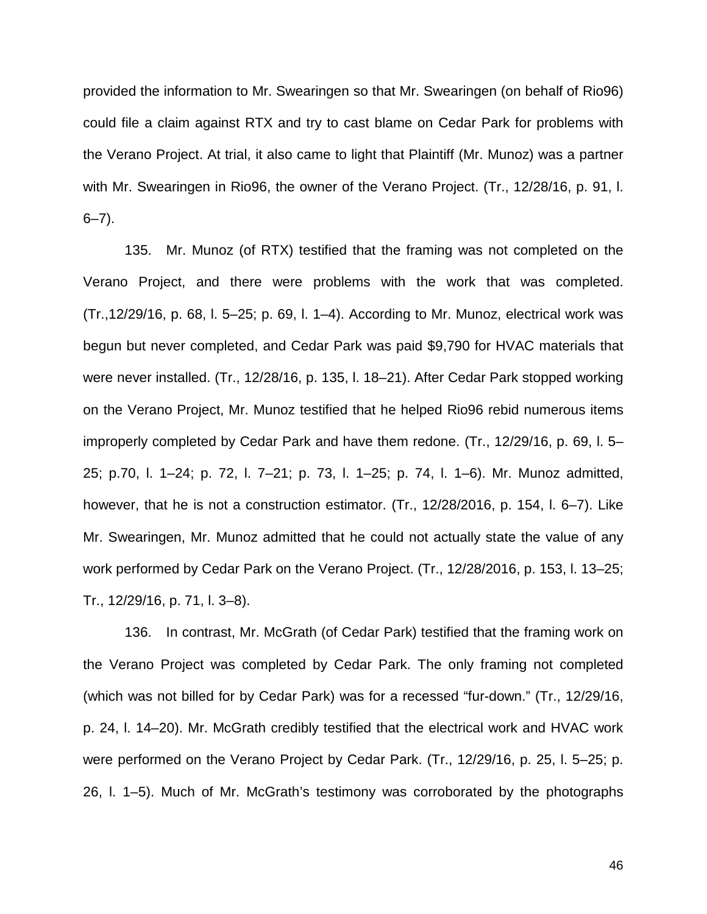provided the information to Mr. Swearingen so that Mr. Swearingen (on behalf of Rio96) could file a claim against RTX and try to cast blame on Cedar Park for problems with the Verano Project. At trial, it also came to light that Plaintiff (Mr. Munoz) was a partner with Mr. Swearingen in Rio96, the owner of the Verano Project. (Tr., 12/28/16, p. 91, l.  $6 - 7$ ).

135. Mr. Munoz (of RTX) testified that the framing was not completed on the Verano Project, and there were problems with the work that was completed. (Tr.,12/29/16, p. 68, l. 5–25; p. 69, l. 1–4). According to Mr. Munoz, electrical work was begun but never completed, and Cedar Park was paid \$9,790 for HVAC materials that were never installed. (Tr., 12/28/16, p. 135, l. 18–21). After Cedar Park stopped working on the Verano Project, Mr. Munoz testified that he helped Rio96 rebid numerous items improperly completed by Cedar Park and have them redone. (Tr., 12/29/16, p. 69, l. 5– 25; p.70, l. 1–24; p. 72, l. 7–21; p. 73, l. 1–25; p. 74, l. 1–6). Mr. Munoz admitted, however, that he is not a construction estimator. (Tr., 12/28/2016, p. 154, I. 6–7). Like Mr. Swearingen, Mr. Munoz admitted that he could not actually state the value of any work performed by Cedar Park on the Verano Project. (Tr., 12/28/2016, p. 153, l. 13–25; Tr., 12/29/16, p. 71, l. 3–8).

136. In contrast, Mr. McGrath (of Cedar Park) testified that the framing work on the Verano Project was completed by Cedar Park. The only framing not completed (which was not billed for by Cedar Park) was for a recessed "fur-down." (Tr., 12/29/16, p. 24, l. 14–20). Mr. McGrath credibly testified that the electrical work and HVAC work were performed on the Verano Project by Cedar Park. (Tr., 12/29/16, p. 25, l. 5–25; p. 26, l. 1–5). Much of Mr. McGrath's testimony was corroborated by the photographs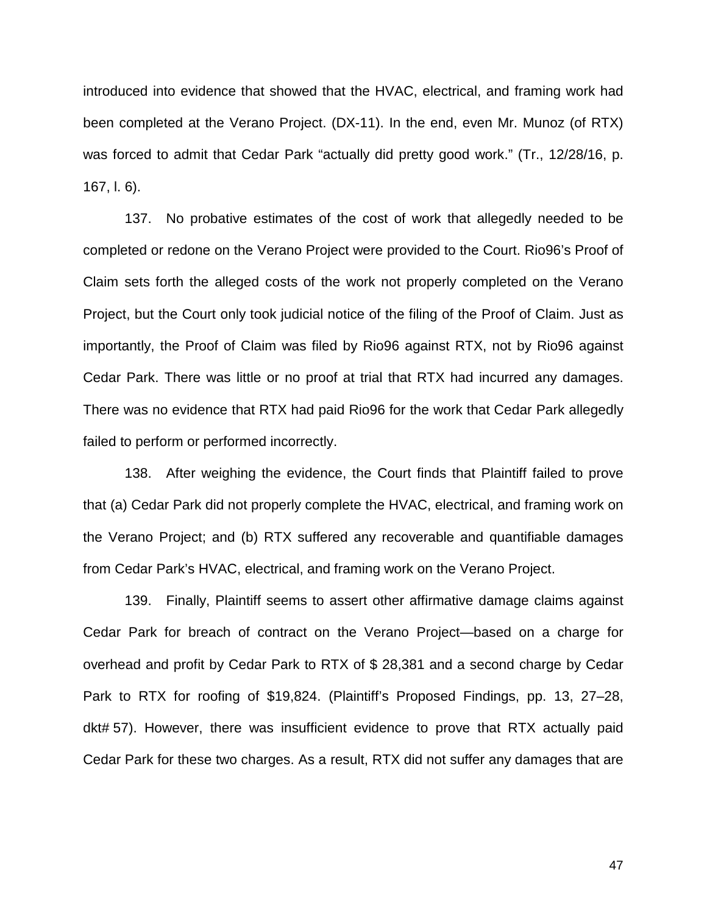introduced into evidence that showed that the HVAC, electrical, and framing work had been completed at the Verano Project. (DX-11). In the end, even Mr. Munoz (of RTX) was forced to admit that Cedar Park "actually did pretty good work." (Tr., 12/28/16, p. 167, l. 6).

137. No probative estimates of the cost of work that allegedly needed to be completed or redone on the Verano Project were provided to the Court. Rio96's Proof of Claim sets forth the alleged costs of the work not properly completed on the Verano Project, but the Court only took judicial notice of the filing of the Proof of Claim. Just as importantly, the Proof of Claim was filed by Rio96 against RTX, not by Rio96 against Cedar Park. There was little or no proof at trial that RTX had incurred any damages. There was no evidence that RTX had paid Rio96 for the work that Cedar Park allegedly failed to perform or performed incorrectly.

138. After weighing the evidence, the Court finds that Plaintiff failed to prove that (a) Cedar Park did not properly complete the HVAC, electrical, and framing work on the Verano Project; and (b) RTX suffered any recoverable and quantifiable damages from Cedar Park's HVAC, electrical, and framing work on the Verano Project.

139. Finally, Plaintiff seems to assert other affirmative damage claims against Cedar Park for breach of contract on the Verano Project—based on a charge for overhead and profit by Cedar Park to RTX of \$ 28,381 and a second charge by Cedar Park to RTX for roofing of \$19,824. (Plaintiff's Proposed Findings, pp. 13, 27–28, dkt# 57). However, there was insufficient evidence to prove that RTX actually paid Cedar Park for these two charges. As a result, RTX did not suffer any damages that are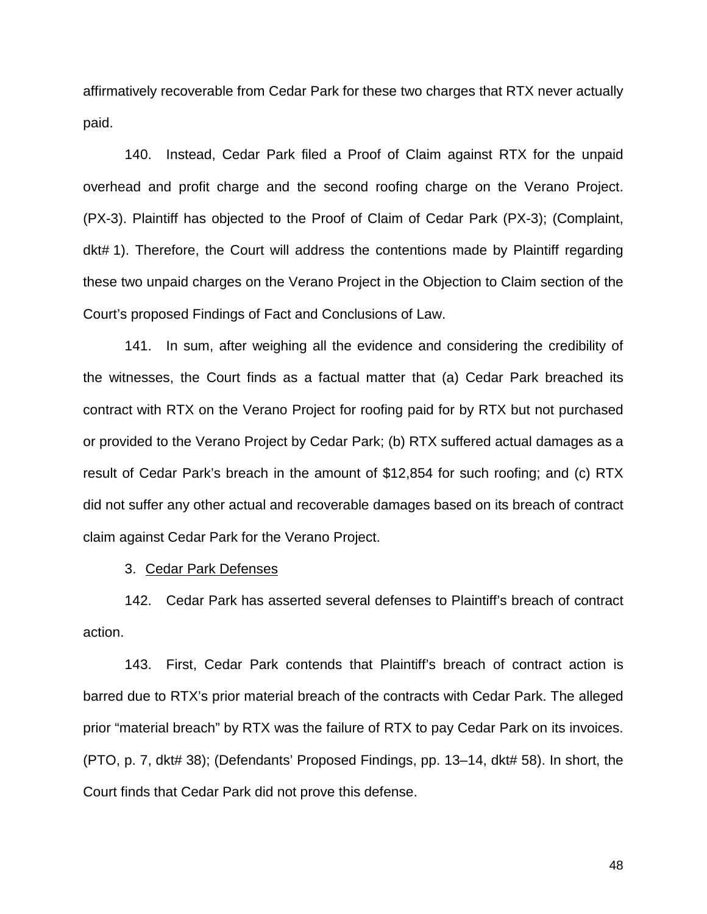affirmatively recoverable from Cedar Park for these two charges that RTX never actually paid.

140. Instead, Cedar Park filed a Proof of Claim against RTX for the unpaid overhead and profit charge and the second roofing charge on the Verano Project. (PX-3). Plaintiff has objected to the Proof of Claim of Cedar Park (PX-3); (Complaint, dkt# 1). Therefore, the Court will address the contentions made by Plaintiff regarding these two unpaid charges on the Verano Project in the Objection to Claim section of the Court's proposed Findings of Fact and Conclusions of Law.

141. In sum, after weighing all the evidence and considering the credibility of the witnesses, the Court finds as a factual matter that (a) Cedar Park breached its contract with RTX on the Verano Project for roofing paid for by RTX but not purchased or provided to the Verano Project by Cedar Park; (b) RTX suffered actual damages as a result of Cedar Park's breach in the amount of \$12,854 for such roofing; and (c) RTX did not suffer any other actual and recoverable damages based on its breach of contract claim against Cedar Park for the Verano Project.

3. Cedar Park Defenses

142. Cedar Park has asserted several defenses to Plaintiff's breach of contract action.

143. First, Cedar Park contends that Plaintiff's breach of contract action is barred due to RTX's prior material breach of the contracts with Cedar Park. The alleged prior "material breach" by RTX was the failure of RTX to pay Cedar Park on its invoices. (PTO, p. 7, dkt# 38); (Defendants' Proposed Findings, pp. 13–14, dkt# 58). In short, the Court finds that Cedar Park did not prove this defense.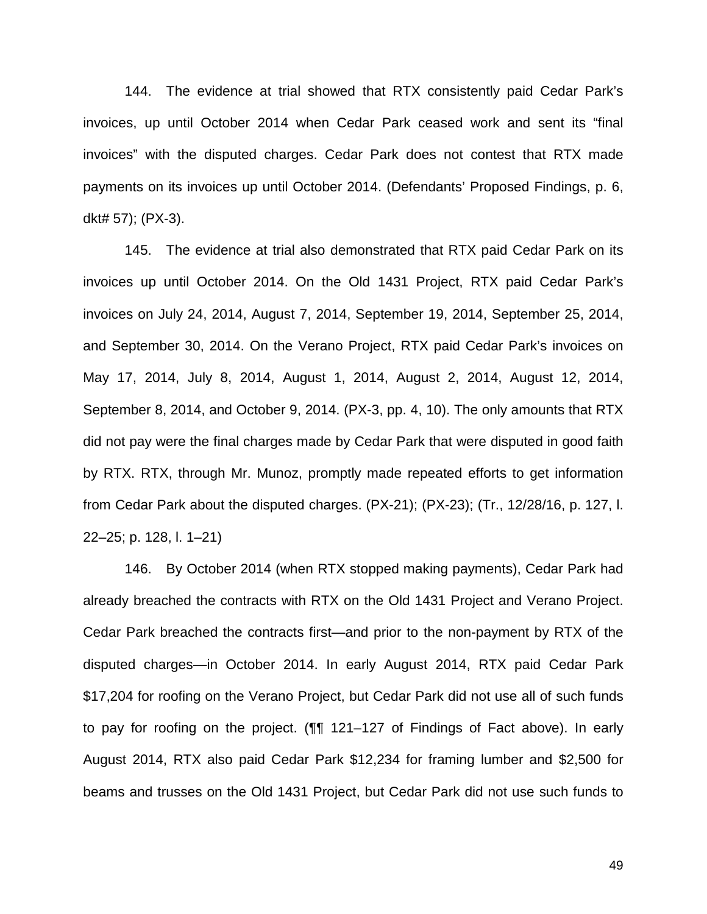144. The evidence at trial showed that RTX consistently paid Cedar Park's invoices, up until October 2014 when Cedar Park ceased work and sent its "final invoices" with the disputed charges. Cedar Park does not contest that RTX made payments on its invoices up until October 2014. (Defendants' Proposed Findings, p. 6, dkt# 57); (PX-3).

145. The evidence at trial also demonstrated that RTX paid Cedar Park on its invoices up until October 2014. On the Old 1431 Project, RTX paid Cedar Park's invoices on July 24, 2014, August 7, 2014, September 19, 2014, September 25, 2014, and September 30, 2014. On the Verano Project, RTX paid Cedar Park's invoices on May 17, 2014, July 8, 2014, August 1, 2014, August 2, 2014, August 12, 2014, September 8, 2014, and October 9, 2014. (PX-3, pp. 4, 10). The only amounts that RTX did not pay were the final charges made by Cedar Park that were disputed in good faith by RTX. RTX, through Mr. Munoz, promptly made repeated efforts to get information from Cedar Park about the disputed charges. (PX-21); (PX-23); (Tr., 12/28/16, p. 127, l. 22–25; p. 128, l. 1–21)

146. By October 2014 (when RTX stopped making payments), Cedar Park had already breached the contracts with RTX on the Old 1431 Project and Verano Project. Cedar Park breached the contracts first—and prior to the non-payment by RTX of the disputed charges—in October 2014. In early August 2014, RTX paid Cedar Park \$17,204 for roofing on the Verano Project, but Cedar Park did not use all of such funds to pay for roofing on the project. (¶¶ 121–127 of Findings of Fact above). In early August 2014, RTX also paid Cedar Park \$12,234 for framing lumber and \$2,500 for beams and trusses on the Old 1431 Project, but Cedar Park did not use such funds to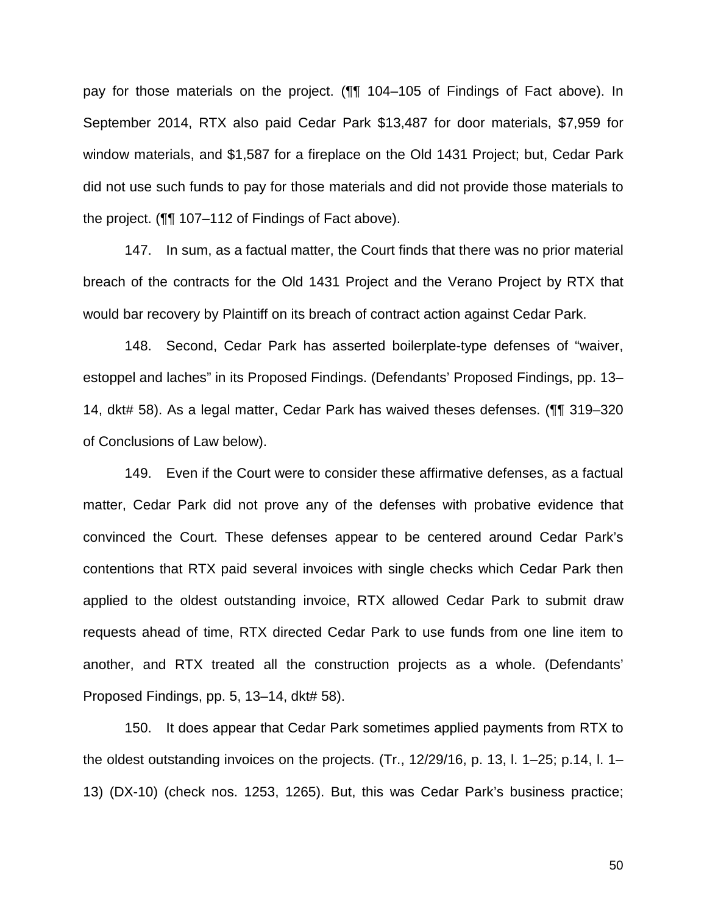pay for those materials on the project. (¶¶ 104–105 of Findings of Fact above). In September 2014, RTX also paid Cedar Park \$13,487 for door materials, \$7,959 for window materials, and \$1,587 for a fireplace on the Old 1431 Project; but, Cedar Park did not use such funds to pay for those materials and did not provide those materials to the project. (¶¶ 107–112 of Findings of Fact above).

147. In sum, as a factual matter, the Court finds that there was no prior material breach of the contracts for the Old 1431 Project and the Verano Project by RTX that would bar recovery by Plaintiff on its breach of contract action against Cedar Park.

148. Second, Cedar Park has asserted boilerplate-type defenses of "waiver, estoppel and laches" in its Proposed Findings. (Defendants' Proposed Findings, pp. 13– 14, dkt# 58). As a legal matter, Cedar Park has waived theses defenses. (¶¶ 319–320 of Conclusions of Law below).

149. Even if the Court were to consider these affirmative defenses, as a factual matter, Cedar Park did not prove any of the defenses with probative evidence that convinced the Court. These defenses appear to be centered around Cedar Park's contentions that RTX paid several invoices with single checks which Cedar Park then applied to the oldest outstanding invoice, RTX allowed Cedar Park to submit draw requests ahead of time, RTX directed Cedar Park to use funds from one line item to another, and RTX treated all the construction projects as a whole. (Defendants' Proposed Findings, pp. 5, 13–14, dkt# 58).

150. It does appear that Cedar Park sometimes applied payments from RTX to the oldest outstanding invoices on the projects. (Tr., 12/29/16, p. 13, l. 1–25; p.14, l. 1– 13) (DX-10) (check nos. 1253, 1265). But, this was Cedar Park's business practice;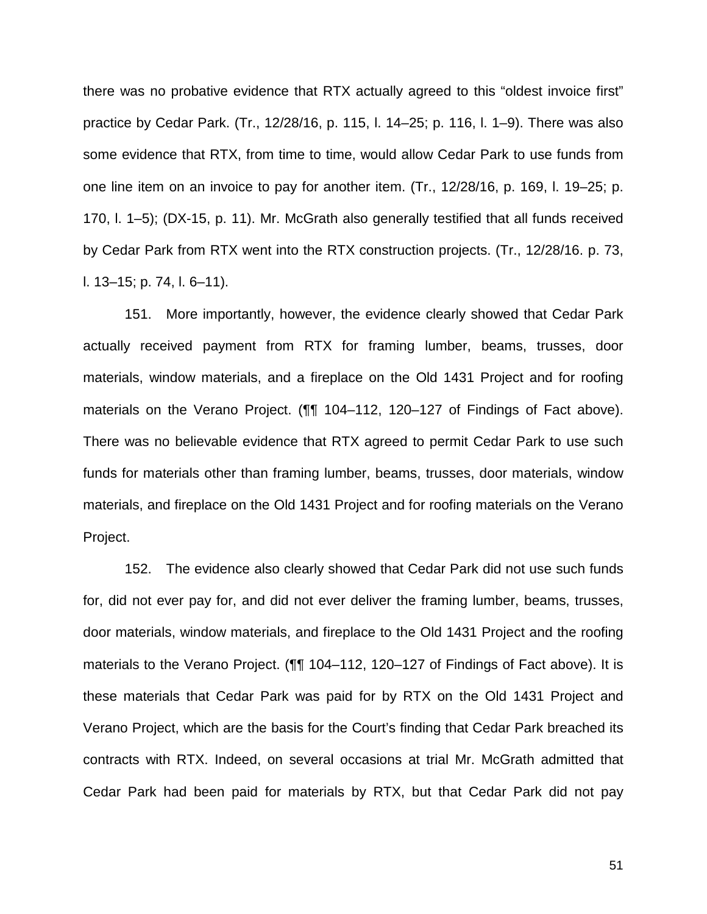there was no probative evidence that RTX actually agreed to this "oldest invoice first" practice by Cedar Park. (Tr., 12/28/16, p. 115, l. 14–25; p. 116, l. 1–9). There was also some evidence that RTX, from time to time, would allow Cedar Park to use funds from one line item on an invoice to pay for another item. (Tr., 12/28/16, p. 169, l. 19–25; p. 170, l. 1–5); (DX-15, p. 11). Mr. McGrath also generally testified that all funds received by Cedar Park from RTX went into the RTX construction projects. (Tr., 12/28/16. p. 73, l. 13–15; p. 74, l. 6–11).

151. More importantly, however, the evidence clearly showed that Cedar Park actually received payment from RTX for framing lumber, beams, trusses, door materials, window materials, and a fireplace on the Old 1431 Project and for roofing materials on the Verano Project. (¶¶ 104–112, 120–127 of Findings of Fact above). There was no believable evidence that RTX agreed to permit Cedar Park to use such funds for materials other than framing lumber, beams, trusses, door materials, window materials, and fireplace on the Old 1431 Project and for roofing materials on the Verano Project.

152. The evidence also clearly showed that Cedar Park did not use such funds for, did not ever pay for, and did not ever deliver the framing lumber, beams, trusses, door materials, window materials, and fireplace to the Old 1431 Project and the roofing materials to the Verano Project. (¶¶ 104–112, 120–127 of Findings of Fact above). It is these materials that Cedar Park was paid for by RTX on the Old 1431 Project and Verano Project, which are the basis for the Court's finding that Cedar Park breached its contracts with RTX. Indeed, on several occasions at trial Mr. McGrath admitted that Cedar Park had been paid for materials by RTX, but that Cedar Park did not pay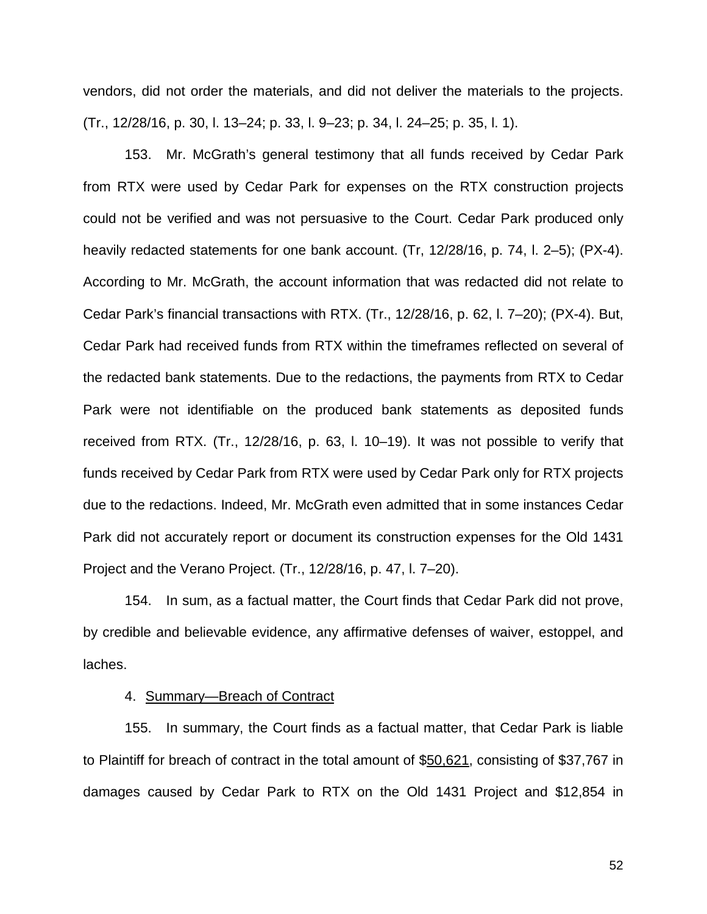vendors, did not order the materials, and did not deliver the materials to the projects. (Tr., 12/28/16, p. 30, l. 13–24; p. 33, l. 9–23; p. 34, l. 24–25; p. 35, l. 1).

153. Mr. McGrath's general testimony that all funds received by Cedar Park from RTX were used by Cedar Park for expenses on the RTX construction projects could not be verified and was not persuasive to the Court. Cedar Park produced only heavily redacted statements for one bank account. (Tr, 12/28/16, p. 74, l. 2–5); (PX-4). According to Mr. McGrath, the account information that was redacted did not relate to Cedar Park's financial transactions with RTX. (Tr., 12/28/16, p. 62, l. 7–20); (PX-4). But, Cedar Park had received funds from RTX within the timeframes reflected on several of the redacted bank statements. Due to the redactions, the payments from RTX to Cedar Park were not identifiable on the produced bank statements as deposited funds received from RTX. (Tr., 12/28/16, p. 63, l. 10–19). It was not possible to verify that funds received by Cedar Park from RTX were used by Cedar Park only for RTX projects due to the redactions. Indeed, Mr. McGrath even admitted that in some instances Cedar Park did not accurately report or document its construction expenses for the Old 1431 Project and the Verano Project. (Tr., 12/28/16, p. 47, l. 7–20).

154. In sum, as a factual matter, the Court finds that Cedar Park did not prove, by credible and believable evidence, any affirmative defenses of waiver, estoppel, and laches.

# 4. Summary—Breach of Contract

155. In summary, the Court finds as a factual matter, that Cedar Park is liable to Plaintiff for breach of contract in the total amount of \$50,621, consisting of \$37,767 in damages caused by Cedar Park to RTX on the Old 1431 Project and \$12,854 in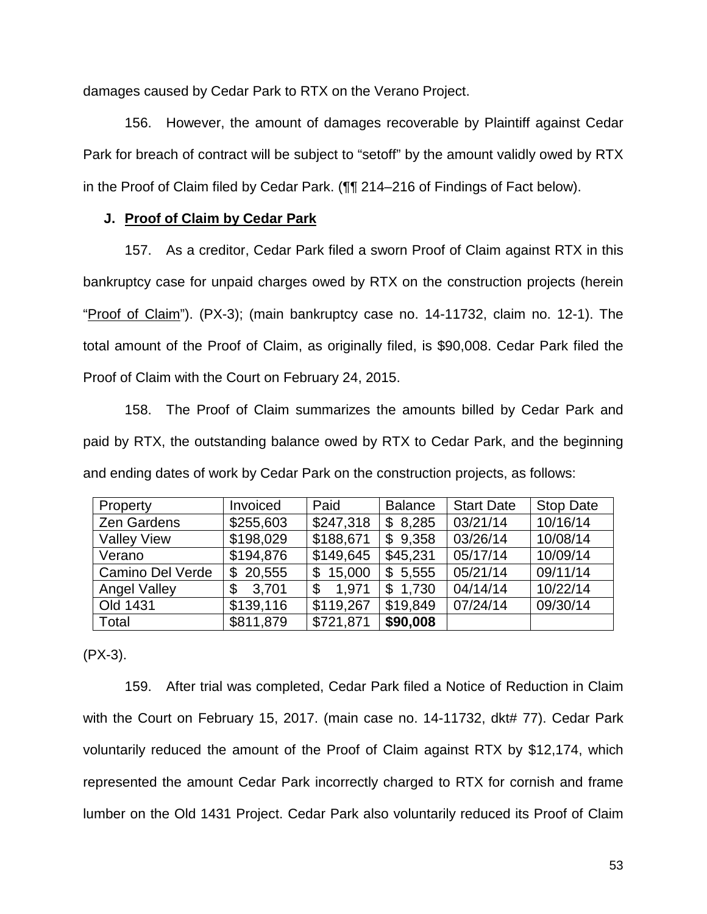damages caused by Cedar Park to RTX on the Verano Project.

156. However, the amount of damages recoverable by Plaintiff against Cedar Park for breach of contract will be subject to "setoff" by the amount validly owed by RTX in the Proof of Claim filed by Cedar Park. (¶¶ 214–216 of Findings of Fact below).

# **J. Proof of Claim by Cedar Park**

157. As a creditor, Cedar Park filed a sworn Proof of Claim against RTX in this bankruptcy case for unpaid charges owed by RTX on the construction projects (herein "Proof of Claim"). (PX-3); (main bankruptcy case no. 14-11732, claim no. 12-1). The total amount of the Proof of Claim, as originally filed, is \$90,008. Cedar Park filed the Proof of Claim with the Court on February 24, 2015.

158. The Proof of Claim summarizes the amounts billed by Cedar Park and paid by RTX, the outstanding balance owed by RTX to Cedar Park, and the beginning and ending dates of work by Cedar Park on the construction projects, as follows:

| Property            | Invoiced     | Paid         | <b>Balance</b> | <b>Start Date</b> | <b>Stop Date</b> |
|---------------------|--------------|--------------|----------------|-------------------|------------------|
| Zen Gardens         | \$255,603    | \$247,318    | \$8,285        | 03/21/14          | 10/16/14         |
| <b>Valley View</b>  | \$198,029    | \$188,671    | \$9,358        | 03/26/14          | 10/08/14         |
| Verano              | \$194,876    | \$149,645    | \$45,231       | 05/17/14          | 10/09/14         |
| Camino Del Verde    | 20,555<br>\$ | 15,000<br>\$ | 5,555<br>\$    | 05/21/14          | 09/11/14         |
| <b>Angel Valley</b> | 3,701<br>\$  | 1.971<br>\$  | 1,730<br>\$    | 04/14/14          | 10/22/14         |
| Old 1431            | \$139,116    | \$119,267    | \$19,849       | 07/24/14          | 09/30/14         |
| Total               | \$811,879    | \$721,871    | \$90,008       |                   |                  |

(PX-3).

159. After trial was completed, Cedar Park filed a Notice of Reduction in Claim with the Court on February 15, 2017. (main case no. 14-11732, dkt# 77). Cedar Park voluntarily reduced the amount of the Proof of Claim against RTX by \$12,174, which represented the amount Cedar Park incorrectly charged to RTX for cornish and frame lumber on the Old 1431 Project. Cedar Park also voluntarily reduced its Proof of Claim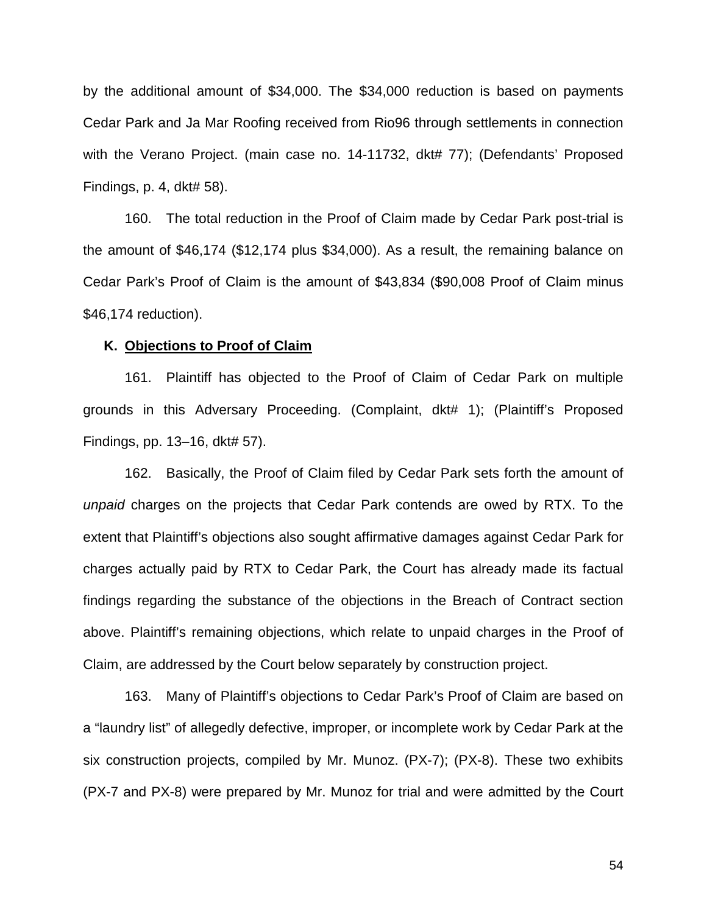by the additional amount of \$34,000. The \$34,000 reduction is based on payments Cedar Park and Ja Mar Roofing received from Rio96 through settlements in connection with the Verano Project. (main case no. 14-11732, dkt# 77); (Defendants' Proposed Findings, p. 4, dkt# 58).

160. The total reduction in the Proof of Claim made by Cedar Park post-trial is the amount of \$46,174 (\$12,174 plus \$34,000). As a result, the remaining balance on Cedar Park's Proof of Claim is the amount of \$43,834 (\$90,008 Proof of Claim minus \$46,174 reduction).

#### **K. Objections to Proof of Claim**

161. Plaintiff has objected to the Proof of Claim of Cedar Park on multiple grounds in this Adversary Proceeding. (Complaint, dkt# 1); (Plaintiff's Proposed Findings, pp. 13–16, dkt# 57).

162. Basically, the Proof of Claim filed by Cedar Park sets forth the amount of *unpaid* charges on the projects that Cedar Park contends are owed by RTX. To the extent that Plaintiff's objections also sought affirmative damages against Cedar Park for charges actually paid by RTX to Cedar Park, the Court has already made its factual findings regarding the substance of the objections in the Breach of Contract section above. Plaintiff's remaining objections, which relate to unpaid charges in the Proof of Claim, are addressed by the Court below separately by construction project.

163. Many of Plaintiff's objections to Cedar Park's Proof of Claim are based on a "laundry list" of allegedly defective, improper, or incomplete work by Cedar Park at the six construction projects, compiled by Mr. Munoz. (PX-7); (PX-8). These two exhibits (PX-7 and PX-8) were prepared by Mr. Munoz for trial and were admitted by the Court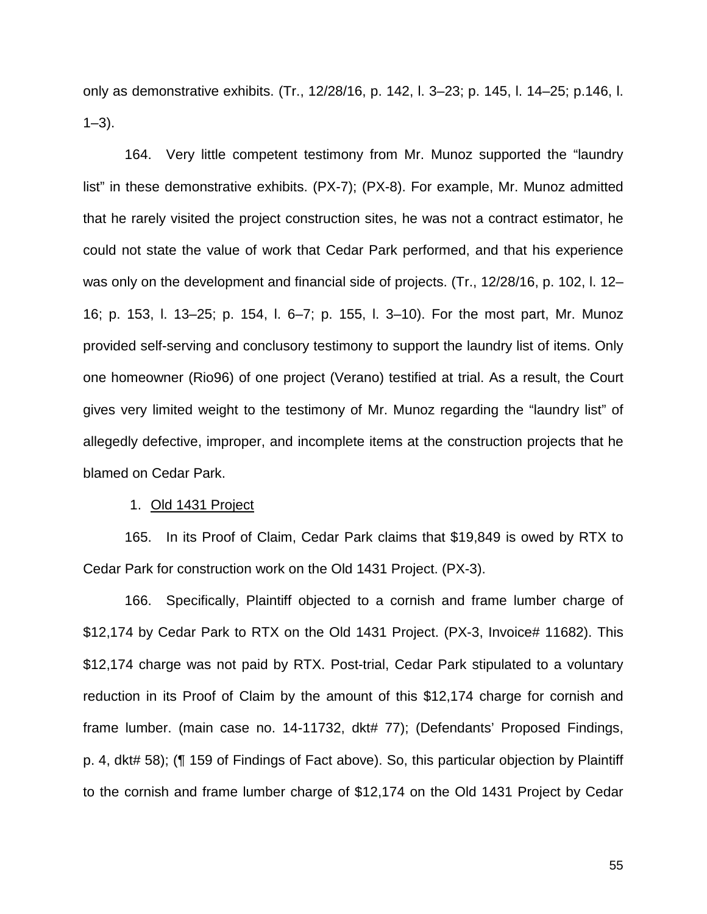only as demonstrative exhibits. (Tr., 12/28/16, p. 142, l. 3–23; p. 145, l. 14–25; p.146, l.  $1 - 3$ .

164. Very little competent testimony from Mr. Munoz supported the "laundry list" in these demonstrative exhibits. (PX-7); (PX-8). For example, Mr. Munoz admitted that he rarely visited the project construction sites, he was not a contract estimator, he could not state the value of work that Cedar Park performed, and that his experience was only on the development and financial side of projects. (Tr., 12/28/16, p. 102, l. 12– 16; p. 153, l. 13–25; p. 154, l. 6–7; p. 155, l. 3–10). For the most part, Mr. Munoz provided self-serving and conclusory testimony to support the laundry list of items. Only one homeowner (Rio96) of one project (Verano) testified at trial. As a result, the Court gives very limited weight to the testimony of Mr. Munoz regarding the "laundry list" of allegedly defective, improper, and incomplete items at the construction projects that he blamed on Cedar Park.

# 1. Old 1431 Project

165. In its Proof of Claim, Cedar Park claims that \$19,849 is owed by RTX to Cedar Park for construction work on the Old 1431 Project. (PX-3).

166. Specifically, Plaintiff objected to a cornish and frame lumber charge of \$12,174 by Cedar Park to RTX on the Old 1431 Project. (PX-3, Invoice# 11682). This \$12,174 charge was not paid by RTX. Post-trial, Cedar Park stipulated to a voluntary reduction in its Proof of Claim by the amount of this \$12,174 charge for cornish and frame lumber. (main case no. 14-11732, dkt# 77); (Defendants' Proposed Findings, p. 4, dkt# 58); (¶ 159 of Findings of Fact above). So, this particular objection by Plaintiff to the cornish and frame lumber charge of \$12,174 on the Old 1431 Project by Cedar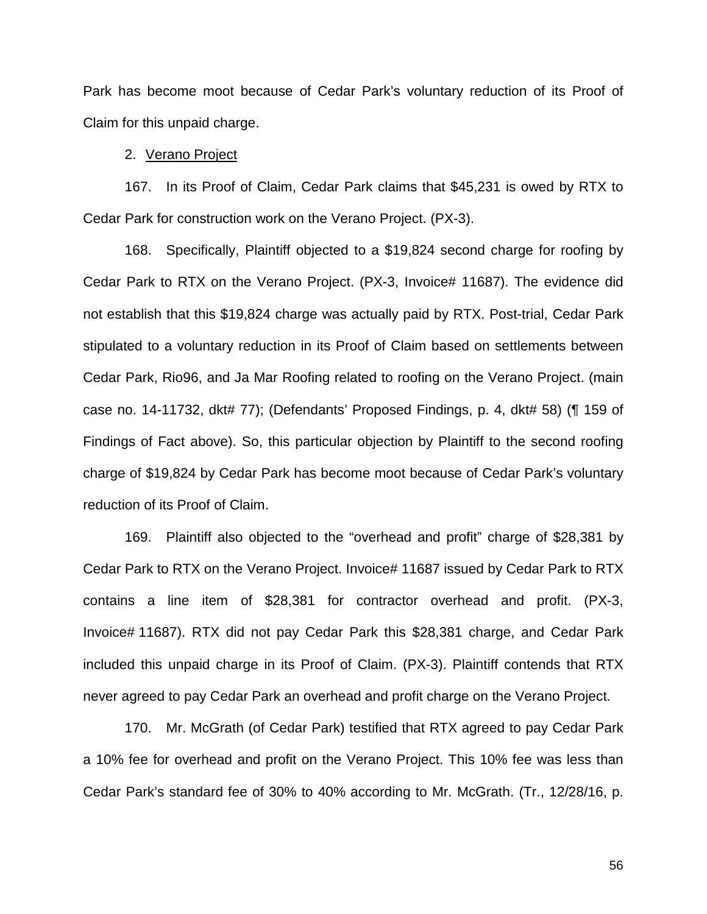Park has become moot because of Cedar Park's voluntary reduction of its Proof of Claim for this unpaid charge.

## 2. Verano Project

167. In its Proof of Claim, Cedar Park claims that \$45,231 is owed by RTX to Cedar Park for construction work on the Verano Project. (PX-3).

168. Specifically, Plaintiff objected to a \$19,824 second charge for roofing by Cedar Park to RTX on the Verano Project. (PX-3, Invoice# 11687). The evidence did not establish that this \$19,824 charge was actually paid by RTX. Post-trial, Cedar Park stipulated to a voluntary reduction in its Proof of Claim based on settlements between Cedar Park, Rio96, and Ja Mar Roofing related to roofing on the Verano Project. (main case no. 14-11732, dkt# 77); (Defendants' Proposed Findings, p. 4, dkt# 58) (¶ 159 of Findings of Fact above). So, this particular objection by Plaintiff to the second roofing charge of \$19,824 by Cedar Park has become moot because of Cedar Park's voluntary reduction of its Proof of Claim.

169. Plaintiff also objected to the "overhead and profit" charge of \$28,381 by Cedar Park to RTX on the Verano Project. Invoice# 11687 issued by Cedar Park to RTX contains a line item of \$28,381 for contractor overhead and profit. (PX-3, Invoice# 11687). RTX did not pay Cedar Park this \$28,381 charge, and Cedar Park included this unpaid charge in its Proof of Claim. (PX-3). Plaintiff contends that RTX never agreed to pay Cedar Park an overhead and profit charge on the Verano Project.

170. Mr. McGrath (of Cedar Park) testified that RTX agreed to pay Cedar Park a 10% fee for overhead and profit on the Verano Project. This 10% fee was less than Cedar Park's standard fee of 30% to 40% according to Mr. McGrath. (Tr., 12/28/16, p.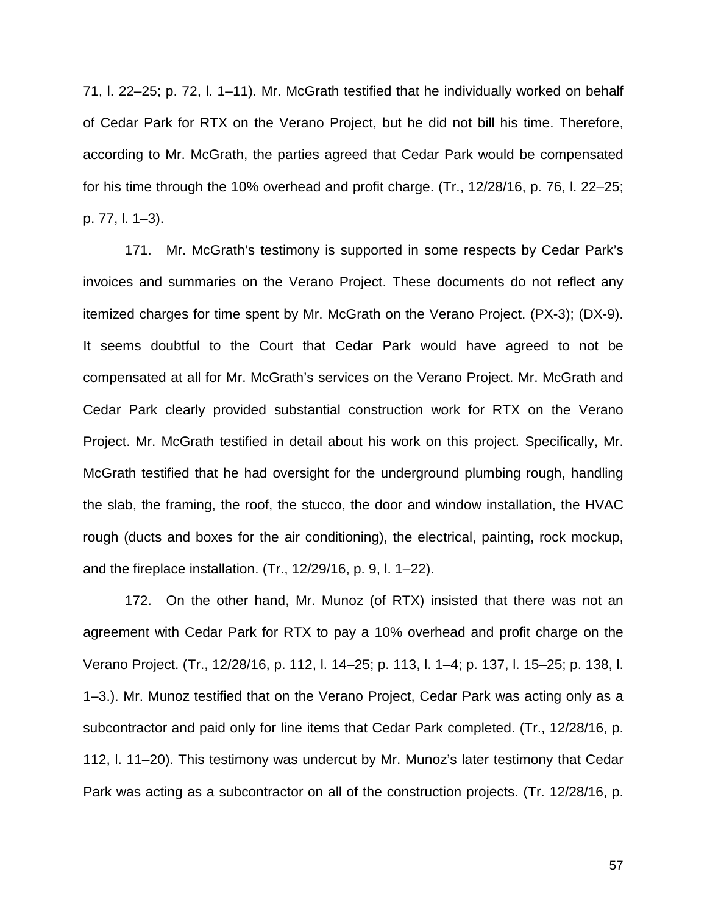71, l. 22–25; p. 72, l. 1–11). Mr. McGrath testified that he individually worked on behalf of Cedar Park for RTX on the Verano Project, but he did not bill his time. Therefore, according to Mr. McGrath, the parties agreed that Cedar Park would be compensated for his time through the 10% overhead and profit charge. (Tr., 12/28/16, p. 76, l. 22–25; p. 77, l. 1–3).

171. Mr. McGrath's testimony is supported in some respects by Cedar Park's invoices and summaries on the Verano Project. These documents do not reflect any itemized charges for time spent by Mr. McGrath on the Verano Project. (PX-3); (DX-9). It seems doubtful to the Court that Cedar Park would have agreed to not be compensated at all for Mr. McGrath's services on the Verano Project. Mr. McGrath and Cedar Park clearly provided substantial construction work for RTX on the Verano Project. Mr. McGrath testified in detail about his work on this project. Specifically, Mr. McGrath testified that he had oversight for the underground plumbing rough, handling the slab, the framing, the roof, the stucco, the door and window installation, the HVAC rough (ducts and boxes for the air conditioning), the electrical, painting, rock mockup, and the fireplace installation. (Tr., 12/29/16, p. 9, l. 1–22).

172. On the other hand, Mr. Munoz (of RTX) insisted that there was not an agreement with Cedar Park for RTX to pay a 10% overhead and profit charge on the Verano Project. (Tr., 12/28/16, p. 112, l. 14–25; p. 113, l. 1–4; p. 137, l. 15–25; p. 138, l. 1–3.). Mr. Munoz testified that on the Verano Project, Cedar Park was acting only as a subcontractor and paid only for line items that Cedar Park completed. (Tr., 12/28/16, p. 112, l. 11–20). This testimony was undercut by Mr. Munoz's later testimony that Cedar Park was acting as a subcontractor on all of the construction projects. (Tr. 12/28/16, p.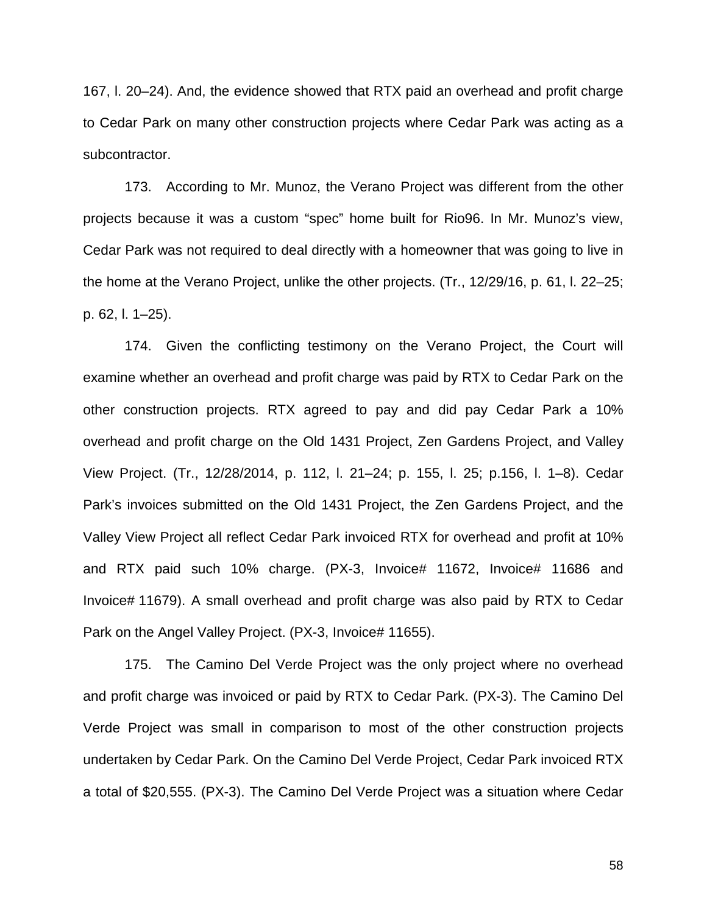167, l. 20–24). And, the evidence showed that RTX paid an overhead and profit charge to Cedar Park on many other construction projects where Cedar Park was acting as a subcontractor.

173. According to Mr. Munoz, the Verano Project was different from the other projects because it was a custom "spec" home built for Rio96. In Mr. Munoz's view, Cedar Park was not required to deal directly with a homeowner that was going to live in the home at the Verano Project, unlike the other projects. (Tr., 12/29/16, p. 61, l. 22–25; p. 62, l. 1–25).

174. Given the conflicting testimony on the Verano Project, the Court will examine whether an overhead and profit charge was paid by RTX to Cedar Park on the other construction projects. RTX agreed to pay and did pay Cedar Park a 10% overhead and profit charge on the Old 1431 Project, Zen Gardens Project, and Valley View Project. (Tr., 12/28/2014, p. 112, l. 21–24; p. 155, l. 25; p.156, l. 1–8). Cedar Park's invoices submitted on the Old 1431 Project, the Zen Gardens Project, and the Valley View Project all reflect Cedar Park invoiced RTX for overhead and profit at 10% and RTX paid such 10% charge. (PX-3, Invoice# 11672, Invoice# 11686 and Invoice# 11679). A small overhead and profit charge was also paid by RTX to Cedar Park on the Angel Valley Project. (PX-3, Invoice# 11655).

175. The Camino Del Verde Project was the only project where no overhead and profit charge was invoiced or paid by RTX to Cedar Park. (PX-3). The Camino Del Verde Project was small in comparison to most of the other construction projects undertaken by Cedar Park. On the Camino Del Verde Project, Cedar Park invoiced RTX a total of \$20,555. (PX-3). The Camino Del Verde Project was a situation where Cedar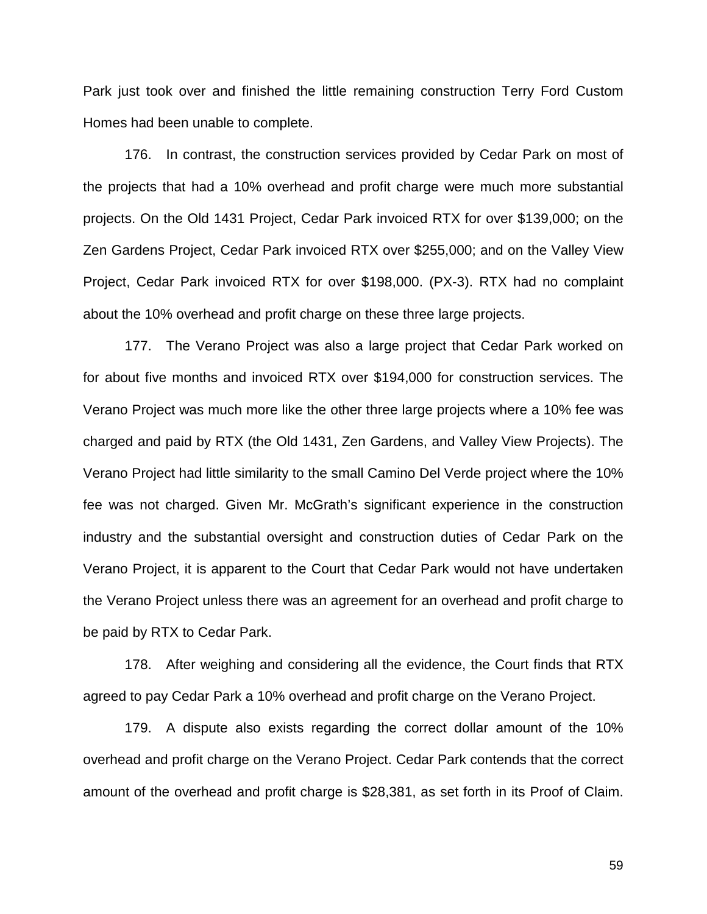Park just took over and finished the little remaining construction Terry Ford Custom Homes had been unable to complete.

176. In contrast, the construction services provided by Cedar Park on most of the projects that had a 10% overhead and profit charge were much more substantial projects. On the Old 1431 Project, Cedar Park invoiced RTX for over \$139,000; on the Zen Gardens Project, Cedar Park invoiced RTX over \$255,000; and on the Valley View Project, Cedar Park invoiced RTX for over \$198,000. (PX-3). RTX had no complaint about the 10% overhead and profit charge on these three large projects.

177. The Verano Project was also a large project that Cedar Park worked on for about five months and invoiced RTX over \$194,000 for construction services. The Verano Project was much more like the other three large projects where a 10% fee was charged and paid by RTX (the Old 1431, Zen Gardens, and Valley View Projects). The Verano Project had little similarity to the small Camino Del Verde project where the 10% fee was not charged. Given Mr. McGrath's significant experience in the construction industry and the substantial oversight and construction duties of Cedar Park on the Verano Project, it is apparent to the Court that Cedar Park would not have undertaken the Verano Project unless there was an agreement for an overhead and profit charge to be paid by RTX to Cedar Park.

178. After weighing and considering all the evidence, the Court finds that RTX agreed to pay Cedar Park a 10% overhead and profit charge on the Verano Project.

179. A dispute also exists regarding the correct dollar amount of the 10% overhead and profit charge on the Verano Project. Cedar Park contends that the correct amount of the overhead and profit charge is \$28,381, as set forth in its Proof of Claim.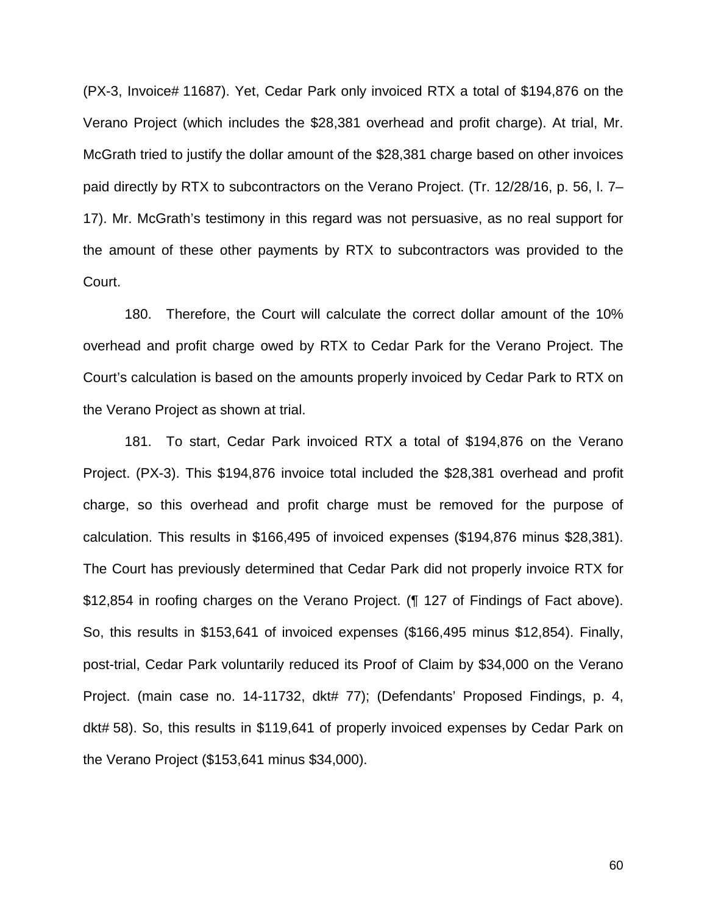(PX-3, Invoice# 11687). Yet, Cedar Park only invoiced RTX a total of \$194,876 on the Verano Project (which includes the \$28,381 overhead and profit charge). At trial, Mr. McGrath tried to justify the dollar amount of the \$28,381 charge based on other invoices paid directly by RTX to subcontractors on the Verano Project. (Tr. 12/28/16, p. 56, l. 7– 17). Mr. McGrath's testimony in this regard was not persuasive, as no real support for the amount of these other payments by RTX to subcontractors was provided to the Court.

180. Therefore, the Court will calculate the correct dollar amount of the 10% overhead and profit charge owed by RTX to Cedar Park for the Verano Project. The Court's calculation is based on the amounts properly invoiced by Cedar Park to RTX on the Verano Project as shown at trial.

181. To start, Cedar Park invoiced RTX a total of \$194,876 on the Verano Project. (PX-3). This \$194,876 invoice total included the \$28,381 overhead and profit charge, so this overhead and profit charge must be removed for the purpose of calculation. This results in \$166,495 of invoiced expenses (\$194,876 minus \$28,381). The Court has previously determined that Cedar Park did not properly invoice RTX for \$12,854 in roofing charges on the Verano Project. (¶ 127 of Findings of Fact above). So, this results in \$153,641 of invoiced expenses (\$166,495 minus \$12,854). Finally, post-trial, Cedar Park voluntarily reduced its Proof of Claim by \$34,000 on the Verano Project. (main case no. 14-11732, dkt# 77); (Defendants' Proposed Findings, p. 4, dkt# 58). So, this results in \$119,641 of properly invoiced expenses by Cedar Park on the Verano Project (\$153,641 minus \$34,000).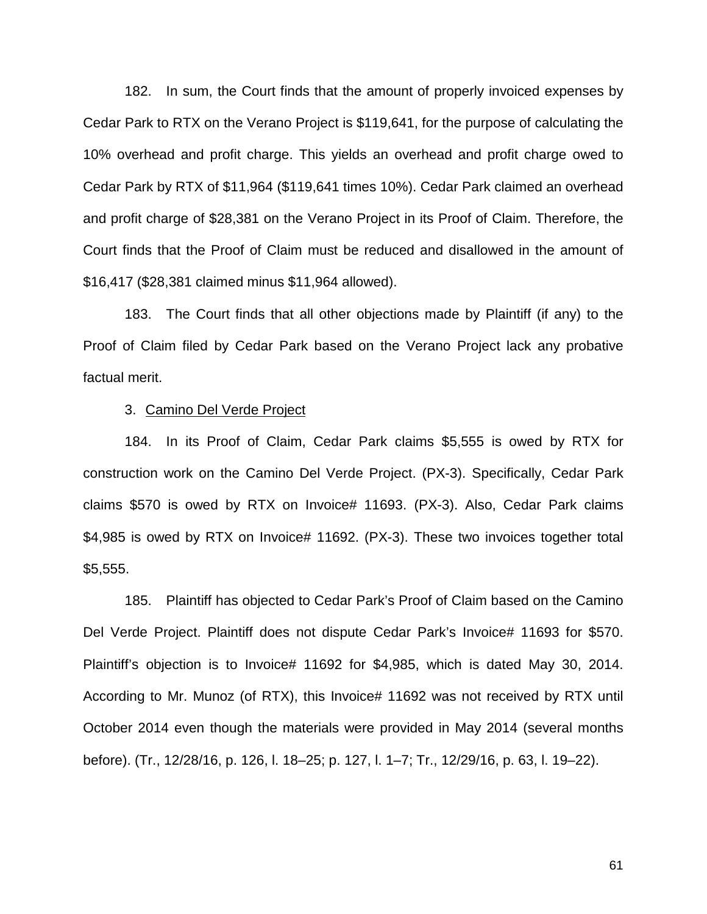182. In sum, the Court finds that the amount of properly invoiced expenses by Cedar Park to RTX on the Verano Project is \$119,641, for the purpose of calculating the 10% overhead and profit charge. This yields an overhead and profit charge owed to Cedar Park by RTX of \$11,964 (\$119,641 times 10%). Cedar Park claimed an overhead and profit charge of \$28,381 on the Verano Project in its Proof of Claim. Therefore, the Court finds that the Proof of Claim must be reduced and disallowed in the amount of \$16,417 (\$28,381 claimed minus \$11,964 allowed).

183. The Court finds that all other objections made by Plaintiff (if any) to the Proof of Claim filed by Cedar Park based on the Verano Project lack any probative factual merit.

### 3. Camino Del Verde Project

184. In its Proof of Claim, Cedar Park claims \$5,555 is owed by RTX for construction work on the Camino Del Verde Project. (PX-3). Specifically, Cedar Park claims \$570 is owed by RTX on Invoice# 11693. (PX-3). Also, Cedar Park claims \$4,985 is owed by RTX on Invoice# 11692. (PX-3). These two invoices together total \$5,555.

185. Plaintiff has objected to Cedar Park's Proof of Claim based on the Camino Del Verde Project. Plaintiff does not dispute Cedar Park's Invoice# 11693 for \$570. Plaintiff's objection is to Invoice# 11692 for \$4,985, which is dated May 30, 2014. According to Mr. Munoz (of RTX), this Invoice# 11692 was not received by RTX until October 2014 even though the materials were provided in May 2014 (several months before). (Tr., 12/28/16, p. 126, l. 18–25; p. 127, l. 1–7; Tr., 12/29/16, p. 63, l. 19–22).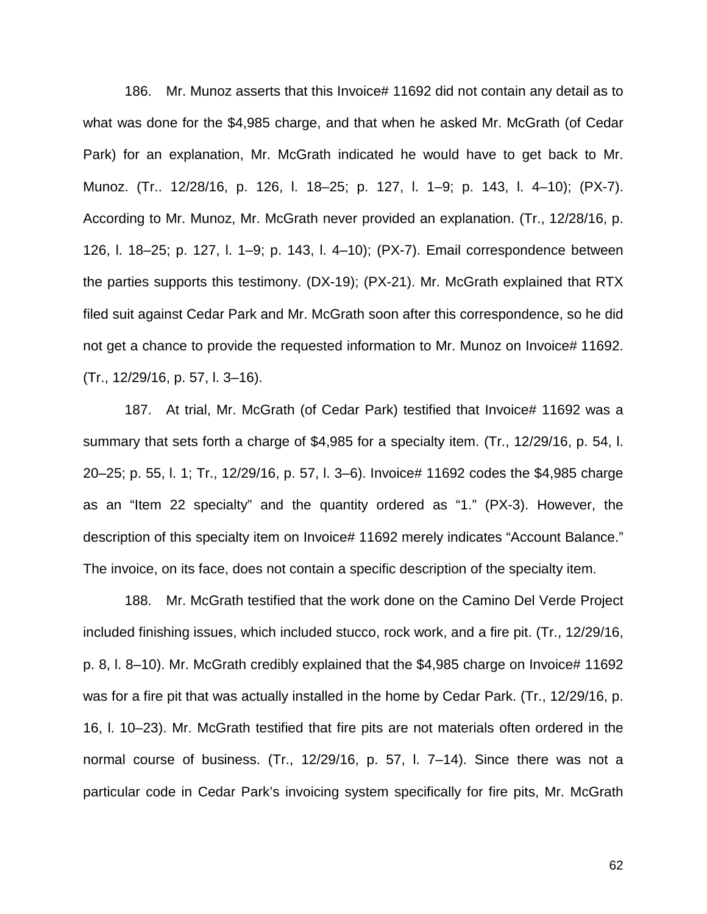186. Mr. Munoz asserts that this Invoice# 11692 did not contain any detail as to what was done for the \$4,985 charge, and that when he asked Mr. McGrath (of Cedar Park) for an explanation, Mr. McGrath indicated he would have to get back to Mr. Munoz. (Tr.. 12/28/16, p. 126, l. 18–25; p. 127, l. 1–9; p. 143, l. 4–10); (PX-7). According to Mr. Munoz, Mr. McGrath never provided an explanation. (Tr., 12/28/16, p. 126, l. 18–25; p. 127, l. 1–9; p. 143, l. 4–10); (PX-7). Email correspondence between the parties supports this testimony. (DX-19); (PX-21). Mr. McGrath explained that RTX filed suit against Cedar Park and Mr. McGrath soon after this correspondence, so he did not get a chance to provide the requested information to Mr. Munoz on Invoice# 11692. (Tr., 12/29/16, p. 57, l. 3–16).

187. At trial, Mr. McGrath (of Cedar Park) testified that Invoice# 11692 was a summary that sets forth a charge of \$4,985 for a specialty item. (Tr., 12/29/16, p. 54, l. 20–25; p. 55, l. 1; Tr., 12/29/16, p. 57, l. 3–6). Invoice# 11692 codes the \$4,985 charge as an "Item 22 specialty" and the quantity ordered as "1." (PX-3). However, the description of this specialty item on Invoice# 11692 merely indicates "Account Balance." The invoice, on its face, does not contain a specific description of the specialty item.

188. Mr. McGrath testified that the work done on the Camino Del Verde Project included finishing issues, which included stucco, rock work, and a fire pit. (Tr., 12/29/16, p. 8, l. 8–10). Mr. McGrath credibly explained that the \$4,985 charge on Invoice# 11692 was for a fire pit that was actually installed in the home by Cedar Park. (Tr., 12/29/16, p. 16, l. 10–23). Mr. McGrath testified that fire pits are not materials often ordered in the normal course of business. (Tr., 12/29/16, p. 57, l. 7–14). Since there was not a particular code in Cedar Park's invoicing system specifically for fire pits, Mr. McGrath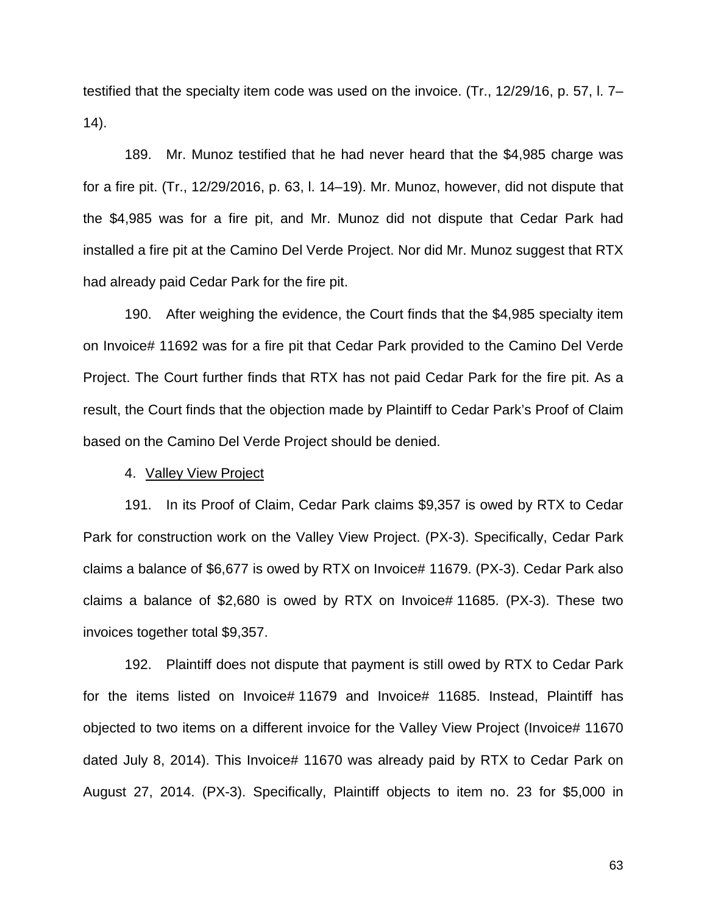testified that the specialty item code was used on the invoice. (Tr., 12/29/16, p. 57, l. 7– 14).

189. Mr. Munoz testified that he had never heard that the \$4,985 charge was for a fire pit. (Tr., 12/29/2016, p. 63, l. 14–19). Mr. Munoz, however, did not dispute that the \$4,985 was for a fire pit, and Mr. Munoz did not dispute that Cedar Park had installed a fire pit at the Camino Del Verde Project. Nor did Mr. Munoz suggest that RTX had already paid Cedar Park for the fire pit.

190. After weighing the evidence, the Court finds that the \$4,985 specialty item on Invoice# 11692 was for a fire pit that Cedar Park provided to the Camino Del Verde Project. The Court further finds that RTX has not paid Cedar Park for the fire pit. As a result, the Court finds that the objection made by Plaintiff to Cedar Park's Proof of Claim based on the Camino Del Verde Project should be denied.

## 4. Valley View Project

191. In its Proof of Claim, Cedar Park claims \$9,357 is owed by RTX to Cedar Park for construction work on the Valley View Project. (PX-3). Specifically, Cedar Park claims a balance of \$6,677 is owed by RTX on Invoice# 11679. (PX-3). Cedar Park also claims a balance of \$2,680 is owed by RTX on Invoice# 11685. (PX-3). These two invoices together total \$9,357.

192. Plaintiff does not dispute that payment is still owed by RTX to Cedar Park for the items listed on Invoice# 11679 and Invoice# 11685. Instead, Plaintiff has objected to two items on a different invoice for the Valley View Project (Invoice# 11670 dated July 8, 2014). This Invoice# 11670 was already paid by RTX to Cedar Park on August 27, 2014. (PX-3). Specifically, Plaintiff objects to item no. 23 for \$5,000 in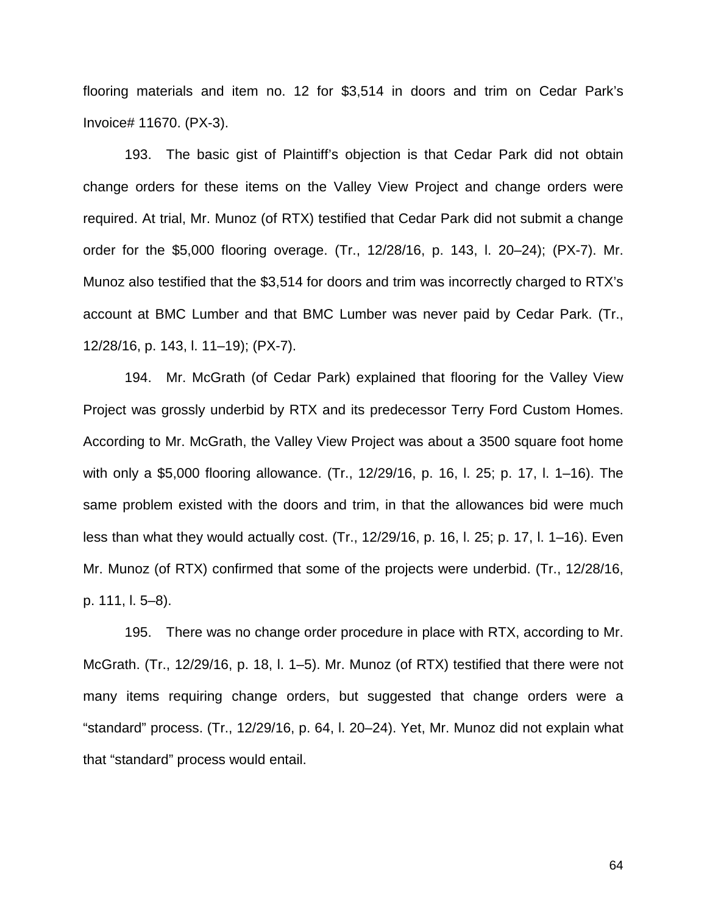flooring materials and item no. 12 for \$3,514 in doors and trim on Cedar Park's Invoice# 11670. (PX-3).

193. The basic gist of Plaintiff's objection is that Cedar Park did not obtain change orders for these items on the Valley View Project and change orders were required. At trial, Mr. Munoz (of RTX) testified that Cedar Park did not submit a change order for the \$5,000 flooring overage. (Tr., 12/28/16, p. 143, l. 20–24); (PX-7). Mr. Munoz also testified that the \$3,514 for doors and trim was incorrectly charged to RTX's account at BMC Lumber and that BMC Lumber was never paid by Cedar Park. (Tr., 12/28/16, p. 143, l. 11–19); (PX-7).

194. Mr. McGrath (of Cedar Park) explained that flooring for the Valley View Project was grossly underbid by RTX and its predecessor Terry Ford Custom Homes. According to Mr. McGrath, the Valley View Project was about a 3500 square foot home with only a \$5,000 flooring allowance. (Tr., 12/29/16, p. 16, l. 25; p. 17, l. 1–16). The same problem existed with the doors and trim, in that the allowances bid were much less than what they would actually cost. (Tr., 12/29/16, p. 16, l. 25; p. 17, l. 1–16). Even Mr. Munoz (of RTX) confirmed that some of the projects were underbid. (Tr., 12/28/16, p. 111, l. 5–8).

195. There was no change order procedure in place with RTX, according to Mr. McGrath. (Tr., 12/29/16, p. 18, l. 1–5). Mr. Munoz (of RTX) testified that there were not many items requiring change orders, but suggested that change orders were a "standard" process. (Tr., 12/29/16, p. 64, l. 20–24). Yet, Mr. Munoz did not explain what that "standard" process would entail.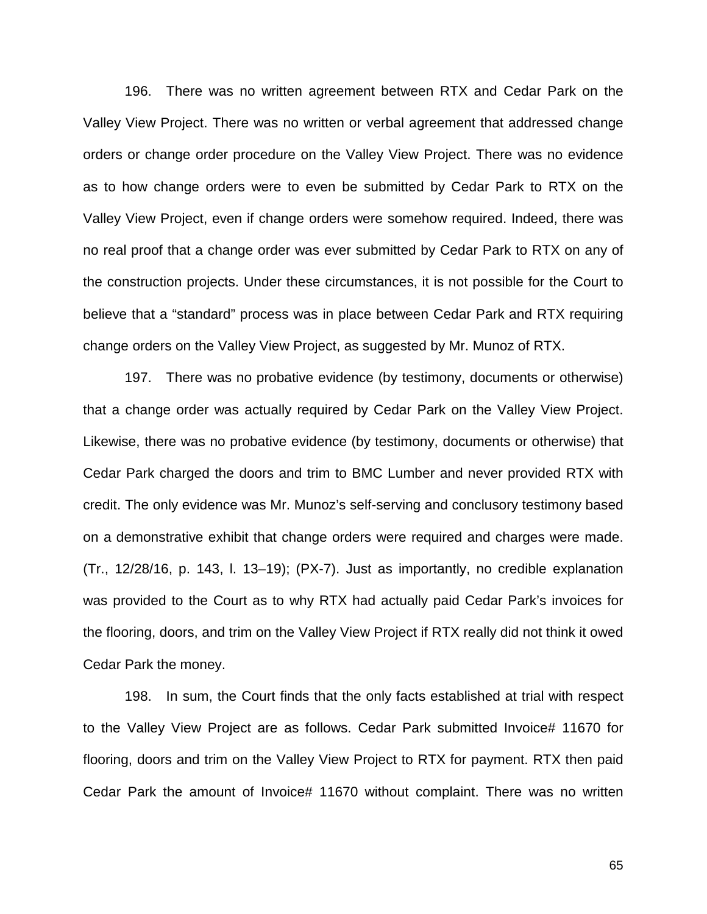196. There was no written agreement between RTX and Cedar Park on the Valley View Project. There was no written or verbal agreement that addressed change orders or change order procedure on the Valley View Project. There was no evidence as to how change orders were to even be submitted by Cedar Park to RTX on the Valley View Project, even if change orders were somehow required. Indeed, there was no real proof that a change order was ever submitted by Cedar Park to RTX on any of the construction projects. Under these circumstances, it is not possible for the Court to believe that a "standard" process was in place between Cedar Park and RTX requiring change orders on the Valley View Project, as suggested by Mr. Munoz of RTX.

197. There was no probative evidence (by testimony, documents or otherwise) that a change order was actually required by Cedar Park on the Valley View Project. Likewise, there was no probative evidence (by testimony, documents or otherwise) that Cedar Park charged the doors and trim to BMC Lumber and never provided RTX with credit. The only evidence was Mr. Munoz's self-serving and conclusory testimony based on a demonstrative exhibit that change orders were required and charges were made. (Tr., 12/28/16, p. 143, l. 13–19); (PX-7). Just as importantly, no credible explanation was provided to the Court as to why RTX had actually paid Cedar Park's invoices for the flooring, doors, and trim on the Valley View Project if RTX really did not think it owed Cedar Park the money.

198. In sum, the Court finds that the only facts established at trial with respect to the Valley View Project are as follows. Cedar Park submitted Invoice# 11670 for flooring, doors and trim on the Valley View Project to RTX for payment. RTX then paid Cedar Park the amount of Invoice# 11670 without complaint. There was no written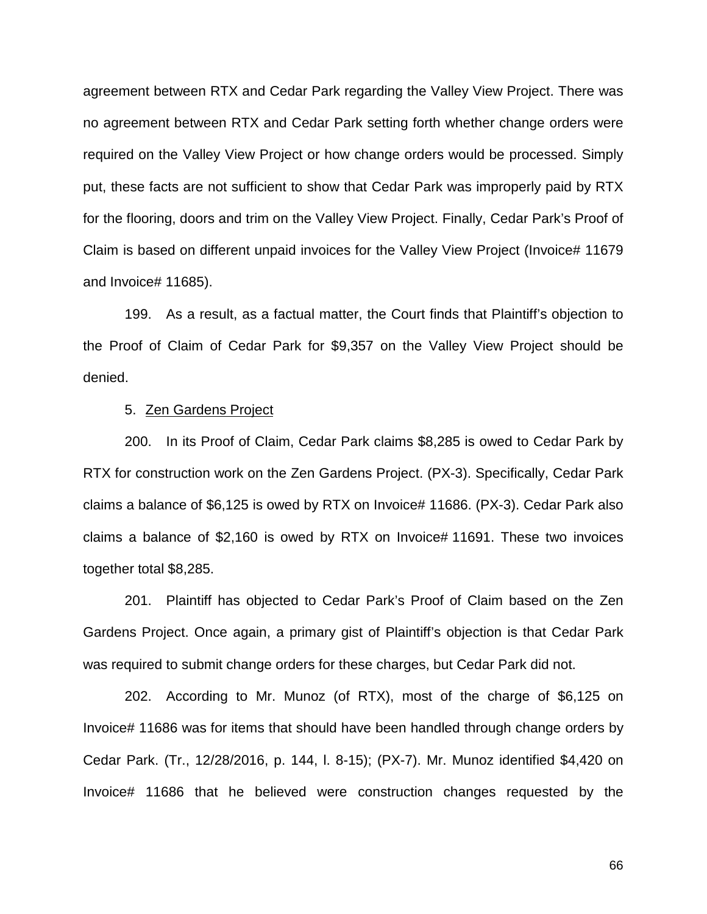agreement between RTX and Cedar Park regarding the Valley View Project. There was no agreement between RTX and Cedar Park setting forth whether change orders were required on the Valley View Project or how change orders would be processed. Simply put, these facts are not sufficient to show that Cedar Park was improperly paid by RTX for the flooring, doors and trim on the Valley View Project. Finally, Cedar Park's Proof of Claim is based on different unpaid invoices for the Valley View Project (Invoice# 11679 and Invoice# 11685).

199. As a result, as a factual matter, the Court finds that Plaintiff's objection to the Proof of Claim of Cedar Park for \$9,357 on the Valley View Project should be denied.

### 5. Zen Gardens Project

200. In its Proof of Claim, Cedar Park claims \$8,285 is owed to Cedar Park by RTX for construction work on the Zen Gardens Project. (PX-3). Specifically, Cedar Park claims a balance of \$6,125 is owed by RTX on Invoice# 11686. (PX-3). Cedar Park also claims a balance of \$2,160 is owed by RTX on Invoice# 11691. These two invoices together total \$8,285.

201. Plaintiff has objected to Cedar Park's Proof of Claim based on the Zen Gardens Project. Once again, a primary gist of Plaintiff's objection is that Cedar Park was required to submit change orders for these charges, but Cedar Park did not.

202. According to Mr. Munoz (of RTX), most of the charge of \$6,125 on Invoice# 11686 was for items that should have been handled through change orders by Cedar Park. (Tr., 12/28/2016, p. 144, l. 8-15); (PX-7). Mr. Munoz identified \$4,420 on Invoice# 11686 that he believed were construction changes requested by the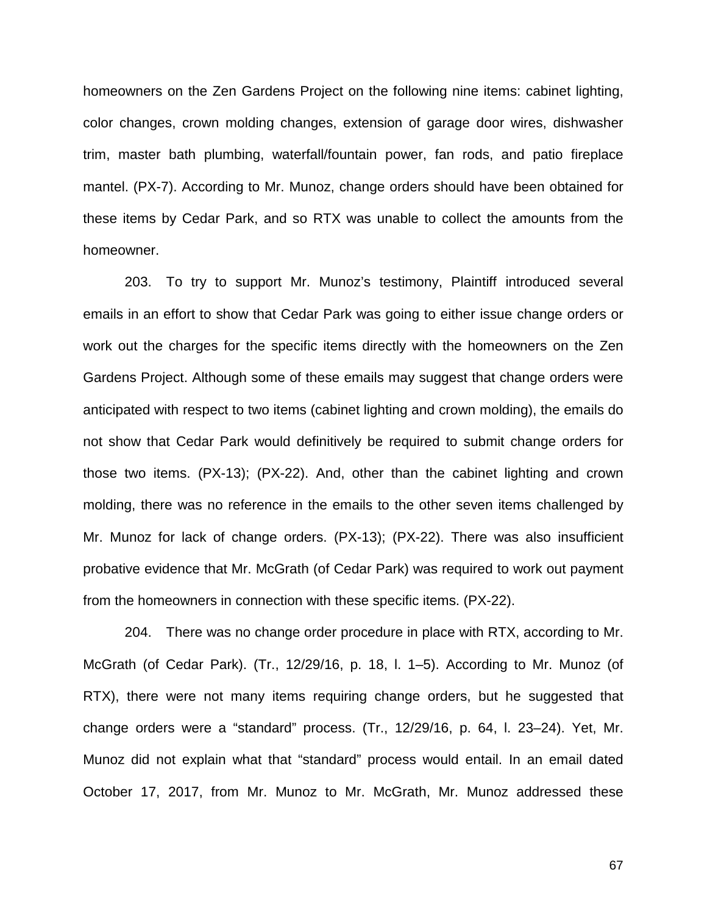homeowners on the Zen Gardens Project on the following nine items: cabinet lighting, color changes, crown molding changes, extension of garage door wires, dishwasher trim, master bath plumbing, waterfall/fountain power, fan rods, and patio fireplace mantel. (PX-7). According to Mr. Munoz, change orders should have been obtained for these items by Cedar Park, and so RTX was unable to collect the amounts from the homeowner.

203. To try to support Mr. Munoz's testimony, Plaintiff introduced several emails in an effort to show that Cedar Park was going to either issue change orders or work out the charges for the specific items directly with the homeowners on the Zen Gardens Project. Although some of these emails may suggest that change orders were anticipated with respect to two items (cabinet lighting and crown molding), the emails do not show that Cedar Park would definitively be required to submit change orders for those two items. (PX-13); (PX-22). And, other than the cabinet lighting and crown molding, there was no reference in the emails to the other seven items challenged by Mr. Munoz for lack of change orders. (PX-13); (PX-22). There was also insufficient probative evidence that Mr. McGrath (of Cedar Park) was required to work out payment from the homeowners in connection with these specific items. (PX-22).

204. There was no change order procedure in place with RTX, according to Mr. McGrath (of Cedar Park). (Tr., 12/29/16, p. 18, l. 1–5). According to Mr. Munoz (of RTX), there were not many items requiring change orders, but he suggested that change orders were a "standard" process. (Tr., 12/29/16, p. 64, l. 23–24). Yet, Mr. Munoz did not explain what that "standard" process would entail. In an email dated October 17, 2017, from Mr. Munoz to Mr. McGrath, Mr. Munoz addressed these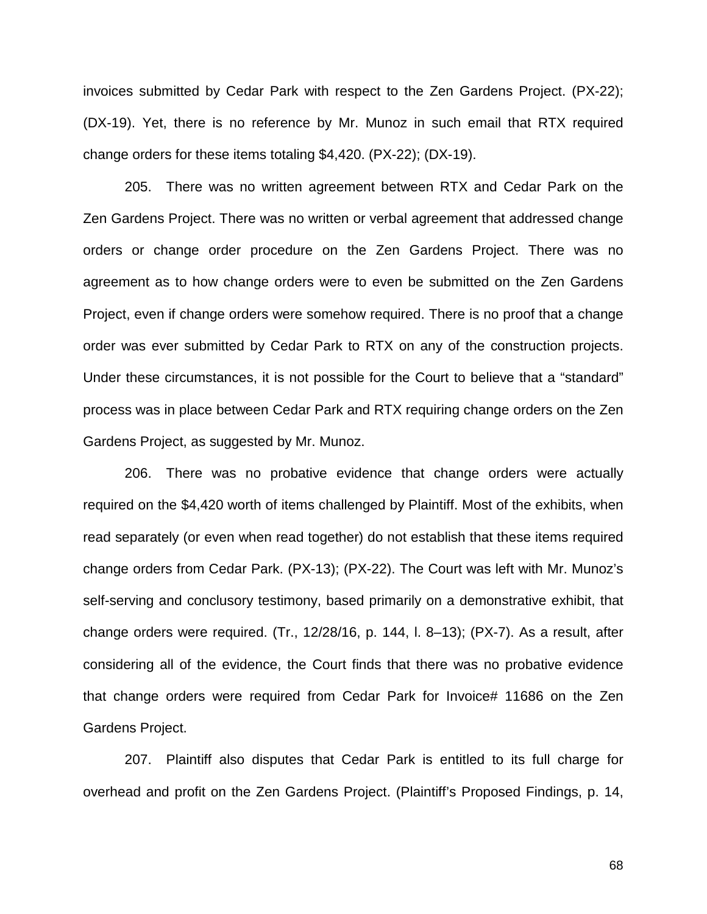invoices submitted by Cedar Park with respect to the Zen Gardens Project. (PX-22); (DX-19). Yet, there is no reference by Mr. Munoz in such email that RTX required change orders for these items totaling \$4,420. (PX-22); (DX-19).

205. There was no written agreement between RTX and Cedar Park on the Zen Gardens Project. There was no written or verbal agreement that addressed change orders or change order procedure on the Zen Gardens Project. There was no agreement as to how change orders were to even be submitted on the Zen Gardens Project, even if change orders were somehow required. There is no proof that a change order was ever submitted by Cedar Park to RTX on any of the construction projects. Under these circumstances, it is not possible for the Court to believe that a "standard" process was in place between Cedar Park and RTX requiring change orders on the Zen Gardens Project, as suggested by Mr. Munoz.

206. There was no probative evidence that change orders were actually required on the \$4,420 worth of items challenged by Plaintiff. Most of the exhibits, when read separately (or even when read together) do not establish that these items required change orders from Cedar Park. (PX-13); (PX-22). The Court was left with Mr. Munoz's self-serving and conclusory testimony, based primarily on a demonstrative exhibit, that change orders were required. (Tr., 12/28/16, p. 144, l. 8–13); (PX-7). As a result, after considering all of the evidence, the Court finds that there was no probative evidence that change orders were required from Cedar Park for Invoice# 11686 on the Zen Gardens Project.

207. Plaintiff also disputes that Cedar Park is entitled to its full charge for overhead and profit on the Zen Gardens Project. (Plaintiff's Proposed Findings, p. 14,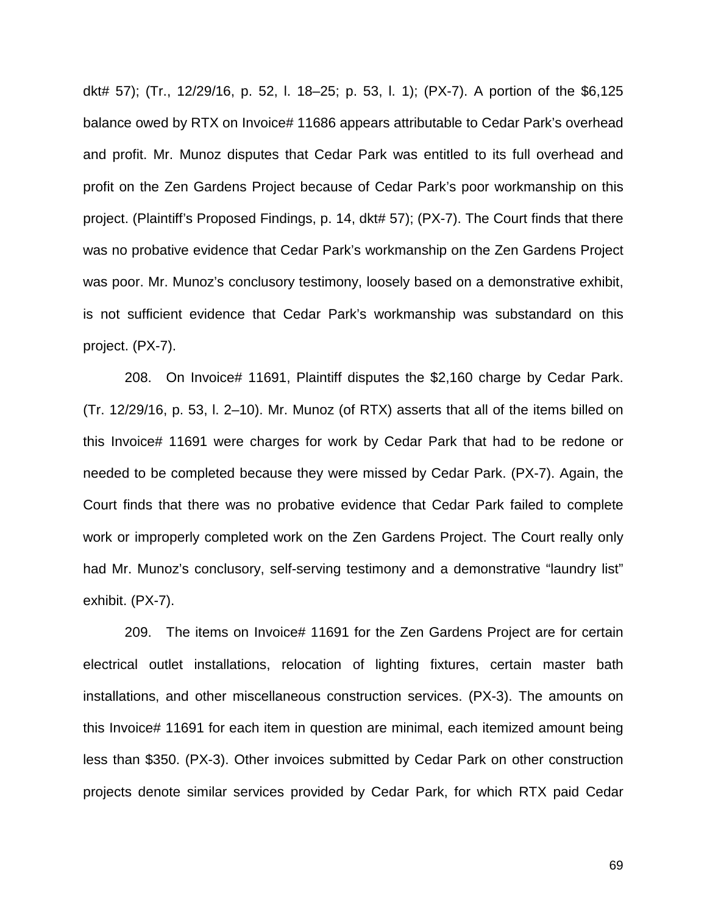dkt# 57); (Tr., 12/29/16, p. 52, l. 18–25; p. 53, l. 1); (PX-7). A portion of the \$6,125 balance owed by RTX on Invoice# 11686 appears attributable to Cedar Park's overhead and profit. Mr. Munoz disputes that Cedar Park was entitled to its full overhead and profit on the Zen Gardens Project because of Cedar Park's poor workmanship on this project. (Plaintiff's Proposed Findings, p. 14, dkt# 57); (PX-7). The Court finds that there was no probative evidence that Cedar Park's workmanship on the Zen Gardens Project was poor. Mr. Munoz's conclusory testimony, loosely based on a demonstrative exhibit, is not sufficient evidence that Cedar Park's workmanship was substandard on this project. (PX-7).

208. On Invoice# 11691, Plaintiff disputes the \$2,160 charge by Cedar Park. (Tr. 12/29/16, p. 53, l. 2–10). Mr. Munoz (of RTX) asserts that all of the items billed on this Invoice# 11691 were charges for work by Cedar Park that had to be redone or needed to be completed because they were missed by Cedar Park. (PX-7). Again, the Court finds that there was no probative evidence that Cedar Park failed to complete work or improperly completed work on the Zen Gardens Project. The Court really only had Mr. Munoz's conclusory, self-serving testimony and a demonstrative "laundry list" exhibit. (PX-7).

209. The items on Invoice# 11691 for the Zen Gardens Project are for certain electrical outlet installations, relocation of lighting fixtures, certain master bath installations, and other miscellaneous construction services. (PX-3). The amounts on this Invoice# 11691 for each item in question are minimal, each itemized amount being less than \$350. (PX-3). Other invoices submitted by Cedar Park on other construction projects denote similar services provided by Cedar Park, for which RTX paid Cedar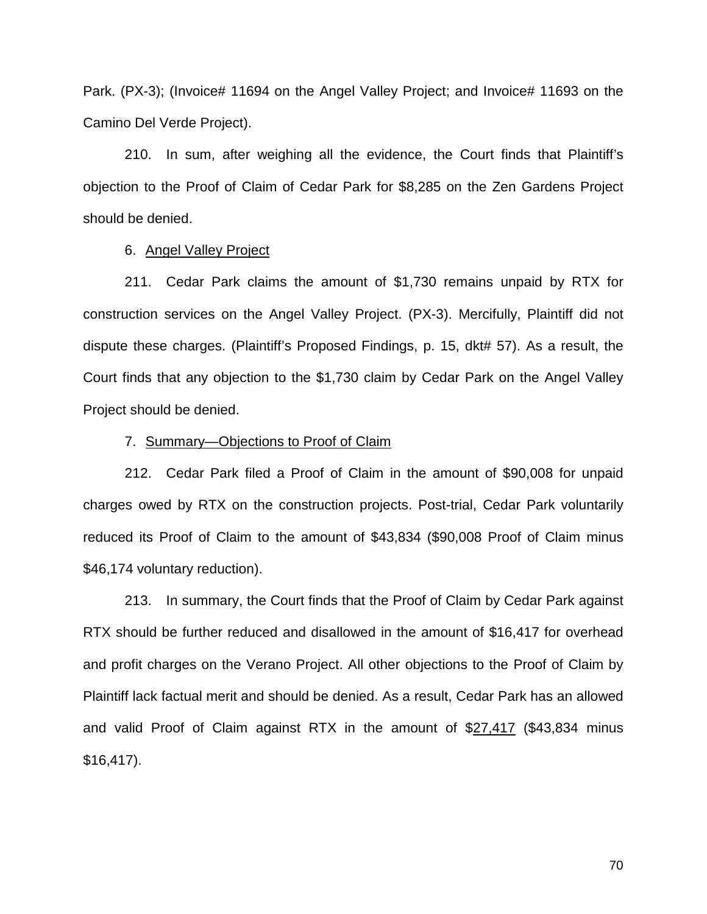Park. (PX-3); (Invoice# 11694 on the Angel Valley Project; and Invoice# 11693 on the Camino Del Verde Project).

210. In sum, after weighing all the evidence, the Court finds that Plaintiff's objection to the Proof of Claim of Cedar Park for \$8,285 on the Zen Gardens Project should be denied.

## 6. Angel Valley Project

211. Cedar Park claims the amount of \$1,730 remains unpaid by RTX for construction services on the Angel Valley Project. (PX-3). Mercifully, Plaintiff did not dispute these charges. (Plaintiff's Proposed Findings, p. 15, dkt# 57). As a result, the Court finds that any objection to the \$1,730 claim by Cedar Park on the Angel Valley Project should be denied.

## 7. Summary—Objections to Proof of Claim

212. Cedar Park filed a Proof of Claim in the amount of \$90,008 for unpaid charges owed by RTX on the construction projects. Post-trial, Cedar Park voluntarily reduced its Proof of Claim to the amount of \$43,834 (\$90,008 Proof of Claim minus \$46,174 voluntary reduction).

213. In summary, the Court finds that the Proof of Claim by Cedar Park against RTX should be further reduced and disallowed in the amount of \$16,417 for overhead and profit charges on the Verano Project. All other objections to the Proof of Claim by Plaintiff lack factual merit and should be denied. As a result, Cedar Park has an allowed and valid Proof of Claim against RTX in the amount of \$27,417 (\$43,834 minus \$16,417).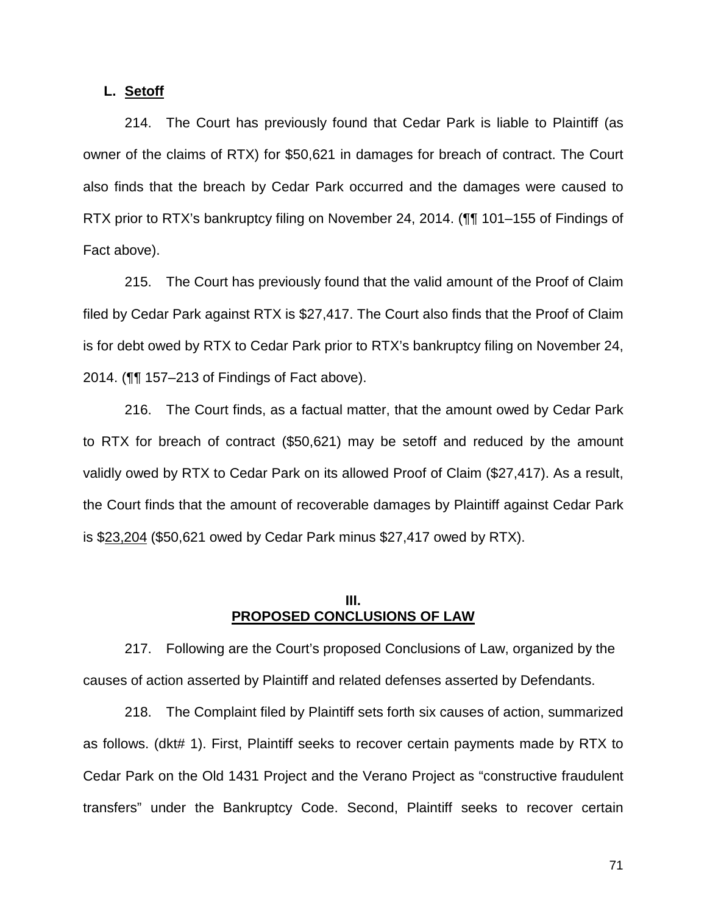# **L. Setoff**

214. The Court has previously found that Cedar Park is liable to Plaintiff (as owner of the claims of RTX) for \$50,621 in damages for breach of contract. The Court also finds that the breach by Cedar Park occurred and the damages were caused to RTX prior to RTX's bankruptcy filing on November 24, 2014. (¶¶ 101–155 of Findings of Fact above).

215. The Court has previously found that the valid amount of the Proof of Claim filed by Cedar Park against RTX is \$27,417. The Court also finds that the Proof of Claim is for debt owed by RTX to Cedar Park prior to RTX's bankruptcy filing on November 24, 2014. (¶¶ 157–213 of Findings of Fact above).

216. The Court finds, as a factual matter, that the amount owed by Cedar Park to RTX for breach of contract (\$50,621) may be setoff and reduced by the amount validly owed by RTX to Cedar Park on its allowed Proof of Claim (\$27,417). As a result, the Court finds that the amount of recoverable damages by Plaintiff against Cedar Park is \$23,204 (\$50,621 owed by Cedar Park minus \$27,417 owed by RTX).

## **III. PROPOSED CONCLUSIONS OF LAW**

217. Following are the Court's proposed Conclusions of Law, organized by the causes of action asserted by Plaintiff and related defenses asserted by Defendants.

218. The Complaint filed by Plaintiff sets forth six causes of action, summarized as follows. (dkt# 1). First, Plaintiff seeks to recover certain payments made by RTX to Cedar Park on the Old 1431 Project and the Verano Project as "constructive fraudulent transfers" under the Bankruptcy Code. Second, Plaintiff seeks to recover certain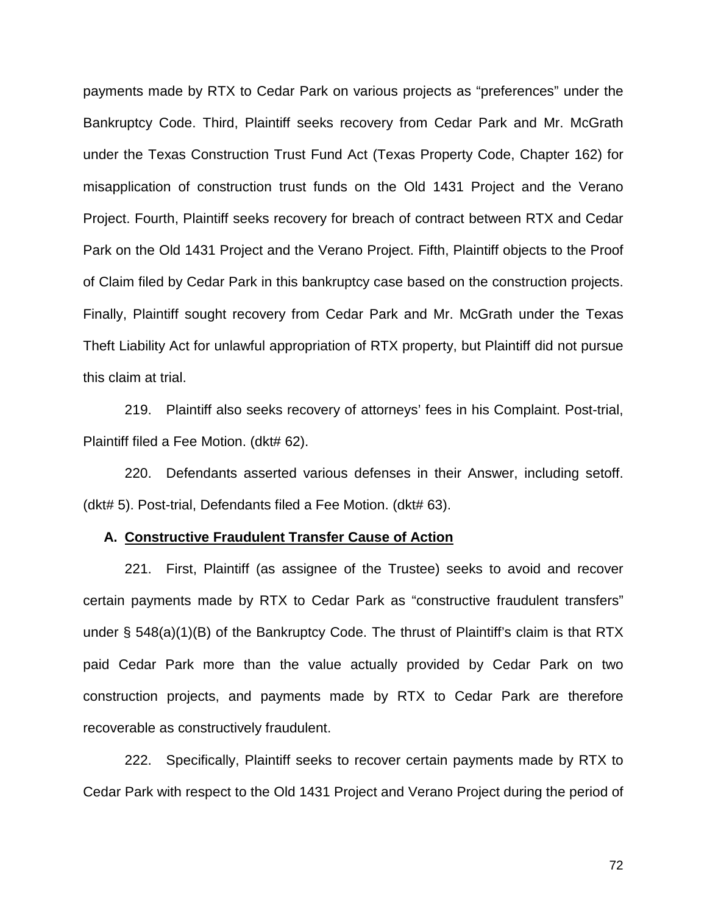payments made by RTX to Cedar Park on various projects as "preferences" under the Bankruptcy Code. Third, Plaintiff seeks recovery from Cedar Park and Mr. McGrath under the Texas Construction Trust Fund Act (Texas Property Code, Chapter 162) for misapplication of construction trust funds on the Old 1431 Project and the Verano Project. Fourth, Plaintiff seeks recovery for breach of contract between RTX and Cedar Park on the Old 1431 Project and the Verano Project. Fifth, Plaintiff objects to the Proof of Claim filed by Cedar Park in this bankruptcy case based on the construction projects. Finally, Plaintiff sought recovery from Cedar Park and Mr. McGrath under the Texas Theft Liability Act for unlawful appropriation of RTX property, but Plaintiff did not pursue this claim at trial.

219. Plaintiff also seeks recovery of attorneys' fees in his Complaint. Post-trial, Plaintiff filed a Fee Motion. (dkt# 62).

220. Defendants asserted various defenses in their Answer, including setoff. (dkt# 5). Post-trial, Defendants filed a Fee Motion. (dkt# 63).

#### **A. Constructive Fraudulent Transfer Cause of Action**

221. First, Plaintiff (as assignee of the Trustee) seeks to avoid and recover certain payments made by RTX to Cedar Park as "constructive fraudulent transfers" under § 548(a)(1)(B) of the Bankruptcy Code. The thrust of Plaintiff's claim is that RTX paid Cedar Park more than the value actually provided by Cedar Park on two construction projects, and payments made by RTX to Cedar Park are therefore recoverable as constructively fraudulent.

222. Specifically, Plaintiff seeks to recover certain payments made by RTX to Cedar Park with respect to the Old 1431 Project and Verano Project during the period of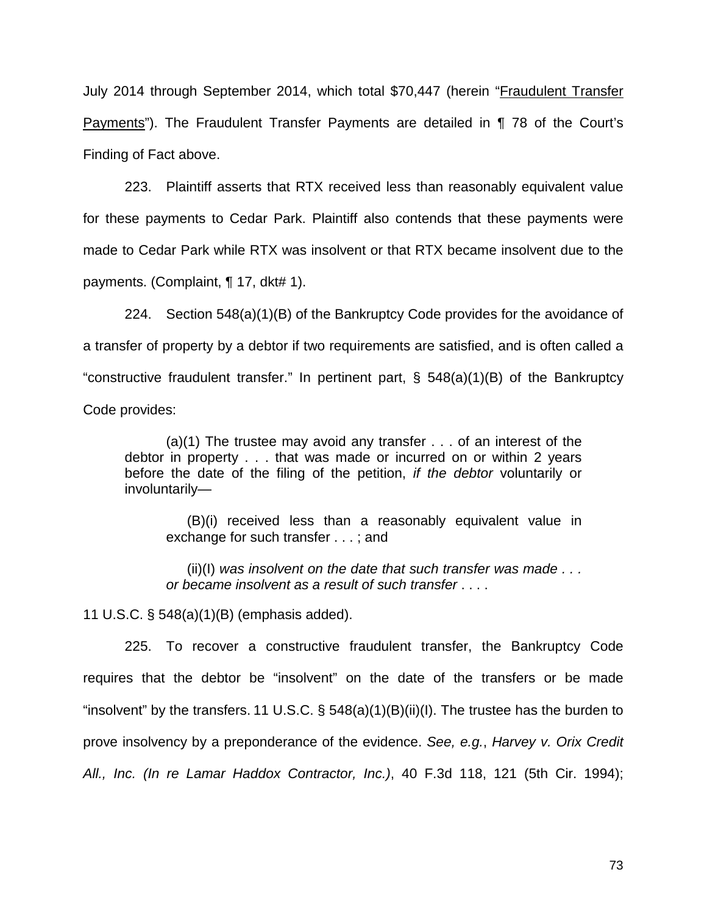July 2014 through September 2014, which total \$70,447 (herein "Fraudulent Transfer Payments"). The Fraudulent Transfer Payments are detailed in ¶ 78 of the Court's Finding of Fact above.

223. Plaintiff asserts that RTX received less than reasonably equivalent value for these payments to Cedar Park. Plaintiff also contends that these payments were made to Cedar Park while RTX was insolvent or that RTX became insolvent due to the payments. (Complaint, ¶ 17, dkt# 1).

224. Section 548(a)(1)(B) of the Bankruptcy Code provides for the avoidance of a transfer of property by a debtor if two requirements are satisfied, and is often called a "constructive fraudulent transfer." In pertinent part, § 548(a)(1)(B) of the Bankruptcy Code provides:

(a)(1) The trustee may avoid any transfer . . . of an interest of the debtor in property . . . that was made or incurred on or within 2 years before the date of the filing of the petition, *if the debtor* voluntarily or involuntarily—

(B)(i) received less than a reasonably equivalent value in exchange for such transfer . . . ; and

(ii)(I) *was insolvent on the date that such transfer was made . . . or became insolvent as a result of such transfer* . . . .

11 U.S.C. § 548(a)(1)(B) (emphasis added).

225. To recover a constructive fraudulent transfer, the Bankruptcy Code requires that the debtor be "insolvent" on the date of the transfers or be made "insolvent" by the transfers. 11 U.S.C.  $\S$  548(a)(1)(B)(ii)(I). The trustee has the burden to prove insolvency by a preponderance of the evidence. *See, e.g.*, *Harvey v. Orix Credit All., Inc. (In re Lamar Haddox Contractor, Inc.)*, 40 F.3d 118, 121 (5th Cir. 1994);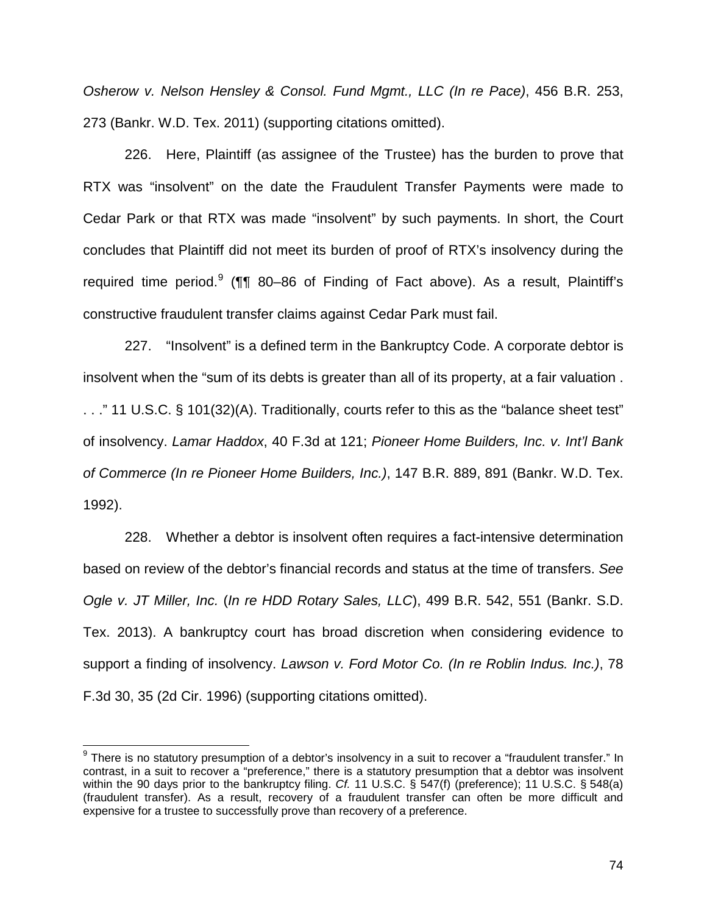*Osherow v. Nelson Hensley & Consol. Fund Mgmt., LLC (In re Pace)*, 456 B.R. 253, 273 (Bankr. W.D. Tex. 2011) (supporting citations omitted).

226. Here, Plaintiff (as assignee of the Trustee) has the burden to prove that RTX was "insolvent" on the date the Fraudulent Transfer Payments were made to Cedar Park or that RTX was made "insolvent" by such payments. In short, the Court concludes that Plaintiff did not meet its burden of proof of RTX's insolvency during the required time period.<sup>9</sup> (¶¶ 80–86 of Finding of Fact above). As a result, Plaintiff's constructive fraudulent transfer claims against Cedar Park must fail.

227. "Insolvent" is a defined term in the Bankruptcy Code. A corporate debtor is insolvent when the "sum of its debts is greater than all of its property, at a fair valuation . . . ." 11 U.S.C. § 101(32)(A). Traditionally, courts refer to this as the "balance sheet test" of insolvency. *Lamar Haddox*, 40 F.3d at 121; *Pioneer Home Builders, Inc. v. Int'l Bank of Commerce (In re Pioneer Home Builders, Inc.)*, 147 B.R. 889, 891 (Bankr. W.D. Tex. 1992).

228. Whether a debtor is insolvent often requires a fact-intensive determination based on review of the debtor's financial records and status at the time of transfers. *See Ogle v. JT Miller, Inc.* (*In re HDD Rotary Sales, LLC*), 499 B.R. 542, 551 (Bankr. S.D. Tex. 2013). A bankruptcy court has broad discretion when considering evidence to support a finding of insolvency. *Lawson v. Ford Motor Co. (In re Roblin Indus. Inc.)*, 78 F.3d 30, 35 (2d Cir. 1996) (supporting citations omitted).

 $\overline{\phantom{a}}$ 

 $9$  There is no statutory presumption of a debtor's insolvency in a suit to recover a "fraudulent transfer." In contrast, in a suit to recover a "preference," there is a statutory presumption that a debtor was insolvent within the 90 days prior to the bankruptcy filing. *Cf.* 11 U.S.C. § 547(f) (preference); 11 U.S.C. § 548(a) (fraudulent transfer). As a result, recovery of a fraudulent transfer can often be more difficult and expensive for a trustee to successfully prove than recovery of a preference.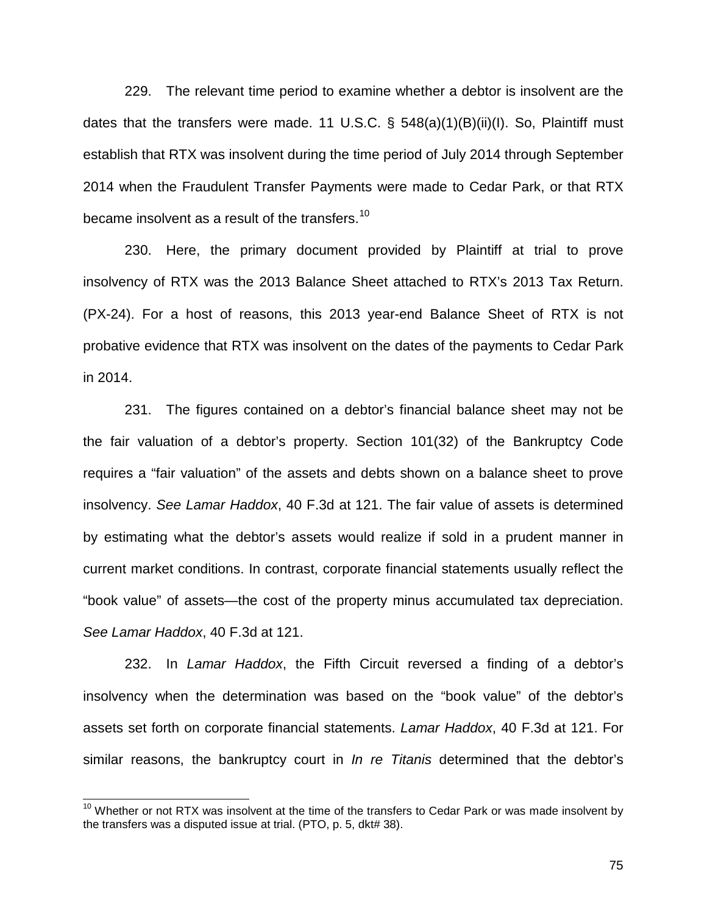229. The relevant time period to examine whether a debtor is insolvent are the dates that the transfers were made. 11 U.S.C.  $\S$  548(a)(1)(B)(ii)(I). So, Plaintiff must establish that RTX was insolvent during the time period of July 2014 through September 2014 when the Fraudulent Transfer Payments were made to Cedar Park, or that RTX became insolvent as a result of the transfers.<sup>10</sup>

230. Here, the primary document provided by Plaintiff at trial to prove insolvency of RTX was the 2013 Balance Sheet attached to RTX's 2013 Tax Return. (PX-24). For a host of reasons, this 2013 year-end Balance Sheet of RTX is not probative evidence that RTX was insolvent on the dates of the payments to Cedar Park in 2014.

231. The figures contained on a debtor's financial balance sheet may not be the fair valuation of a debtor's property. Section 101(32) of the Bankruptcy Code requires a "fair valuation" of the assets and debts shown on a balance sheet to prove insolvency. *See Lamar Haddox*, 40 F.3d at 121. The fair value of assets is determined by estimating what the debtor's assets would realize if sold in a prudent manner in current market conditions. In contrast, corporate financial statements usually reflect the "book value" of assets—the cost of the property minus accumulated tax depreciation. *See Lamar Haddox*, 40 F.3d at 121.

232. In *Lamar Haddox*, the Fifth Circuit reversed a finding of a debtor's insolvency when the determination was based on the "book value" of the debtor's assets set forth on corporate financial statements. *Lamar Haddox*, 40 F.3d at 121. For similar reasons, the bankruptcy court in *In re Titanis* determined that the debtor's

 $\overline{\phantom{a}}$ 

 $10$  Whether or not RTX was insolvent at the time of the transfers to Cedar Park or was made insolvent by the transfers was a disputed issue at trial. (PTO, p. 5, dkt# 38).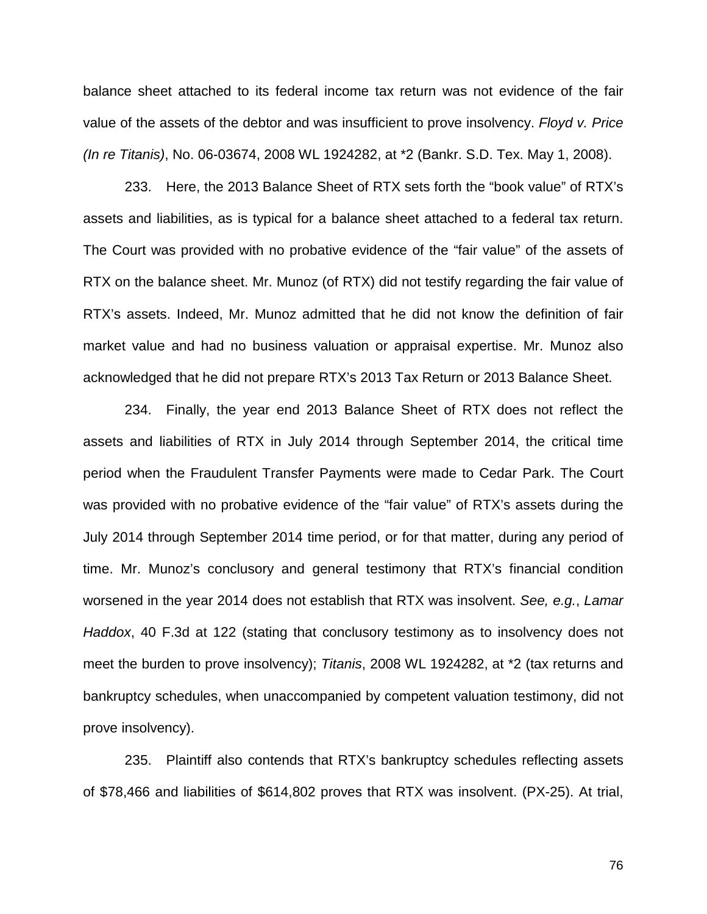balance sheet attached to its federal income tax return was not evidence of the fair value of the assets of the debtor and was insufficient to prove insolvency. *Floyd v. Price (In re Titanis)*, No. 06-03674, 2008 WL 1924282, at \*2 (Bankr. S.D. Tex. May 1, 2008).

233. Here, the 2013 Balance Sheet of RTX sets forth the "book value" of RTX's assets and liabilities, as is typical for a balance sheet attached to a federal tax return. The Court was provided with no probative evidence of the "fair value" of the assets of RTX on the balance sheet. Mr. Munoz (of RTX) did not testify regarding the fair value of RTX's assets. Indeed, Mr. Munoz admitted that he did not know the definition of fair market value and had no business valuation or appraisal expertise. Mr. Munoz also acknowledged that he did not prepare RTX's 2013 Tax Return or 2013 Balance Sheet.

234. Finally, the year end 2013 Balance Sheet of RTX does not reflect the assets and liabilities of RTX in July 2014 through September 2014, the critical time period when the Fraudulent Transfer Payments were made to Cedar Park. The Court was provided with no probative evidence of the "fair value" of RTX's assets during the July 2014 through September 2014 time period, or for that matter, during any period of time. Mr. Munoz's conclusory and general testimony that RTX's financial condition worsened in the year 2014 does not establish that RTX was insolvent. *See, e.g.*, *Lamar Haddox*, 40 F.3d at 122 (stating that conclusory testimony as to insolvency does not meet the burden to prove insolvency); *Titanis*, 2008 WL 1924282, at \*2 (tax returns and bankruptcy schedules, when unaccompanied by competent valuation testimony, did not prove insolvency).

235. Plaintiff also contends that RTX's bankruptcy schedules reflecting assets of \$78,466 and liabilities of \$614,802 proves that RTX was insolvent. (PX-25). At trial,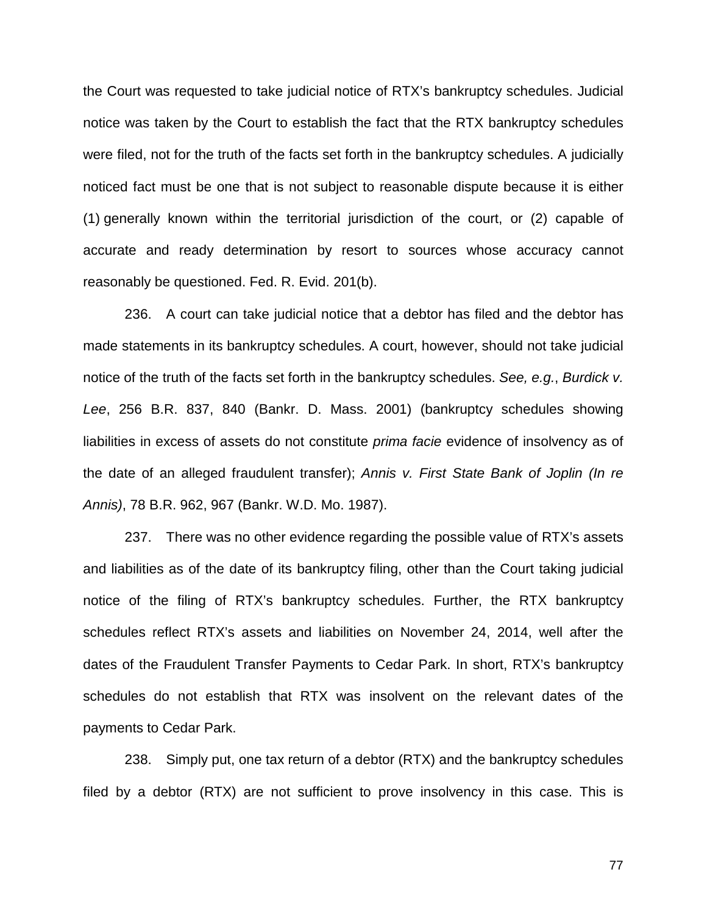the Court was requested to take judicial notice of RTX's bankruptcy schedules. Judicial notice was taken by the Court to establish the fact that the RTX bankruptcy schedules were filed, not for the truth of the facts set forth in the bankruptcy schedules. A judicially noticed fact must be one that is not subject to reasonable dispute because it is either (1) generally known within the territorial jurisdiction of the court, or (2) capable of accurate and ready determination by resort to sources whose accuracy cannot reasonably be questioned. Fed. R. Evid. 201(b).

236. A court can take judicial notice that a debtor has filed and the debtor has made statements in its bankruptcy schedules. A court, however, should not take judicial notice of the truth of the facts set forth in the bankruptcy schedules. *See, e.g.*, *Burdick v. Lee*, 256 B.R. 837, 840 (Bankr. D. Mass. 2001) (bankruptcy schedules showing liabilities in excess of assets do not constitute *prima facie* evidence of insolvency as of the date of an alleged fraudulent transfer); *Annis v. First State Bank of Joplin (In re Annis)*, 78 B.R. 962, 967 (Bankr. W.D. Mo. 1987).

237. There was no other evidence regarding the possible value of RTX's assets and liabilities as of the date of its bankruptcy filing, other than the Court taking judicial notice of the filing of RTX's bankruptcy schedules. Further, the RTX bankruptcy schedules reflect RTX's assets and liabilities on November 24, 2014, well after the dates of the Fraudulent Transfer Payments to Cedar Park. In short, RTX's bankruptcy schedules do not establish that RTX was insolvent on the relevant dates of the payments to Cedar Park.

238. Simply put, one tax return of a debtor (RTX) and the bankruptcy schedules filed by a debtor (RTX) are not sufficient to prove insolvency in this case. This is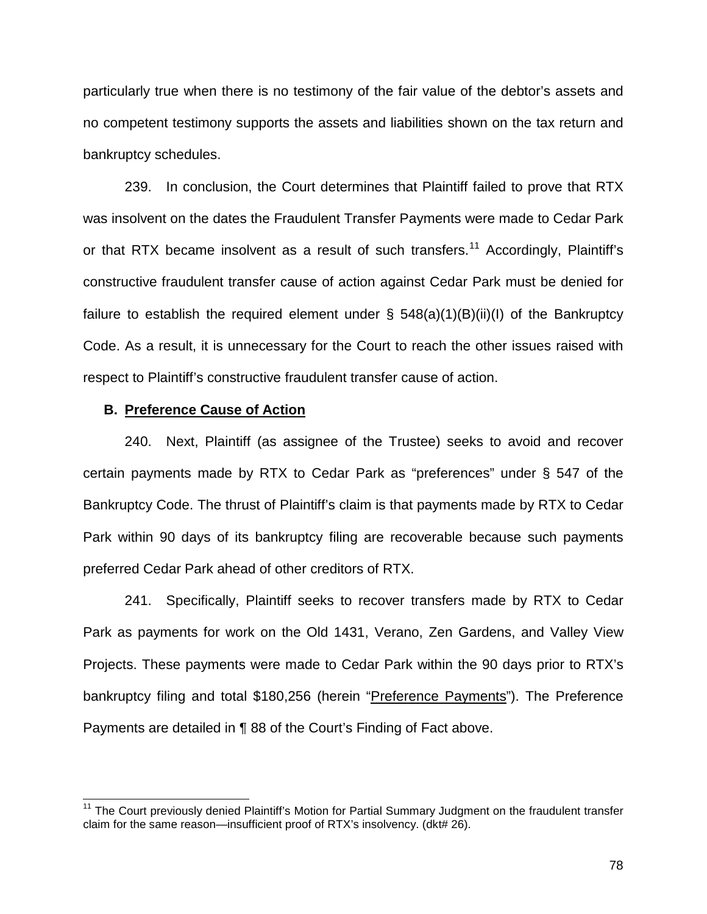particularly true when there is no testimony of the fair value of the debtor's assets and no competent testimony supports the assets and liabilities shown on the tax return and bankruptcy schedules.

239. In conclusion, the Court determines that Plaintiff failed to prove that RTX was insolvent on the dates the Fraudulent Transfer Payments were made to Cedar Park or that RTX became insolvent as a result of such transfers.<sup>11</sup> Accordingly, Plaintiff's constructive fraudulent transfer cause of action against Cedar Park must be denied for failure to establish the required element under  $\S$  548(a)(1)(B)(ii)(I) of the Bankruptcy Code. As a result, it is unnecessary for the Court to reach the other issues raised with respect to Plaintiff's constructive fraudulent transfer cause of action.

## **B. Preference Cause of Action**

 $\overline{\phantom{a}}$ 

240. Next, Plaintiff (as assignee of the Trustee) seeks to avoid and recover certain payments made by RTX to Cedar Park as "preferences" under § 547 of the Bankruptcy Code. The thrust of Plaintiff's claim is that payments made by RTX to Cedar Park within 90 days of its bankruptcy filing are recoverable because such payments preferred Cedar Park ahead of other creditors of RTX.

241. Specifically, Plaintiff seeks to recover transfers made by RTX to Cedar Park as payments for work on the Old 1431, Verano, Zen Gardens, and Valley View Projects. These payments were made to Cedar Park within the 90 days prior to RTX's bankruptcy filing and total \$180,256 (herein "Preference Payments"). The Preference Payments are detailed in ¶ 88 of the Court's Finding of Fact above.

<sup>&</sup>lt;sup>11</sup> The Court previously denied Plaintiff's Motion for Partial Summary Judgment on the fraudulent transfer claim for the same reason—insufficient proof of RTX's insolvency. (dkt# 26).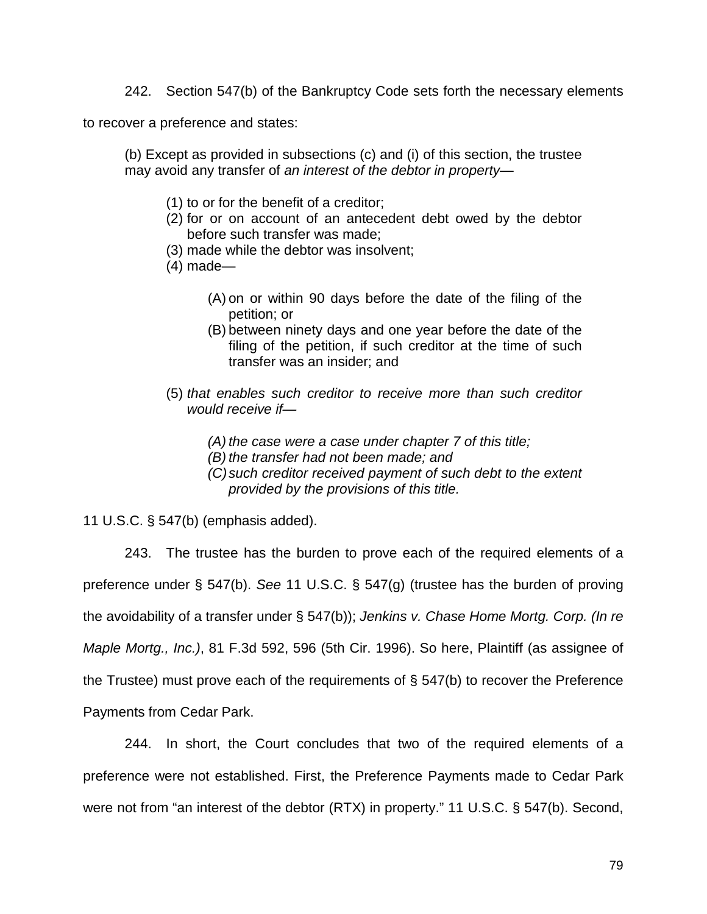242. Section 547(b) of the Bankruptcy Code sets forth the necessary elements

to recover a preference and states:

(b) Except as provided in subsections (c) and (i) of this section, the trustee may avoid any transfer of *an interest of the debtor in property*—

- (1) to or for the benefit of a creditor;
- (2) for or on account of an antecedent debt owed by the debtor before such transfer was made;
- (3) made while the debtor was insolvent;
- (4) made—
	- (A) on or within 90 days before the date of the filing of the petition; or
	- (B) between ninety days and one year before the date of the filing of the petition, if such creditor at the time of such transfer was an insider; and
- (5) *that enables such creditor to receive more than such creditor would receive if—* 
	- *(A) the case were a case under chapter 7 of this title;*
	- *(B) the transfer had not been made; and*
	- *(C)such creditor received payment of such debt to the extent provided by the provisions of this title.*

11 U.S.C. § 547(b) (emphasis added).

243. The trustee has the burden to prove each of the required elements of a preference under § 547(b). *See* 11 U.S.C. § 547(g) (trustee has the burden of proving the avoidability of a transfer under § 547(b)); *Jenkins v. Chase Home Mortg. Corp. (In re Maple Mortg., Inc.)*, 81 F.3d 592, 596 (5th Cir. 1996). So here, Plaintiff (as assignee of the Trustee) must prove each of the requirements of § 547(b) to recover the Preference Payments from Cedar Park.

244. In short, the Court concludes that two of the required elements of a preference were not established. First, the Preference Payments made to Cedar Park were not from "an interest of the debtor (RTX) in property." 11 U.S.C. § 547(b). Second,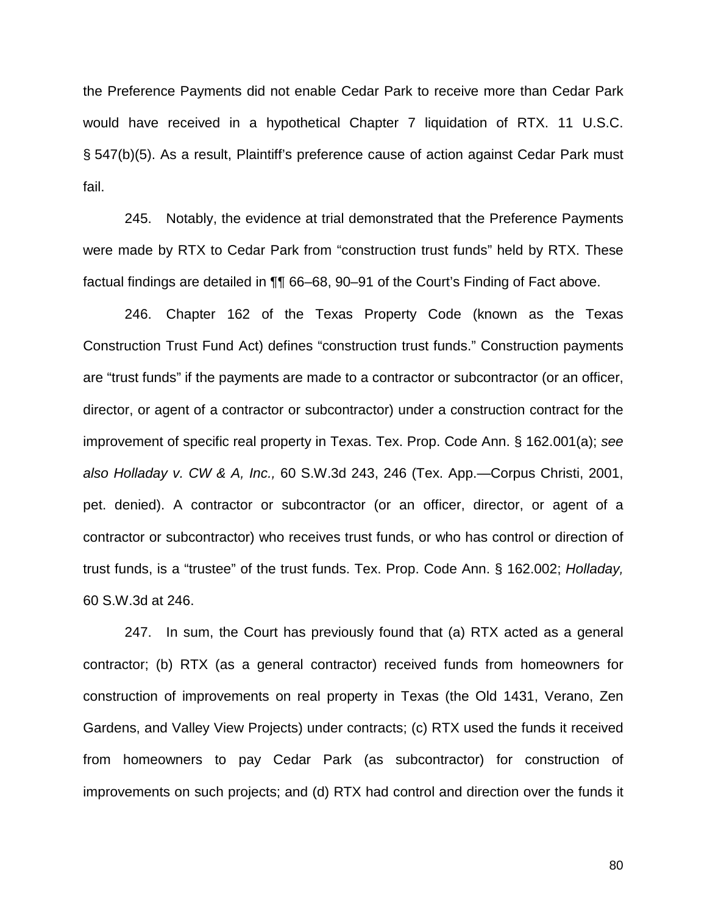the Preference Payments did not enable Cedar Park to receive more than Cedar Park would have received in a hypothetical Chapter 7 liquidation of RTX. 11 U.S.C. § 547(b)(5). As a result, Plaintiff's preference cause of action against Cedar Park must fail.

245. Notably, the evidence at trial demonstrated that the Preference Payments were made by RTX to Cedar Park from "construction trust funds" held by RTX. These factual findings are detailed in ¶¶ 66–68, 90–91 of the Court's Finding of Fact above.

246. Chapter 162 of the Texas Property Code (known as the Texas Construction Trust Fund Act) defines "construction trust funds." Construction payments are "trust funds" if the payments are made to a contractor or subcontractor (or an officer, director, or agent of a contractor or subcontractor) under a construction contract for the improvement of specific real property in Texas. Tex. Prop. Code Ann. § 162.001(a); *see also Holladay v. CW & A, Inc.,* 60 S.W.3d 243, 246 (Tex. App.—Corpus Christi, 2001, pet. denied). A contractor or subcontractor (or an officer, director, or agent of a contractor or subcontractor) who receives trust funds, or who has control or direction of trust funds, is a "trustee" of the trust funds. Tex. Prop. Code Ann. § 162.002; *Holladay,*  60 S.W.3d at 246.

247. In sum, the Court has previously found that (a) RTX acted as a general contractor; (b) RTX (as a general contractor) received funds from homeowners for construction of improvements on real property in Texas (the Old 1431, Verano, Zen Gardens, and Valley View Projects) under contracts; (c) RTX used the funds it received from homeowners to pay Cedar Park (as subcontractor) for construction of improvements on such projects; and (d) RTX had control and direction over the funds it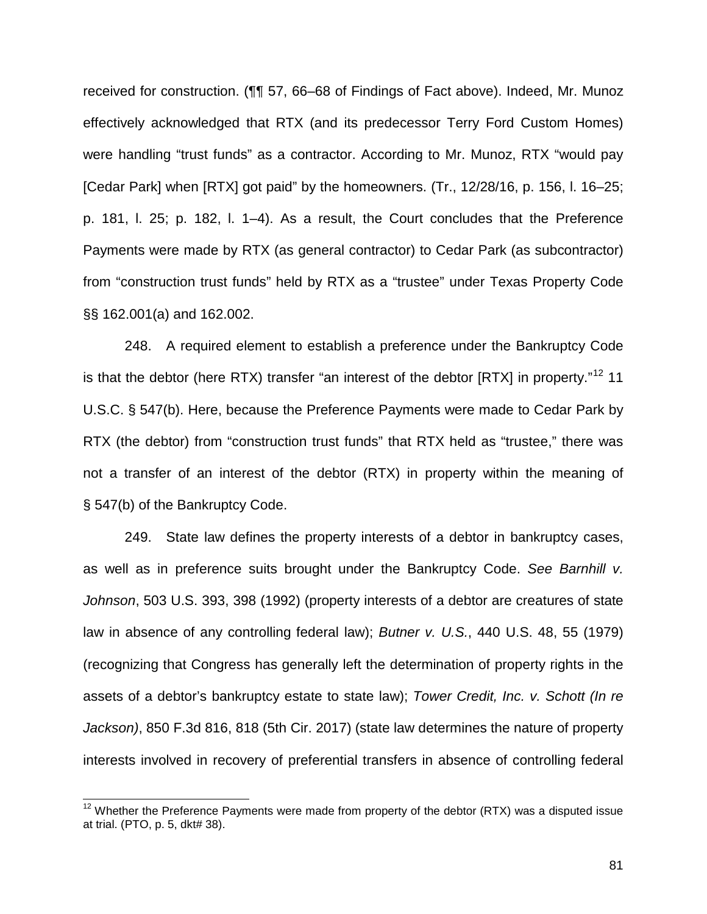received for construction. (¶¶ 57, 66–68 of Findings of Fact above). Indeed, Mr. Munoz effectively acknowledged that RTX (and its predecessor Terry Ford Custom Homes) were handling "trust funds" as a contractor. According to Mr. Munoz, RTX "would pay [Cedar Park] when [RTX] got paid" by the homeowners. (Tr., 12/28/16, p. 156, l. 16–25; p. 181, l. 25; p. 182, l. 1–4). As a result, the Court concludes that the Preference Payments were made by RTX (as general contractor) to Cedar Park (as subcontractor) from "construction trust funds" held by RTX as a "trustee" under Texas Property Code §§ 162.001(a) and 162.002.

248. A required element to establish a preference under the Bankruptcy Code is that the debtor (here RTX) transfer "an interest of the debtor [RTX] in property."<sup>12</sup> 11 U.S.C. § 547(b). Here, because the Preference Payments were made to Cedar Park by RTX (the debtor) from "construction trust funds" that RTX held as "trustee," there was not a transfer of an interest of the debtor (RTX) in property within the meaning of § 547(b) of the Bankruptcy Code.

249. State law defines the property interests of a debtor in bankruptcy cases, as well as in preference suits brought under the Bankruptcy Code. *See Barnhill v. Johnson*, 503 U.S. 393, 398 (1992) (property interests of a debtor are creatures of state law in absence of any controlling federal law); *Butner v. U.S.*, 440 U.S. 48, 55 (1979) (recognizing that Congress has generally left the determination of property rights in the assets of a debtor's bankruptcy estate to state law); *Tower Credit, Inc. v. Schott (In re Jackson)*, 850 F.3d 816, 818 (5th Cir. 2017) (state law determines the nature of property interests involved in recovery of preferential transfers in absence of controlling federal

 $\overline{\phantom{a}}$ 

 $12$  Whether the Preference Payments were made from property of the debtor (RTX) was a disputed issue at trial. (PTO, p. 5, dkt# 38).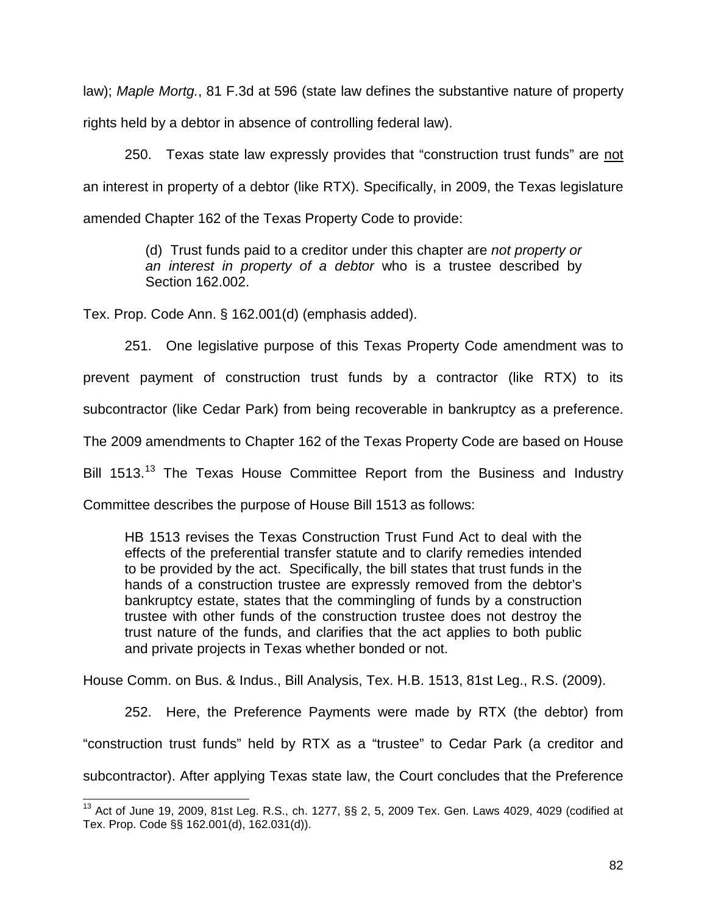law); *Maple Mortg.*, 81 F.3d at 596 (state law defines the substantive nature of property rights held by a debtor in absence of controlling federal law).

250. Texas state law expressly provides that "construction trust funds" are not an interest in property of a debtor (like RTX). Specifically, in 2009, the Texas legislature amended Chapter 162 of the Texas Property Code to provide:

> (d) Trust funds paid to a creditor under this chapter are *not property or an interest in property of a debtor* who is a trustee described by Section 162.002.

Tex. Prop. Code Ann. § 162.001(d) (emphasis added).

 $\overline{\phantom{a}}$ 

251. One legislative purpose of this Texas Property Code amendment was to prevent payment of construction trust funds by a contractor (like RTX) to its subcontractor (like Cedar Park) from being recoverable in bankruptcy as a preference. The 2009 amendments to Chapter 162 of the Texas Property Code are based on House Bill 1513.<sup>13</sup> The Texas House Committee Report from the Business and Industry Committee describes the purpose of House Bill 1513 as follows:

HB 1513 revises the Texas Construction Trust Fund Act to deal with the effects of the preferential transfer statute and to clarify remedies intended to be provided by the act. Specifically, the bill states that trust funds in the hands of a construction trustee are expressly removed from the debtor's bankruptcy estate, states that the commingling of funds by a construction trustee with other funds of the construction trustee does not destroy the trust nature of the funds, and clarifies that the act applies to both public and private projects in Texas whether bonded or not.

House Comm. on Bus. & Indus., Bill Analysis, Tex. H.B. 1513, 81st Leg., R.S. (2009).

252. Here, the Preference Payments were made by RTX (the debtor) from "construction trust funds" held by RTX as a "trustee" to Cedar Park (a creditor and subcontractor). After applying Texas state law, the Court concludes that the Preference

 $^{13}$  Act of June 19, 2009, 81st Leg. R.S., ch. 1277,  $\S$ § 2, 5, 2009 Tex. Gen. Laws 4029, 4029 (codified at Tex. Prop. Code §§ 162.001(d), 162.031(d)).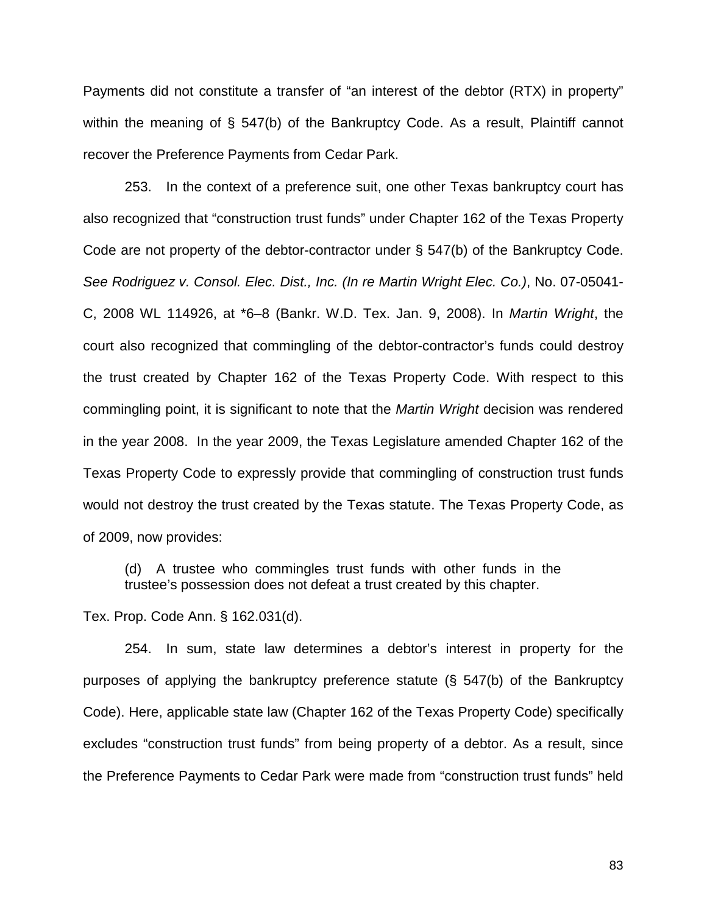Payments did not constitute a transfer of "an interest of the debtor (RTX) in property" within the meaning of § 547(b) of the Bankruptcy Code. As a result, Plaintiff cannot recover the Preference Payments from Cedar Park.

253. In the context of a preference suit, one other Texas bankruptcy court has also recognized that "construction trust funds" under Chapter 162 of the Texas Property Code are not property of the debtor-contractor under § 547(b) of the Bankruptcy Code. *See Rodriguez v. Consol. Elec. Dist., Inc. (In re Martin Wright Elec. Co.)*, No. 07-05041- C, 2008 WL 114926, at \*6–8 (Bankr. W.D. Tex. Jan. 9, 2008). In *Martin Wright*, the court also recognized that commingling of the debtor-contractor's funds could destroy the trust created by Chapter 162 of the Texas Property Code. With respect to this commingling point, it is significant to note that the *Martin Wright* decision was rendered in the year 2008. In the year 2009, the Texas Legislature amended Chapter 162 of the Texas Property Code to expressly provide that commingling of construction trust funds would not destroy the trust created by the Texas statute. The Texas Property Code, as of 2009, now provides:

(d) A trustee who commingles trust funds with other funds in the trustee's possession does not defeat a trust created by this chapter.

Tex. Prop. Code Ann. § 162.031(d).

254. In sum, state law determines a debtor's interest in property for the purposes of applying the bankruptcy preference statute (§ 547(b) of the Bankruptcy Code). Here, applicable state law (Chapter 162 of the Texas Property Code) specifically excludes "construction trust funds" from being property of a debtor. As a result, since the Preference Payments to Cedar Park were made from "construction trust funds" held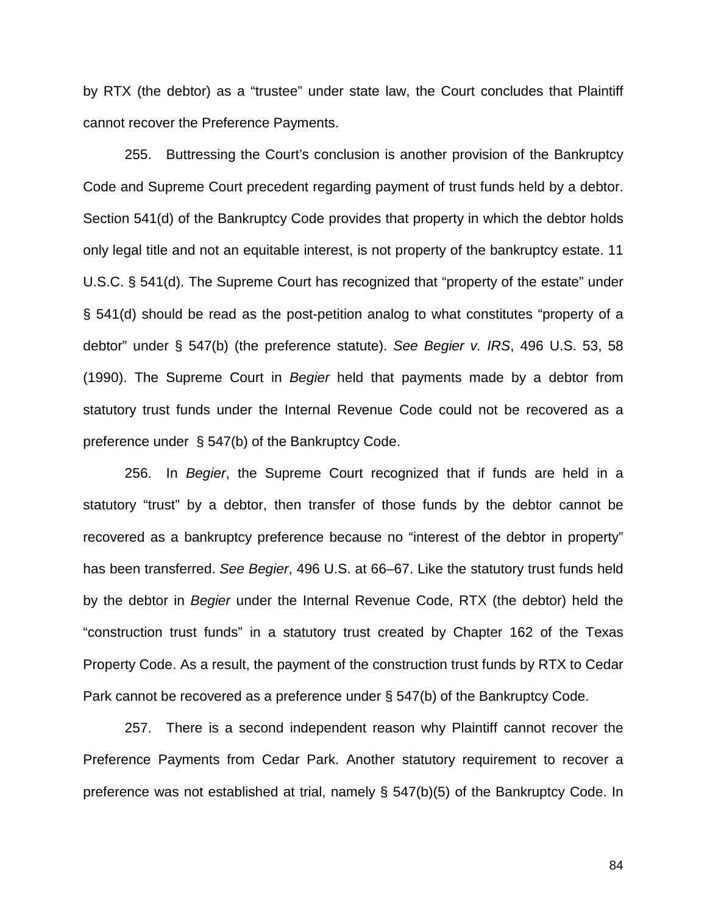by RTX (the debtor) as a "trustee" under state law, the Court concludes that Plaintiff cannot recover the Preference Payments.

255. Buttressing the Court's conclusion is another provision of the Bankruptcy Code and Supreme Court precedent regarding payment of trust funds held by a debtor. Section 541(d) of the Bankruptcy Code provides that property in which the debtor holds only legal title and not an equitable interest, is not property of the bankruptcy estate. 11 U.S.C. § 541(d). The Supreme Court has recognized that "property of the estate" under § 541(d) should be read as the post-petition analog to what constitutes "property of a debtor" under § 547(b) (the preference statute). *See Begier v. IRS*, 496 U.S. 53, 58 (1990). The Supreme Court in *Begier* held that payments made by a debtor from statutory trust funds under the Internal Revenue Code could not be recovered as a preference under § 547(b) of the Bankruptcy Code.

256. In *Begier*, the Supreme Court recognized that if funds are held in a statutory "trust" by a debtor, then transfer of those funds by the debtor cannot be recovered as a bankruptcy preference because no "interest of the debtor in property" has been transferred. *See Begier*, 496 U.S. at 66–67. Like the statutory trust funds held by the debtor in *Begier* under the Internal Revenue Code, RTX (the debtor) held the "construction trust funds" in a statutory trust created by Chapter 162 of the Texas Property Code. As a result, the payment of the construction trust funds by RTX to Cedar Park cannot be recovered as a preference under § 547(b) of the Bankruptcy Code.

257. There is a second independent reason why Plaintiff cannot recover the Preference Payments from Cedar Park. Another statutory requirement to recover a preference was not established at trial, namely § 547(b)(5) of the Bankruptcy Code. In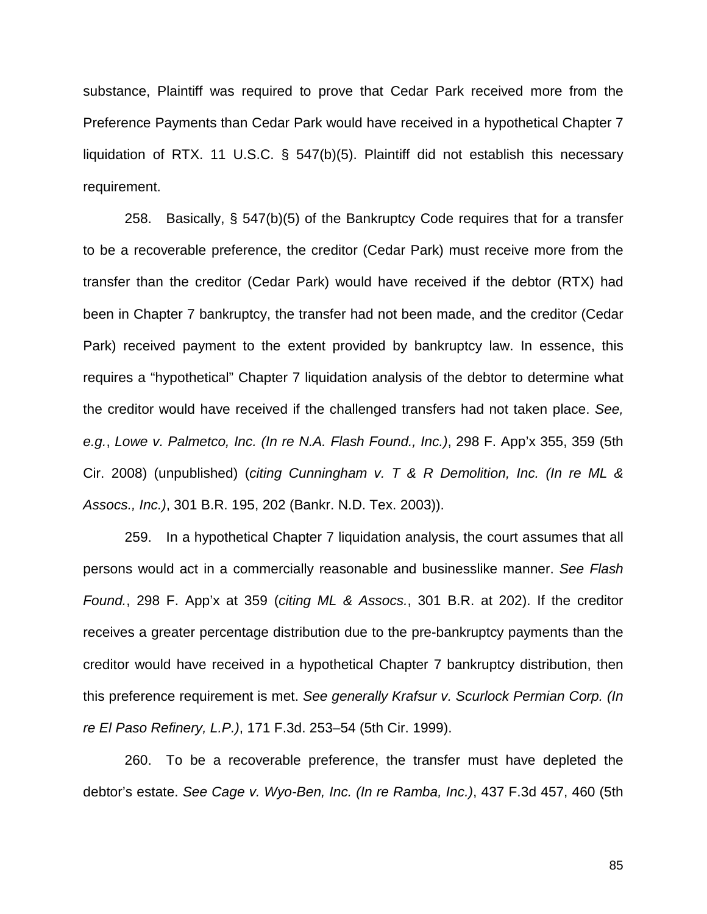substance, Plaintiff was required to prove that Cedar Park received more from the Preference Payments than Cedar Park would have received in a hypothetical Chapter 7 liquidation of RTX. 11 U.S.C. § 547(b)(5). Plaintiff did not establish this necessary requirement.

258. Basically, § 547(b)(5) of the Bankruptcy Code requires that for a transfer to be a recoverable preference, the creditor (Cedar Park) must receive more from the transfer than the creditor (Cedar Park) would have received if the debtor (RTX) had been in Chapter 7 bankruptcy, the transfer had not been made, and the creditor (Cedar Park) received payment to the extent provided by bankruptcy law. In essence, this requires a "hypothetical" Chapter 7 liquidation analysis of the debtor to determine what the creditor would have received if the challenged transfers had not taken place. *See, e.g.*, *Lowe v. Palmetco, Inc. (In re N.A. Flash Found., Inc.)*, 298 F. App'x 355, 359 (5th Cir. 2008) (unpublished) (*citing Cunningham v. T & R Demolition, Inc. (In re ML & Assocs., Inc.)*, 301 B.R. 195, 202 (Bankr. N.D. Tex. 2003)).

259. In a hypothetical Chapter 7 liquidation analysis, the court assumes that all persons would act in a commercially reasonable and businesslike manner. *See Flash Found.*, 298 F. App'x at 359 (*citing ML & Assocs.*, 301 B.R. at 202). If the creditor receives a greater percentage distribution due to the pre-bankruptcy payments than the creditor would have received in a hypothetical Chapter 7 bankruptcy distribution, then this preference requirement is met. *See generally Krafsur v. Scurlock Permian Corp. (In re El Paso Refinery, L.P.)*, 171 F.3d. 253–54 (5th Cir. 1999).

260. To be a recoverable preference, the transfer must have depleted the debtor's estate. *See Cage v. Wyo-Ben, Inc. (In re Ramba, Inc.)*, 437 F.3d 457, 460 (5th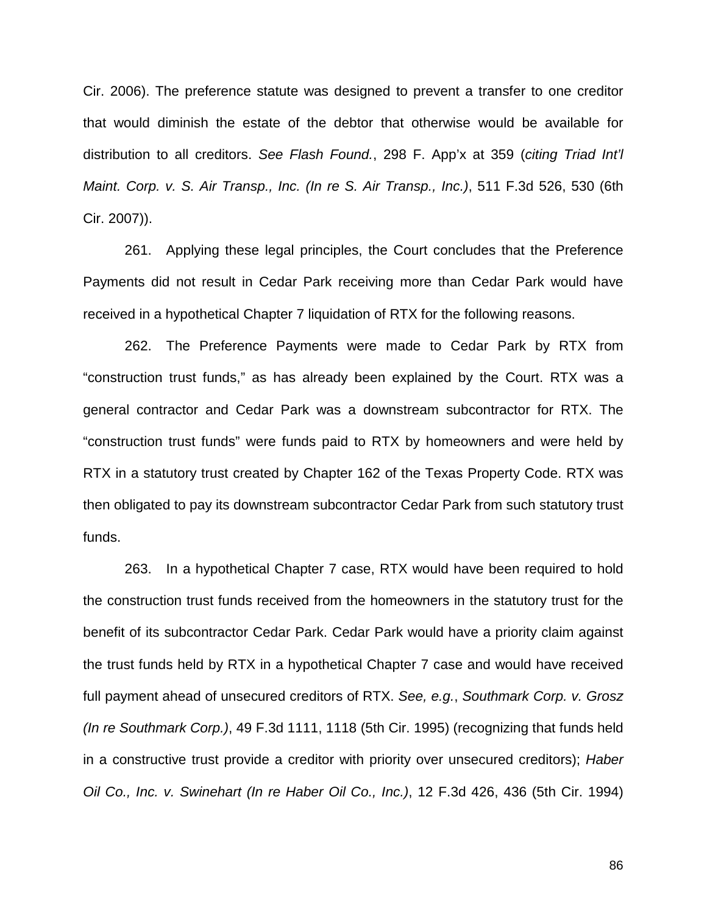Cir. 2006). The preference statute was designed to prevent a transfer to one creditor that would diminish the estate of the debtor that otherwise would be available for distribution to all creditors. *See Flash Found.*, 298 F. App'x at 359 (*citing Triad Int'l Maint. Corp. v. S. Air Transp., Inc. (In re S. Air Transp., Inc.)*, 511 F.3d 526, 530 (6th Cir. 2007)).

261. Applying these legal principles, the Court concludes that the Preference Payments did not result in Cedar Park receiving more than Cedar Park would have received in a hypothetical Chapter 7 liquidation of RTX for the following reasons.

262. The Preference Payments were made to Cedar Park by RTX from "construction trust funds," as has already been explained by the Court. RTX was a general contractor and Cedar Park was a downstream subcontractor for RTX. The "construction trust funds" were funds paid to RTX by homeowners and were held by RTX in a statutory trust created by Chapter 162 of the Texas Property Code. RTX was then obligated to pay its downstream subcontractor Cedar Park from such statutory trust funds.

263. In a hypothetical Chapter 7 case, RTX would have been required to hold the construction trust funds received from the homeowners in the statutory trust for the benefit of its subcontractor Cedar Park. Cedar Park would have a priority claim against the trust funds held by RTX in a hypothetical Chapter 7 case and would have received full payment ahead of unsecured creditors of RTX. *See, e.g.*, *Southmark Corp. v. Grosz (In re Southmark Corp.)*, 49 F.3d 1111, 1118 (5th Cir. 1995) (recognizing that funds held in a constructive trust provide a creditor with priority over unsecured creditors); *Haber Oil Co., Inc. v. Swinehart (In re Haber Oil Co., Inc.)*, 12 F.3d 426, 436 (5th Cir. 1994)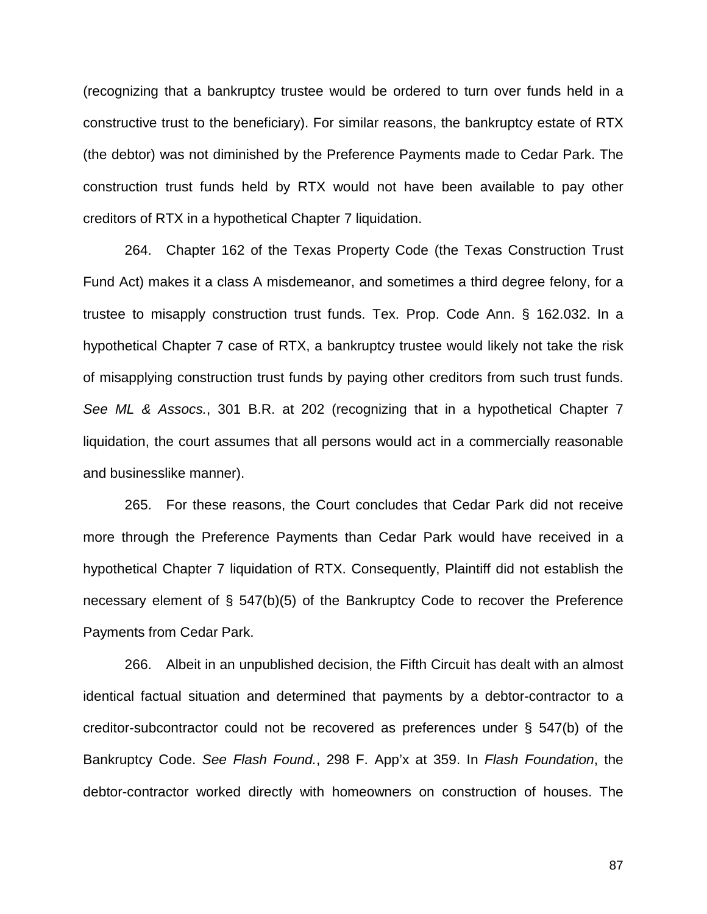(recognizing that a bankruptcy trustee would be ordered to turn over funds held in a constructive trust to the beneficiary). For similar reasons, the bankruptcy estate of RTX (the debtor) was not diminished by the Preference Payments made to Cedar Park. The construction trust funds held by RTX would not have been available to pay other creditors of RTX in a hypothetical Chapter 7 liquidation.

264. Chapter 162 of the Texas Property Code (the Texas Construction Trust Fund Act) makes it a class A misdemeanor, and sometimes a third degree felony, for a trustee to misapply construction trust funds. Tex. Prop. Code Ann. § 162.032. In a hypothetical Chapter 7 case of RTX, a bankruptcy trustee would likely not take the risk of misapplying construction trust funds by paying other creditors from such trust funds. *See ML & Assocs.*, 301 B.R. at 202 (recognizing that in a hypothetical Chapter 7 liquidation, the court assumes that all persons would act in a commercially reasonable and businesslike manner).

265. For these reasons, the Court concludes that Cedar Park did not receive more through the Preference Payments than Cedar Park would have received in a hypothetical Chapter 7 liquidation of RTX. Consequently, Plaintiff did not establish the necessary element of § 547(b)(5) of the Bankruptcy Code to recover the Preference Payments from Cedar Park.

266. Albeit in an unpublished decision, the Fifth Circuit has dealt with an almost identical factual situation and determined that payments by a debtor-contractor to a creditor-subcontractor could not be recovered as preferences under § 547(b) of the Bankruptcy Code. *See Flash Found.*, 298 F. App'x at 359. In *Flash Foundation*, the debtor-contractor worked directly with homeowners on construction of houses. The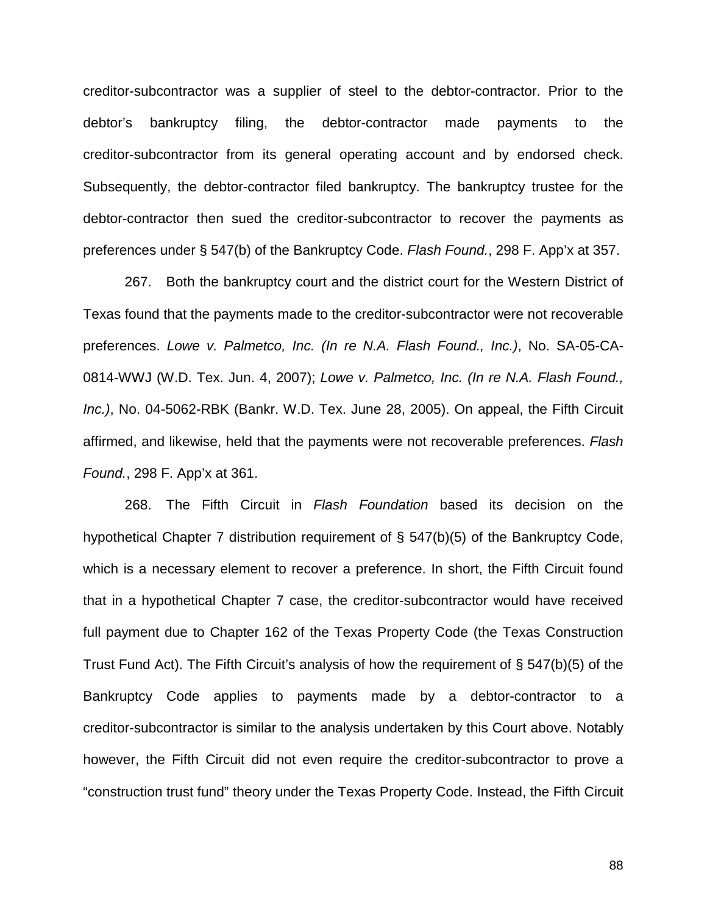creditor-subcontractor was a supplier of steel to the debtor-contractor. Prior to the debtor's bankruptcy filing, the debtor-contractor made payments to the creditor-subcontractor from its general operating account and by endorsed check. Subsequently, the debtor-contractor filed bankruptcy. The bankruptcy trustee for the debtor-contractor then sued the creditor-subcontractor to recover the payments as preferences under § 547(b) of the Bankruptcy Code. *Flash Found.*, 298 F. App'x at 357.

267. Both the bankruptcy court and the district court for the Western District of Texas found that the payments made to the creditor-subcontractor were not recoverable preferences. *Lowe v. Palmetco, Inc. (In re N.A. Flash Found., Inc.)*, No. SA-05-CA-0814-WWJ (W.D. Tex. Jun. 4, 2007); *Lowe v. Palmetco, Inc. (In re N.A. Flash Found., Inc.)*, No. 04-5062-RBK (Bankr. W.D. Tex. June 28, 2005). On appeal, the Fifth Circuit affirmed, and likewise, held that the payments were not recoverable preferences. *Flash Found.*, 298 F. App'x at 361.

268. The Fifth Circuit in *Flash Foundation* based its decision on the hypothetical Chapter 7 distribution requirement of § 547(b)(5) of the Bankruptcy Code, which is a necessary element to recover a preference. In short, the Fifth Circuit found that in a hypothetical Chapter 7 case, the creditor-subcontractor would have received full payment due to Chapter 162 of the Texas Property Code (the Texas Construction Trust Fund Act). The Fifth Circuit's analysis of how the requirement of § 547(b)(5) of the Bankruptcy Code applies to payments made by a debtor-contractor to a creditor-subcontractor is similar to the analysis undertaken by this Court above. Notably however, the Fifth Circuit did not even require the creditor-subcontractor to prove a "construction trust fund" theory under the Texas Property Code. Instead, the Fifth Circuit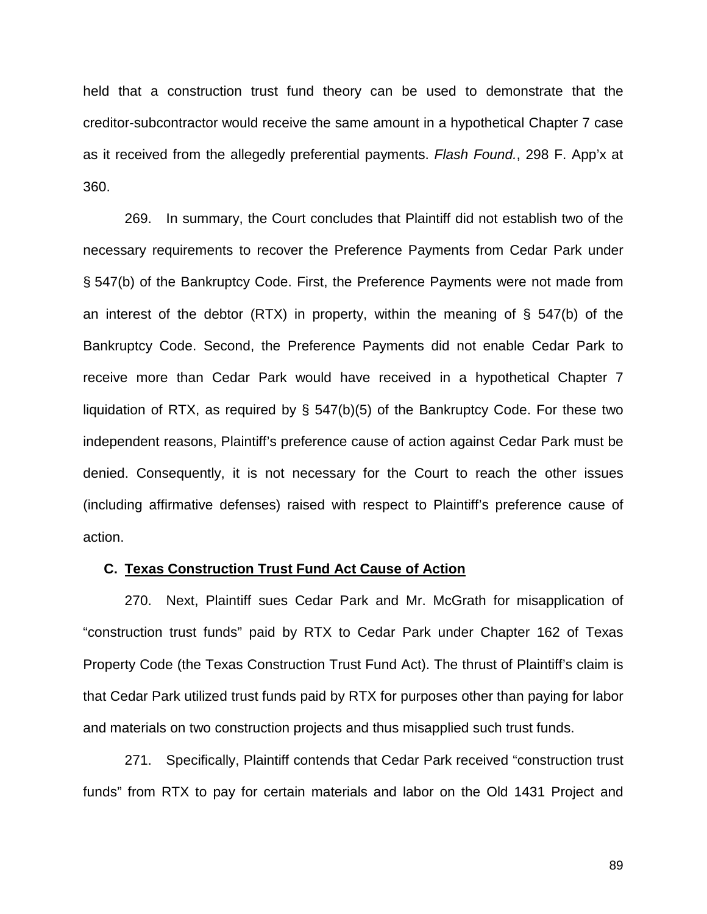held that a construction trust fund theory can be used to demonstrate that the creditor-subcontractor would receive the same amount in a hypothetical Chapter 7 case as it received from the allegedly preferential payments. *Flash Found.*, 298 F. App'x at 360.

269. In summary, the Court concludes that Plaintiff did not establish two of the necessary requirements to recover the Preference Payments from Cedar Park under § 547(b) of the Bankruptcy Code. First, the Preference Payments were not made from an interest of the debtor (RTX) in property, within the meaning of § 547(b) of the Bankruptcy Code. Second, the Preference Payments did not enable Cedar Park to receive more than Cedar Park would have received in a hypothetical Chapter 7 liquidation of RTX, as required by § 547(b)(5) of the Bankruptcy Code. For these two independent reasons, Plaintiff's preference cause of action against Cedar Park must be denied. Consequently, it is not necessary for the Court to reach the other issues (including affirmative defenses) raised with respect to Plaintiff's preference cause of action.

# **C. Texas Construction Trust Fund Act Cause of Action**

270. Next, Plaintiff sues Cedar Park and Mr. McGrath for misapplication of "construction trust funds" paid by RTX to Cedar Park under Chapter 162 of Texas Property Code (the Texas Construction Trust Fund Act). The thrust of Plaintiff's claim is that Cedar Park utilized trust funds paid by RTX for purposes other than paying for labor and materials on two construction projects and thus misapplied such trust funds.

271. Specifically, Plaintiff contends that Cedar Park received "construction trust funds" from RTX to pay for certain materials and labor on the Old 1431 Project and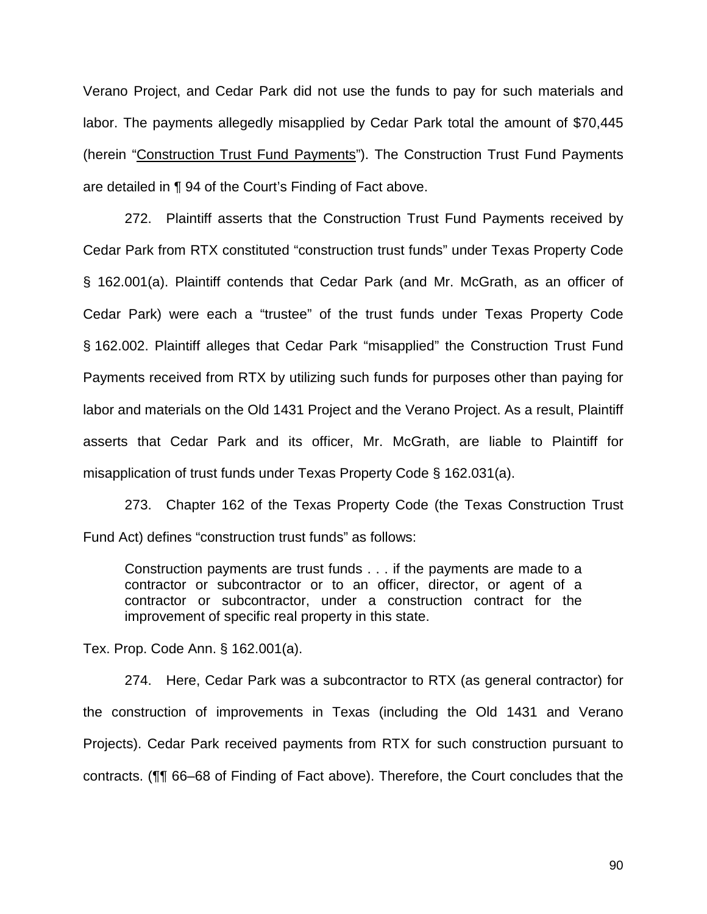Verano Project, and Cedar Park did not use the funds to pay for such materials and labor. The payments allegedly misapplied by Cedar Park total the amount of \$70,445 (herein "Construction Trust Fund Payments"). The Construction Trust Fund Payments are detailed in ¶ 94 of the Court's Finding of Fact above.

272. Plaintiff asserts that the Construction Trust Fund Payments received by Cedar Park from RTX constituted "construction trust funds" under Texas Property Code § 162.001(a). Plaintiff contends that Cedar Park (and Mr. McGrath, as an officer of Cedar Park) were each a "trustee" of the trust funds under Texas Property Code § 162.002. Plaintiff alleges that Cedar Park "misapplied" the Construction Trust Fund Payments received from RTX by utilizing such funds for purposes other than paying for labor and materials on the Old 1431 Project and the Verano Project. As a result, Plaintiff asserts that Cedar Park and its officer, Mr. McGrath, are liable to Plaintiff for misapplication of trust funds under Texas Property Code § 162.031(a).

273. Chapter 162 of the Texas Property Code (the Texas Construction Trust Fund Act) defines "construction trust funds" as follows:

Construction payments are trust funds . . . if the payments are made to a contractor or subcontractor or to an officer, director, or agent of a contractor or subcontractor, under a construction contract for the improvement of specific real property in this state.

Tex. Prop. Code Ann. § 162.001(a).

274. Here, Cedar Park was a subcontractor to RTX (as general contractor) for the construction of improvements in Texas (including the Old 1431 and Verano Projects). Cedar Park received payments from RTX for such construction pursuant to contracts. (¶¶ 66–68 of Finding of Fact above). Therefore, the Court concludes that the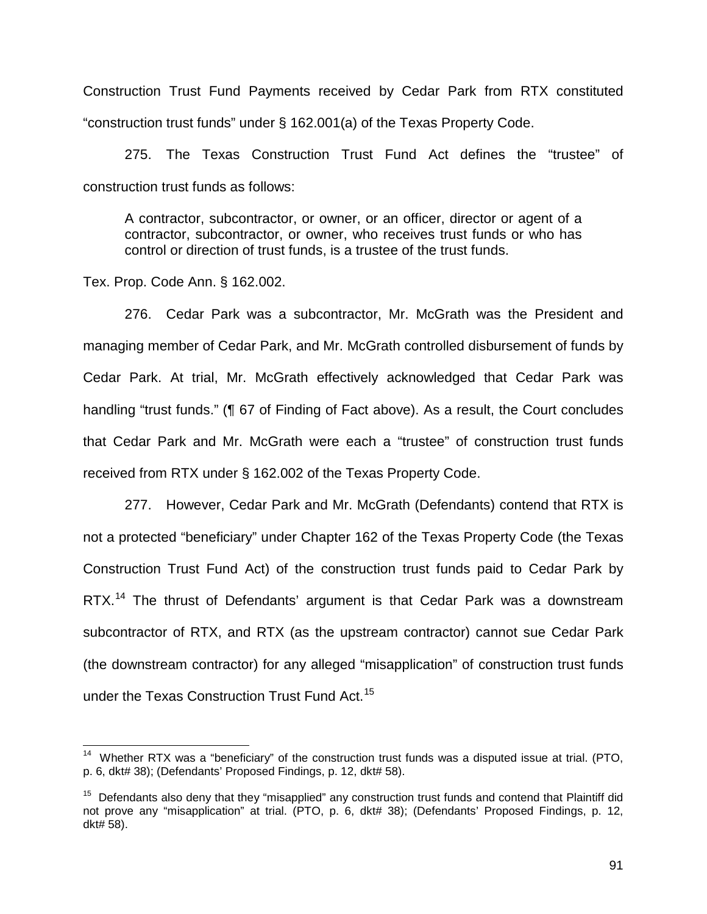Construction Trust Fund Payments received by Cedar Park from RTX constituted "construction trust funds" under § 162.001(a) of the Texas Property Code.

275. The Texas Construction Trust Fund Act defines the "trustee" of construction trust funds as follows:

A contractor, subcontractor, or owner, or an officer, director or agent of a contractor, subcontractor, or owner, who receives trust funds or who has control or direction of trust funds, is a trustee of the trust funds.

Tex. Prop. Code Ann. § 162.002.

 $\overline{\phantom{a}}$ 

276. Cedar Park was a subcontractor, Mr. McGrath was the President and managing member of Cedar Park, and Mr. McGrath controlled disbursement of funds by Cedar Park. At trial, Mr. McGrath effectively acknowledged that Cedar Park was handling "trust funds." (¶ 67 of Finding of Fact above). As a result, the Court concludes that Cedar Park and Mr. McGrath were each a "trustee" of construction trust funds received from RTX under § 162.002 of the Texas Property Code.

277. However, Cedar Park and Mr. McGrath (Defendants) contend that RTX is not a protected "beneficiary" under Chapter 162 of the Texas Property Code (the Texas Construction Trust Fund Act) of the construction trust funds paid to Cedar Park by RTX.<sup>14</sup> The thrust of Defendants' argument is that Cedar Park was a downstream subcontractor of RTX, and RTX (as the upstream contractor) cannot sue Cedar Park (the downstream contractor) for any alleged "misapplication" of construction trust funds under the Texas Construction Trust Fund Act.<sup>15</sup>

 $14$  Whether RTX was a "beneficiary" of the construction trust funds was a disputed issue at trial. (PTO, p. 6, dkt# 38); (Defendants' Proposed Findings, p. 12, dkt# 58).

<sup>&</sup>lt;sup>15</sup> Defendants also deny that they "misapplied" any construction trust funds and contend that Plaintiff did not prove any "misapplication" at trial. (PTO, p. 6, dkt# 38); (Defendants' Proposed Findings, p. 12, dkt# 58).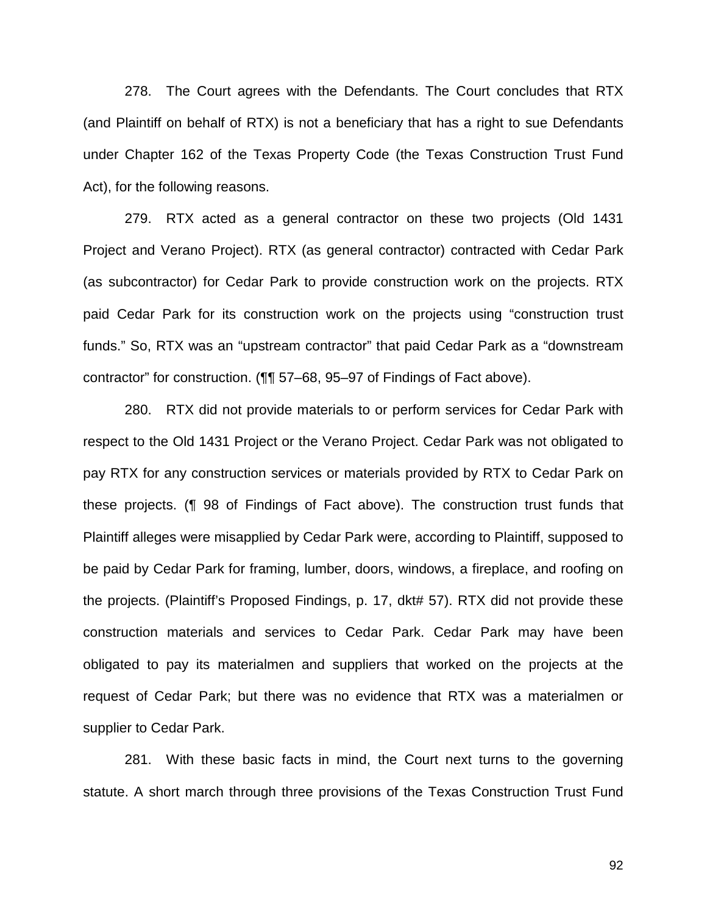278. The Court agrees with the Defendants. The Court concludes that RTX (and Plaintiff on behalf of RTX) is not a beneficiary that has a right to sue Defendants under Chapter 162 of the Texas Property Code (the Texas Construction Trust Fund Act), for the following reasons.

279. RTX acted as a general contractor on these two projects (Old 1431 Project and Verano Project). RTX (as general contractor) contracted with Cedar Park (as subcontractor) for Cedar Park to provide construction work on the projects. RTX paid Cedar Park for its construction work on the projects using "construction trust funds." So, RTX was an "upstream contractor" that paid Cedar Park as a "downstream contractor" for construction. (¶¶ 57–68, 95–97 of Findings of Fact above).

280. RTX did not provide materials to or perform services for Cedar Park with respect to the Old 1431 Project or the Verano Project. Cedar Park was not obligated to pay RTX for any construction services or materials provided by RTX to Cedar Park on these projects. (¶ 98 of Findings of Fact above). The construction trust funds that Plaintiff alleges were misapplied by Cedar Park were, according to Plaintiff, supposed to be paid by Cedar Park for framing, lumber, doors, windows, a fireplace, and roofing on the projects. (Plaintiff's Proposed Findings, p. 17, dkt# 57). RTX did not provide these construction materials and services to Cedar Park. Cedar Park may have been obligated to pay its materialmen and suppliers that worked on the projects at the request of Cedar Park; but there was no evidence that RTX was a materialmen or supplier to Cedar Park.

281. With these basic facts in mind, the Court next turns to the governing statute. A short march through three provisions of the Texas Construction Trust Fund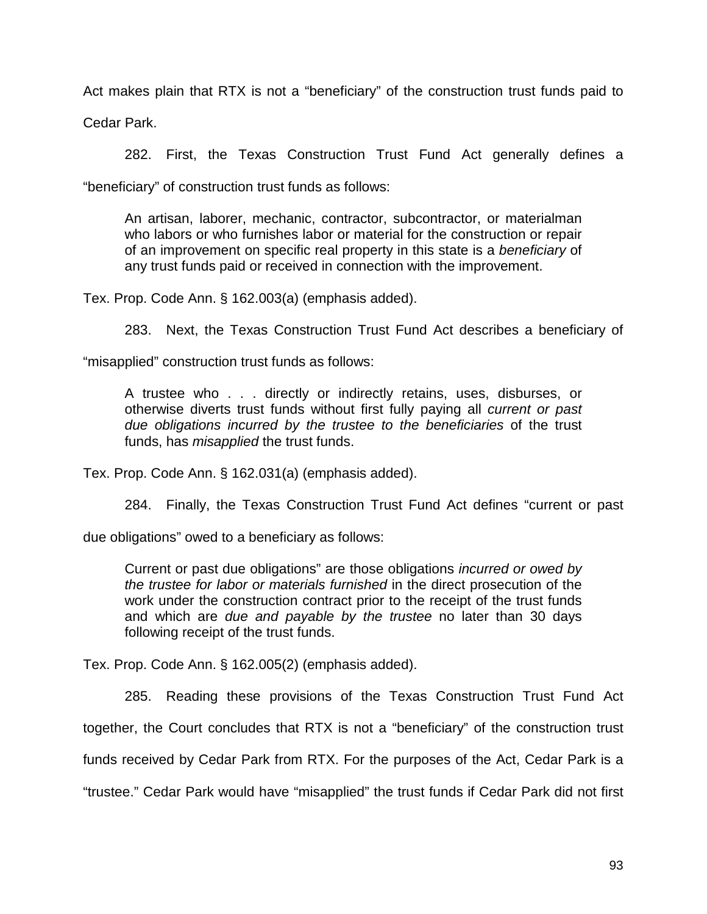Act makes plain that RTX is not a "beneficiary" of the construction trust funds paid to

Cedar Park.

282. First, the Texas Construction Trust Fund Act generally defines a

"beneficiary" of construction trust funds as follows:

An artisan, laborer, mechanic, contractor, subcontractor, or materialman who labors or who furnishes labor or material for the construction or repair of an improvement on specific real property in this state is a *beneficiary* of any trust funds paid or received in connection with the improvement.

Tex. Prop. Code Ann. § 162.003(a) (emphasis added).

283. Next, the Texas Construction Trust Fund Act describes a beneficiary of

"misapplied" construction trust funds as follows:

A trustee who . . . directly or indirectly retains, uses, disburses, or otherwise diverts trust funds without first fully paying all *current or past due obligations incurred by the trustee to the beneficiaries* of the trust funds, has *misapplied* the trust funds.

Tex. Prop. Code Ann. § 162.031(a) (emphasis added).

284. Finally, the Texas Construction Trust Fund Act defines "current or past

due obligations" owed to a beneficiary as follows:

Current or past due obligations" are those obligations *incurred or owed by the trustee for labor or materials furnished* in the direct prosecution of the work under the construction contract prior to the receipt of the trust funds and which are *due and payable by the trustee* no later than 30 days following receipt of the trust funds.

Tex. Prop. Code Ann. § 162.005(2) (emphasis added).

285. Reading these provisions of the Texas Construction Trust Fund Act together, the Court concludes that RTX is not a "beneficiary" of the construction trust funds received by Cedar Park from RTX. For the purposes of the Act, Cedar Park is a "trustee." Cedar Park would have "misapplied" the trust funds if Cedar Park did not first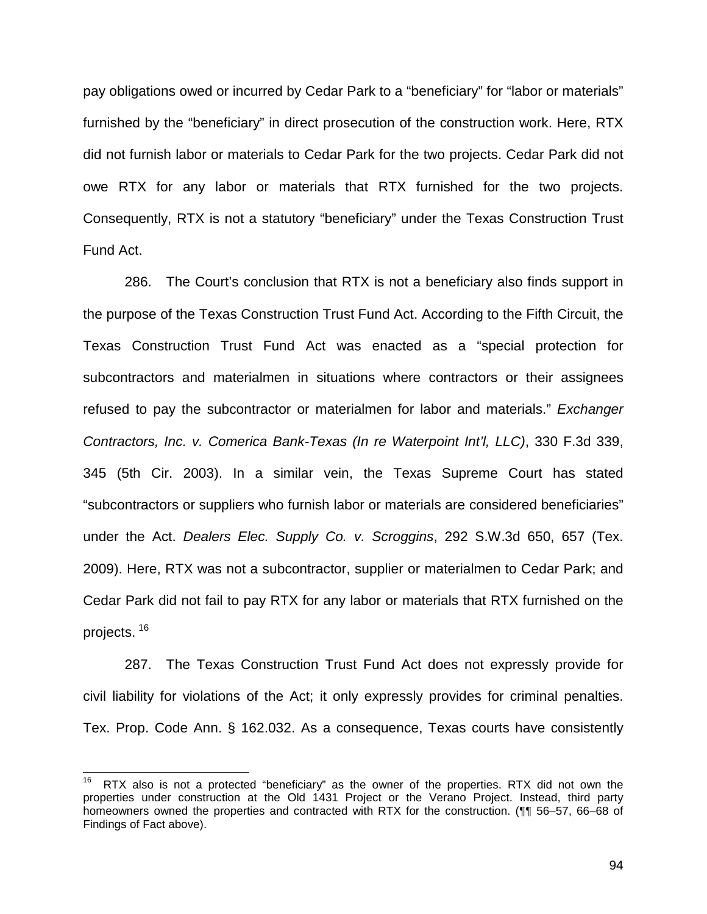pay obligations owed or incurred by Cedar Park to a "beneficiary" for "labor or materials" furnished by the "beneficiary" in direct prosecution of the construction work. Here, RTX did not furnish labor or materials to Cedar Park for the two projects. Cedar Park did not owe RTX for any labor or materials that RTX furnished for the two projects. Consequently, RTX is not a statutory "beneficiary" under the Texas Construction Trust Fund Act.

286. The Court's conclusion that RTX is not a beneficiary also finds support in the purpose of the Texas Construction Trust Fund Act. According to the Fifth Circuit, the Texas Construction Trust Fund Act was enacted as a "special protection for subcontractors and materialmen in situations where contractors or their assignees refused to pay the subcontractor or materialmen for labor and materials." *Exchanger Contractors, Inc. v. Comerica Bank-Texas (In re Waterpoint Int'l, LLC)*, 330 F.3d 339, 345 (5th Cir. 2003). In a similar vein, the Texas Supreme Court has stated "subcontractors or suppliers who furnish labor or materials are considered beneficiaries" under the Act. *Dealers Elec. Supply Co. v. Scroggins*, 292 S.W.3d 650, 657 (Tex. 2009). Here, RTX was not a subcontractor, supplier or materialmen to Cedar Park; and Cedar Park did not fail to pay RTX for any labor or materials that RTX furnished on the projects. <sup>16</sup>

287. The Texas Construction Trust Fund Act does not expressly provide for civil liability for violations of the Act; it only expressly provides for criminal penalties. Tex. Prop. Code Ann. § 162.032. As a consequence, Texas courts have consistently

 $16$ RTX also is not a protected "beneficiary" as the owner of the properties. RTX did not own the properties under construction at the Old 1431 Project or the Verano Project. Instead, third party homeowners owned the properties and contracted with RTX for the construction. (11 56–57, 66–68 of Findings of Fact above).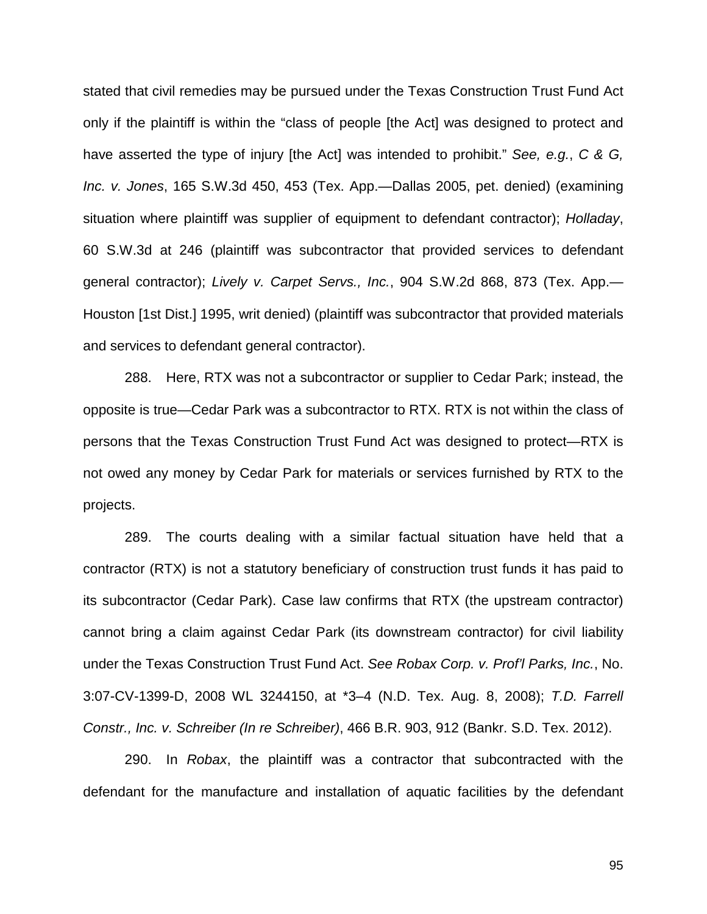stated that civil remedies may be pursued under the Texas Construction Trust Fund Act only if the plaintiff is within the "class of people [the Act] was designed to protect and have asserted the type of injury [the Act] was intended to prohibit." *See, e.g.*, *C & G, Inc. v. Jones*, 165 S.W.3d 450, 453 (Tex. App.—Dallas 2005, pet. denied) (examining situation where plaintiff was supplier of equipment to defendant contractor); *Holladay*, 60 S.W.3d at 246 (plaintiff was subcontractor that provided services to defendant general contractor); *Lively v. Carpet Servs., Inc.*, 904 S.W.2d 868, 873 (Tex. App.— Houston [1st Dist.] 1995, writ denied) (plaintiff was subcontractor that provided materials and services to defendant general contractor).

288. Here, RTX was not a subcontractor or supplier to Cedar Park; instead, the opposite is true—Cedar Park was a subcontractor to RTX. RTX is not within the class of persons that the Texas Construction Trust Fund Act was designed to protect—RTX is not owed any money by Cedar Park for materials or services furnished by RTX to the projects.

289. The courts dealing with a similar factual situation have held that a contractor (RTX) is not a statutory beneficiary of construction trust funds it has paid to its subcontractor (Cedar Park). Case law confirms that RTX (the upstream contractor) cannot bring a claim against Cedar Park (its downstream contractor) for civil liability under the Texas Construction Trust Fund Act. *See Robax Corp. v. Prof'l Parks, Inc.*, No. 3:07-CV-1399-D, 2008 WL 3244150, at \*3–4 (N.D. Tex. Aug. 8, 2008); *T.D. Farrell Constr., Inc. v. Schreiber (In re Schreiber)*, 466 B.R. 903, 912 (Bankr. S.D. Tex. 2012).

290. In *Robax*, the plaintiff was a contractor that subcontracted with the defendant for the manufacture and installation of aquatic facilities by the defendant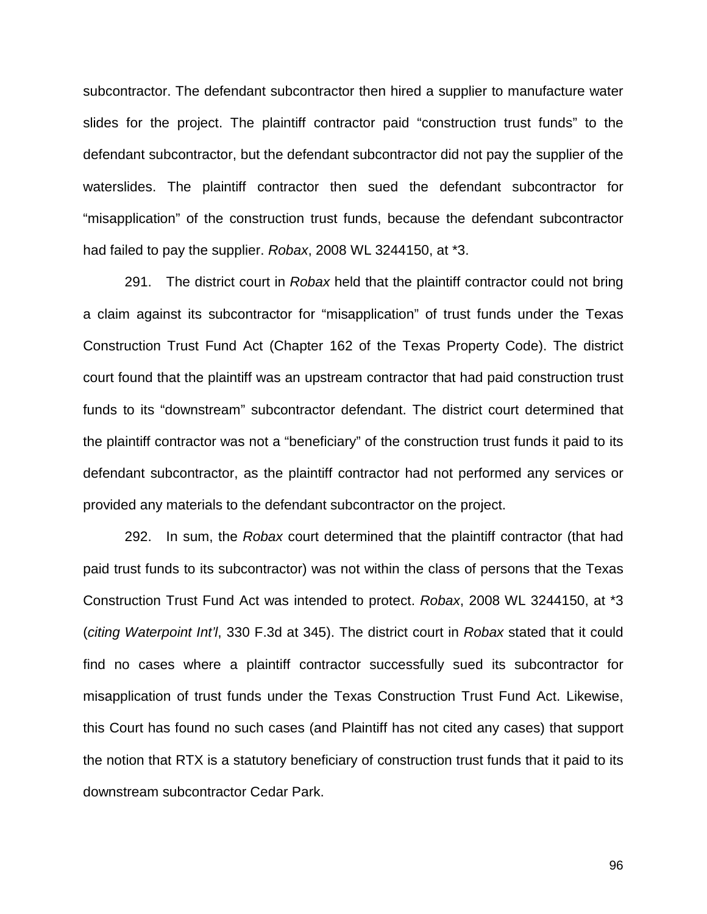subcontractor. The defendant subcontractor then hired a supplier to manufacture water slides for the project. The plaintiff contractor paid "construction trust funds" to the defendant subcontractor, but the defendant subcontractor did not pay the supplier of the waterslides. The plaintiff contractor then sued the defendant subcontractor for "misapplication" of the construction trust funds, because the defendant subcontractor had failed to pay the supplier. *Robax*, 2008 WL 3244150, at \*3.

291. The district court in *Robax* held that the plaintiff contractor could not bring a claim against its subcontractor for "misapplication" of trust funds under the Texas Construction Trust Fund Act (Chapter 162 of the Texas Property Code). The district court found that the plaintiff was an upstream contractor that had paid construction trust funds to its "downstream" subcontractor defendant. The district court determined that the plaintiff contractor was not a "beneficiary" of the construction trust funds it paid to its defendant subcontractor, as the plaintiff contractor had not performed any services or provided any materials to the defendant subcontractor on the project.

292. In sum, the *Robax* court determined that the plaintiff contractor (that had paid trust funds to its subcontractor) was not within the class of persons that the Texas Construction Trust Fund Act was intended to protect. *Robax*, 2008 WL 3244150, at \*3 (*citing Waterpoint Int'l*, 330 F.3d at 345). The district court in *Robax* stated that it could find no cases where a plaintiff contractor successfully sued its subcontractor for misapplication of trust funds under the Texas Construction Trust Fund Act. Likewise, this Court has found no such cases (and Plaintiff has not cited any cases) that support the notion that RTX is a statutory beneficiary of construction trust funds that it paid to its downstream subcontractor Cedar Park.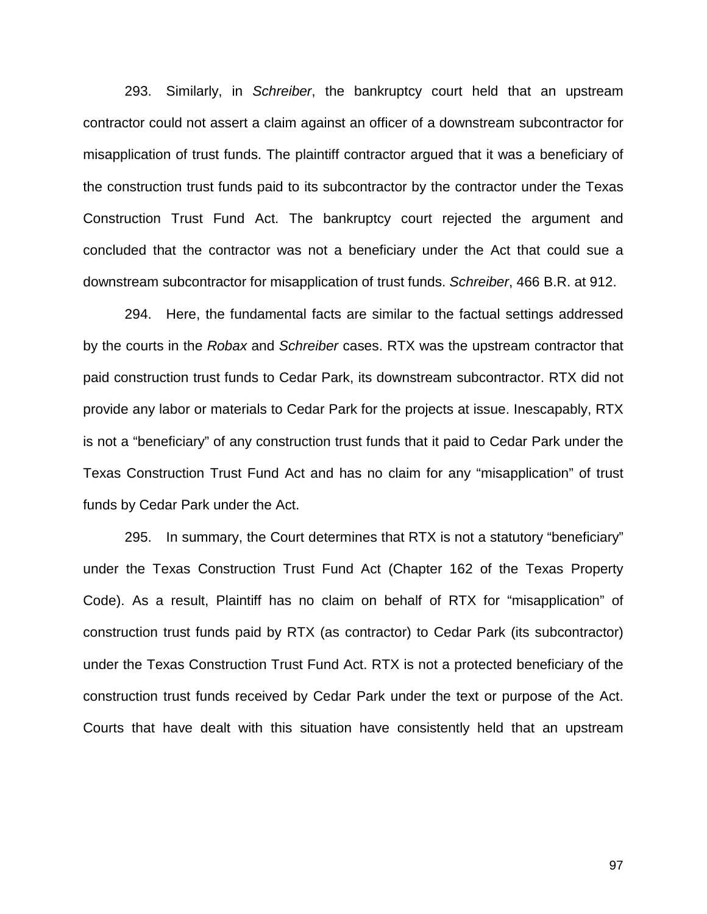293. Similarly, in *Schreiber*, the bankruptcy court held that an upstream contractor could not assert a claim against an officer of a downstream subcontractor for misapplication of trust funds. The plaintiff contractor argued that it was a beneficiary of the construction trust funds paid to its subcontractor by the contractor under the Texas Construction Trust Fund Act. The bankruptcy court rejected the argument and concluded that the contractor was not a beneficiary under the Act that could sue a downstream subcontractor for misapplication of trust funds. *Schreiber*, 466 B.R. at 912.

294. Here, the fundamental facts are similar to the factual settings addressed by the courts in the *Robax* and *Schreiber* cases. RTX was the upstream contractor that paid construction trust funds to Cedar Park, its downstream subcontractor. RTX did not provide any labor or materials to Cedar Park for the projects at issue. Inescapably, RTX is not a "beneficiary" of any construction trust funds that it paid to Cedar Park under the Texas Construction Trust Fund Act and has no claim for any "misapplication" of trust funds by Cedar Park under the Act.

295. In summary, the Court determines that RTX is not a statutory "beneficiary" under the Texas Construction Trust Fund Act (Chapter 162 of the Texas Property Code). As a result, Plaintiff has no claim on behalf of RTX for "misapplication" of construction trust funds paid by RTX (as contractor) to Cedar Park (its subcontractor) under the Texas Construction Trust Fund Act. RTX is not a protected beneficiary of the construction trust funds received by Cedar Park under the text or purpose of the Act. Courts that have dealt with this situation have consistently held that an upstream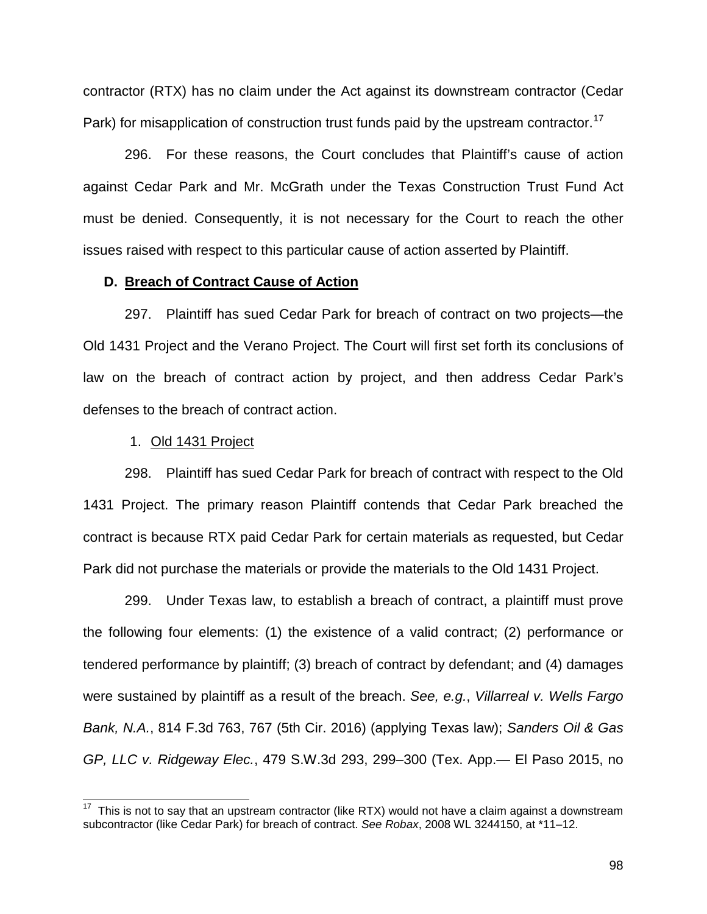contractor (RTX) has no claim under the Act against its downstream contractor (Cedar Park) for misapplication of construction trust funds paid by the upstream contractor.<sup>17</sup>

296. For these reasons, the Court concludes that Plaintiff's cause of action against Cedar Park and Mr. McGrath under the Texas Construction Trust Fund Act must be denied. Consequently, it is not necessary for the Court to reach the other issues raised with respect to this particular cause of action asserted by Plaintiff.

# **D. Breach of Contract Cause of Action**

297. Plaintiff has sued Cedar Park for breach of contract on two projects—the Old 1431 Project and the Verano Project. The Court will first set forth its conclusions of law on the breach of contract action by project, and then address Cedar Park's defenses to the breach of contract action.

### 1. Old 1431 Project

 $\overline{\phantom{a}}$ 

298. Plaintiff has sued Cedar Park for breach of contract with respect to the Old 1431 Project. The primary reason Plaintiff contends that Cedar Park breached the contract is because RTX paid Cedar Park for certain materials as requested, but Cedar Park did not purchase the materials or provide the materials to the Old 1431 Project.

299. Under Texas law, to establish a breach of contract, a plaintiff must prove the following four elements: (1) the existence of a valid contract; (2) performance or tendered performance by plaintiff; (3) breach of contract by defendant; and (4) damages were sustained by plaintiff as a result of the breach. *See, e.g.*, *Villarreal v. Wells Fargo Bank, N.A.*, 814 F.3d 763, 767 (5th Cir. 2016) (applying Texas law); *Sanders Oil & Gas GP, LLC v. Ridgeway Elec.*, 479 S.W.3d 293, 299–300 (Tex. App.— El Paso 2015, no

 $17$  This is not to say that an upstream contractor (like RTX) would not have a claim against a downstream subcontractor (like Cedar Park) for breach of contract. *See Robax*, 2008 WL 3244150, at \*11–12.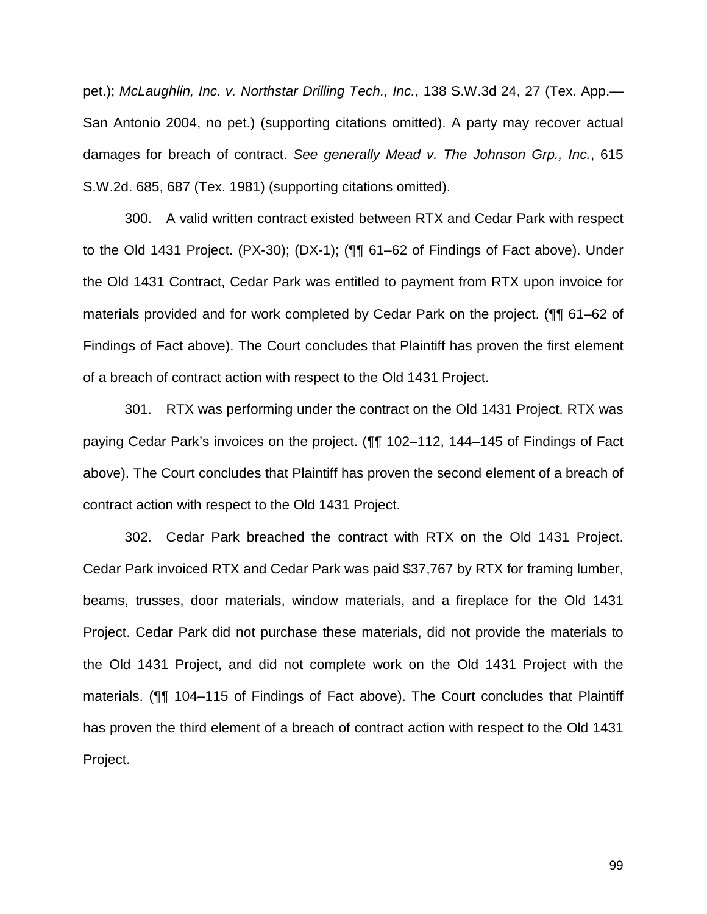pet.); *McLaughlin, Inc. v. Northstar Drilling Tech., Inc.*, 138 S.W.3d 24, 27 (Tex. App.— San Antonio 2004, no pet.) (supporting citations omitted). A party may recover actual damages for breach of contract. *See generally Mead v. The Johnson Grp., Inc.*, 615 S.W.2d. 685, 687 (Tex. 1981) (supporting citations omitted).

300. A valid written contract existed between RTX and Cedar Park with respect to the Old 1431 Project. (PX-30); (DX-1); (¶¶ 61–62 of Findings of Fact above). Under the Old 1431 Contract, Cedar Park was entitled to payment from RTX upon invoice for materials provided and for work completed by Cedar Park on the project. (¶¶ 61–62 of Findings of Fact above). The Court concludes that Plaintiff has proven the first element of a breach of contract action with respect to the Old 1431 Project.

301. RTX was performing under the contract on the Old 1431 Project. RTX was paying Cedar Park's invoices on the project. (¶¶ 102–112, 144–145 of Findings of Fact above). The Court concludes that Plaintiff has proven the second element of a breach of contract action with respect to the Old 1431 Project.

302. Cedar Park breached the contract with RTX on the Old 1431 Project. Cedar Park invoiced RTX and Cedar Park was paid \$37,767 by RTX for framing lumber, beams, trusses, door materials, window materials, and a fireplace for the Old 1431 Project. Cedar Park did not purchase these materials, did not provide the materials to the Old 1431 Project, and did not complete work on the Old 1431 Project with the materials. (¶¶ 104–115 of Findings of Fact above). The Court concludes that Plaintiff has proven the third element of a breach of contract action with respect to the Old 1431 Project.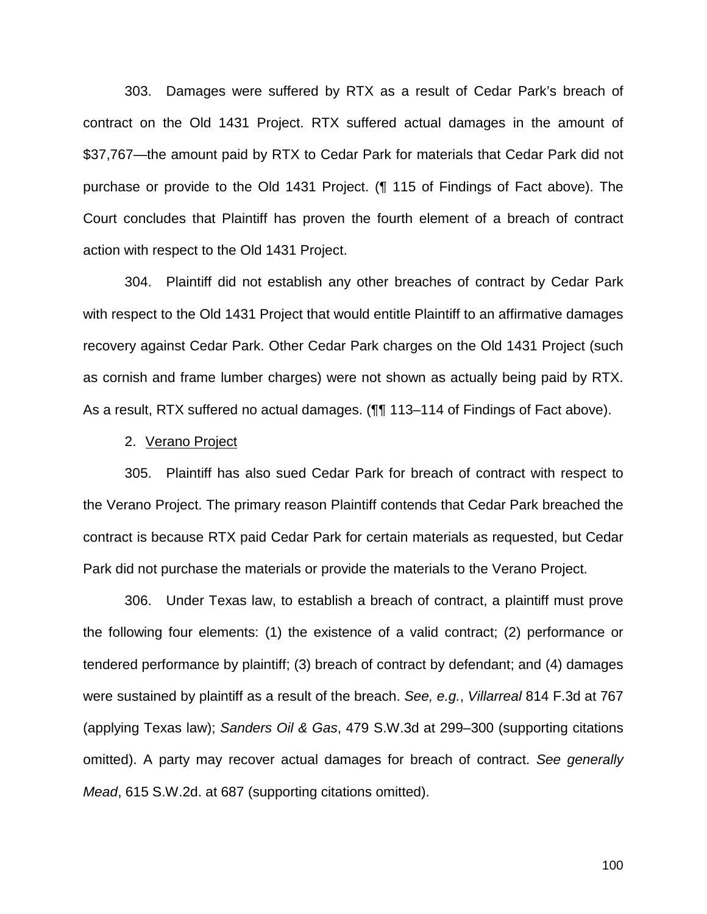303. Damages were suffered by RTX as a result of Cedar Park's breach of contract on the Old 1431 Project. RTX suffered actual damages in the amount of \$37,767—the amount paid by RTX to Cedar Park for materials that Cedar Park did not purchase or provide to the Old 1431 Project. (¶ 115 of Findings of Fact above). The Court concludes that Plaintiff has proven the fourth element of a breach of contract action with respect to the Old 1431 Project.

304. Plaintiff did not establish any other breaches of contract by Cedar Park with respect to the Old 1431 Project that would entitle Plaintiff to an affirmative damages recovery against Cedar Park. Other Cedar Park charges on the Old 1431 Project (such as cornish and frame lumber charges) were not shown as actually being paid by RTX. As a result, RTX suffered no actual damages. (¶¶ 113–114 of Findings of Fact above).

## 2. Verano Project

305. Plaintiff has also sued Cedar Park for breach of contract with respect to the Verano Project. The primary reason Plaintiff contends that Cedar Park breached the contract is because RTX paid Cedar Park for certain materials as requested, but Cedar Park did not purchase the materials or provide the materials to the Verano Project.

306. Under Texas law, to establish a breach of contract, a plaintiff must prove the following four elements: (1) the existence of a valid contract; (2) performance or tendered performance by plaintiff; (3) breach of contract by defendant; and (4) damages were sustained by plaintiff as a result of the breach. *See, e.g.*, *Villarreal* 814 F.3d at 767 (applying Texas law); *Sanders Oil & Gas*, 479 S.W.3d at 299–300 (supporting citations omitted). A party may recover actual damages for breach of contract. *See generally Mead*, 615 S.W.2d. at 687 (supporting citations omitted).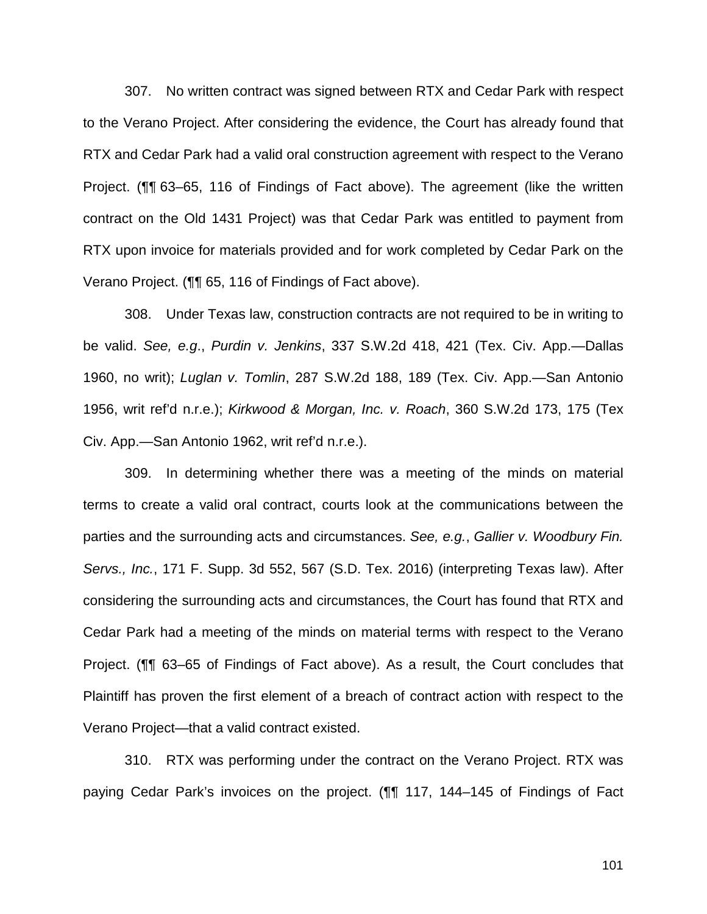307. No written contract was signed between RTX and Cedar Park with respect to the Verano Project. After considering the evidence, the Court has already found that RTX and Cedar Park had a valid oral construction agreement with respect to the Verano Project. (¶¶ 63–65, 116 of Findings of Fact above). The agreement (like the written contract on the Old 1431 Project) was that Cedar Park was entitled to payment from RTX upon invoice for materials provided and for work completed by Cedar Park on the Verano Project. (¶¶ 65, 116 of Findings of Fact above).

308. Under Texas law, construction contracts are not required to be in writing to be valid. *See, e.g*., *Purdin v. Jenkins*, 337 S.W.2d 418, 421 (Tex. Civ. App.—Dallas 1960, no writ); *Luglan v. Tomlin*, 287 S.W.2d 188, 189 (Tex. Civ. App.—San Antonio 1956, writ ref'd n.r.e.); *Kirkwood & Morgan, Inc. v. Roach*, 360 S.W.2d 173, 175 (Tex Civ. App.—San Antonio 1962, writ ref'd n.r.e.).

309. In determining whether there was a meeting of the minds on material terms to create a valid oral contract, courts look at the communications between the parties and the surrounding acts and circumstances. *See, e.g.*, *Gallier v. Woodbury Fin. Servs., Inc.*, 171 F. Supp. 3d 552, 567 (S.D. Tex. 2016) (interpreting Texas law). After considering the surrounding acts and circumstances, the Court has found that RTX and Cedar Park had a meeting of the minds on material terms with respect to the Verano Project. (¶¶ 63–65 of Findings of Fact above). As a result, the Court concludes that Plaintiff has proven the first element of a breach of contract action with respect to the Verano Project—that a valid contract existed.

310. RTX was performing under the contract on the Verano Project. RTX was paying Cedar Park's invoices on the project. (¶¶ 117, 144–145 of Findings of Fact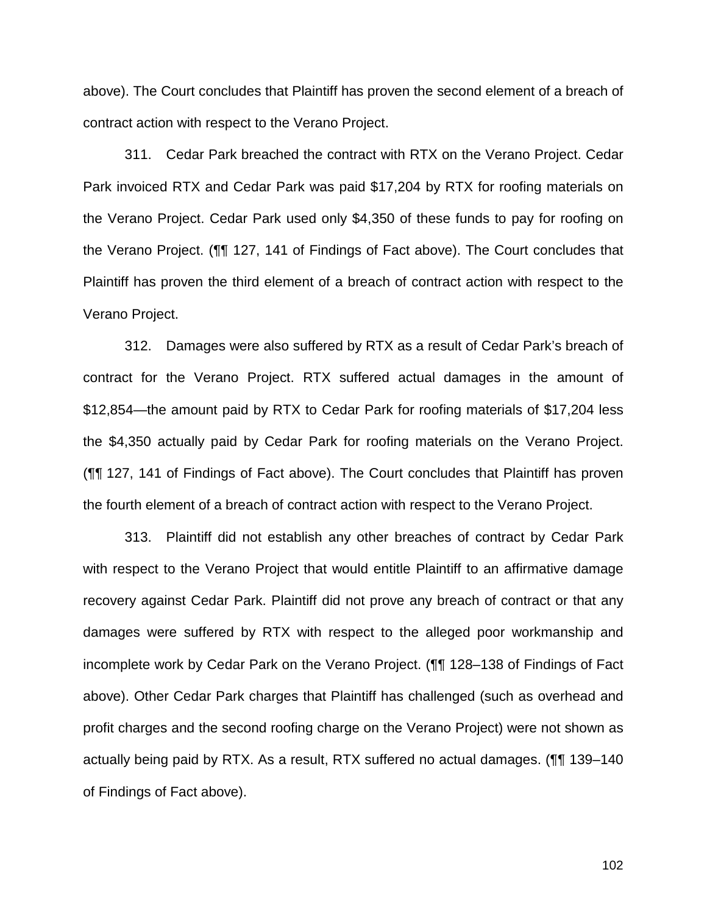above). The Court concludes that Plaintiff has proven the second element of a breach of contract action with respect to the Verano Project.

311. Cedar Park breached the contract with RTX on the Verano Project. Cedar Park invoiced RTX and Cedar Park was paid \$17,204 by RTX for roofing materials on the Verano Project. Cedar Park used only \$4,350 of these funds to pay for roofing on the Verano Project. (¶¶ 127, 141 of Findings of Fact above). The Court concludes that Plaintiff has proven the third element of a breach of contract action with respect to the Verano Project.

312. Damages were also suffered by RTX as a result of Cedar Park's breach of contract for the Verano Project. RTX suffered actual damages in the amount of \$12,854—the amount paid by RTX to Cedar Park for roofing materials of \$17,204 less the \$4,350 actually paid by Cedar Park for roofing materials on the Verano Project. (¶¶ 127, 141 of Findings of Fact above). The Court concludes that Plaintiff has proven the fourth element of a breach of contract action with respect to the Verano Project.

313. Plaintiff did not establish any other breaches of contract by Cedar Park with respect to the Verano Project that would entitle Plaintiff to an affirmative damage recovery against Cedar Park. Plaintiff did not prove any breach of contract or that any damages were suffered by RTX with respect to the alleged poor workmanship and incomplete work by Cedar Park on the Verano Project. (¶¶ 128–138 of Findings of Fact above). Other Cedar Park charges that Plaintiff has challenged (such as overhead and profit charges and the second roofing charge on the Verano Project) were not shown as actually being paid by RTX. As a result, RTX suffered no actual damages. (¶¶ 139–140 of Findings of Fact above).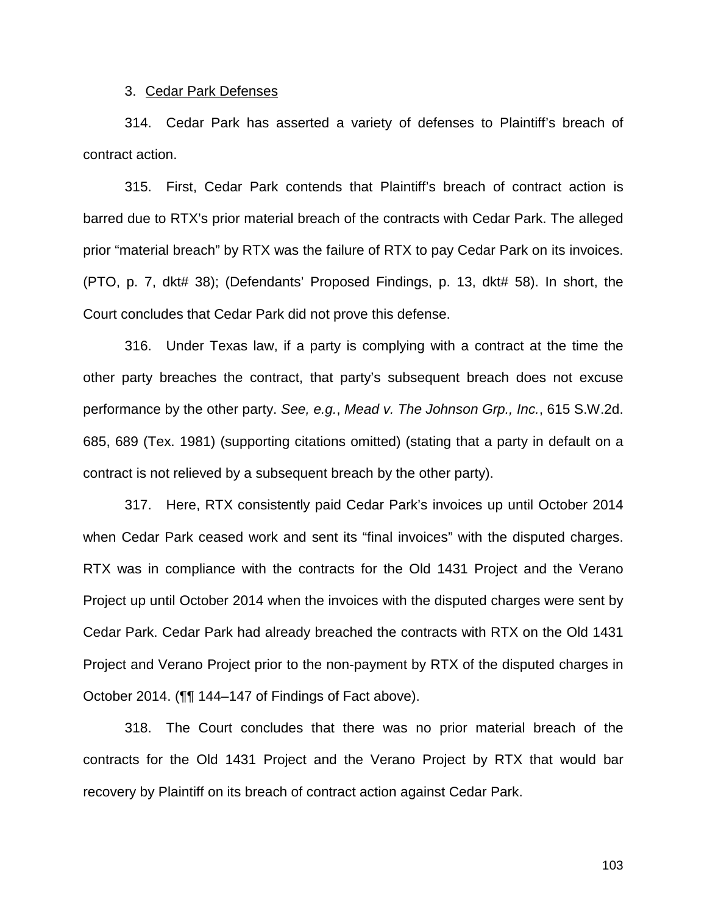#### 3. Cedar Park Defenses

314. Cedar Park has asserted a variety of defenses to Plaintiff's breach of contract action.

315. First, Cedar Park contends that Plaintiff's breach of contract action is barred due to RTX's prior material breach of the contracts with Cedar Park. The alleged prior "material breach" by RTX was the failure of RTX to pay Cedar Park on its invoices. (PTO, p. 7, dkt# 38); (Defendants' Proposed Findings, p. 13, dkt# 58). In short, the Court concludes that Cedar Park did not prove this defense.

316. Under Texas law, if a party is complying with a contract at the time the other party breaches the contract, that party's subsequent breach does not excuse performance by the other party. *See, e.g.*, *Mead v. The Johnson Grp., Inc.*, 615 S.W.2d. 685, 689 (Tex. 1981) (supporting citations omitted) (stating that a party in default on a contract is not relieved by a subsequent breach by the other party).

317. Here, RTX consistently paid Cedar Park's invoices up until October 2014 when Cedar Park ceased work and sent its "final invoices" with the disputed charges. RTX was in compliance with the contracts for the Old 1431 Project and the Verano Project up until October 2014 when the invoices with the disputed charges were sent by Cedar Park. Cedar Park had already breached the contracts with RTX on the Old 1431 Project and Verano Project prior to the non-payment by RTX of the disputed charges in October 2014. (¶¶ 144–147 of Findings of Fact above).

318. The Court concludes that there was no prior material breach of the contracts for the Old 1431 Project and the Verano Project by RTX that would bar recovery by Plaintiff on its breach of contract action against Cedar Park.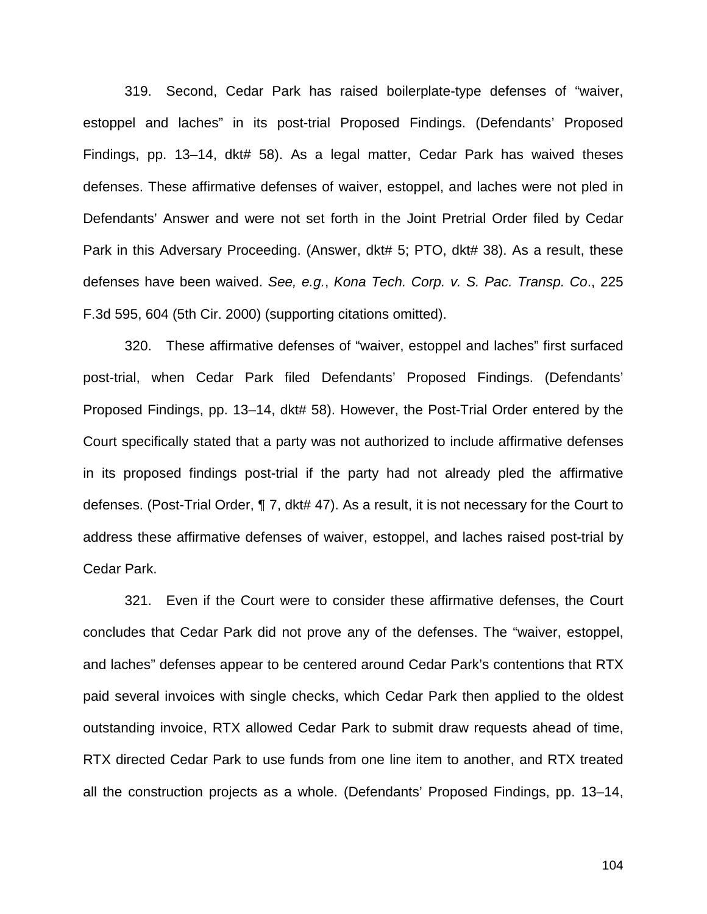319. Second, Cedar Park has raised boilerplate-type defenses of "waiver, estoppel and laches" in its post-trial Proposed Findings. (Defendants' Proposed Findings, pp. 13–14, dkt# 58). As a legal matter, Cedar Park has waived theses defenses. These affirmative defenses of waiver, estoppel, and laches were not pled in Defendants' Answer and were not set forth in the Joint Pretrial Order filed by Cedar Park in this Adversary Proceeding. (Answer, dkt# 5; PTO, dkt# 38). As a result, these defenses have been waived. *See, e.g.*, *Kona Tech. Corp. v. S. Pac. Transp. Co*., 225 F.3d 595, 604 (5th Cir. 2000) (supporting citations omitted).

320. These affirmative defenses of "waiver, estoppel and laches" first surfaced post-trial, when Cedar Park filed Defendants' Proposed Findings. (Defendants' Proposed Findings, pp. 13–14, dkt# 58). However, the Post-Trial Order entered by the Court specifically stated that a party was not authorized to include affirmative defenses in its proposed findings post-trial if the party had not already pled the affirmative defenses. (Post-Trial Order, ¶ 7, dkt# 47). As a result, it is not necessary for the Court to address these affirmative defenses of waiver, estoppel, and laches raised post-trial by Cedar Park.

321. Even if the Court were to consider these affirmative defenses, the Court concludes that Cedar Park did not prove any of the defenses. The "waiver, estoppel, and laches" defenses appear to be centered around Cedar Park's contentions that RTX paid several invoices with single checks, which Cedar Park then applied to the oldest outstanding invoice, RTX allowed Cedar Park to submit draw requests ahead of time, RTX directed Cedar Park to use funds from one line item to another, and RTX treated all the construction projects as a whole. (Defendants' Proposed Findings, pp. 13–14,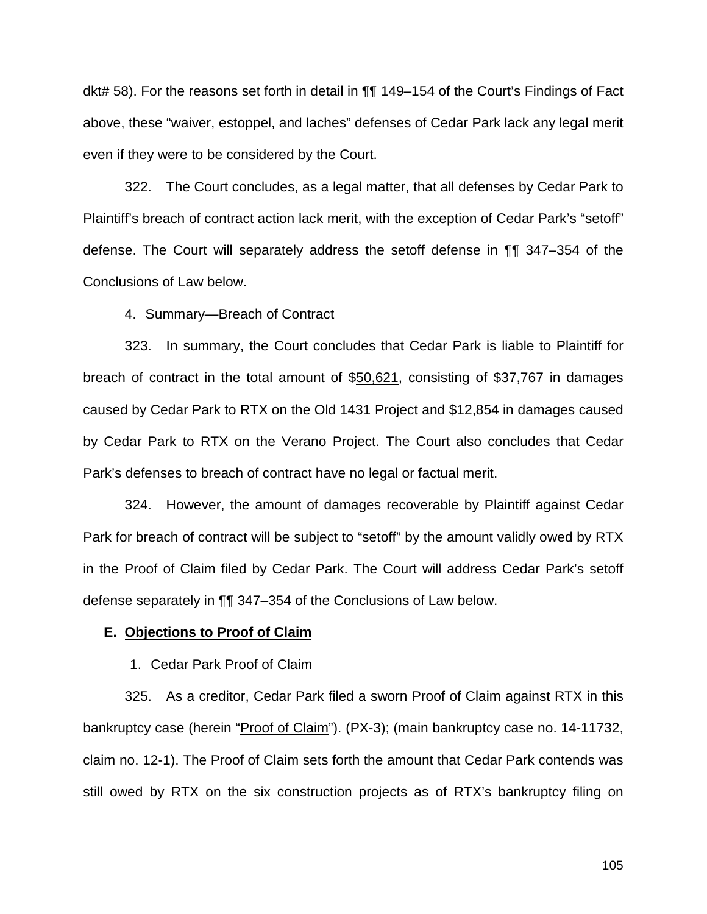dkt# 58). For the reasons set forth in detail in ¶¶ 149–154 of the Court's Findings of Fact above, these "waiver, estoppel, and laches" defenses of Cedar Park lack any legal merit even if they were to be considered by the Court.

322. The Court concludes, as a legal matter, that all defenses by Cedar Park to Plaintiff's breach of contract action lack merit, with the exception of Cedar Park's "setoff" defense. The Court will separately address the setoff defense in ¶¶ 347–354 of the Conclusions of Law below.

#### 4. Summary—Breach of Contract

323. In summary, the Court concludes that Cedar Park is liable to Plaintiff for breach of contract in the total amount of \$50,621, consisting of \$37,767 in damages caused by Cedar Park to RTX on the Old 1431 Project and \$12,854 in damages caused by Cedar Park to RTX on the Verano Project. The Court also concludes that Cedar Park's defenses to breach of contract have no legal or factual merit.

324. However, the amount of damages recoverable by Plaintiff against Cedar Park for breach of contract will be subject to "setoff" by the amount validly owed by RTX in the Proof of Claim filed by Cedar Park. The Court will address Cedar Park's setoff defense separately in ¶¶ 347–354 of the Conclusions of Law below.

## **E. Objections to Proof of Claim**

#### 1. Cedar Park Proof of Claim

325. As a creditor, Cedar Park filed a sworn Proof of Claim against RTX in this bankruptcy case (herein "Proof of Claim"). (PX-3); (main bankruptcy case no. 14-11732, claim no. 12-1). The Proof of Claim sets forth the amount that Cedar Park contends was still owed by RTX on the six construction projects as of RTX's bankruptcy filing on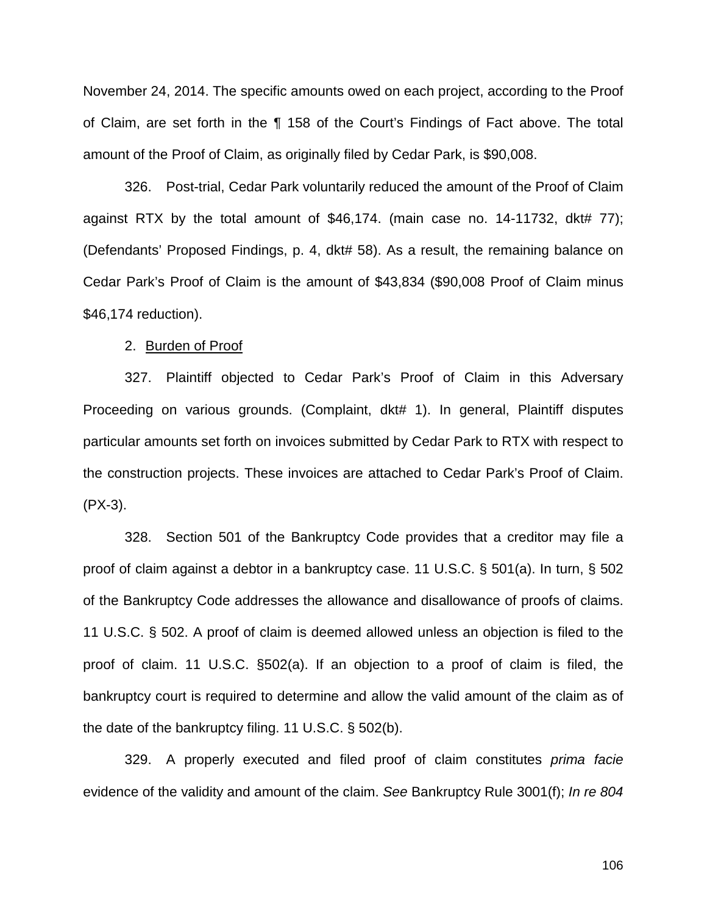November 24, 2014. The specific amounts owed on each project, according to the Proof of Claim, are set forth in the ¶ 158 of the Court's Findings of Fact above. The total amount of the Proof of Claim, as originally filed by Cedar Park, is \$90,008.

326. Post-trial, Cedar Park voluntarily reduced the amount of the Proof of Claim against RTX by the total amount of \$46,174. (main case no. 14-11732, dkt#  $77$ ); (Defendants' Proposed Findings, p. 4, dkt# 58). As a result, the remaining balance on Cedar Park's Proof of Claim is the amount of \$43,834 (\$90,008 Proof of Claim minus \$46,174 reduction).

#### 2. Burden of Proof

327. Plaintiff objected to Cedar Park's Proof of Claim in this Adversary Proceeding on various grounds. (Complaint, dkt# 1). In general, Plaintiff disputes particular amounts set forth on invoices submitted by Cedar Park to RTX with respect to the construction projects. These invoices are attached to Cedar Park's Proof of Claim. (PX-3).

328. Section 501 of the Bankruptcy Code provides that a creditor may file a proof of claim against a debtor in a bankruptcy case. 11 U.S.C. § 501(a). In turn, § 502 of the Bankruptcy Code addresses the allowance and disallowance of proofs of claims. 11 U.S.C. § 502. A proof of claim is deemed allowed unless an objection is filed to the proof of claim. 11 U.S.C. §502(a). If an objection to a proof of claim is filed, the bankruptcy court is required to determine and allow the valid amount of the claim as of the date of the bankruptcy filing. 11 U.S.C. § 502(b).

329. A properly executed and filed proof of claim constitutes *prima facie* evidence of the validity and amount of the claim. *See* Bankruptcy Rule 3001(f); *In re 804*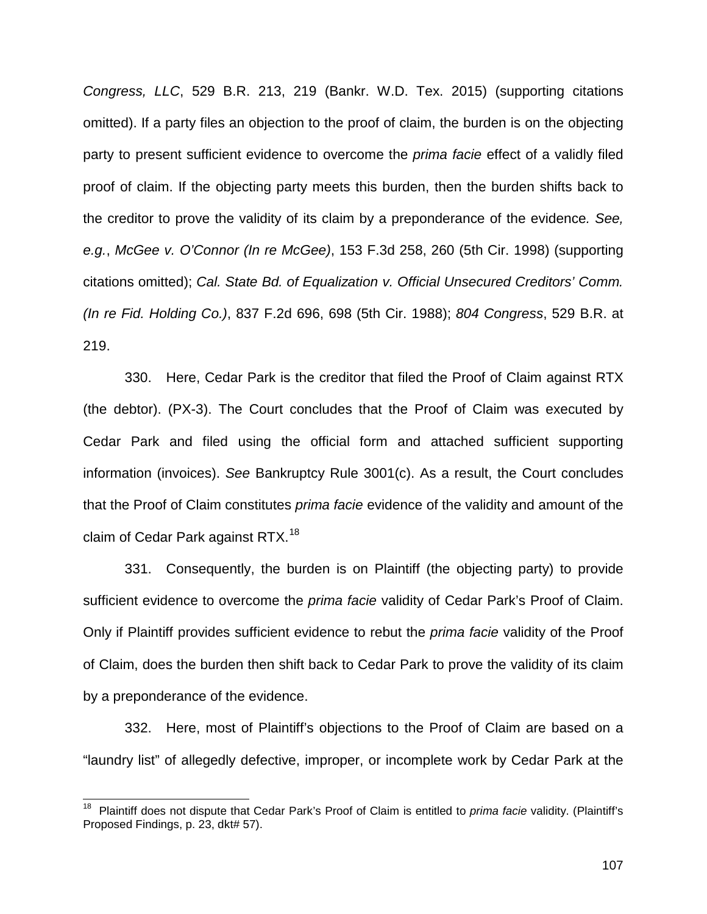*Congress, LLC*, 529 B.R. 213, 219 (Bankr. W.D. Tex. 2015) (supporting citations omitted). If a party files an objection to the proof of claim, the burden is on the objecting party to present sufficient evidence to overcome the *prima facie* effect of a validly filed proof of claim. If the objecting party meets this burden, then the burden shifts back to the creditor to prove the validity of its claim by a preponderance of the evidence*. See, e.g.*, *McGee v. O'Connor (In re McGee)*, 153 F.3d 258, 260 (5th Cir. 1998) (supporting citations omitted); *Cal. State Bd. of Equalization v. Official Unsecured Creditors' Comm. (In re Fid. Holding Co.)*, 837 F.2d 696, 698 (5th Cir. 1988); *804 Congress*, 529 B.R. at 219.

330. Here, Cedar Park is the creditor that filed the Proof of Claim against RTX (the debtor). (PX-3). The Court concludes that the Proof of Claim was executed by Cedar Park and filed using the official form and attached sufficient supporting information (invoices). *See* Bankruptcy Rule 3001(c). As a result, the Court concludes that the Proof of Claim constitutes *prima facie* evidence of the validity and amount of the claim of Cedar Park against RTX.<sup>18</sup>

331. Consequently, the burden is on Plaintiff (the objecting party) to provide sufficient evidence to overcome the *prima facie* validity of Cedar Park's Proof of Claim. Only if Plaintiff provides sufficient evidence to rebut the *prima facie* validity of the Proof of Claim, does the burden then shift back to Cedar Park to prove the validity of its claim by a preponderance of the evidence.

332. Here, most of Plaintiff's objections to the Proof of Claim are based on a "laundry list" of allegedly defective, improper, or incomplete work by Cedar Park at the

 $\overline{\phantom{a}}$ 

<sup>18</sup> Plaintiff does not dispute that Cedar Park's Proof of Claim is entitled to *prima facie* validity. (Plaintiff's Proposed Findings, p. 23, dkt# 57).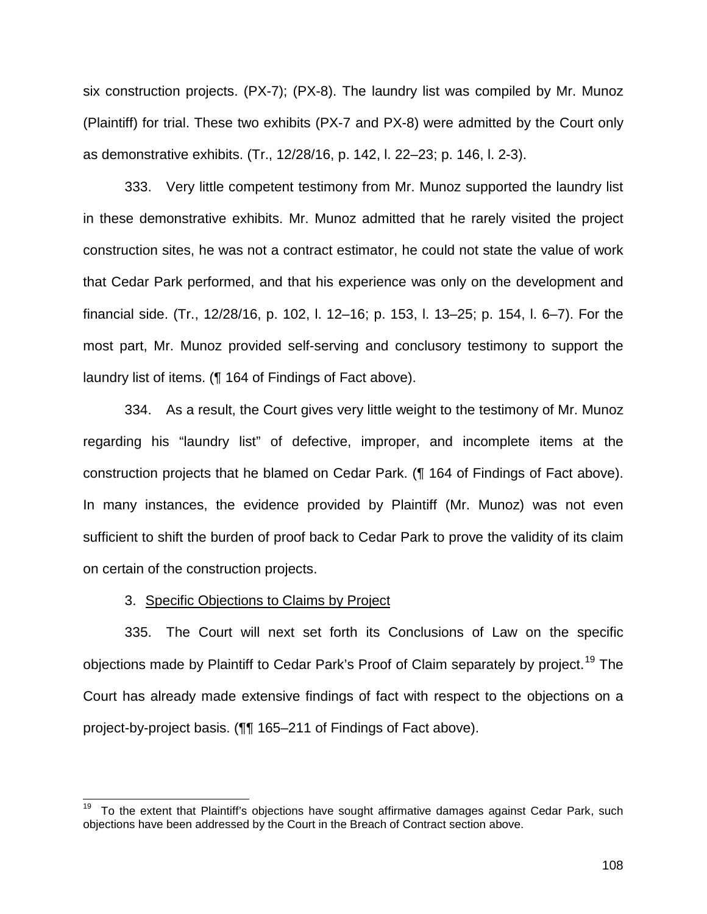six construction projects. (PX-7); (PX-8). The laundry list was compiled by Mr. Munoz (Plaintiff) for trial. These two exhibits (PX-7 and PX-8) were admitted by the Court only as demonstrative exhibits. (Tr., 12/28/16, p. 142, l. 22–23; p. 146, l. 2-3).

333. Very little competent testimony from Mr. Munoz supported the laundry list in these demonstrative exhibits. Mr. Munoz admitted that he rarely visited the project construction sites, he was not a contract estimator, he could not state the value of work that Cedar Park performed, and that his experience was only on the development and financial side. (Tr., 12/28/16, p. 102, l. 12–16; p. 153, l. 13–25; p. 154, l. 6–7). For the most part, Mr. Munoz provided self-serving and conclusory testimony to support the laundry list of items. (¶ 164 of Findings of Fact above).

334. As a result, the Court gives very little weight to the testimony of Mr. Munoz regarding his "laundry list" of defective, improper, and incomplete items at the construction projects that he blamed on Cedar Park. (¶ 164 of Findings of Fact above). In many instances, the evidence provided by Plaintiff (Mr. Munoz) was not even sufficient to shift the burden of proof back to Cedar Park to prove the validity of its claim on certain of the construction projects.

## 3. Specific Objections to Claims by Project

 $\overline{\phantom{a}}$ 

335. The Court will next set forth its Conclusions of Law on the specific objections made by Plaintiff to Cedar Park's Proof of Claim separately by project.<sup>19</sup> The Court has already made extensive findings of fact with respect to the objections on a project-by-project basis. (¶¶ 165–211 of Findings of Fact above).

To the extent that Plaintiff's objections have sought affirmative damages against Cedar Park, such objections have been addressed by the Court in the Breach of Contract section above.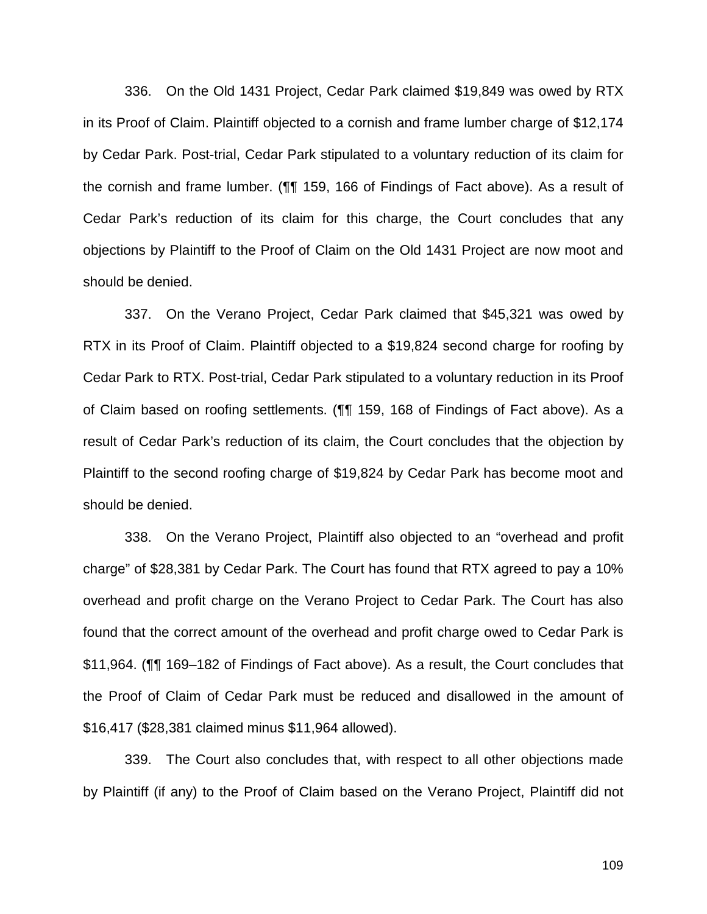336. On the Old 1431 Project, Cedar Park claimed \$19,849 was owed by RTX in its Proof of Claim. Plaintiff objected to a cornish and frame lumber charge of \$12,174 by Cedar Park. Post-trial, Cedar Park stipulated to a voluntary reduction of its claim for the cornish and frame lumber. (¶¶ 159, 166 of Findings of Fact above). As a result of Cedar Park's reduction of its claim for this charge, the Court concludes that any objections by Plaintiff to the Proof of Claim on the Old 1431 Project are now moot and should be denied.

337. On the Verano Project, Cedar Park claimed that \$45,321 was owed by RTX in its Proof of Claim. Plaintiff objected to a \$19,824 second charge for roofing by Cedar Park to RTX. Post-trial, Cedar Park stipulated to a voluntary reduction in its Proof of Claim based on roofing settlements. (¶¶ 159, 168 of Findings of Fact above). As a result of Cedar Park's reduction of its claim, the Court concludes that the objection by Plaintiff to the second roofing charge of \$19,824 by Cedar Park has become moot and should be denied.

338. On the Verano Project, Plaintiff also objected to an "overhead and profit charge" of \$28,381 by Cedar Park. The Court has found that RTX agreed to pay a 10% overhead and profit charge on the Verano Project to Cedar Park. The Court has also found that the correct amount of the overhead and profit charge owed to Cedar Park is \$11,964. (¶¶ 169–182 of Findings of Fact above). As a result, the Court concludes that the Proof of Claim of Cedar Park must be reduced and disallowed in the amount of \$16,417 (\$28,381 claimed minus \$11,964 allowed).

339. The Court also concludes that, with respect to all other objections made by Plaintiff (if any) to the Proof of Claim based on the Verano Project, Plaintiff did not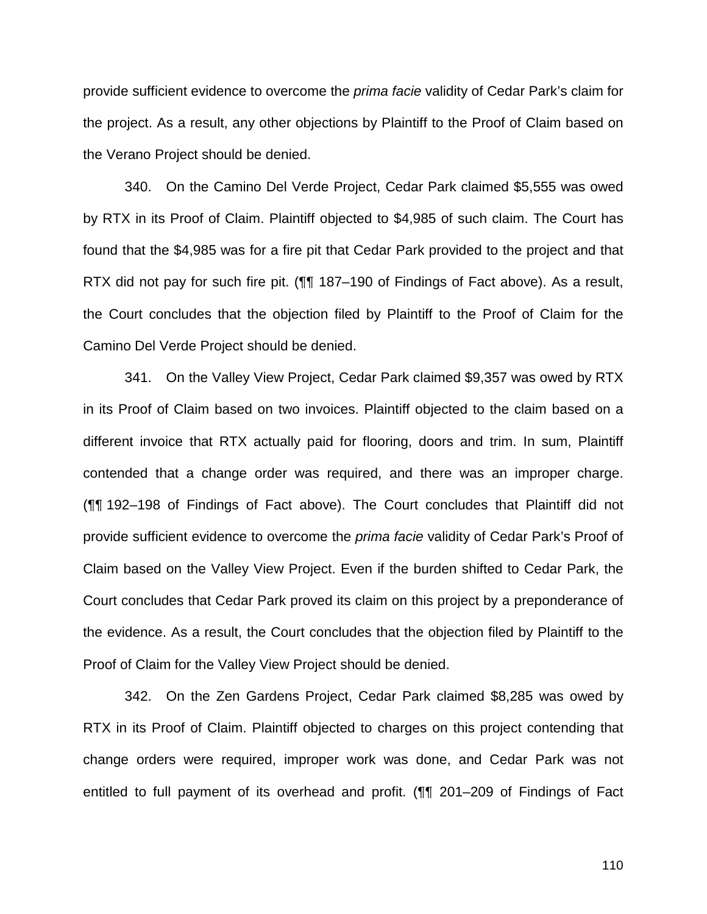provide sufficient evidence to overcome the *prima facie* validity of Cedar Park's claim for the project. As a result, any other objections by Plaintiff to the Proof of Claim based on the Verano Project should be denied.

340. On the Camino Del Verde Project, Cedar Park claimed \$5,555 was owed by RTX in its Proof of Claim. Plaintiff objected to \$4,985 of such claim. The Court has found that the \$4,985 was for a fire pit that Cedar Park provided to the project and that RTX did not pay for such fire pit. (¶¶ 187–190 of Findings of Fact above). As a result, the Court concludes that the objection filed by Plaintiff to the Proof of Claim for the Camino Del Verde Project should be denied.

341. On the Valley View Project, Cedar Park claimed \$9,357 was owed by RTX in its Proof of Claim based on two invoices. Plaintiff objected to the claim based on a different invoice that RTX actually paid for flooring, doors and trim. In sum, Plaintiff contended that a change order was required, and there was an improper charge. (¶¶ 192–198 of Findings of Fact above). The Court concludes that Plaintiff did not provide sufficient evidence to overcome the *prima facie* validity of Cedar Park's Proof of Claim based on the Valley View Project. Even if the burden shifted to Cedar Park, the Court concludes that Cedar Park proved its claim on this project by a preponderance of the evidence. As a result, the Court concludes that the objection filed by Plaintiff to the Proof of Claim for the Valley View Project should be denied.

342. On the Zen Gardens Project, Cedar Park claimed \$8,285 was owed by RTX in its Proof of Claim. Plaintiff objected to charges on this project contending that change orders were required, improper work was done, and Cedar Park was not entitled to full payment of its overhead and profit. (¶¶ 201–209 of Findings of Fact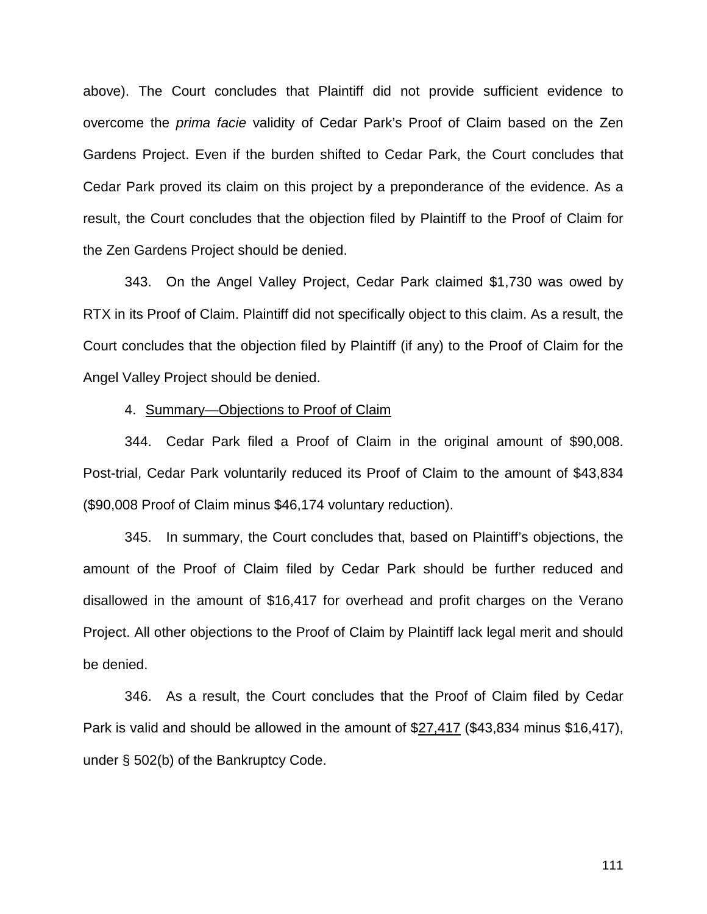above). The Court concludes that Plaintiff did not provide sufficient evidence to overcome the *prima facie* validity of Cedar Park's Proof of Claim based on the Zen Gardens Project. Even if the burden shifted to Cedar Park, the Court concludes that Cedar Park proved its claim on this project by a preponderance of the evidence. As a result, the Court concludes that the objection filed by Plaintiff to the Proof of Claim for the Zen Gardens Project should be denied.

343. On the Angel Valley Project, Cedar Park claimed \$1,730 was owed by RTX in its Proof of Claim. Plaintiff did not specifically object to this claim. As a result, the Court concludes that the objection filed by Plaintiff (if any) to the Proof of Claim for the Angel Valley Project should be denied.

### 4. Summary—Objections to Proof of Claim

344. Cedar Park filed a Proof of Claim in the original amount of \$90,008. Post-trial, Cedar Park voluntarily reduced its Proof of Claim to the amount of \$43,834 (\$90,008 Proof of Claim minus \$46,174 voluntary reduction).

345. In summary, the Court concludes that, based on Plaintiff's objections, the amount of the Proof of Claim filed by Cedar Park should be further reduced and disallowed in the amount of \$16,417 for overhead and profit charges on the Verano Project. All other objections to the Proof of Claim by Plaintiff lack legal merit and should be denied.

346. As a result, the Court concludes that the Proof of Claim filed by Cedar Park is valid and should be allowed in the amount of \$27,417 (\$43,834 minus \$16,417), under § 502(b) of the Bankruptcy Code.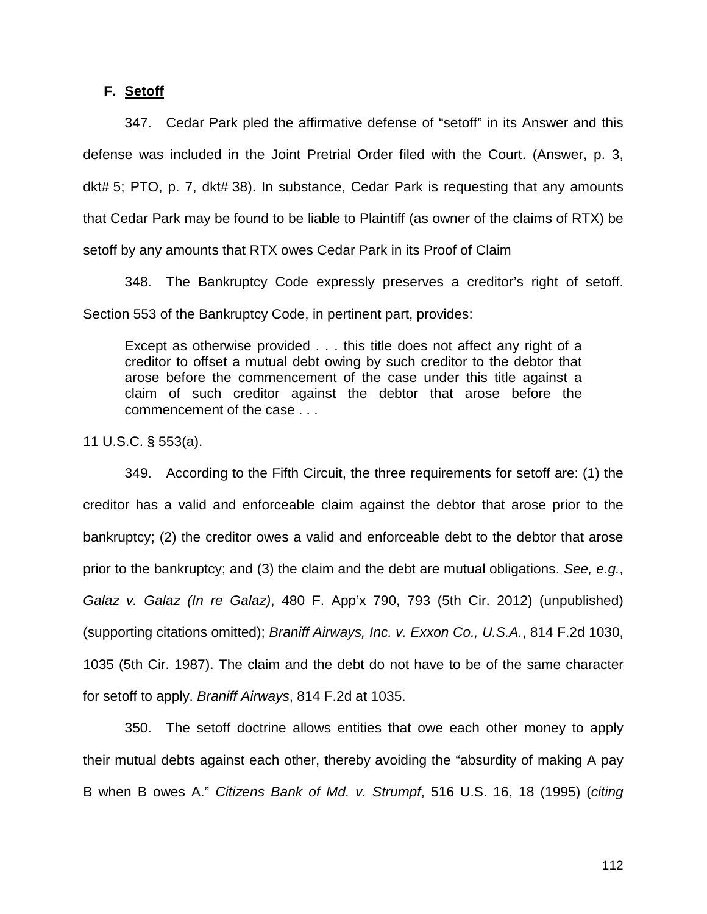### **F. Setoff**

347. Cedar Park pled the affirmative defense of "setoff" in its Answer and this defense was included in the Joint Pretrial Order filed with the Court. (Answer, p. 3, dkt# 5; PTO, p. 7, dkt# 38). In substance, Cedar Park is requesting that any amounts that Cedar Park may be found to be liable to Plaintiff (as owner of the claims of RTX) be setoff by any amounts that RTX owes Cedar Park in its Proof of Claim

348. The Bankruptcy Code expressly preserves a creditor's right of setoff. Section 553 of the Bankruptcy Code, in pertinent part, provides:

Except as otherwise provided . . . this title does not affect any right of a creditor to offset a mutual debt owing by such creditor to the debtor that arose before the commencement of the case under this title against a claim of such creditor against the debtor that arose before the commencement of the case . . .

11 U.S.C. § 553(a).

349. According to the Fifth Circuit, the three requirements for setoff are: (1) the creditor has a valid and enforceable claim against the debtor that arose prior to the bankruptcy; (2) the creditor owes a valid and enforceable debt to the debtor that arose prior to the bankruptcy; and (3) the claim and the debt are mutual obligations. *See, e.g.*, *Galaz v. Galaz (In re Galaz)*, 480 F. App'x 790, 793 (5th Cir. 2012) (unpublished) (supporting citations omitted); *Braniff Airways, Inc. v. Exxon Co., U.S.A.*, 814 F.2d 1030, 1035 (5th Cir. 1987). The claim and the debt do not have to be of the same character for setoff to apply. *Braniff Airways*, 814 F.2d at 1035.

350. The setoff doctrine allows entities that owe each other money to apply their mutual debts against each other, thereby avoiding the "absurdity of making A pay B when B owes A." *Citizens Bank of Md. v. Strumpf*, 516 U.S. 16, 18 (1995) (*citing*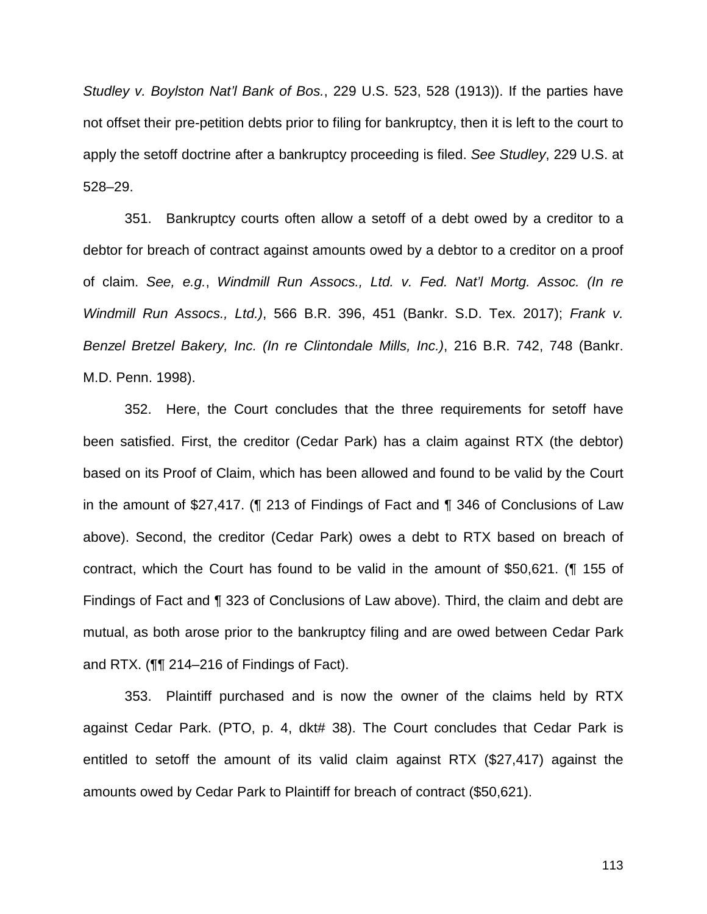*Studley v. Boylston Nat'l Bank of Bos.*, 229 U.S. 523, 528 (1913)). If the parties have not offset their pre-petition debts prior to filing for bankruptcy, then it is left to the court to apply the setoff doctrine after a bankruptcy proceeding is filed. *See Studley*, 229 U.S. at 528–29.

351. Bankruptcy courts often allow a setoff of a debt owed by a creditor to a debtor for breach of contract against amounts owed by a debtor to a creditor on a proof of claim. *See, e.g.*, *Windmill Run Assocs., Ltd. v. Fed. Nat'l Mortg. Assoc. (In re Windmill Run Assocs., Ltd.)*, 566 B.R. 396, 451 (Bankr. S.D. Tex. 2017); *Frank v. Benzel Bretzel Bakery, Inc. (In re Clintondale Mills, Inc.)*, 216 B.R. 742, 748 (Bankr. M.D. Penn. 1998).

352. Here, the Court concludes that the three requirements for setoff have been satisfied. First, the creditor (Cedar Park) has a claim against RTX (the debtor) based on its Proof of Claim, which has been allowed and found to be valid by the Court in the amount of \$27,417. (¶ 213 of Findings of Fact and ¶ 346 of Conclusions of Law above). Second, the creditor (Cedar Park) owes a debt to RTX based on breach of contract, which the Court has found to be valid in the amount of \$50,621. (¶ 155 of Findings of Fact and ¶ 323 of Conclusions of Law above). Third, the claim and debt are mutual, as both arose prior to the bankruptcy filing and are owed between Cedar Park and RTX. (¶¶ 214–216 of Findings of Fact).

353. Plaintiff purchased and is now the owner of the claims held by RTX against Cedar Park. (PTO, p. 4, dkt# 38). The Court concludes that Cedar Park is entitled to setoff the amount of its valid claim against RTX (\$27,417) against the amounts owed by Cedar Park to Plaintiff for breach of contract (\$50,621).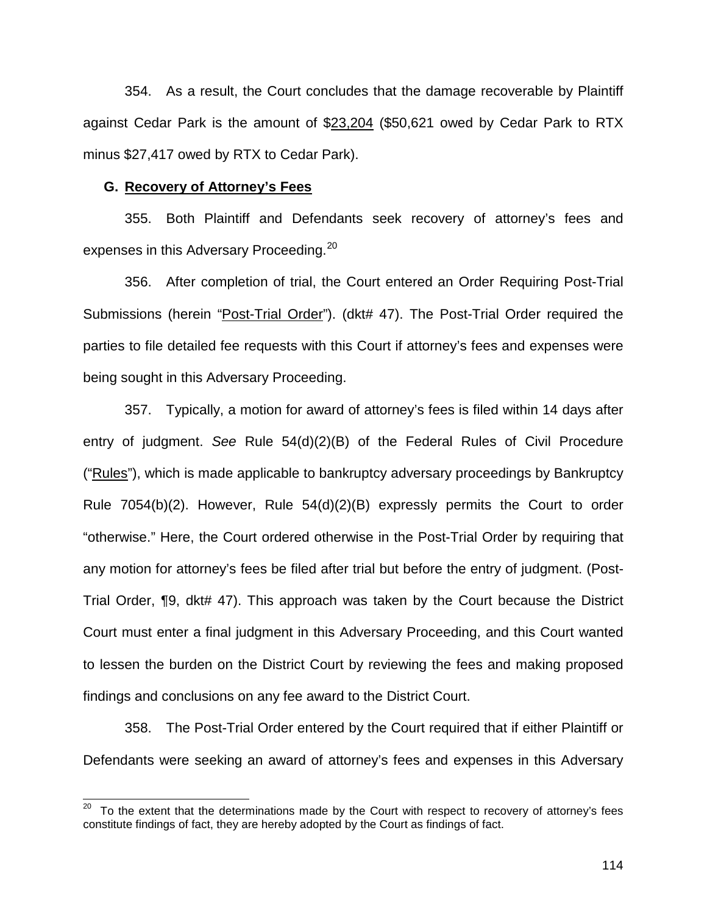354. As a result, the Court concludes that the damage recoverable by Plaintiff against Cedar Park is the amount of \$23,204 (\$50,621 owed by Cedar Park to RTX minus \$27,417 owed by RTX to Cedar Park).

#### **G. Recovery of Attorney's Fees**

 $\overline{\phantom{a}}$ 

355. Both Plaintiff and Defendants seek recovery of attorney's fees and expenses in this Adversary Proceeding.<sup>20</sup>

356. After completion of trial, the Court entered an Order Requiring Post-Trial Submissions (herein "Post-Trial Order"). (dkt# 47). The Post-Trial Order required the parties to file detailed fee requests with this Court if attorney's fees and expenses were being sought in this Adversary Proceeding.

357. Typically, a motion for award of attorney's fees is filed within 14 days after entry of judgment. *See* Rule 54(d)(2)(B) of the Federal Rules of Civil Procedure ("Rules"), which is made applicable to bankruptcy adversary proceedings by Bankruptcy Rule 7054(b)(2). However, Rule 54(d)(2)(B) expressly permits the Court to order "otherwise." Here, the Court ordered otherwise in the Post-Trial Order by requiring that any motion for attorney's fees be filed after trial but before the entry of judgment. (Post-Trial Order, ¶9, dkt# 47). This approach was taken by the Court because the District Court must enter a final judgment in this Adversary Proceeding, and this Court wanted to lessen the burden on the District Court by reviewing the fees and making proposed findings and conclusions on any fee award to the District Court.

358. The Post-Trial Order entered by the Court required that if either Plaintiff or Defendants were seeking an award of attorney's fees and expenses in this Adversary

To the extent that the determinations made by the Court with respect to recovery of attorney's fees constitute findings of fact, they are hereby adopted by the Court as findings of fact.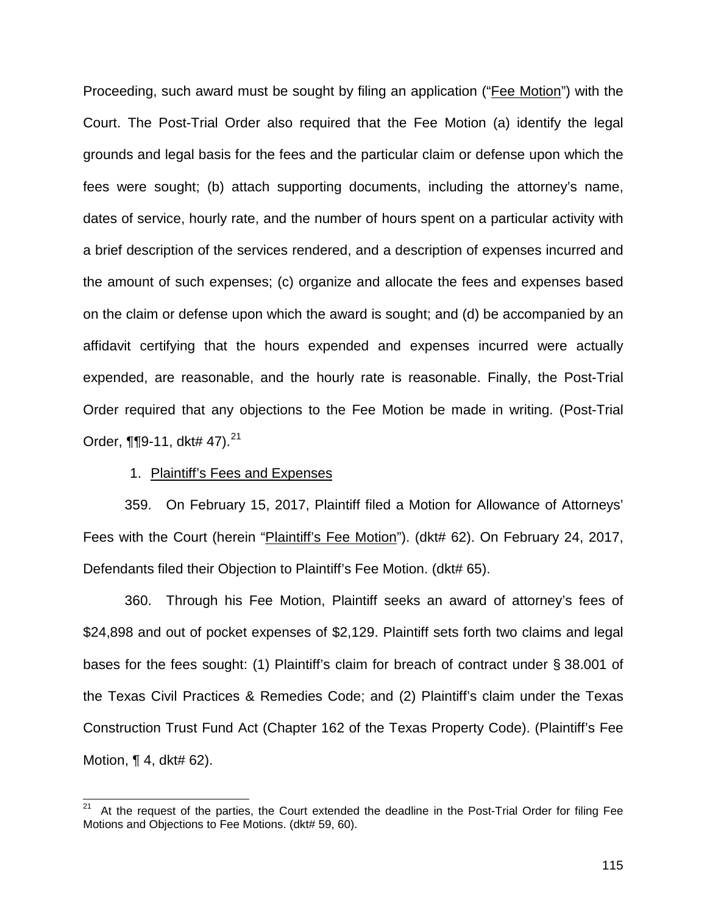Proceeding, such award must be sought by filing an application ("Fee Motion") with the Court. The Post-Trial Order also required that the Fee Motion (a) identify the legal grounds and legal basis for the fees and the particular claim or defense upon which the fees were sought; (b) attach supporting documents, including the attorney's name, dates of service, hourly rate, and the number of hours spent on a particular activity with a brief description of the services rendered, and a description of expenses incurred and the amount of such expenses; (c) organize and allocate the fees and expenses based on the claim or defense upon which the award is sought; and (d) be accompanied by an affidavit certifying that the hours expended and expenses incurred were actually expended, are reasonable, and the hourly rate is reasonable. Finally, the Post-Trial Order required that any objections to the Fee Motion be made in writing. (Post-Trial Order,  $\P$ [9-11, dkt# 47).<sup>21</sup>

### 1. Plaintiff's Fees and Expenses

 $\overline{\phantom{a}}$ 

359. On February 15, 2017, Plaintiff filed a Motion for Allowance of Attorneys' Fees with the Court (herein "Plaintiff's Fee Motion"). (dkt# 62). On February 24, 2017, Defendants filed their Objection to Plaintiff's Fee Motion. (dkt# 65).

360. Through his Fee Motion, Plaintiff seeks an award of attorney's fees of \$24,898 and out of pocket expenses of \$2,129. Plaintiff sets forth two claims and legal bases for the fees sought: (1) Plaintiff's claim for breach of contract under § 38.001 of the Texas Civil Practices & Remedies Code; and (2) Plaintiff's claim under the Texas Construction Trust Fund Act (Chapter 162 of the Texas Property Code). (Plaintiff's Fee Motion,  $\P$  4, dkt# 62).

At the request of the parties, the Court extended the deadline in the Post-Trial Order for filing Fee Motions and Objections to Fee Motions. (dkt# 59, 60).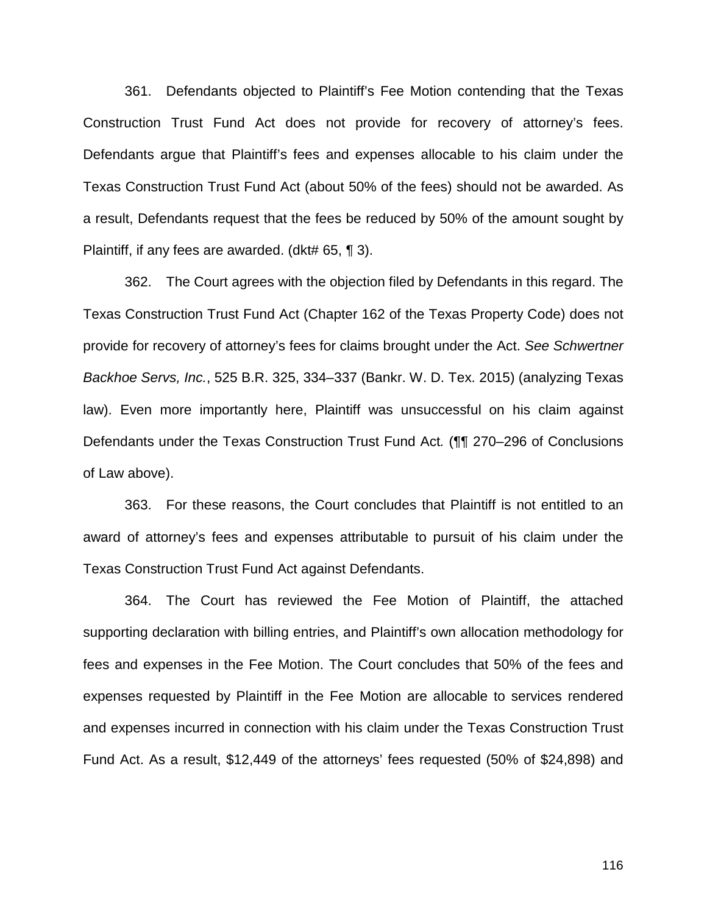361. Defendants objected to Plaintiff's Fee Motion contending that the Texas Construction Trust Fund Act does not provide for recovery of attorney's fees. Defendants argue that Plaintiff's fees and expenses allocable to his claim under the Texas Construction Trust Fund Act (about 50% of the fees) should not be awarded. As a result, Defendants request that the fees be reduced by 50% of the amount sought by Plaintiff, if any fees are awarded. (dkt# 65, ¶ 3).

362. The Court agrees with the objection filed by Defendants in this regard. The Texas Construction Trust Fund Act (Chapter 162 of the Texas Property Code) does not provide for recovery of attorney's fees for claims brought under the Act. *See Schwertner Backhoe Servs, Inc.*, 525 B.R. 325, 334–337 (Bankr. W. D. Tex. 2015) (analyzing Texas law). Even more importantly here, Plaintiff was unsuccessful on his claim against Defendants under the Texas Construction Trust Fund Act*.* (¶¶ 270–296 of Conclusions of Law above).

363. For these reasons, the Court concludes that Plaintiff is not entitled to an award of attorney's fees and expenses attributable to pursuit of his claim under the Texas Construction Trust Fund Act against Defendants.

364. The Court has reviewed the Fee Motion of Plaintiff, the attached supporting declaration with billing entries, and Plaintiff's own allocation methodology for fees and expenses in the Fee Motion. The Court concludes that 50% of the fees and expenses requested by Plaintiff in the Fee Motion are allocable to services rendered and expenses incurred in connection with his claim under the Texas Construction Trust Fund Act. As a result, \$12,449 of the attorneys' fees requested (50% of \$24,898) and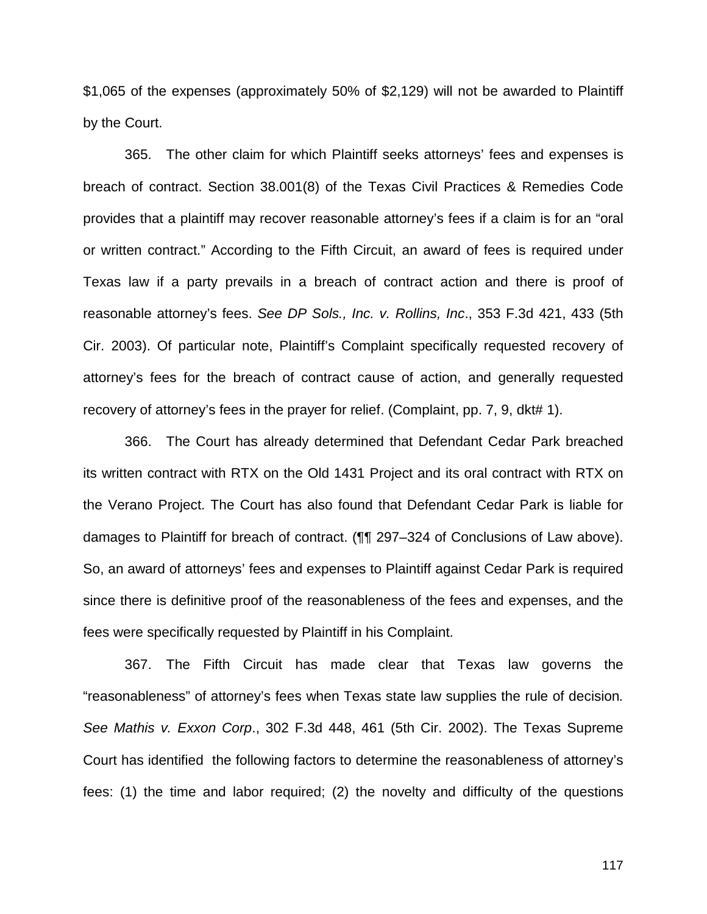\$1,065 of the expenses (approximately 50% of \$2,129) will not be awarded to Plaintiff by the Court.

365. The other claim for which Plaintiff seeks attorneys' fees and expenses is breach of contract. Section 38.001(8) of the Texas Civil Practices & Remedies Code provides that a plaintiff may recover reasonable attorney's fees if a claim is for an "oral or written contract." According to the Fifth Circuit, an award of fees is required under Texas law if a party prevails in a breach of contract action and there is proof of reasonable attorney's fees. *See DP Sols., Inc. v. Rollins, Inc*., 353 F.3d 421, 433 (5th Cir. 2003). Of particular note, Plaintiff's Complaint specifically requested recovery of attorney's fees for the breach of contract cause of action, and generally requested recovery of attorney's fees in the prayer for relief. (Complaint, pp. 7, 9, dkt# 1).

366. The Court has already determined that Defendant Cedar Park breached its written contract with RTX on the Old 1431 Project and its oral contract with RTX on the Verano Project. The Court has also found that Defendant Cedar Park is liable for damages to Plaintiff for breach of contract. (¶¶ 297–324 of Conclusions of Law above). So, an award of attorneys' fees and expenses to Plaintiff against Cedar Park is required since there is definitive proof of the reasonableness of the fees and expenses, and the fees were specifically requested by Plaintiff in his Complaint.

367. The Fifth Circuit has made clear that Texas law governs the "reasonableness" of attorney's fees when Texas state law supplies the rule of decision*. See Mathis v. Exxon Corp*., 302 F.3d 448, 461 (5th Cir. 2002). The Texas Supreme Court has identified the following factors to determine the reasonableness of attorney's fees: (1) the time and labor required; (2) the novelty and difficulty of the questions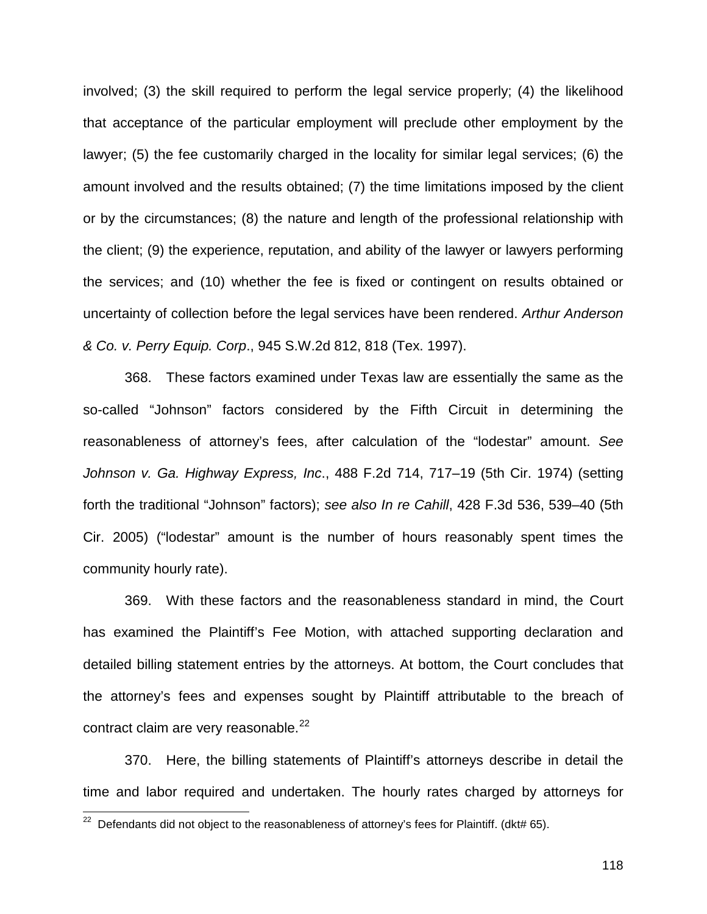involved; (3) the skill required to perform the legal service properly; (4) the likelihood that acceptance of the particular employment will preclude other employment by the lawyer; (5) the fee customarily charged in the locality for similar legal services; (6) the amount involved and the results obtained; (7) the time limitations imposed by the client or by the circumstances; (8) the nature and length of the professional relationship with the client; (9) the experience, reputation, and ability of the lawyer or lawyers performing the services; and (10) whether the fee is fixed or contingent on results obtained or uncertainty of collection before the legal services have been rendered. *Arthur Anderson & Co. v. Perry Equip. Corp*., 945 S.W.2d 812, 818 (Tex. 1997).

368. These factors examined under Texas law are essentially the same as the so-called "Johnson" factors considered by the Fifth Circuit in determining the reasonableness of attorney's fees, after calculation of the "lodestar" amount. *See Johnson v. Ga. Highway Express, Inc*., 488 F.2d 714, 717–19 (5th Cir. 1974) (setting forth the traditional "Johnson" factors); *see also In re Cahill*, 428 F.3d 536, 539–40 (5th Cir. 2005) ("lodestar" amount is the number of hours reasonably spent times the community hourly rate).

369. With these factors and the reasonableness standard in mind, the Court has examined the Plaintiff's Fee Motion, with attached supporting declaration and detailed billing statement entries by the attorneys. At bottom, the Court concludes that the attorney's fees and expenses sought by Plaintiff attributable to the breach of contract claim are very reasonable. $^{22}$ 

370. Here, the billing statements of Plaintiff's attorneys describe in detail the time and labor required and undertaken. The hourly rates charged by attorneys for

 $\overline{\phantom{a}}$ 

 $22$  Defendants did not object to the reasonableness of attorney's fees for Plaintiff. (dkt# 65).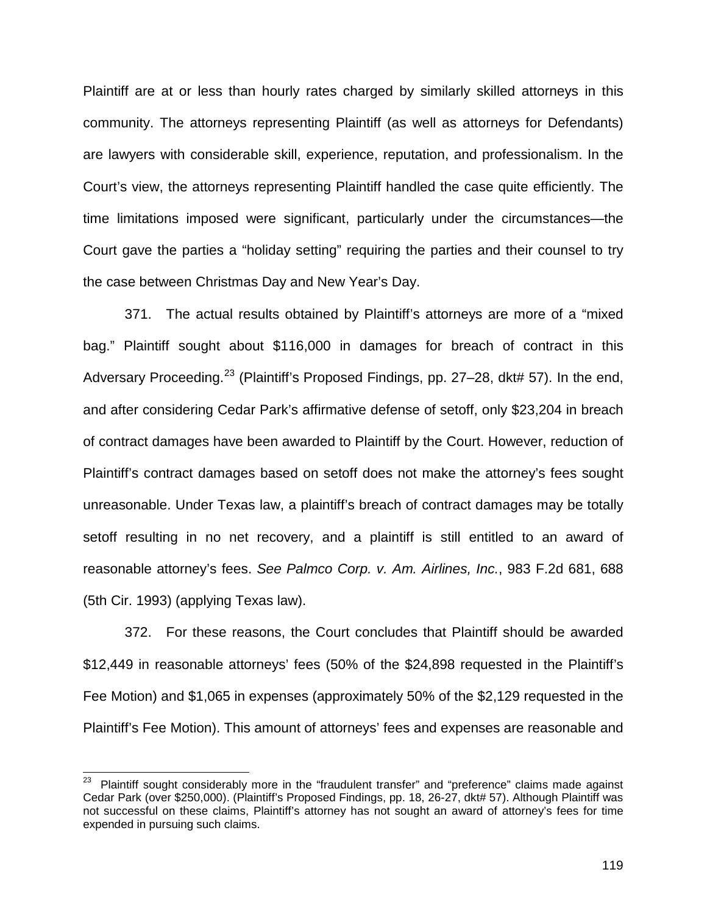Plaintiff are at or less than hourly rates charged by similarly skilled attorneys in this community. The attorneys representing Plaintiff (as well as attorneys for Defendants) are lawyers with considerable skill, experience, reputation, and professionalism. In the Court's view, the attorneys representing Plaintiff handled the case quite efficiently. The time limitations imposed were significant, particularly under the circumstances—the Court gave the parties a "holiday setting" requiring the parties and their counsel to try the case between Christmas Day and New Year's Day.

371. The actual results obtained by Plaintiff's attorneys are more of a "mixed bag." Plaintiff sought about \$116,000 in damages for breach of contract in this Adversary Proceeding.<sup>23</sup> (Plaintiff's Proposed Findings, pp. 27–28, dkt# 57). In the end, and after considering Cedar Park's affirmative defense of setoff, only \$23,204 in breach of contract damages have been awarded to Plaintiff by the Court. However, reduction of Plaintiff's contract damages based on setoff does not make the attorney's fees sought unreasonable. Under Texas law, a plaintiff's breach of contract damages may be totally setoff resulting in no net recovery, and a plaintiff is still entitled to an award of reasonable attorney's fees. *See Palmco Corp. v. Am. Airlines, Inc.*, 983 F.2d 681, 688 (5th Cir. 1993) (applying Texas law).

372. For these reasons, the Court concludes that Plaintiff should be awarded \$12,449 in reasonable attorneys' fees (50% of the \$24,898 requested in the Plaintiff's Fee Motion) and \$1,065 in expenses (approximately 50% of the \$2,129 requested in the Plaintiff's Fee Motion). This amount of attorneys' fees and expenses are reasonable and

<sup>23</sup> Plaintiff sought considerably more in the "fraudulent transfer" and "preference" claims made against Cedar Park (over \$250,000). (Plaintiff's Proposed Findings, pp. 18, 26-27, dkt# 57). Although Plaintiff was not successful on these claims, Plaintiff's attorney has not sought an award of attorney's fees for time expended in pursuing such claims.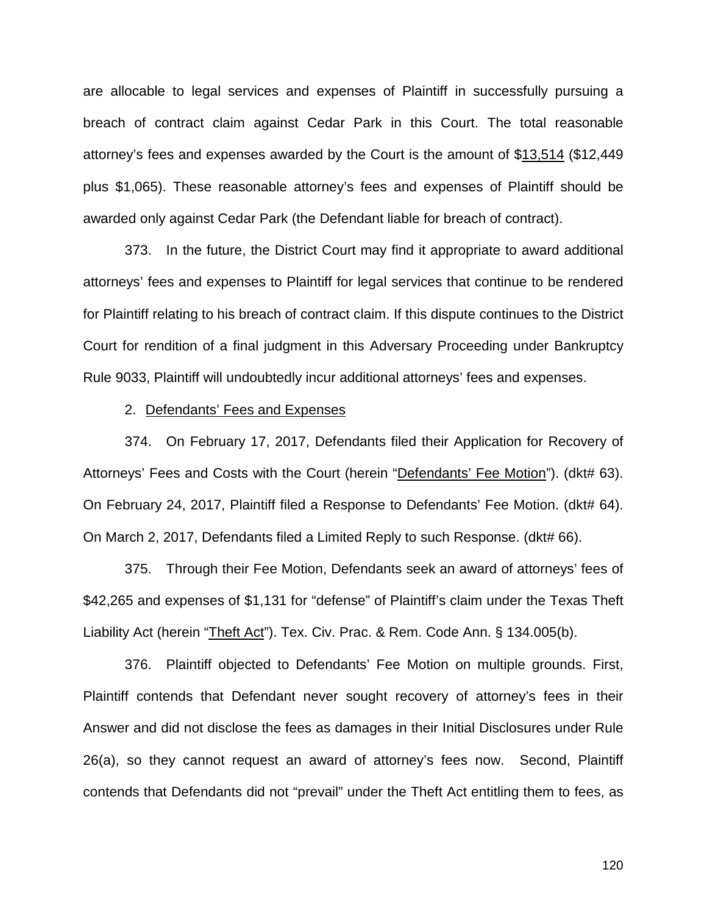are allocable to legal services and expenses of Plaintiff in successfully pursuing a breach of contract claim against Cedar Park in this Court. The total reasonable attorney's fees and expenses awarded by the Court is the amount of \$13,514 (\$12,449 plus \$1,065). These reasonable attorney's fees and expenses of Plaintiff should be awarded only against Cedar Park (the Defendant liable for breach of contract).

373. In the future, the District Court may find it appropriate to award additional attorneys' fees and expenses to Plaintiff for legal services that continue to be rendered for Plaintiff relating to his breach of contract claim. If this dispute continues to the District Court for rendition of a final judgment in this Adversary Proceeding under Bankruptcy Rule 9033, Plaintiff will undoubtedly incur additional attorneys' fees and expenses.

#### 2. Defendants' Fees and Expenses

374. On February 17, 2017, Defendants filed their Application for Recovery of Attorneys' Fees and Costs with the Court (herein "Defendants' Fee Motion"). (dkt# 63). On February 24, 2017, Plaintiff filed a Response to Defendants' Fee Motion. (dkt# 64). On March 2, 2017, Defendants filed a Limited Reply to such Response. (dkt# 66).

375. Through their Fee Motion, Defendants seek an award of attorneys' fees of \$42,265 and expenses of \$1,131 for "defense" of Plaintiff's claim under the Texas Theft Liability Act (herein "Theft Act"). Tex. Civ. Prac. & Rem. Code Ann. § 134.005(b).

376. Plaintiff objected to Defendants' Fee Motion on multiple grounds. First, Plaintiff contends that Defendant never sought recovery of attorney's fees in their Answer and did not disclose the fees as damages in their Initial Disclosures under Rule 26(a), so they cannot request an award of attorney's fees now. Second, Plaintiff contends that Defendants did not "prevail" under the Theft Act entitling them to fees, as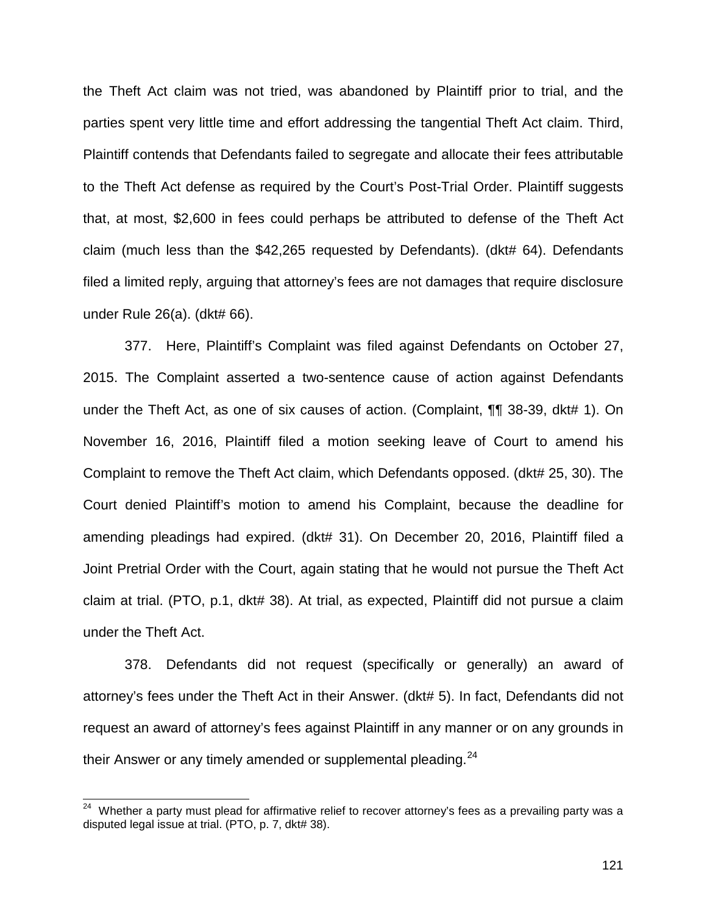the Theft Act claim was not tried, was abandoned by Plaintiff prior to trial, and the parties spent very little time and effort addressing the tangential Theft Act claim. Third, Plaintiff contends that Defendants failed to segregate and allocate their fees attributable to the Theft Act defense as required by the Court's Post-Trial Order. Plaintiff suggests that, at most, \$2,600 in fees could perhaps be attributed to defense of the Theft Act claim (much less than the \$42,265 requested by Defendants). (dkt# 64). Defendants filed a limited reply, arguing that attorney's fees are not damages that require disclosure under Rule 26(a). (dkt# 66).

377. Here, Plaintiff's Complaint was filed against Defendants on October 27, 2015. The Complaint asserted a two-sentence cause of action against Defendants under the Theft Act, as one of six causes of action. (Complaint, ¶¶ 38-39, dkt# 1). On November 16, 2016, Plaintiff filed a motion seeking leave of Court to amend his Complaint to remove the Theft Act claim, which Defendants opposed. (dkt# 25, 30). The Court denied Plaintiff's motion to amend his Complaint, because the deadline for amending pleadings had expired. (dkt# 31). On December 20, 2016, Plaintiff filed a Joint Pretrial Order with the Court, again stating that he would not pursue the Theft Act claim at trial. (PTO, p.1, dkt# 38). At trial, as expected, Plaintiff did not pursue a claim under the Theft Act.

378. Defendants did not request (specifically or generally) an award of attorney's fees under the Theft Act in their Answer. (dkt# 5). In fact, Defendants did not request an award of attorney's fees against Plaintiff in any manner or on any grounds in their Answer or any timely amended or supplemental pleading.<sup>24</sup>

 $24$ Whether a party must plead for affirmative relief to recover attorney's fees as a prevailing party was a disputed legal issue at trial. (PTO, p. 7, dkt# 38).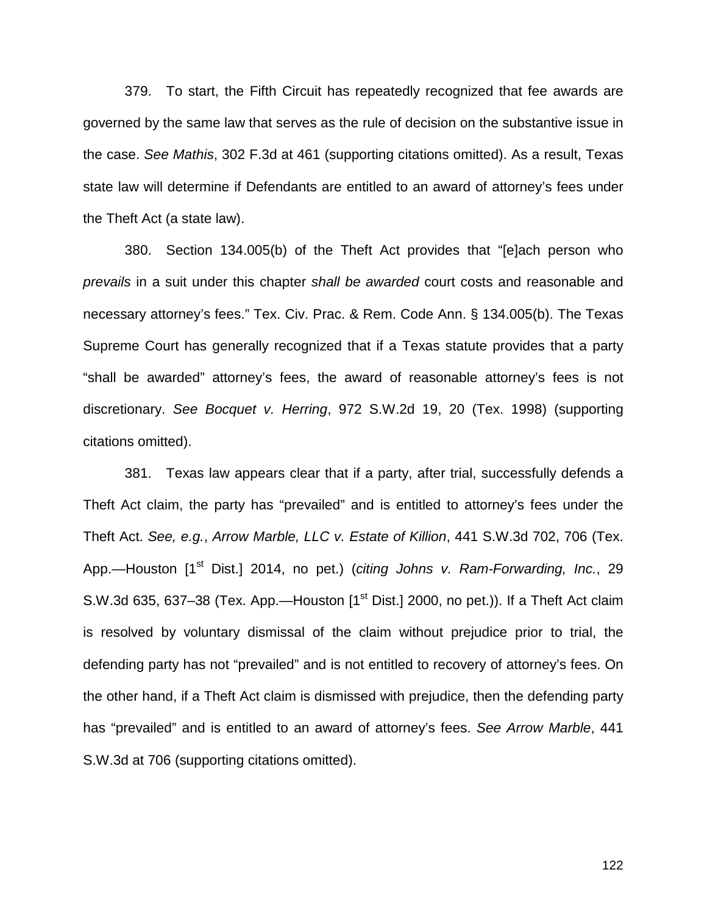379. To start, the Fifth Circuit has repeatedly recognized that fee awards are governed by the same law that serves as the rule of decision on the substantive issue in the case. *See Mathis*, 302 F.3d at 461 (supporting citations omitted). As a result, Texas state law will determine if Defendants are entitled to an award of attorney's fees under the Theft Act (a state law).

380. Section 134.005(b) of the Theft Act provides that "[e]ach person who *prevails* in a suit under this chapter *shall be awarded* court costs and reasonable and necessary attorney's fees." Tex. Civ. Prac. & Rem. Code Ann. § 134.005(b). The Texas Supreme Court has generally recognized that if a Texas statute provides that a party "shall be awarded" attorney's fees, the award of reasonable attorney's fees is not discretionary. *See Bocquet v. Herring*, 972 S.W.2d 19, 20 (Tex. 1998) (supporting citations omitted).

381. Texas law appears clear that if a party, after trial, successfully defends a Theft Act claim, the party has "prevailed" and is entitled to attorney's fees under the Theft Act. *See, e.g.*, *Arrow Marble, LLC v. Estate of Killion*, 441 S.W.3d 702, 706 (Tex. App.—Houston [1<sup>st</sup> Dist.] 2014, no pet.) (*citing Johns v. Ram-Forwarding, Inc.*, 29 S.W.3d 635, 637-38 (Tex. App.—Houston [1<sup>st</sup> Dist.] 2000, no pet.)). If a Theft Act claim is resolved by voluntary dismissal of the claim without prejudice prior to trial, the defending party has not "prevailed" and is not entitled to recovery of attorney's fees. On the other hand, if a Theft Act claim is dismissed with prejudice, then the defending party has "prevailed" and is entitled to an award of attorney's fees. *See Arrow Marble*, 441 S.W.3d at 706 (supporting citations omitted).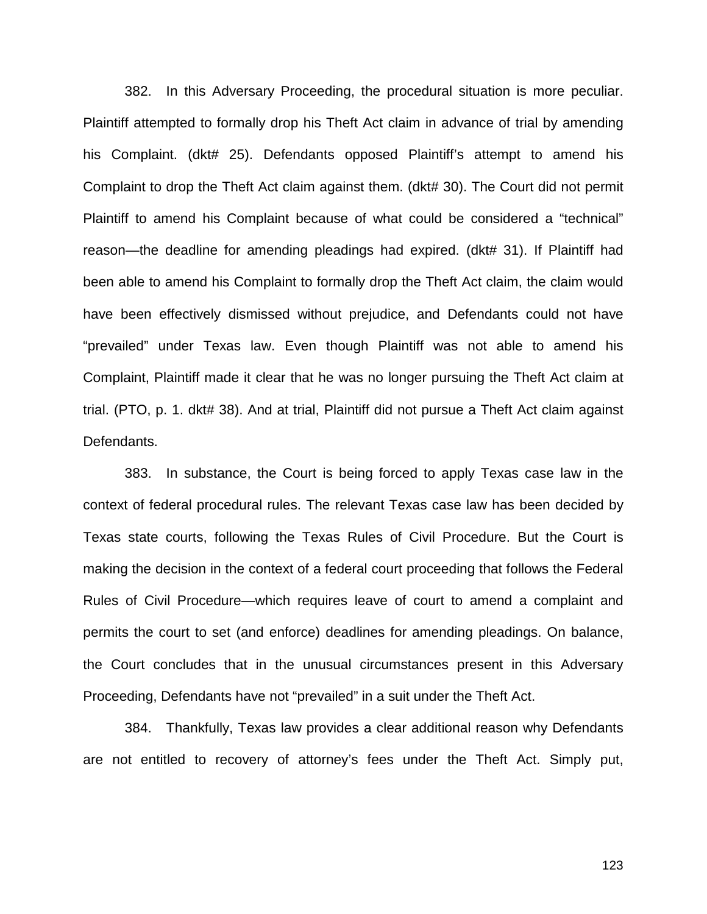382. In this Adversary Proceeding, the procedural situation is more peculiar. Plaintiff attempted to formally drop his Theft Act claim in advance of trial by amending his Complaint. (dkt# 25). Defendants opposed Plaintiff's attempt to amend his Complaint to drop the Theft Act claim against them. (dkt# 30). The Court did not permit Plaintiff to amend his Complaint because of what could be considered a "technical" reason—the deadline for amending pleadings had expired. (dkt# 31). If Plaintiff had been able to amend his Complaint to formally drop the Theft Act claim, the claim would have been effectively dismissed without prejudice, and Defendants could not have "prevailed" under Texas law. Even though Plaintiff was not able to amend his Complaint, Plaintiff made it clear that he was no longer pursuing the Theft Act claim at trial. (PTO, p. 1. dkt# 38). And at trial, Plaintiff did not pursue a Theft Act claim against Defendants.

383. In substance, the Court is being forced to apply Texas case law in the context of federal procedural rules. The relevant Texas case law has been decided by Texas state courts, following the Texas Rules of Civil Procedure. But the Court is making the decision in the context of a federal court proceeding that follows the Federal Rules of Civil Procedure—which requires leave of court to amend a complaint and permits the court to set (and enforce) deadlines for amending pleadings. On balance, the Court concludes that in the unusual circumstances present in this Adversary Proceeding, Defendants have not "prevailed" in a suit under the Theft Act.

384. Thankfully, Texas law provides a clear additional reason why Defendants are not entitled to recovery of attorney's fees under the Theft Act. Simply put,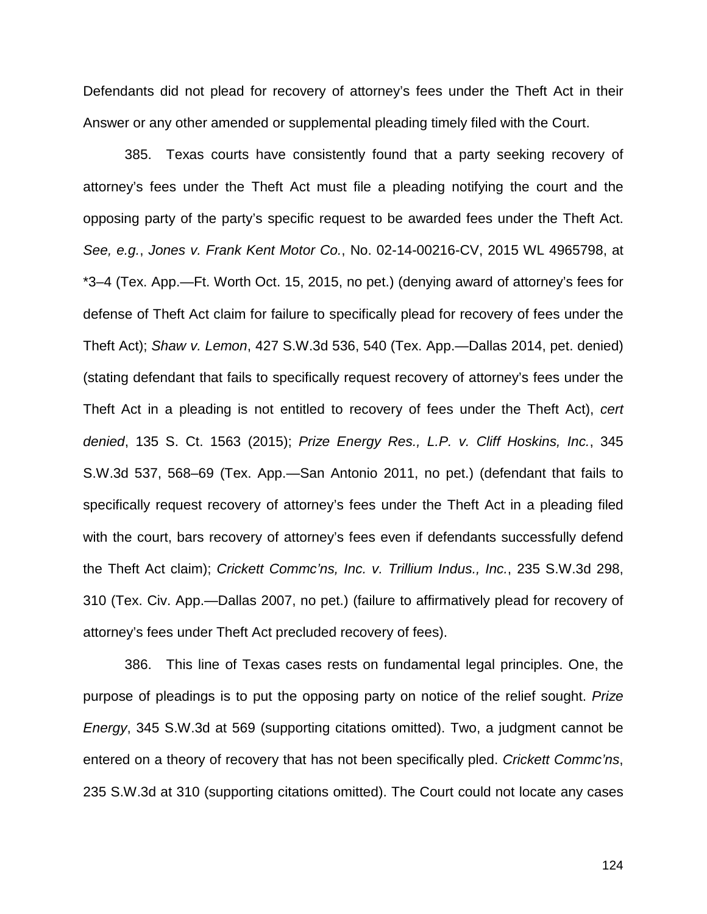Defendants did not plead for recovery of attorney's fees under the Theft Act in their Answer or any other amended or supplemental pleading timely filed with the Court.

385. Texas courts have consistently found that a party seeking recovery of attorney's fees under the Theft Act must file a pleading notifying the court and the opposing party of the party's specific request to be awarded fees under the Theft Act. *See, e.g.*, *Jones v. Frank Kent Motor Co.*, No. 02-14-00216-CV, 2015 WL 4965798, at \*3–4 (Tex. App.—Ft. Worth Oct. 15, 2015, no pet.) (denying award of attorney's fees for defense of Theft Act claim for failure to specifically plead for recovery of fees under the Theft Act); *Shaw v. Lemon*, 427 S.W.3d 536, 540 (Tex. App.—Dallas 2014, pet. denied) (stating defendant that fails to specifically request recovery of attorney's fees under the Theft Act in a pleading is not entitled to recovery of fees under the Theft Act), *cert denied*, 135 S. Ct. 1563 (2015); *Prize Energy Res., L.P. v. Cliff Hoskins, Inc.*, 345 S.W.3d 537, 568–69 (Tex. App.—San Antonio 2011, no pet.) (defendant that fails to specifically request recovery of attorney's fees under the Theft Act in a pleading filed with the court, bars recovery of attorney's fees even if defendants successfully defend the Theft Act claim); *Crickett Commc'ns, Inc. v. Trillium Indus., Inc.*, 235 S.W.3d 298, 310 (Tex. Civ. App.—Dallas 2007, no pet.) (failure to affirmatively plead for recovery of attorney's fees under Theft Act precluded recovery of fees).

386. This line of Texas cases rests on fundamental legal principles. One, the purpose of pleadings is to put the opposing party on notice of the relief sought. *Prize Energy*, 345 S.W.3d at 569 (supporting citations omitted). Two, a judgment cannot be entered on a theory of recovery that has not been specifically pled. *Crickett Commc'ns*, 235 S.W.3d at 310 (supporting citations omitted). The Court could not locate any cases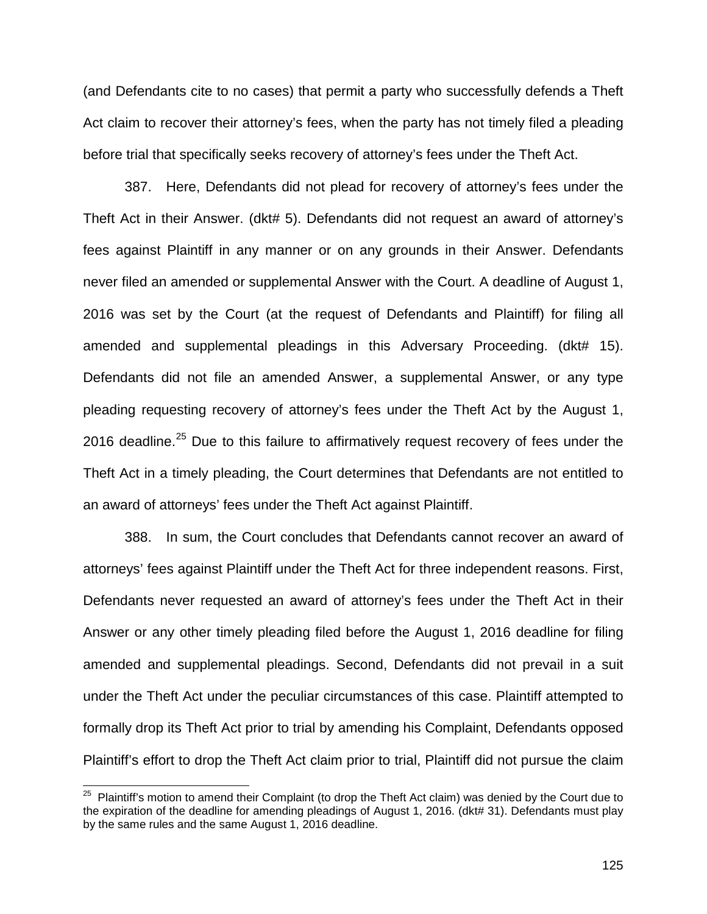(and Defendants cite to no cases) that permit a party who successfully defends a Theft Act claim to recover their attorney's fees, when the party has not timely filed a pleading before trial that specifically seeks recovery of attorney's fees under the Theft Act.

387. Here, Defendants did not plead for recovery of attorney's fees under the Theft Act in their Answer. (dkt# 5). Defendants did not request an award of attorney's fees against Plaintiff in any manner or on any grounds in their Answer. Defendants never filed an amended or supplemental Answer with the Court. A deadline of August 1, 2016 was set by the Court (at the request of Defendants and Plaintiff) for filing all amended and supplemental pleadings in this Adversary Proceeding. (dkt# 15). Defendants did not file an amended Answer, a supplemental Answer, or any type pleading requesting recovery of attorney's fees under the Theft Act by the August 1, 2016 deadline.<sup>25</sup> Due to this failure to affirmatively request recovery of fees under the Theft Act in a timely pleading, the Court determines that Defendants are not entitled to an award of attorneys' fees under the Theft Act against Plaintiff.

388. In sum, the Court concludes that Defendants cannot recover an award of attorneys' fees against Plaintiff under the Theft Act for three independent reasons. First, Defendants never requested an award of attorney's fees under the Theft Act in their Answer or any other timely pleading filed before the August 1, 2016 deadline for filing amended and supplemental pleadings. Second, Defendants did not prevail in a suit under the Theft Act under the peculiar circumstances of this case. Plaintiff attempted to formally drop its Theft Act prior to trial by amending his Complaint, Defendants opposed Plaintiff's effort to drop the Theft Act claim prior to trial, Plaintiff did not pursue the claim

 $\overline{\phantom{a}}$ 

<sup>&</sup>lt;sup>25</sup> Plaintiff's motion to amend their Complaint (to drop the Theft Act claim) was denied by the Court due to the expiration of the deadline for amending pleadings of August 1, 2016. (dkt# 31). Defendants must play by the same rules and the same August 1, 2016 deadline.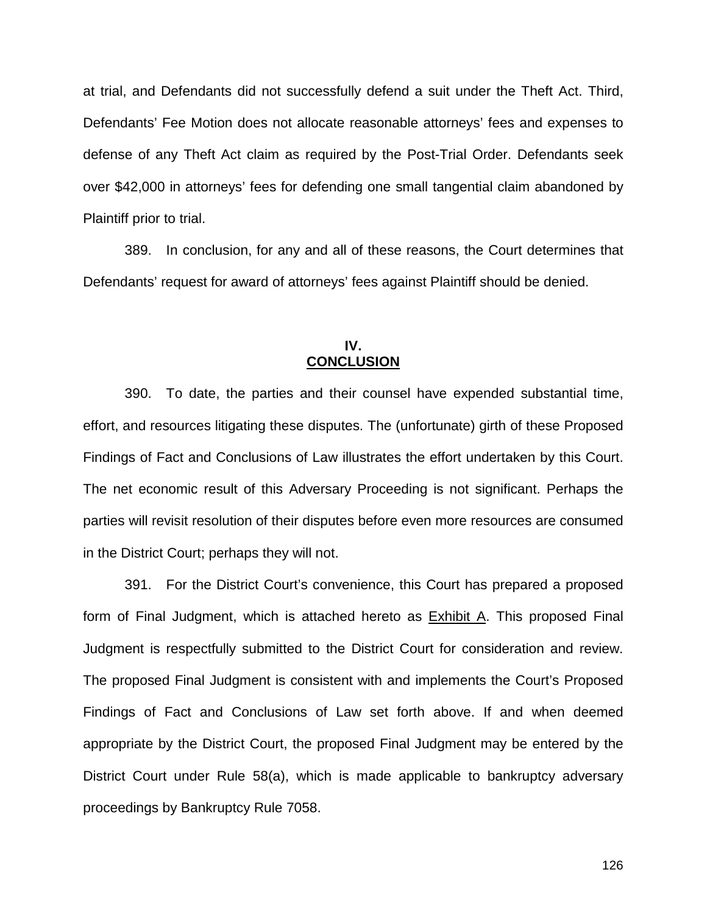at trial, and Defendants did not successfully defend a suit under the Theft Act. Third, Defendants' Fee Motion does not allocate reasonable attorneys' fees and expenses to defense of any Theft Act claim as required by the Post-Trial Order. Defendants seek over \$42,000 in attorneys' fees for defending one small tangential claim abandoned by Plaintiff prior to trial.

389. In conclusion, for any and all of these reasons, the Court determines that Defendants' request for award of attorneys' fees against Plaintiff should be denied.

### **IV. CONCLUSION**

390. To date, the parties and their counsel have expended substantial time, effort, and resources litigating these disputes. The (unfortunate) girth of these Proposed Findings of Fact and Conclusions of Law illustrates the effort undertaken by this Court. The net economic result of this Adversary Proceeding is not significant. Perhaps the parties will revisit resolution of their disputes before even more resources are consumed in the District Court; perhaps they will not.

391. For the District Court's convenience, this Court has prepared a proposed form of Final Judgment, which is attached hereto as Exhibit A. This proposed Final Judgment is respectfully submitted to the District Court for consideration and review. The proposed Final Judgment is consistent with and implements the Court's Proposed Findings of Fact and Conclusions of Law set forth above. If and when deemed appropriate by the District Court, the proposed Final Judgment may be entered by the District Court under Rule 58(a), which is made applicable to bankruptcy adversary proceedings by Bankruptcy Rule 7058.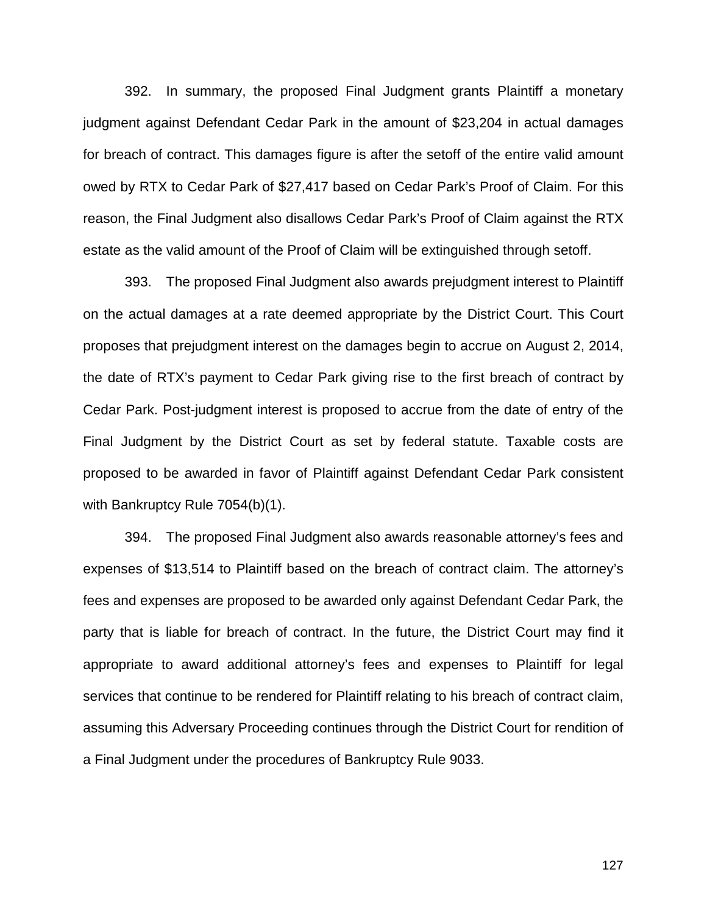392. In summary, the proposed Final Judgment grants Plaintiff a monetary judgment against Defendant Cedar Park in the amount of \$23,204 in actual damages for breach of contract. This damages figure is after the setoff of the entire valid amount owed by RTX to Cedar Park of \$27,417 based on Cedar Park's Proof of Claim. For this reason, the Final Judgment also disallows Cedar Park's Proof of Claim against the RTX estate as the valid amount of the Proof of Claim will be extinguished through setoff.

393. The proposed Final Judgment also awards prejudgment interest to Plaintiff on the actual damages at a rate deemed appropriate by the District Court. This Court proposes that prejudgment interest on the damages begin to accrue on August 2, 2014, the date of RTX's payment to Cedar Park giving rise to the first breach of contract by Cedar Park. Post-judgment interest is proposed to accrue from the date of entry of the Final Judgment by the District Court as set by federal statute. Taxable costs are proposed to be awarded in favor of Plaintiff against Defendant Cedar Park consistent with Bankruptcy Rule 7054(b)(1).

394. The proposed Final Judgment also awards reasonable attorney's fees and expenses of \$13,514 to Plaintiff based on the breach of contract claim. The attorney's fees and expenses are proposed to be awarded only against Defendant Cedar Park, the party that is liable for breach of contract. In the future, the District Court may find it appropriate to award additional attorney's fees and expenses to Plaintiff for legal services that continue to be rendered for Plaintiff relating to his breach of contract claim, assuming this Adversary Proceeding continues through the District Court for rendition of a Final Judgment under the procedures of Bankruptcy Rule 9033.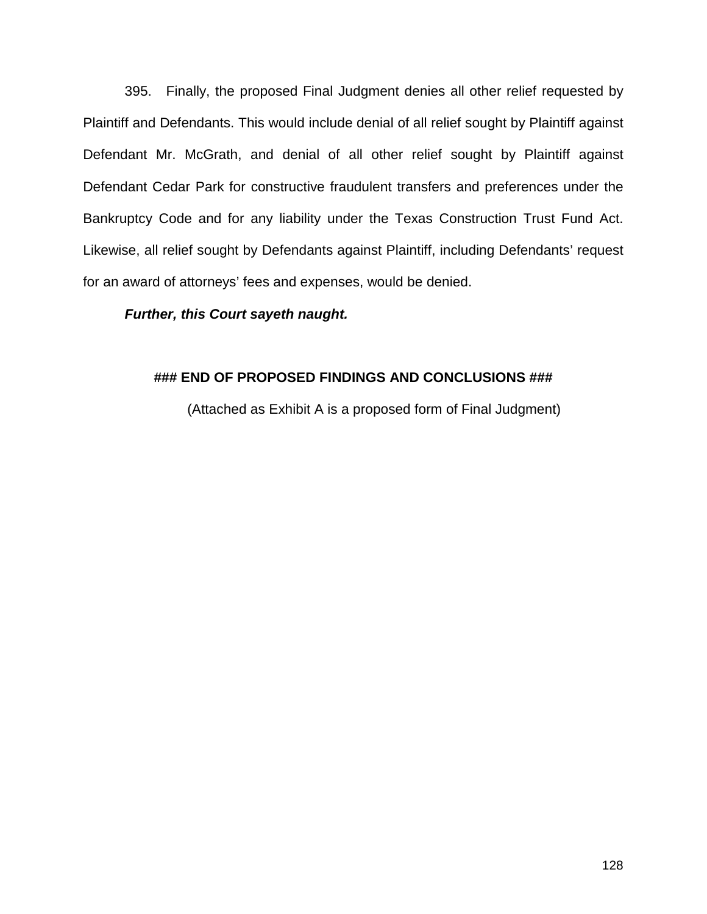395. Finally, the proposed Final Judgment denies all other relief requested by Plaintiff and Defendants. This would include denial of all relief sought by Plaintiff against Defendant Mr. McGrath, and denial of all other relief sought by Plaintiff against Defendant Cedar Park for constructive fraudulent transfers and preferences under the Bankruptcy Code and for any liability under the Texas Construction Trust Fund Act. Likewise, all relief sought by Defendants against Plaintiff, including Defendants' request for an award of attorneys' fees and expenses, would be denied.

## *Further, this Court sayeth naught.*

## **### END OF PROPOSED FINDINGS AND CONCLUSIONS ###**

(Attached as Exhibit A is a proposed form of Final Judgment)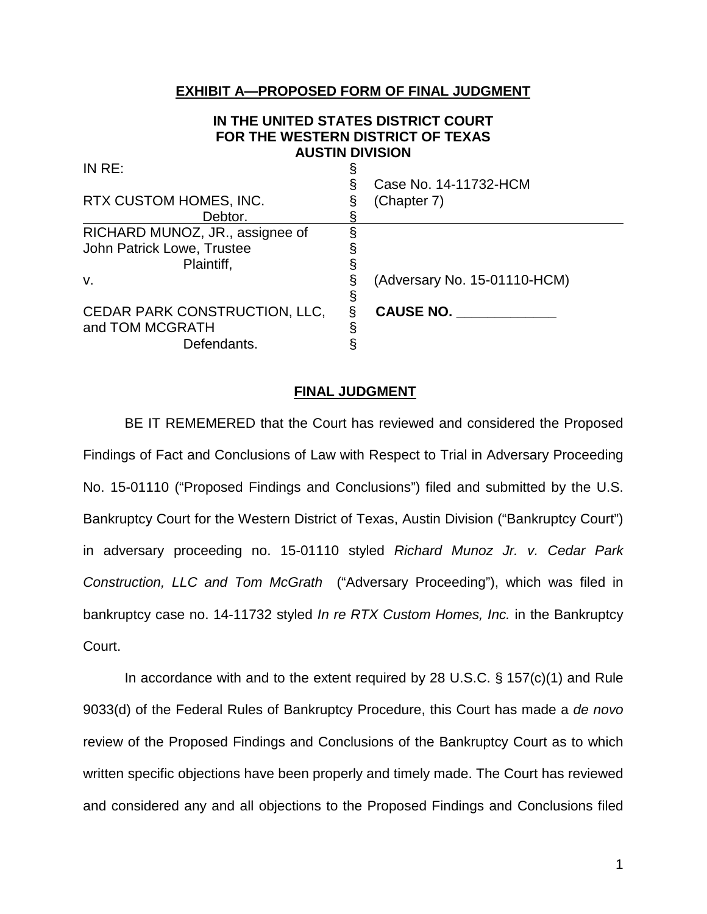## **EXHIBIT A—PROPOSED FORM OF FINAL JUDGMENT**

### **IN THE UNITED STATES DISTRICT COURT FOR THE WESTERN DISTRICT OF TEXAS AUSTIN DIVISION**

|  | Case No. 14-11732-HCM        |
|--|------------------------------|
|  | (Chapter 7)                  |
|  |                              |
|  |                              |
|  |                              |
|  |                              |
|  | (Adversary No. 15-01110-HCM) |
|  |                              |
|  | <b>CAUSE NO.</b>             |
|  |                              |
|  |                              |
|  |                              |

#### **FINAL JUDGMENT**

BE IT REMEMERED that the Court has reviewed and considered the Proposed Findings of Fact and Conclusions of Law with Respect to Trial in Adversary Proceeding No. 15-01110 ("Proposed Findings and Conclusions") filed and submitted by the U.S. Bankruptcy Court for the Western District of Texas, Austin Division ("Bankruptcy Court") in adversary proceeding no. 15-01110 styled *Richard Munoz Jr. v. Cedar Park Construction, LLC and Tom McGrath* ("Adversary Proceeding"), which was filed in bankruptcy case no. 14-11732 styled *In re RTX Custom Homes, Inc.* in the Bankruptcy Court.

In accordance with and to the extent required by 28 U.S.C. § 157(c)(1) and Rule 9033(d) of the Federal Rules of Bankruptcy Procedure, this Court has made a *de novo* review of the Proposed Findings and Conclusions of the Bankruptcy Court as to which written specific objections have been properly and timely made. The Court has reviewed and considered any and all objections to the Proposed Findings and Conclusions filed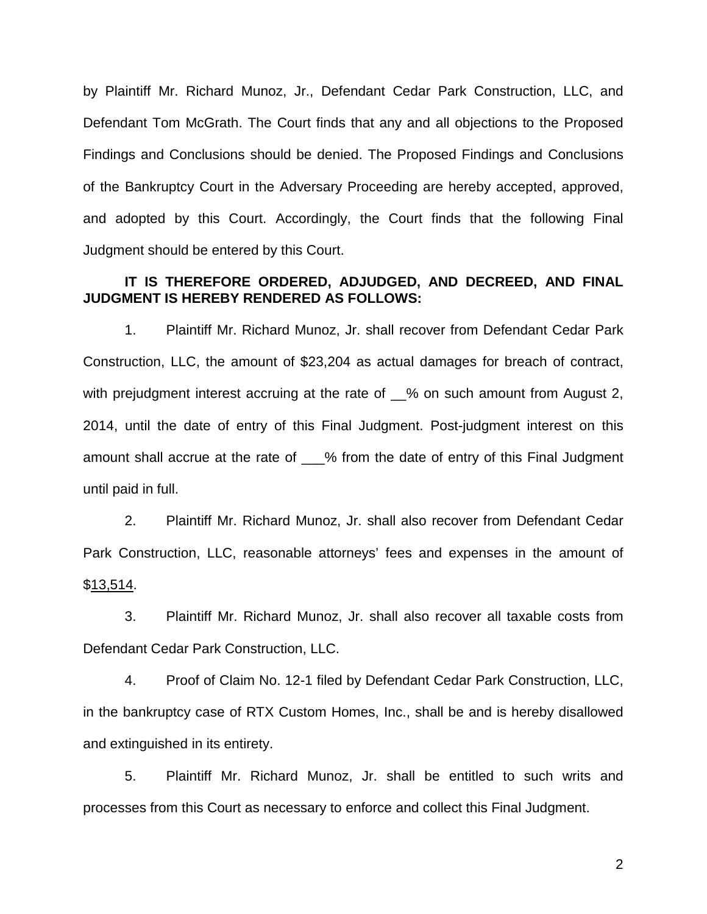by Plaintiff Mr. Richard Munoz, Jr., Defendant Cedar Park Construction, LLC, and Defendant Tom McGrath. The Court finds that any and all objections to the Proposed Findings and Conclusions should be denied. The Proposed Findings and Conclusions of the Bankruptcy Court in the Adversary Proceeding are hereby accepted, approved, and adopted by this Court. Accordingly, the Court finds that the following Final Judgment should be entered by this Court.

## **IT IS THEREFORE ORDERED, ADJUDGED, AND DECREED, AND FINAL JUDGMENT IS HEREBY RENDERED AS FOLLOWS:**

1. Plaintiff Mr. Richard Munoz, Jr. shall recover from Defendant Cedar Park Construction, LLC, the amount of \$23,204 as actual damages for breach of contract, with prejudgment interest accruing at the rate of 50 pm such amount from August 2, 2014, until the date of entry of this Final Judgment. Post-judgment interest on this amount shall accrue at the rate of % from the date of entry of this Final Judgment until paid in full.

2. Plaintiff Mr. Richard Munoz, Jr. shall also recover from Defendant Cedar Park Construction, LLC, reasonable attorneys' fees and expenses in the amount of \$13,514.

3. Plaintiff Mr. Richard Munoz, Jr. shall also recover all taxable costs from Defendant Cedar Park Construction, LLC.

4. Proof of Claim No. 12-1 filed by Defendant Cedar Park Construction, LLC, in the bankruptcy case of RTX Custom Homes, Inc., shall be and is hereby disallowed and extinguished in its entirety.

5. Plaintiff Mr. Richard Munoz, Jr. shall be entitled to such writs and processes from this Court as necessary to enforce and collect this Final Judgment.